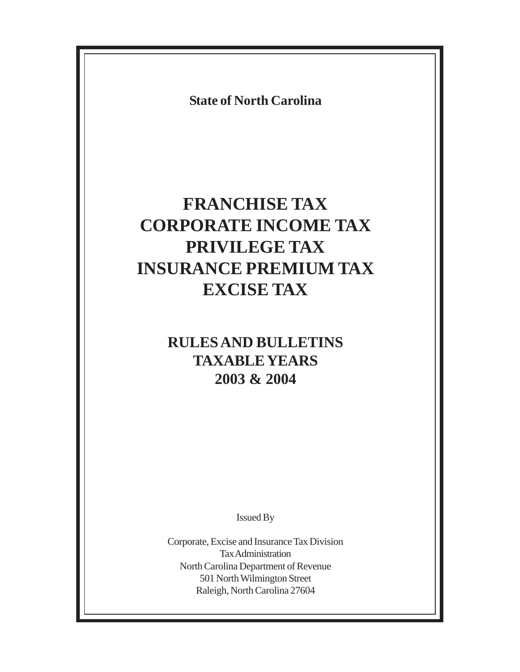**State of North Carolina**

# **FRANCHISE TAX CORPORATE INCOME TAX PRIVILEGE TAX INSURANCE PREMIUM TAX EXCISE TAX**

# **RULES AND BULLETINS TAXABLE YEARS 2003 & 2004**

Issued By

Corporate, Excise and Insurance Tax Division Tax Administration North Carolina Department of Revenue 501 North Wilmington Street Raleigh, North Carolina 27604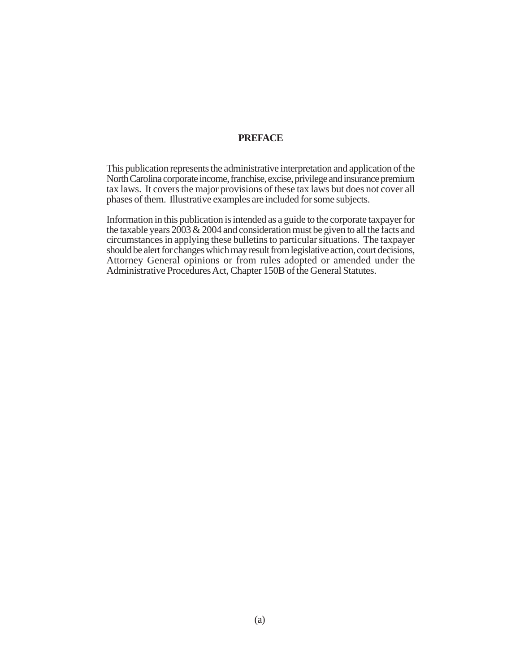#### **PREFACE**

This publication represents the administrative interpretation and application of the North Carolina corporate income, franchise, excise, privilege and insurance premium tax laws. It covers the major provisions of these tax laws but does not cover all phases of them. Illustrative examples are included for some subjects.

Information in this publication is intended as a guide to the corporate taxpayer for the taxable years 2003 & 2004 and consideration must be given to all the facts and circumstances in applying these bulletins to particular situations. The taxpayer should be alert for changes which may result from legislative action, court decisions, Attorney General opinions or from rules adopted or amended under the Administrative Procedures Act, Chapter 150B of the General Statutes.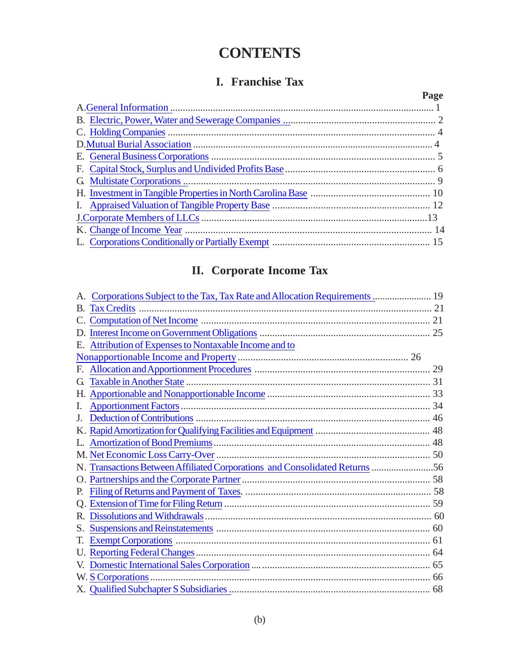# **CONTENTS**

# **I. Franchise Tax**

| Page |
|------|
|      |
|      |
|      |
|      |
|      |
|      |
|      |
|      |
|      |
|      |
|      |
|      |

# **II. Corporate Income Tax**

| A. Corporations Subject to the Tax, Tax Rate and Allocation Requirements  19 |  |
|------------------------------------------------------------------------------|--|
|                                                                              |  |
|                                                                              |  |
|                                                                              |  |
| E. Attribution of Expenses to Nontaxable Income and to                       |  |
|                                                                              |  |
|                                                                              |  |
| G                                                                            |  |
|                                                                              |  |
| I.                                                                           |  |
| J.                                                                           |  |
|                                                                              |  |
|                                                                              |  |
|                                                                              |  |
| N. Transactions Between Affiliated Corporations and Consolidated Returns 56  |  |
|                                                                              |  |
| Р.                                                                           |  |
|                                                                              |  |
|                                                                              |  |
|                                                                              |  |
| Т.                                                                           |  |
|                                                                              |  |
|                                                                              |  |
|                                                                              |  |
|                                                                              |  |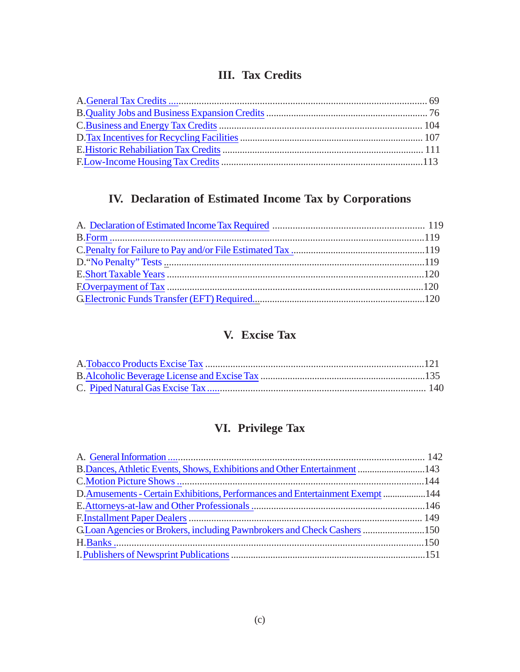# **III. Tax Credits**

# **IV. Declaration of Estimated Income Tax by Corporations**

# **V. Excise Tax**

# **VI. Privilege Tax**

| B. Dances, Athletic Events, Shows, Exhibitions and Other Entertainment  143    |  |
|--------------------------------------------------------------------------------|--|
|                                                                                |  |
| D.Amusements - Certain Exhibitions, Performances and Entertainment Exempt  144 |  |
|                                                                                |  |
|                                                                                |  |
|                                                                                |  |
|                                                                                |  |
|                                                                                |  |
|                                                                                |  |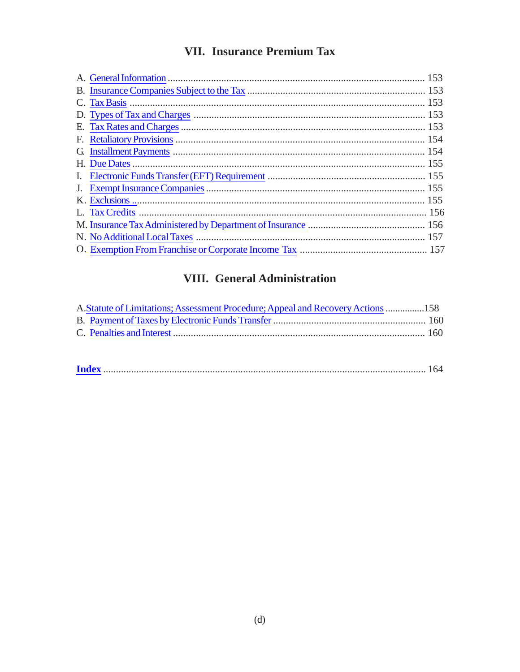# **VII. Insurance Premium Tax**

| J. |  |
|----|--|
|    |  |
|    |  |
|    |  |
|    |  |
|    |  |
|    |  |

# VIII. General Administration

| A. Statute of Limitations; Assessment Procedure; Appeal and Recovery Actions  158 |  |
|-----------------------------------------------------------------------------------|--|
|                                                                                   |  |
|                                                                                   |  |
|                                                                                   |  |

|--|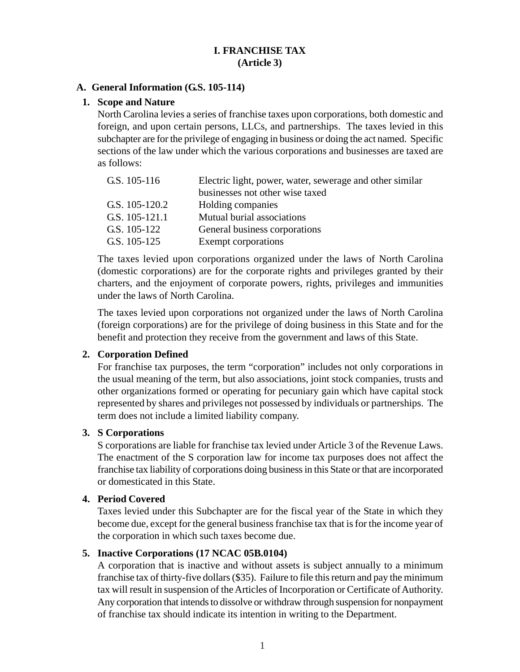# **I. FRANCHISE TAX (Article 3)**

#### <span id="page-5-0"></span>**A. General Information (G.S. 105-114)**

#### **1. Scope and Nature**

North Carolina levies a series of franchise taxes upon corporations, both domestic and foreign, and upon certain persons, LLCs, and partnerships. The taxes levied in this subchapter are for the privilege of engaging in business or doing the act named. Specific sections of the law under which the various corporations and businesses are taxed are as follows:

| G.S. 105-116   | Electric light, power, water, sewerage and other similar |  |
|----------------|----------------------------------------------------------|--|
|                | businesses not other wise taxed                          |  |
| G.S. 105-120.2 | Holding companies                                        |  |
| G.S. 105-121.1 | Mutual burial associations                               |  |
| G.S. 105-122   | General business corporations                            |  |
| G.S. 105-125   | Exempt corporations                                      |  |

The taxes levied upon corporations organized under the laws of North Carolina (domestic corporations) are for the corporate rights and privileges granted by their charters, and the enjoyment of corporate powers, rights, privileges and immunities under the laws of North Carolina.

The taxes levied upon corporations not organized under the laws of North Carolina (foreign corporations) are for the privilege of doing business in this State and for the benefit and protection they receive from the government and laws of this State.

# **2. Corporation Defined**

For franchise tax purposes, the term "corporation" includes not only corporations in the usual meaning of the term, but also associations, joint stock companies, trusts and other organizations formed or operating for pecuniary gain which have capital stock represented by shares and privileges not possessed by individuals or partnerships. The term does not include a limited liability company.

# **3. S Corporations**

S corporations are liable for franchise tax levied under Article 3 of the Revenue Laws. The enactment of the S corporation law for income tax purposes does not affect the franchise tax liability of corporations doing business in this State or that are incorporated or domesticated in this State.

#### **4. Period Covered**

Taxes levied under this Subchapter are for the fiscal year of the State in which they become due, except for the general business franchise tax that is for the income year of the corporation in which such taxes become due.

# **5. Inactive Corporations (17 NCAC 05B.0104)**

A corporation that is inactive and without assets is subject annually to a minimum franchise tax of thirty-five dollars (\$35). Failure to file this return and pay the minimum tax will result in suspension of the Articles of Incorporation or Certificate of Authority. Any corporation that intends to dissolve or withdraw through suspension for nonpayment of franchise tax should indicate its intention in writing to the Department.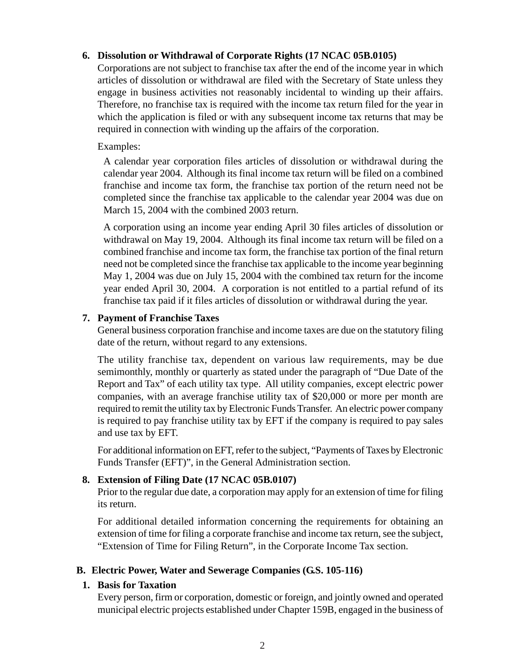# <span id="page-6-0"></span>**6. Dissolution or Withdrawal of Corporate Rights (17 NCAC 05B.0105)**

Corporations are not subject to franchise tax after the end of the income year in which articles of dissolution or withdrawal are filed with the Secretary of State unless they engage in business activities not reasonably incidental to winding up their affairs. Therefore, no franchise tax is required with the income tax return filed for the year in which the application is filed or with any subsequent income tax returns that may be required in connection with winding up the affairs of the corporation.

# Examples:

A calendar year corporation files articles of dissolution or withdrawal during the calendar year 2004. Although its final income tax return will be filed on a combined franchise and income tax form, the franchise tax portion of the return need not be completed since the franchise tax applicable to the calendar year 2004 was due on March 15, 2004 with the combined 2003 return.

A corporation using an income year ending April 30 files articles of dissolution or withdrawal on May 19, 2004. Although its final income tax return will be filed on a combined franchise and income tax form, the franchise tax portion of the final return need not be completed since the franchise tax applicable to the income year beginning May 1, 2004 was due on July 15, 2004 with the combined tax return for the income year ended April 30, 2004. A corporation is not entitled to a partial refund of its franchise tax paid if it files articles of dissolution or withdrawal during the year.

# **7. Payment of Franchise Taxes**

General business corporation franchise and income taxes are due on the statutory filing date of the return, without regard to any extensions.

The utility franchise tax, dependent on various law requirements, may be due semimonthly, monthly or quarterly as stated under the paragraph of "Due Date of the Report and Tax" of each utility tax type. All utility companies, except electric power companies, with an average franchise utility tax of \$20,000 or more per month are required to remit the utility tax by Electronic Funds Transfer. An electric power company is required to pay franchise utility tax by EFT if the company is required to pay sales and use tax by EFT.

For additional information on EFT, refer to the subject, "Payments of Taxes by Electronic Funds Transfer (EFT)", in the General Administration section.

# **8. Extension of Filing Date (17 NCAC 05B.0107)**

Prior to the regular due date, a corporation may apply for an extension of time for filing its return.

For additional detailed information concerning the requirements for obtaining an extension of time for filing a corporate franchise and income tax return, see the subject, "Extension of Time for Filing Return", in the Corporate Income Tax section.

# **B. Electric Power, Water and Sewerage Companies (G.S. 105-116)**

# **1. Basis for Taxation**

Every person, firm or corporation, domestic or foreign, and jointly owned and operated municipal electric projects established under Chapter 159B, engaged in the business of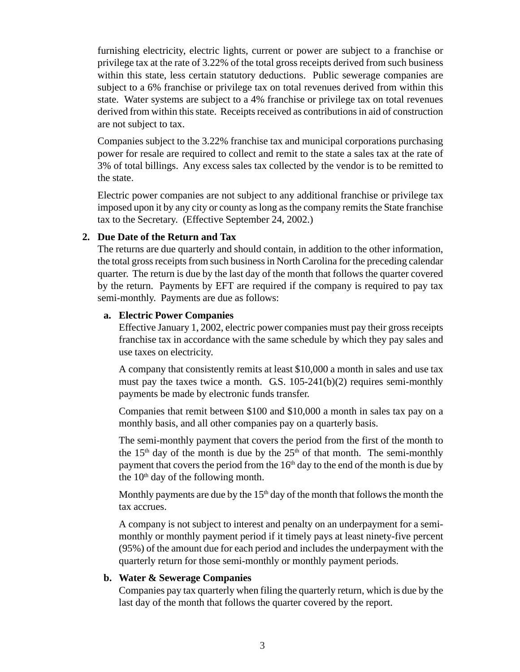furnishing electricity, electric lights, current or power are subject to a franchise or privilege tax at the rate of 3.22% of the total gross receipts derived from such business within this state, less certain statutory deductions. Public sewerage companies are subject to a 6% franchise or privilege tax on total revenues derived from within this state. Water systems are subject to a 4% franchise or privilege tax on total revenues derived from within this state. Receipts received as contributions in aid of construction are not subject to tax.

Companies subject to the 3.22% franchise tax and municipal corporations purchasing power for resale are required to collect and remit to the state a sales tax at the rate of 3% of total billings. Any excess sales tax collected by the vendor is to be remitted to the state.

Electric power companies are not subject to any additional franchise or privilege tax imposed upon it by any city or county as long as the company remits the State franchise tax to the Secretary. (Effective September 24, 2002.)

#### **2. Due Date of the Return and Tax**

The returns are due quarterly and should contain, in addition to the other information, the total gross receipts from such business in North Carolina for the preceding calendar quarter. The return is due by the last day of the month that follows the quarter covered by the return. Payments by EFT are required if the company is required to pay tax semi-monthly. Payments are due as follows:

#### **a. Electric Power Companies**

Effective January 1, 2002, electric power companies must pay their gross receipts franchise tax in accordance with the same schedule by which they pay sales and use taxes on electricity.

A company that consistently remits at least \$10,000 a month in sales and use tax must pay the taxes twice a month. G.S. 105-241(b)(2) requires semi-monthly payments be made by electronic funds transfer.

Companies that remit between \$100 and \$10,000 a month in sales tax pay on a monthly basis, and all other companies pay on a quarterly basis.

The semi-monthly payment that covers the period from the first of the month to the 15<sup>th</sup> day of the month is due by the  $25<sup>th</sup>$  of that month. The semi-monthly payment that covers the period from the  $16<sup>th</sup>$  day to the end of the month is due by the  $10<sup>th</sup>$  day of the following month.

Monthly payments are due by the  $15<sup>th</sup>$  day of the month that follows the month the tax accrues.

A company is not subject to interest and penalty on an underpayment for a semimonthly or monthly payment period if it timely pays at least ninety-five percent (95%) of the amount due for each period and includes the underpayment with the quarterly return for those semi-monthly or monthly payment periods.

#### **b. Water & Sewerage Companies**

Companies pay tax quarterly when filing the quarterly return, which is due by the last day of the month that follows the quarter covered by the report.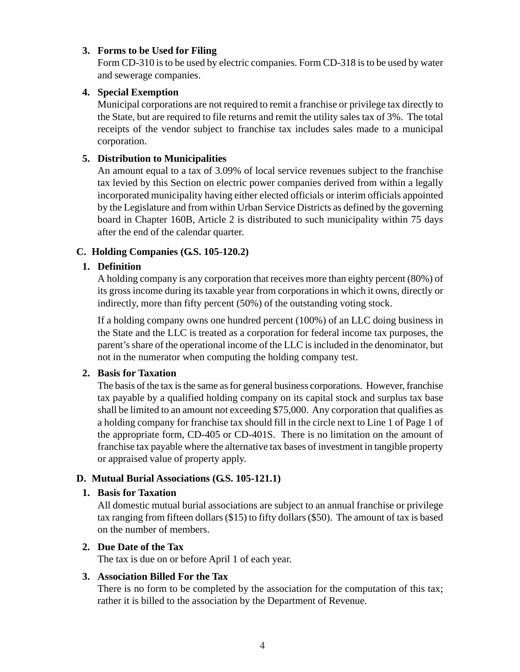#### <span id="page-8-0"></span>**3. Forms to be Used for Filing**

Form CD-310 is to be used by electric companies. Form CD-318 is to be used by water and sewerage companies.

#### **4. Special Exemption**

Municipal corporations are not required to remit a franchise or privilege tax directly to the State, but are required to file returns and remit the utility sales tax of 3%. The total receipts of the vendor subject to franchise tax includes sales made to a municipal corporation.

#### **5. Distribution to Municipalities**

An amount equal to a tax of 3.09% of local service revenues subject to the franchise tax levied by this Section on electric power companies derived from within a legally incorporated municipality having either elected officials or interim officials appointed by the Legislature and from within Urban Service Districts as defined by the governing board in Chapter 160B, Article 2 is distributed to such municipality within 75 days after the end of the calendar quarter.

# **C. Holding Companies (G.S. 105-120.2)**

# **1. Definition**

A holding company is any corporation that receives more than eighty percent (80%) of its gross income during its taxable year from corporations in which it owns, directly or indirectly, more than fifty percent (50%) of the outstanding voting stock.

If a holding company owns one hundred percent (100%) of an LLC doing business in the State and the LLC is treated as a corporation for federal income tax purposes, the parent's share of the operational income of the LLC is included in the denominator, but not in the numerator when computing the holding company test.

#### **2. Basis for Taxation**

The basis of the tax is the same as for general business corporations. However, franchise tax payable by a qualified holding company on its capital stock and surplus tax base shall be limited to an amount not exceeding \$75,000. Any corporation that qualifies as a holding company for franchise tax should fill in the circle next to Line 1 of Page 1 of the appropriate form, CD-405 or CD-401S. There is no limitation on the amount of franchise tax payable where the alternative tax bases of investment in tangible property or appraised value of property apply.

#### **D. Mutual Burial Associations (G.S. 105-121.1)**

#### **1. Basis for Taxation**

All domestic mutual burial associations are subject to an annual franchise or privilege tax ranging from fifteen dollars (\$15) to fifty dollars (\$50). The amount of tax is based on the number of members.

#### **2. Due Date of the Tax**

The tax is due on or before April 1 of each year.

#### **3. Association Billed For the Tax**

There is no form to be completed by the association for the computation of this tax; rather it is billed to the association by the Department of Revenue.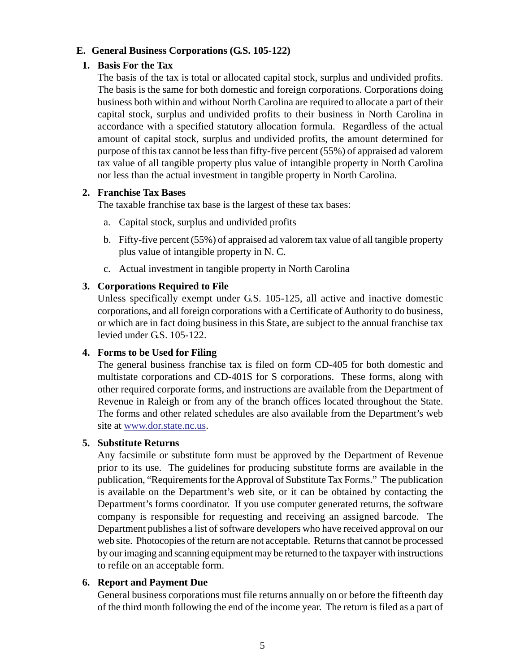#### <span id="page-9-0"></span>**E. General Business Corporations (G.S. 105-122)**

#### **1. Basis For the Tax**

The basis of the tax is total or allocated capital stock, surplus and undivided profits. The basis is the same for both domestic and foreign corporations. Corporations doing business both within and without North Carolina are required to allocate a part of their capital stock, surplus and undivided profits to their business in North Carolina in accordance with a specified statutory allocation formula. Regardless of the actual amount of capital stock, surplus and undivided profits, the amount determined for purpose of this tax cannot be less than fifty-five percent (55%) of appraised ad valorem tax value of all tangible property plus value of intangible property in North Carolina nor less than the actual investment in tangible property in North Carolina.

#### **2. Franchise Tax Bases**

The taxable franchise tax base is the largest of these tax bases:

- a. Capital stock, surplus and undivided profits
- b. Fifty-five percent (55%) of appraised ad valorem tax value of all tangible property plus value of intangible property in N. C.
- c. Actual investment in tangible property in North Carolina

# **3. Corporations Required to File**

Unless specifically exempt under G.S. 105-125, all active and inactive domestic corporations, and all foreign corporations with a Certificate of Authority to do business, or which are in fact doing business in this State, are subject to the annual franchise tax levied under G.S. 105-122.

# **4. Forms to be Used for Filing**

The general business franchise tax is filed on form CD-405 for both domestic and multistate corporations and CD-401S for S corporations. These forms, along with other required corporate forms, and instructions are available from the Department of Revenue in Raleigh or from any of the branch offices located throughout the State. The forms and other related schedules are also available from the Department's web site at www.dor.state.nc.us.

#### **5. Substitute Returns**

Any facsimile or substitute form must be approved by the Department of Revenue prior to its use. The guidelines for producing substitute forms are available in the publication, "Requirements for the Approval of Substitute Tax Forms." The publication is available on the Department's web site, or it can be obtained by contacting the Department's forms coordinator. If you use computer generated returns, the software company is responsible for requesting and receiving an assigned barcode. The Department publishes a list of software developers who have received approval on our web site. Photocopies of the return are not acceptable. Returns that cannot be processed by our imaging and scanning equipment may be returned to the taxpayer with instructions to refile on an acceptable form.

#### **6. Report and Payment Due**

General business corporations must file returns annually on or before the fifteenth day of the third month following the end of the income year. The return is filed as a part of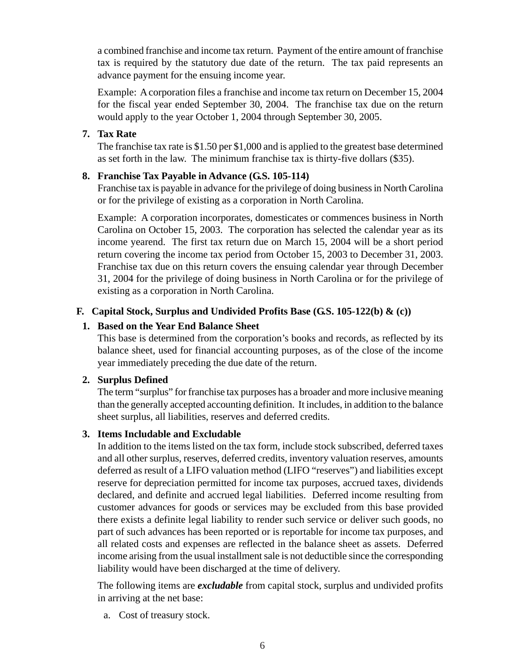<span id="page-10-0"></span>a combined franchise and income tax return. Payment of the entire amount of franchise tax is required by the statutory due date of the return. The tax paid represents an advance payment for the ensuing income year.

Example: A corporation files a franchise and income tax return on December 15, 2004 for the fiscal year ended September 30, 2004. The franchise tax due on the return would apply to the year October 1, 2004 through September 30, 2005.

# **7. Tax Rate**

The franchise tax rate is \$1.50 per \$1,000 and is applied to the greatest base determined as set forth in the law. The minimum franchise tax is thirty-five dollars (\$35).

# **8. Franchise Tax Payable in Advance (G.S. 105-114)**

Franchise tax is payable in advance for the privilege of doing business in North Carolina or for the privilege of existing as a corporation in North Carolina.

Example: A corporation incorporates, domesticates or commences business in North Carolina on October 15, 2003. The corporation has selected the calendar year as its income yearend. The first tax return due on March 15, 2004 will be a short period return covering the income tax period from October 15, 2003 to December 31, 2003. Franchise tax due on this return covers the ensuing calendar year through December 31, 2004 for the privilege of doing business in North Carolina or for the privilege of existing as a corporation in North Carolina.

# **F. Capital Stock, Surplus and Undivided Profits Base (G.S. 105-122(b) & (c))**

# **1. Based on the Year End Balance Sheet**

This base is determined from the corporation's books and records, as reflected by its balance sheet, used for financial accounting purposes, as of the close of the income year immediately preceding the due date of the return.

# **2. Surplus Defined**

The term "surplus" for franchise tax purposes has a broader and more inclusive meaning than the generally accepted accounting definition. It includes, in addition to the balance sheet surplus, all liabilities, reserves and deferred credits.

# **3. Items Includable and Excludable**

In addition to the items listed on the tax form, include stock subscribed, deferred taxes and all other surplus, reserves, deferred credits, inventory valuation reserves, amounts deferred as result of a LIFO valuation method (LIFO "reserves") and liabilities except reserve for depreciation permitted for income tax purposes, accrued taxes, dividends declared, and definite and accrued legal liabilities. Deferred income resulting from customer advances for goods or services may be excluded from this base provided there exists a definite legal liability to render such service or deliver such goods, no part of such advances has been reported or is reportable for income tax purposes, and all related costs and expenses are reflected in the balance sheet as assets. Deferred income arising from the usual installment sale is not deductible since the corresponding liability would have been discharged at the time of delivery.

The following items are *excludable* from capital stock, surplus and undivided profits in arriving at the net base:

a. Cost of treasury stock.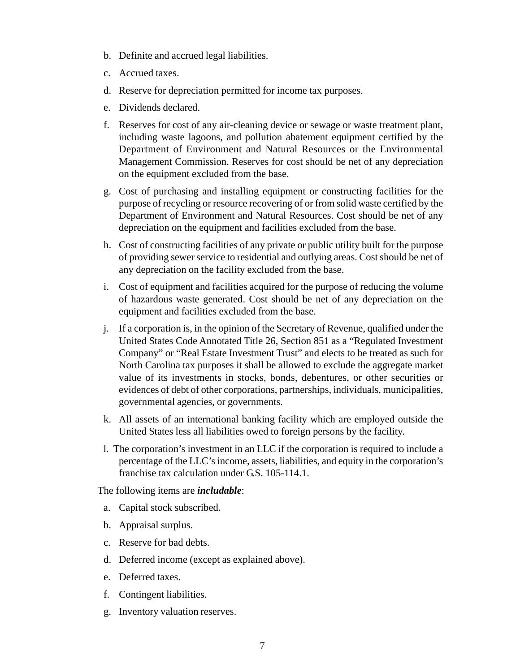- b. Definite and accrued legal liabilities.
- c. Accrued taxes.
- d. Reserve for depreciation permitted for income tax purposes.
- e. Dividends declared.
- f. Reserves for cost of any air-cleaning device or sewage or waste treatment plant, including waste lagoons, and pollution abatement equipment certified by the Department of Environment and Natural Resources or the Environmental Management Commission. Reserves for cost should be net of any depreciation on the equipment excluded from the base.
- g. Cost of purchasing and installing equipment or constructing facilities for the purpose of recycling or resource recovering of or from solid waste certified by the Department of Environment and Natural Resources. Cost should be net of any depreciation on the equipment and facilities excluded from the base.
- h. Cost of constructing facilities of any private or public utility built for the purpose of providing sewer service to residential and outlying areas. Cost should be net of any depreciation on the facility excluded from the base.
- i. Cost of equipment and facilities acquired for the purpose of reducing the volume of hazardous waste generated. Cost should be net of any depreciation on the equipment and facilities excluded from the base.
- j. If a corporation is, in the opinion of the Secretary of Revenue, qualified under the United States Code Annotated Title 26, Section 851 as a "Regulated Investment Company" or "Real Estate Investment Trust" and elects to be treated as such for North Carolina tax purposes it shall be allowed to exclude the aggregate market value of its investments in stocks, bonds, debentures, or other securities or evidences of debt of other corporations, partnerships, individuals, municipalities, governmental agencies, or governments.
- k. All assets of an international banking facility which are employed outside the United States less all liabilities owed to foreign persons by the facility.
- l. The corporation's investment in an LLC if the corporation is required to include a percentage of the LLC's income, assets, liabilities, and equity in the corporation's franchise tax calculation under G.S. 105-114.1.

The following items are *includable*:

- a. Capital stock subscribed.
- b. Appraisal surplus.
- c. Reserve for bad debts.
- d. Deferred income (except as explained above).
- e. Deferred taxes.
- f. Contingent liabilities.
- g. Inventory valuation reserves.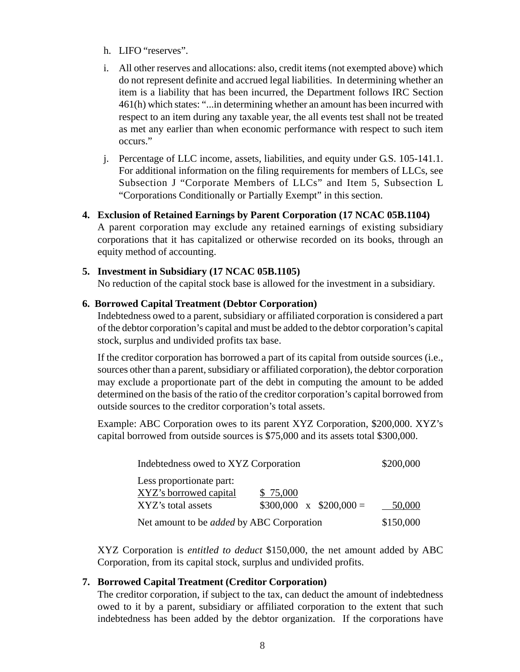- h. LIFO "reserves".
- i. All other reserves and allocations: also, credit items (not exempted above) which do not represent definite and accrued legal liabilities. In determining whether an item is a liability that has been incurred, the Department follows IRC Section 461(h) which states: "...in determining whether an amount has been incurred with respect to an item during any taxable year, the all events test shall not be treated as met any earlier than when economic performance with respect to such item occurs."
- j. Percentage of LLC income, assets, liabilities, and equity under G.S. 105-141.1. For additional information on the filing requirements for members of LLCs, see Subsection J "Corporate Members of LLCs" and Item 5, Subsection L "Corporations Conditionally or Partially Exempt" in this section.
- **4. Exclusion of Retained Earnings by Parent Corporation (17 NCAC 05B.1104)** A parent corporation may exclude any retained earnings of existing subsidiary corporations that it has capitalized or otherwise recorded on its books, through an equity method of accounting.

# **5. Investment in Subsidiary (17 NCAC 05B.1105)**

No reduction of the capital stock base is allowed for the investment in a subsidiary.

#### **6. Borrowed Capital Treatment (Debtor Corporation)**

Indebtedness owed to a parent, subsidiary or affiliated corporation is considered a part of the debtor corporation's capital and must be added to the debtor corporation's capital stock, surplus and undivided profits tax base.

If the creditor corporation has borrowed a part of its capital from outside sources (i.e., sources other than a parent, subsidiary or affiliated corporation), the debtor corporation may exclude a proportionate part of the debt in computing the amount to be added determined on the basis of the ratio of the creditor corporation's capital borrowed from outside sources to the creditor corporation's total assets.

Example: ABC Corporation owes to its parent XYZ Corporation, \$200,000. XYZ's capital borrowed from outside sources is \$75,000 and its assets total \$300,000.

| Indebtedness owed to XYZ Corporation             |                              | \$200,000 |
|--------------------------------------------------|------------------------------|-----------|
| Less proportionate part:                         |                              |           |
| XYZ's borrowed capital                           | \$ 75,000                    |           |
| XYZ's total assets                               | $$300,000 \times $200,000 =$ | 50,000    |
| Net amount to be <i>added</i> by ABC Corporation | \$150,000                    |           |

XYZ Corporation is *entitled to deduct* \$150,000, the net amount added by ABC Corporation, from its capital stock, surplus and undivided profits.

# **7. Borrowed Capital Treatment (Creditor Corporation)**

The creditor corporation, if subject to the tax, can deduct the amount of indebtedness owed to it by a parent, subsidiary or affiliated corporation to the extent that such indebtedness has been added by the debtor organization. If the corporations have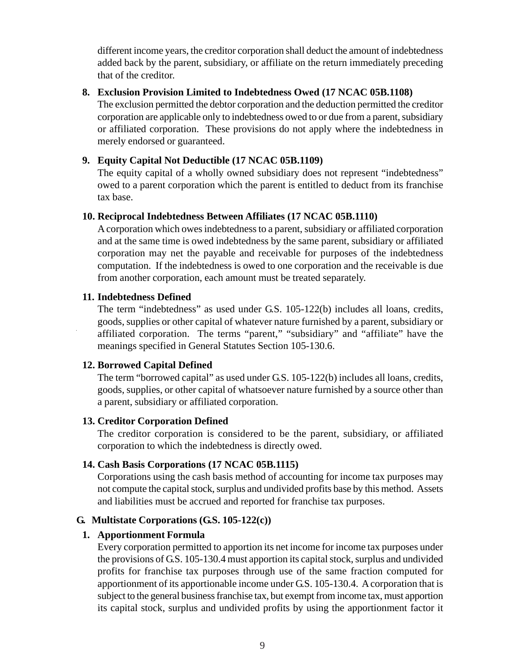<span id="page-13-0"></span>different income years, the creditor corporation shall deduct the amount of indebtedness added back by the parent, subsidiary, or affiliate on the return immediately preceding that of the creditor.

#### **8. Exclusion Provision Limited to Indebtedness Owed (17 NCAC 05B.1108)**

The exclusion permitted the debtor corporation and the deduction permitted the creditor corporation are applicable only to indebtedness owed to or due from a parent, subsidiary or affiliated corporation. These provisions do not apply where the indebtedness in merely endorsed or guaranteed.

# **9. Equity Capital Not Deductible (17 NCAC 05B.1109)**

The equity capital of a wholly owned subsidiary does not represent "indebtedness" owed to a parent corporation which the parent is entitled to deduct from its franchise tax base.

# **10. Reciprocal Indebtedness Between Affiliates (17 NCAC 05B.1110)**

A corporation which owes indebtedness to a parent, subsidiary or affiliated corporation and at the same time is owed indebtedness by the same parent, subsidiary or affiliated corporation may net the payable and receivable for purposes of the indebtedness computation. If the indebtedness is owed to one corporation and the receivable is due from another corporation, each amount must be treated separately.

#### **11. Indebtedness Defined**

The term "indebtedness" as used under G.S. 105-122(b) includes all loans, credits, goods, supplies or other capital of whatever nature furnished by a parent, subsidiary or affiliated corporation. The terms "parent," "subsidiary" and "affiliate" have the meanings specified in General Statutes Section 105-130.6.

# **12. Borrowed Capital Defined**

The term "borrowed capital" as used under G.S. 105-122(b) includes all loans, credits, goods, supplies, or other capital of whatsoever nature furnished by a source other than a parent, subsidiary or affiliated corporation.

# **13. Creditor Corporation Defined**

The creditor corporation is considered to be the parent, subsidiary, or affiliated corporation to which the indebtedness is directly owed.

# **14. Cash Basis Corporations (17 NCAC 05B.1115)**

Corporations using the cash basis method of accounting for income tax purposes may not compute the capital stock, surplus and undivided profits base by this method. Assets and liabilities must be accrued and reported for franchise tax purposes.

# **G. Multistate Corporations (G.S. 105-122(c))**

# **1. Apportionment Formula**

Every corporation permitted to apportion its net income for income tax purposes under the provisions of G.S. 105-130.4 must apportion its capital stock, surplus and undivided profits for franchise tax purposes through use of the same fraction computed for apportionment of its apportionable income under G.S. 105-130.4. A corporation that is subject to the general business franchise tax, but exempt from income tax, must apportion its capital stock, surplus and undivided profits by using the apportionment factor it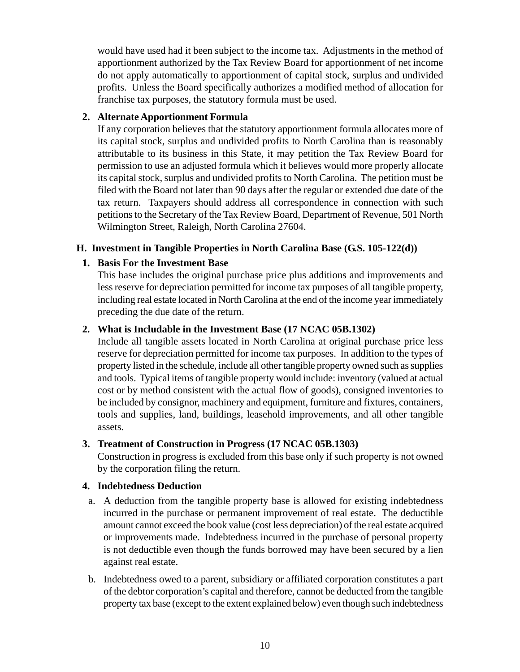<span id="page-14-0"></span>would have used had it been subject to the income tax. Adjustments in the method of apportionment authorized by the Tax Review Board for apportionment of net income do not apply automatically to apportionment of capital stock, surplus and undivided profits. Unless the Board specifically authorizes a modified method of allocation for franchise tax purposes, the statutory formula must be used.

# **2. Alternate Apportionment Formula**

If any corporation believes that the statutory apportionment formula allocates more of its capital stock, surplus and undivided profits to North Carolina than is reasonably attributable to its business in this State, it may petition the Tax Review Board for permission to use an adjusted formula which it believes would more properly allocate its capital stock, surplus and undivided profits to North Carolina. The petition must be filed with the Board not later than 90 days after the regular or extended due date of the tax return. Taxpayers should address all correspondence in connection with such petitions to the Secretary of the Tax Review Board, Department of Revenue, 501 North Wilmington Street, Raleigh, North Carolina 27604.

# **H. Investment in Tangible Properties in North Carolina Base (G.S. 105-122(d))**

# **1. Basis For the Investment Base**

This base includes the original purchase price plus additions and improvements and less reserve for depreciation permitted for income tax purposes of all tangible property, including real estate located in North Carolina at the end of the income year immediately preceding the due date of the return.

# **2. What is Includable in the Investment Base (17 NCAC 05B.1302)**

Include all tangible assets located in North Carolina at original purchase price less reserve for depreciation permitted for income tax purposes. In addition to the types of property listed in the schedule, include all other tangible property owned such as supplies and tools. Typical items of tangible property would include: inventory (valued at actual cost or by method consistent with the actual flow of goods), consigned inventories to be included by consignor, machinery and equipment, furniture and fixtures, containers, tools and supplies, land, buildings, leasehold improvements, and all other tangible assets.

# **3. Treatment of Construction in Progress (17 NCAC 05B.1303)**

Construction in progress is excluded from this base only if such property is not owned by the corporation filing the return.

# **4. Indebtedness Deduction**

- a. A deduction from the tangible property base is allowed for existing indebtedness incurred in the purchase or permanent improvement of real estate. The deductible amount cannot exceed the book value (cost less depreciation) of the real estate acquired or improvements made. Indebtedness incurred in the purchase of personal property is not deductible even though the funds borrowed may have been secured by a lien against real estate.
- b. Indebtedness owed to a parent, subsidiary or affiliated corporation constitutes a part of the debtor corporation's capital and therefore, cannot be deducted from the tangible property tax base (except to the extent explained below) even though such indebtedness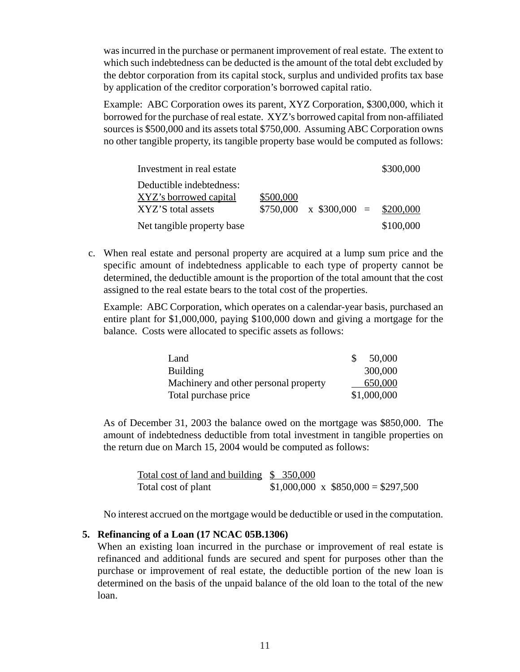was incurred in the purchase or permanent improvement of real estate. The extent to which such indebtedness can be deducted is the amount of the total debt excluded by the debtor corporation from its capital stock, surplus and undivided profits tax base by application of the creditor corporation's borrowed capital ratio.

Example: ABC Corporation owes its parent, XYZ Corporation, \$300,000, which it borrowed for the purchase of real estate. XYZ's borrowed capital from non-affiliated sources is \$500,000 and its assets total \$750,000. Assuming ABC Corporation owns no other tangible property, its tangible property base would be computed as follows:

| Investment in real estate  |           |                                  | \$300,000 |
|----------------------------|-----------|----------------------------------|-----------|
| Deductible indebtedness:   |           |                                  |           |
| XYZ's borrowed capital     | \$500,000 |                                  |           |
| XYZ'S total assets         | \$750,000 | $\text{X}$ \$300,000 = \$200,000 |           |
| Net tangible property base |           |                                  | \$100,000 |

c. When real estate and personal property are acquired at a lump sum price and the specific amount of indebtedness applicable to each type of property cannot be determined, the deductible amount is the proportion of the total amount that the cost assigned to the real estate bears to the total cost of the properties.

Example: ABC Corporation, which operates on a calendar-year basis, purchased an entire plant for \$1,000,000, paying \$100,000 down and giving a mortgage for the balance. Costs were allocated to specific assets as follows:

| Land                                  | 50,000      |
|---------------------------------------|-------------|
| Building                              | 300,000     |
| Machinery and other personal property | 650,000     |
| Total purchase price                  | \$1,000,000 |

As of December 31, 2003 the balance owed on the mortgage was \$850,000. The amount of indebtedness deductible from total investment in tangible properties on the return due on March 15, 2004 would be computed as follows:

Total cost of land and building \$ 350,000 Total cost of plant  $$1,000,000 \times $850,000 = $297,500$ 

No interest accrued on the mortgage would be deductible or used in the computation.

# **5. Refinancing of a Loan (17 NCAC 05B.1306)**

When an existing loan incurred in the purchase or improvement of real estate is refinanced and additional funds are secured and spent for purposes other than the purchase or improvement of real estate, the deductible portion of the new loan is determined on the basis of the unpaid balance of the old loan to the total of the new loan.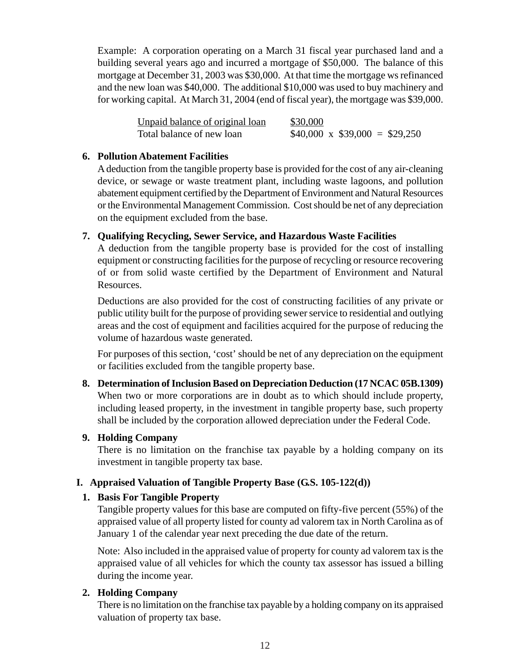<span id="page-16-0"></span>Example: A corporation operating on a March 31 fiscal year purchased land and a building several years ago and incurred a mortgage of \$50,000. The balance of this mortgage at December 31, 2003 was \$30,000. At that time the mortgage ws refinanced and the new loan was \$40,000. The additional \$10,000 was used to buy machinery and for working capital. At March 31, 2004 (end of fiscal year), the mortgage was \$39,000.

| Unpaid balance of original loan | \$30,000                           |
|---------------------------------|------------------------------------|
| Total balance of new loan       | $$40,000 \times $39,000 = $29,250$ |

#### **6. Pollution Abatement Facilities**

A deduction from the tangible property base is provided for the cost of any air-cleaning device, or sewage or waste treatment plant, including waste lagoons, and pollution abatement equipment certified by the Department of Environment and Natural Resources or the Environmental Management Commission. Cost should be net of any depreciation on the equipment excluded from the base.

#### **7. Qualifying Recycling, Sewer Service, and Hazardous Waste Facilities**

A deduction from the tangible property base is provided for the cost of installing equipment or constructing facilities for the purpose of recycling or resource recovering of or from solid waste certified by the Department of Environment and Natural Resources.

Deductions are also provided for the cost of constructing facilities of any private or public utility built for the purpose of providing sewer service to residential and outlying areas and the cost of equipment and facilities acquired for the purpose of reducing the volume of hazardous waste generated.

For purposes of this section, 'cost' should be net of any depreciation on the equipment or facilities excluded from the tangible property base.

**8. Determination of Inclusion Based on Depreciation Deduction (17 NCAC 05B.1309)** When two or more corporations are in doubt as to which should include property, including leased property, in the investment in tangible property base, such property shall be included by the corporation allowed depreciation under the Federal Code.

# **9. Holding Company**

There is no limitation on the franchise tax payable by a holding company on its investment in tangible property tax base.

# **I. Appraised Valuation of Tangible Property Base (G.S. 105-122(d))**

#### **1. Basis For Tangible Property**

Tangible property values for this base are computed on fifty-five percent (55%) of the appraised value of all property listed for county ad valorem tax in North Carolina as of January 1 of the calendar year next preceding the due date of the return.

Note: Also included in the appraised value of property for county ad valorem tax is the appraised value of all vehicles for which the county tax assessor has issued a billing during the income year.

# **2. Holding Company**

There is no limitation on the franchise tax payable by a holding company on its appraised valuation of property tax base.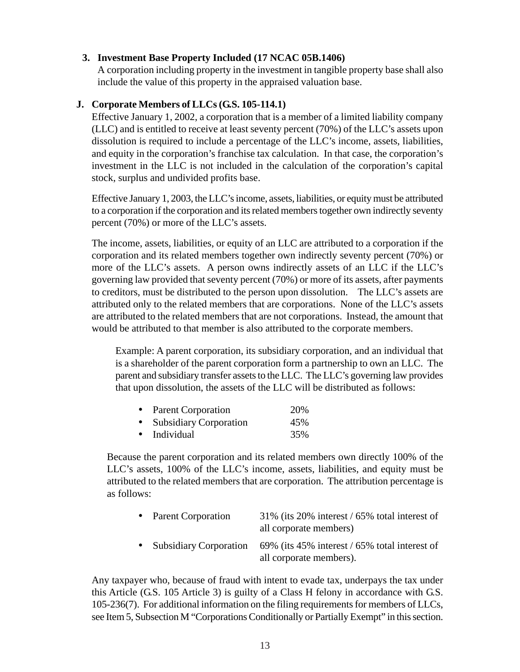# <span id="page-17-0"></span>**3. Investment Base Property Included (17 NCAC 05B.1406)**

A corporation including property in the investment in tangible property base shall also include the value of this property in the appraised valuation base.

#### **J. Corporate Members of LLCs (G.S. 105-114.1)**

Effective January 1, 2002, a corporation that is a member of a limited liability company (LLC) and is entitled to receive at least seventy percent (70%) of the LLC's assets upon dissolution is required to include a percentage of the LLC's income, assets, liabilities, and equity in the corporation's franchise tax calculation. In that case, the corporation's investment in the LLC is not included in the calculation of the corporation's capital stock, surplus and undivided profits base.

Effective January 1, 2003, the LLC's income, assets, liabilities, or equity must be attributed to a corporation if the corporation and its related members together own indirectly seventy percent (70%) or more of the LLC's assets.

The income, assets, liabilities, or equity of an LLC are attributed to a corporation if the corporation and its related members together own indirectly seventy percent (70%) or more of the LLC's assets. A person owns indirectly assets of an LLC if the LLC's governing law provided that seventy percent (70%) or more of its assets, after payments to creditors, must be distributed to the person upon dissolution. The LLC's assets are attributed only to the related members that are corporations. None of the LLC's assets are attributed to the related members that are not corporations. Instead, the amount that would be attributed to that member is also attributed to the corporate members.

Example: A parent corporation, its subsidiary corporation, and an individual that is a shareholder of the parent corporation form a partnership to own an LLC. The parent and subsidiary transfer assets to the LLC. The LLC's governing law provides that upon dissolution, the assets of the LLC will be distributed as follows:

| $\bullet$ | <b>Parent Corporation</b>     | 20% |
|-----------|-------------------------------|-----|
| $\bullet$ | <b>Subsidiary Corporation</b> | 45% |
| $\bullet$ | Individual                    | 35% |

Because the parent corporation and its related members own directly 100% of the LLC's assets, 100% of the LLC's income, assets, liabilities, and equity must be attributed to the related members that are corporation. The attribution percentage is as follows:

| • Parent Corporation     | 31% (its 20% interest / 65% total interest of<br>all corporate members)  |
|--------------------------|--------------------------------------------------------------------------|
| • Subsidiary Corporation | 69% (its 45% interest / 65% total interest of<br>all corporate members). |

Any taxpayer who, because of fraud with intent to evade tax, underpays the tax under this Article (G.S. 105 Article 3) is guilty of a Class H felony in accordance with G.S. 105-236(7). For additional information on the filing requirements for members of LLCs, see Item 5, Subsection M "Corporations Conditionally or Partially Exempt" in this section.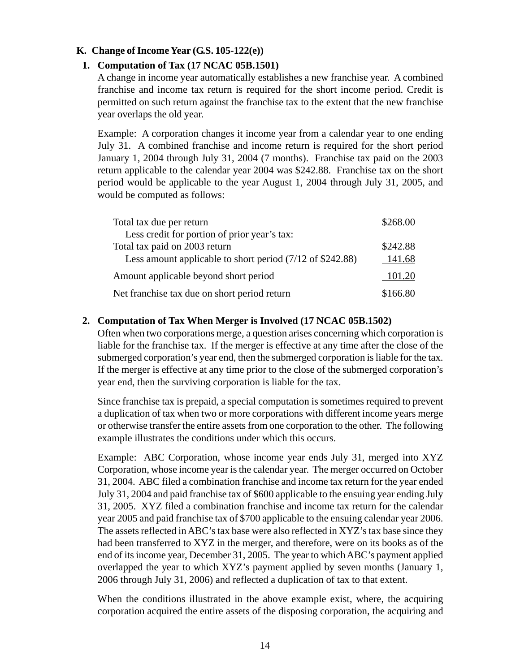#### <span id="page-18-0"></span>**K. Change of Income Year (G.S. 105-122(e))**

#### **1. Computation of Tax (17 NCAC 05B.1501)**

A change in income year automatically establishes a new franchise year. A combined franchise and income tax return is required for the short income period. Credit is permitted on such return against the franchise tax to the extent that the new franchise year overlaps the old year.

Example: A corporation changes it income year from a calendar year to one ending July 31. A combined franchise and income return is required for the short period January 1, 2004 through July 31, 2004 (7 months). Franchise tax paid on the 2003 return applicable to the calendar year 2004 was \$242.88. Franchise tax on the short period would be applicable to the year August 1, 2004 through July 31, 2005, and would be computed as follows:

| Total tax due per return                                            | \$268.00 |
|---------------------------------------------------------------------|----------|
| Less credit for portion of prior year's tax:                        |          |
| Total tax paid on 2003 return                                       | \$242.88 |
| Less amount applicable to short period $(7/12 \text{ of } $242.88)$ | 141.68   |
| Amount applicable beyond short period                               | 101.20   |
| Net franchise tax due on short period return                        | \$166.80 |

#### **2. Computation of Tax When Merger is Involved (17 NCAC 05B.1502)**

Often when two corporations merge, a question arises concerning which corporation is liable for the franchise tax. If the merger is effective at any time after the close of the submerged corporation's year end, then the submerged corporation is liable for the tax. If the merger is effective at any time prior to the close of the submerged corporation's year end, then the surviving corporation is liable for the tax.

Since franchise tax is prepaid, a special computation is sometimes required to prevent a duplication of tax when two or more corporations with different income years merge or otherwise transfer the entire assets from one corporation to the other. The following example illustrates the conditions under which this occurs.

Example: ABC Corporation, whose income year ends July 31, merged into XYZ Corporation, whose income year is the calendar year. The merger occurred on October 31, 2004. ABC filed a combination franchise and income tax return for the year ended July 31, 2004 and paid franchise tax of \$600 applicable to the ensuing year ending July 31, 2005. XYZ filed a combination franchise and income tax return for the calendar year 2005 and paid franchise tax of \$700 applicable to the ensuing calendar year 2006. The assets reflected in ABC's tax base were also reflected in XYZ's tax base since they had been transferred to XYZ in the merger, and therefore, were on its books as of the end of its income year, December 31, 2005. The year to which ABC's payment applied overlapped the year to which XYZ's payment applied by seven months (January 1, 2006 through July 31, 2006) and reflected a duplication of tax to that extent.

When the conditions illustrated in the above example exist, where, the acquiring corporation acquired the entire assets of the disposing corporation, the acquiring and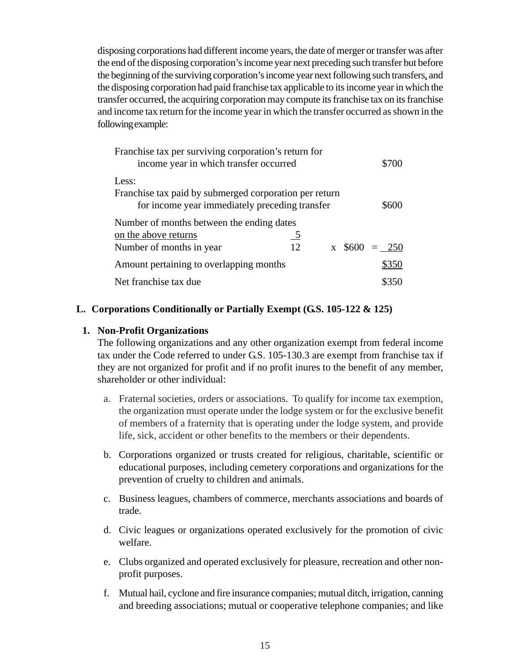<span id="page-19-0"></span>disposing corporations had different income years, the date of merger or transfer was after the end of the disposing corporation's income year next preceding such transfer but before the beginning of the surviving corporation's income year next following such transfers, and the disposing corporation had paid franchise tax applicable to its income year in which the transfer occurred, the acquiring corporation may compute its franchise tax on its franchise and income tax return for the income year in which the transfer occurred as shown in the following example:

| Franchise tax per surviving corporation's return for<br>income year in which transfer occurred |           |  | \$700              |
|------------------------------------------------------------------------------------------------|-----------|--|--------------------|
| Less:<br>Franchise tax paid by submerged corporation per return                                |           |  |                    |
| for income year immediately preceding transfer                                                 |           |  | \$600              |
| Number of months between the ending dates                                                      |           |  |                    |
| on the above returns                                                                           | <u>_5</u> |  |                    |
| Number of months in year                                                                       | 12        |  | $x \, \$600 = 250$ |
| Amount pertaining to overlapping months                                                        |           |  | \$350              |
| Net franchise tax due                                                                          |           |  | \$350              |

#### **L. Corporations Conditionally or Partially Exempt (G.S. 105-122 & 125)**

#### **1. Non-Profit Organizations**

The following organizations and any other organization exempt from federal income tax under the Code referred to under G.S. 105-130.3 are exempt from franchise tax if they are not organized for profit and if no profit inures to the benefit of any member, shareholder or other individual:

- a. Fraternal societies, orders or associations. To qualify for income tax exemption, the organization must operate under the lodge system or for the exclusive benefit of members of a fraternity that is operating under the lodge system, and provide life, sick, accident or other benefits to the members or their dependents.
- b. Corporations organized or trusts created for religious, charitable, scientific or educational purposes, including cemetery corporations and organizations for the prevention of cruelty to children and animals.
- c. Business leagues, chambers of commerce, merchants associations and boards of trade.
- d. Civic leagues or organizations operated exclusively for the promotion of civic welfare.
- e. Clubs organized and operated exclusively for pleasure, recreation and other nonprofit purposes.
- f. Mutual hail, cyclone and fire insurance companies; mutual ditch, irrigation, canning and breeding associations; mutual or cooperative telephone companies; and like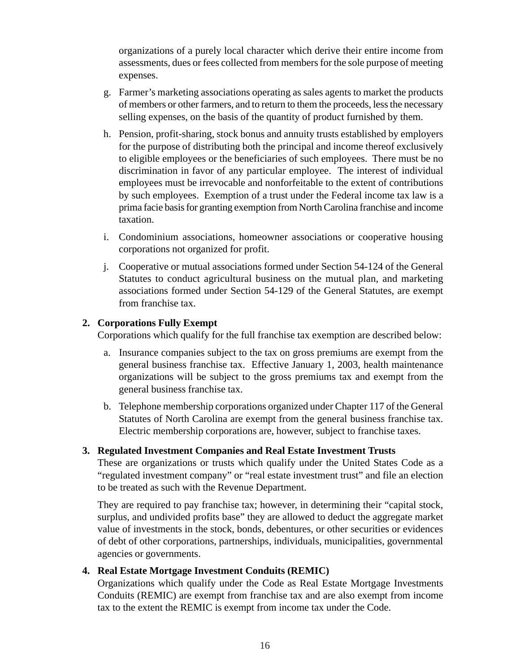organizations of a purely local character which derive their entire income from assessments, dues or fees collected from members for the sole purpose of meeting expenses.

- g. Farmer's marketing associations operating as sales agents to market the products of members or other farmers, and to return to them the proceeds, less the necessary selling expenses, on the basis of the quantity of product furnished by them.
- h. Pension, profit-sharing, stock bonus and annuity trusts established by employers for the purpose of distributing both the principal and income thereof exclusively to eligible employees or the beneficiaries of such employees. There must be no discrimination in favor of any particular employee. The interest of individual employees must be irrevocable and nonforfeitable to the extent of contributions by such employees. Exemption of a trust under the Federal income tax law is a prima facie basis for granting exemption from North Carolina franchise and income taxation.
- i. Condominium associations, homeowner associations or cooperative housing corporations not organized for profit.
- j. Cooperative or mutual associations formed under Section 54-124 of the General Statutes to conduct agricultural business on the mutual plan, and marketing associations formed under Section 54-129 of the General Statutes, are exempt from franchise tax.

#### **2. Corporations Fully Exempt**

Corporations which qualify for the full franchise tax exemption are described below:

- a. Insurance companies subject to the tax on gross premiums are exempt from the general business franchise tax. Effective January 1, 2003, health maintenance organizations will be subject to the gross premiums tax and exempt from the general business franchise tax.
- b. Telephone membership corporations organized under Chapter 117 of the General Statutes of North Carolina are exempt from the general business franchise tax. Electric membership corporations are, however, subject to franchise taxes.

#### **3. Regulated Investment Companies and Real Estate Investment Trusts**

These are organizations or trusts which qualify under the United States Code as a "regulated investment company" or "real estate investment trust" and file an election to be treated as such with the Revenue Department.

They are required to pay franchise tax; however, in determining their "capital stock, surplus, and undivided profits base" they are allowed to deduct the aggregate market value of investments in the stock, bonds, debentures, or other securities or evidences of debt of other corporations, partnerships, individuals, municipalities, governmental agencies or governments.

# **4. Real Estate Mortgage Investment Conduits (REMIC)**

Organizations which qualify under the Code as Real Estate Mortgage Investments Conduits (REMIC) are exempt from franchise tax and are also exempt from income tax to the extent the REMIC is exempt from income tax under the Code.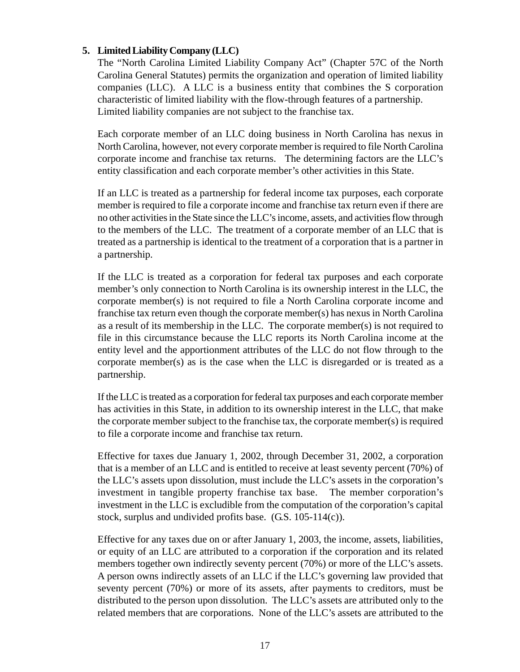#### **5. Limited Liability Company (LLC)**

The "North Carolina Limited Liability Company Act" (Chapter 57C of the North Carolina General Statutes) permits the organization and operation of limited liability companies (LLC). A LLC is a business entity that combines the S corporation characteristic of limited liability with the flow-through features of a partnership. Limited liability companies are not subject to the franchise tax.

Each corporate member of an LLC doing business in North Carolina has nexus in North Carolina, however, not every corporate member is required to file North Carolina corporate income and franchise tax returns. The determining factors are the LLC's entity classification and each corporate member's other activities in this State.

If an LLC is treated as a partnership for federal income tax purposes, each corporate member is required to file a corporate income and franchise tax return even if there are no other activities in the State since the LLC's income, assets, and activities flow through to the members of the LLC. The treatment of a corporate member of an LLC that is treated as a partnership is identical to the treatment of a corporation that is a partner in a partnership.

If the LLC is treated as a corporation for federal tax purposes and each corporate member's only connection to North Carolina is its ownership interest in the LLC, the corporate member(s) is not required to file a North Carolina corporate income and franchise tax return even though the corporate member(s) has nexus in North Carolina as a result of its membership in the LLC. The corporate member(s) is not required to file in this circumstance because the LLC reports its North Carolina income at the entity level and the apportionment attributes of the LLC do not flow through to the corporate member(s) as is the case when the LLC is disregarded or is treated as a partnership.

If the LLC is treated as a corporation for federal tax purposes and each corporate member has activities in this State, in addition to its ownership interest in the LLC, that make the corporate member subject to the franchise tax, the corporate member(s) is required to file a corporate income and franchise tax return.

Effective for taxes due January 1, 2002, through December 31, 2002, a corporation that is a member of an LLC and is entitled to receive at least seventy percent (70%) of the LLC's assets upon dissolution, must include the LLC's assets in the corporation's investment in tangible property franchise tax base. The member corporation's investment in the LLC is excludible from the computation of the corporation's capital stock, surplus and undivided profits base. (G.S. 105-114(c)).

Effective for any taxes due on or after January 1, 2003, the income, assets, liabilities, or equity of an LLC are attributed to a corporation if the corporation and its related members together own indirectly seventy percent (70%) or more of the LLC's assets. A person owns indirectly assets of an LLC if the LLC's governing law provided that seventy percent (70%) or more of its assets, after payments to creditors, must be distributed to the person upon dissolution. The LLC's assets are attributed only to the related members that are corporations. None of the LLC's assets are attributed to the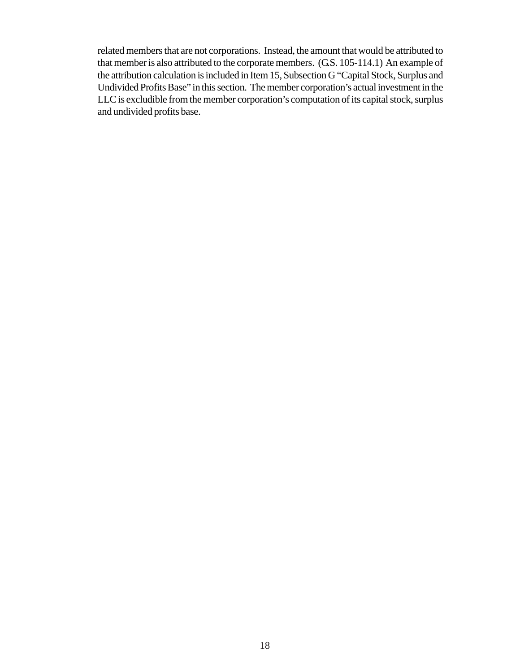related members that are not corporations. Instead, the amount that would be attributed to that member is also attributed to the corporate members. (G.S. 105-114.1) An example of the attribution calculation is included in Item 15, Subsection G "Capital Stock, Surplus and Undivided Profits Base" in this section. The member corporation's actual investment in the LLC is excludible from the member corporation's computation of its capital stock, surplus and undivided profits base.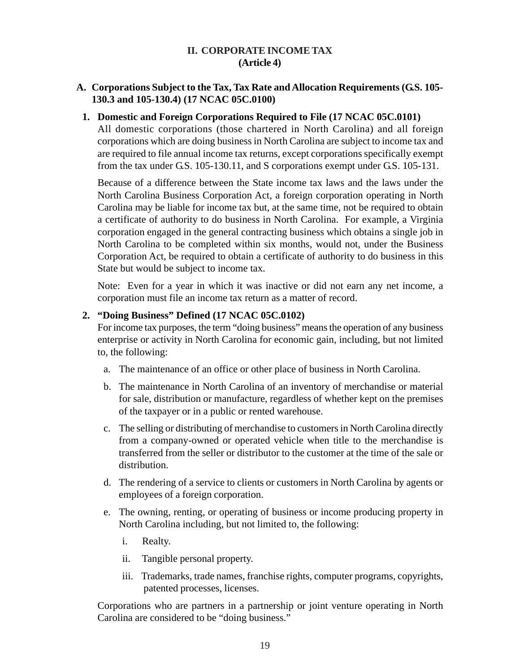# **II. CORPORATE INCOME TAX (Article 4)**

# <span id="page-23-0"></span>**A. Corporations Subject to the Tax, Tax Rate and Allocation Requirements (G.S. 105- 130.3 and 105-130.4) (17 NCAC 05C.0100)**

#### **1. Domestic and Foreign Corporations Required to File (17 NCAC 05C.0101)**

All domestic corporations (those chartered in North Carolina) and all foreign corporations which are doing business in North Carolina are subject to income tax and are required to file annual income tax returns, except corporations specifically exempt from the tax under G.S. 105-130.11, and S corporations exempt under G.S. 105-131.

Because of a difference between the State income tax laws and the laws under the North Carolina Business Corporation Act, a foreign corporation operating in North Carolina may be liable for income tax but, at the same time, not be required to obtain a certificate of authority to do business in North Carolina. For example, a Virginia corporation engaged in the general contracting business which obtains a single job in North Carolina to be completed within six months, would not, under the Business Corporation Act, be required to obtain a certificate of authority to do business in this State but would be subject to income tax.

Note: Even for a year in which it was inactive or did not earn any net income, a corporation must file an income tax return as a matter of record.

#### **2. "Doing Business" Defined (17 NCAC 05C.0102)**

For income tax purposes, the term "doing business" means the operation of any business enterprise or activity in North Carolina for economic gain, including, but not limited to, the following:

- a. The maintenance of an office or other place of business in North Carolina.
- b. The maintenance in North Carolina of an inventory of merchandise or material for sale, distribution or manufacture, regardless of whether kept on the premises of the taxpayer or in a public or rented warehouse.
- c. The selling or distributing of merchandise to customers in North Carolina directly from a company-owned or operated vehicle when title to the merchandise is transferred from the seller or distributor to the customer at the time of the sale or distribution.
- d. The rendering of a service to clients or customers in North Carolina by agents or employees of a foreign corporation.
- e. The owning, renting, or operating of business or income producing property in North Carolina including, but not limited to, the following:
	- i. Realty.
	- ii. Tangible personal property.
	- iii. Trademarks, trade names, franchise rights, computer programs, copyrights, patented processes, licenses.

Corporations who are partners in a partnership or joint venture operating in North Carolina are considered to be "doing business."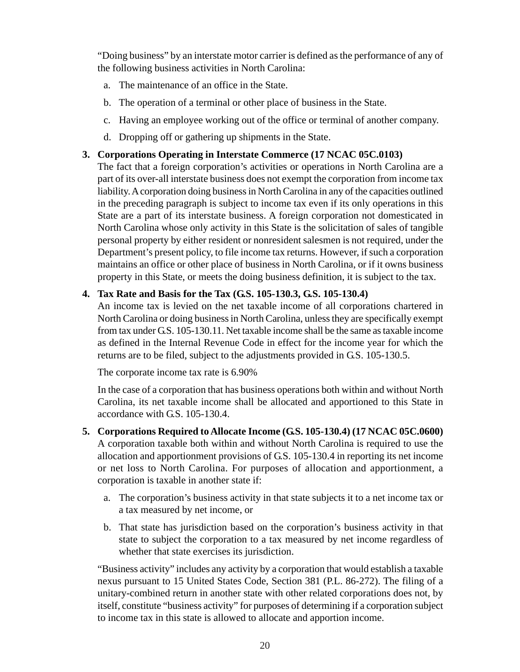"Doing business" by an interstate motor carrier is defined as the performance of any of the following business activities in North Carolina:

- a. The maintenance of an office in the State.
- b. The operation of a terminal or other place of business in the State.
- c. Having an employee working out of the office or terminal of another company.
- d. Dropping off or gathering up shipments in the State.

# **3. Corporations Operating in Interstate Commerce (17 NCAC 05C.0103)**

The fact that a foreign corporation's activities or operations in North Carolina are a part of its over-all interstate business does not exempt the corporation from income tax liability. A corporation doing business in North Carolina in any of the capacities outlined in the preceding paragraph is subject to income tax even if its only operations in this State are a part of its interstate business. A foreign corporation not domesticated in North Carolina whose only activity in this State is the solicitation of sales of tangible personal property by either resident or nonresident salesmen is not required, under the Department's present policy, to file income tax returns. However, if such a corporation maintains an office or other place of business in North Carolina, or if it owns business property in this State, or meets the doing business definition, it is subject to the tax.

# **4. Tax Rate and Basis for the Tax (G.S. 105-130.3, G.S. 105-130.4)**

An income tax is levied on the net taxable income of all corporations chartered in North Carolina or doing business in North Carolina, unless they are specifically exempt from tax under G.S. 105-130.11. Net taxable income shall be the same as taxable income as defined in the Internal Revenue Code in effect for the income year for which the returns are to be filed, subject to the adjustments provided in G.S. 105-130.5.

The corporate income tax rate is 6.90%

In the case of a corporation that has business operations both within and without North Carolina, its net taxable income shall be allocated and apportioned to this State in accordance with G.S. 105-130.4.

- **5. Corporations Required to Allocate Income (G.S. 105-130.4) (17 NCAC 05C.0600)** A corporation taxable both within and without North Carolina is required to use the allocation and apportionment provisions of G.S. 105-130.4 in reporting its net income or net loss to North Carolina. For purposes of allocation and apportionment, a corporation is taxable in another state if:
	- a. The corporation's business activity in that state subjects it to a net income tax or a tax measured by net income, or
	- b. That state has jurisdiction based on the corporation's business activity in that state to subject the corporation to a tax measured by net income regardless of whether that state exercises its jurisdiction.

"Business activity" includes any activity by a corporation that would establish a taxable nexus pursuant to 15 United States Code, Section 381 (P.L. 86-272). The filing of a unitary-combined return in another state with other related corporations does not, by itself, constitute "business activity" for purposes of determining if a corporation subject to income tax in this state is allowed to allocate and apportion income.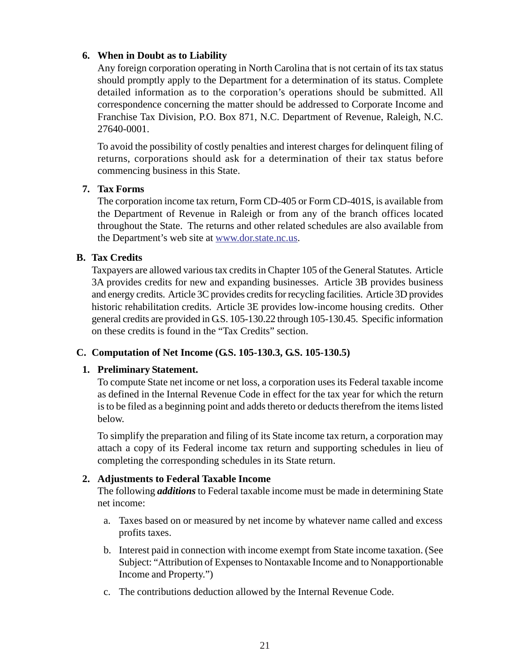# <span id="page-25-0"></span>**6. When in Doubt as to Liability**

Any foreign corporation operating in North Carolina that is not certain of its tax status should promptly apply to the Department for a determination of its status. Complete detailed information as to the corporation's operations should be submitted. All correspondence concerning the matter should be addressed to Corporate Income and Franchise Tax Division, P.O. Box 871, N.C. Department of Revenue, Raleigh, N.C. 27640-0001.

To avoid the possibility of costly penalties and interest charges for delinquent filing of returns, corporations should ask for a determination of their tax status before commencing business in this State.

# **7. Tax Forms**

The corporation income tax return, Form CD-405 or Form CD-401S, is available from the Department of Revenue in Raleigh or from any of the branch offices located throughout the State. The returns and other related schedules are also available from the Department's web site at www.dor.state.nc.us.

# **B. Tax Credits**

Taxpayers are allowed various tax credits in Chapter 105 of the General Statutes. Article 3A provides credits for new and expanding businesses. Article 3B provides business and energy credits. Article 3C provides credits for recycling facilities. Article 3D provides historic rehabilitation credits. Article 3E provides low-income housing credits. Other general credits are provided in G.S. 105-130.22 through 105-130.45. Specific information on these credits is found in the "Tax Credits" section.

# **C. Computation of Net Income (G.S. 105-130.3, G.S. 105-130.5)**

# **1. Preliminary Statement.**

To compute State net income or net loss, a corporation uses its Federal taxable income as defined in the Internal Revenue Code in effect for the tax year for which the return is to be filed as a beginning point and adds thereto or deducts therefrom the items listed below.

To simplify the preparation and filing of its State income tax return, a corporation may attach a copy of its Federal income tax return and supporting schedules in lieu of completing the corresponding schedules in its State return.

# **2. Adjustments to Federal Taxable Income**

The following *additions* to Federal taxable income must be made in determining State net income:

- a. Taxes based on or measured by net income by whatever name called and excess profits taxes.
- b. Interest paid in connection with income exempt from State income taxation. (See Subject: "Attribution of Expenses to Nontaxable Income and to Nonapportionable Income and Property.")
- c. The contributions deduction allowed by the Internal Revenue Code.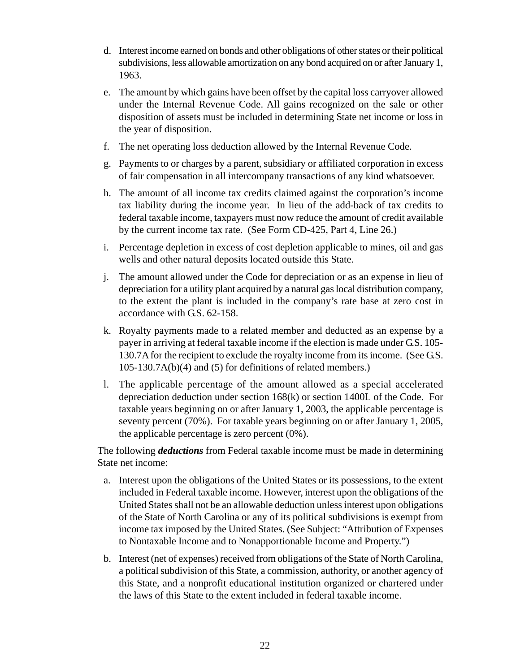- d. Interest income earned on bonds and other obligations of other states or their political subdivisions, less allowable amortization on any bond acquired on or after January 1, 1963.
- e. The amount by which gains have been offset by the capital loss carryover allowed under the Internal Revenue Code. All gains recognized on the sale or other disposition of assets must be included in determining State net income or loss in the year of disposition.
- f. The net operating loss deduction allowed by the Internal Revenue Code.
- g. Payments to or charges by a parent, subsidiary or affiliated corporation in excess of fair compensation in all intercompany transactions of any kind whatsoever.
- h. The amount of all income tax credits claimed against the corporation's income tax liability during the income year. In lieu of the add-back of tax credits to federal taxable income, taxpayers must now reduce the amount of credit available by the current income tax rate. (See Form CD-425, Part 4, Line 26.)
- i. Percentage depletion in excess of cost depletion applicable to mines, oil and gas wells and other natural deposits located outside this State.
- j. The amount allowed under the Code for depreciation or as an expense in lieu of depreciation for a utility plant acquired by a natural gas local distribution company, to the extent the plant is included in the company's rate base at zero cost in accordance with G.S. 62-158.
- k. Royalty payments made to a related member and deducted as an expense by a payer in arriving at federal taxable income if the election is made under G.S. 105- 130.7A for the recipient to exclude the royalty income from its income. (See G.S. 105-130.7A(b)(4) and (5) for definitions of related members.)
- l. The applicable percentage of the amount allowed as a special accelerated depreciation deduction under section 168(k) or section 1400L of the Code. For taxable years beginning on or after January 1, 2003, the applicable percentage is seventy percent (70%). For taxable years beginning on or after January 1, 2005, the applicable percentage is zero percent (0%).

The following *deductions* from Federal taxable income must be made in determining State net income:

- a. Interest upon the obligations of the United States or its possessions, to the extent included in Federal taxable income. However, interest upon the obligations of the United States shall not be an allowable deduction unless interest upon obligations of the State of North Carolina or any of its political subdivisions is exempt from income tax imposed by the United States. (See Subject: "Attribution of Expenses to Nontaxable Income and to Nonapportionable Income and Property.")
- b. Interest (net of expenses) received from obligations of the State of North Carolina, a political subdivision of this State, a commission, authority, or another agency of this State, and a nonprofit educational institution organized or chartered under the laws of this State to the extent included in federal taxable income.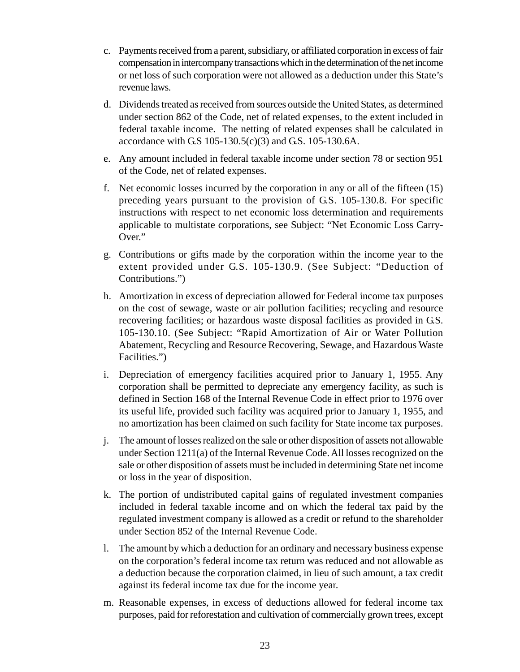- c. Payments received from a parent, subsidiary, or affiliated corporation in excess of fair compensation in intercompany transactions which in the determination of the net income or net loss of such corporation were not allowed as a deduction under this State's revenue laws.
- d. Dividends treated as received from sources outside the United States, as determined under section 862 of the Code, net of related expenses, to the extent included in federal taxable income. The netting of related expenses shall be calculated in accordance with G.S 105-130.5(c)(3) and G.S. 105-130.6A.
- e. Any amount included in federal taxable income under section 78 or section 951 of the Code, net of related expenses.
- f. Net economic losses incurred by the corporation in any or all of the fifteen (15) preceding years pursuant to the provision of G.S. 105-130.8. For specific instructions with respect to net economic loss determination and requirements applicable to multistate corporations, see Subject: "Net Economic Loss Carry-Over."
- g. Contributions or gifts made by the corporation within the income year to the extent provided under G.S. 105-130.9. (See Subject: "Deduction of Contributions.")
- h. Amortization in excess of depreciation allowed for Federal income tax purposes on the cost of sewage, waste or air pollution facilities; recycling and resource recovering facilities; or hazardous waste disposal facilities as provided in G.S. 105-130.10. (See Subject: "Rapid Amortization of Air or Water Pollution Abatement, Recycling and Resource Recovering, Sewage, and Hazardous Waste Facilities.")
- i. Depreciation of emergency facilities acquired prior to January 1, 1955. Any corporation shall be permitted to depreciate any emergency facility, as such is defined in Section 168 of the Internal Revenue Code in effect prior to 1976 over its useful life, provided such facility was acquired prior to January 1, 1955, and no amortization has been claimed on such facility for State income tax purposes.
- j. The amount of losses realized on the sale or other disposition of assets not allowable under Section 1211(a) of the Internal Revenue Code. All losses recognized on the sale or other disposition of assets must be included in determining State net income or loss in the year of disposition.
- k. The portion of undistributed capital gains of regulated investment companies included in federal taxable income and on which the federal tax paid by the regulated investment company is allowed as a credit or refund to the shareholder under Section 852 of the Internal Revenue Code.
- l. The amount by which a deduction for an ordinary and necessary business expense on the corporation's federal income tax return was reduced and not allowable as a deduction because the corporation claimed, in lieu of such amount, a tax credit against its federal income tax due for the income year.
- m. Reasonable expenses, in excess of deductions allowed for federal income tax purposes, paid for reforestation and cultivation of commercially grown trees, except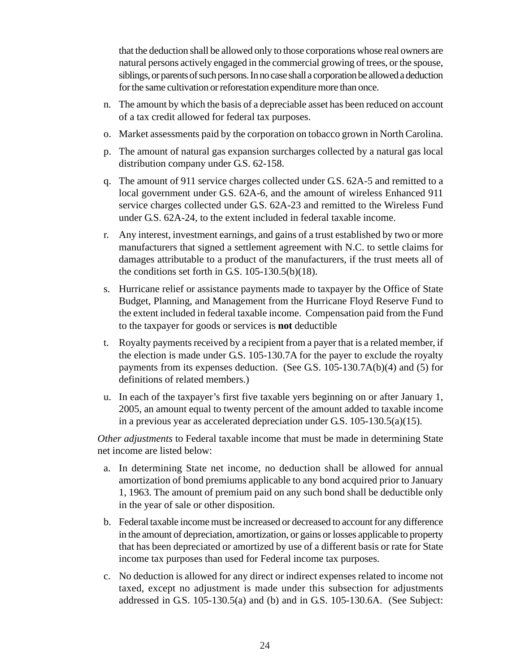that the deduction shall be allowed only to those corporations whose real owners are natural persons actively engaged in the commercial growing of trees, or the spouse, siblings, or parents of such persons. In no case shall a corporation be allowed a deduction for the same cultivation or reforestation expenditure more than once.

- n. The amount by which the basis of a depreciable asset has been reduced on account of a tax credit allowed for federal tax purposes.
- o. Market assessments paid by the corporation on tobacco grown in North Carolina.
- p. The amount of natural gas expansion surcharges collected by a natural gas local distribution company under G.S. 62-158.
- q. The amount of 911 service charges collected under G.S. 62A-5 and remitted to a local government under G.S. 62A-6, and the amount of wireless Enhanced 911 service charges collected under G.S. 62A-23 and remitted to the Wireless Fund under G.S. 62A-24, to the extent included in federal taxable income.
- r. Any interest, investment earnings, and gains of a trust established by two or more manufacturers that signed a settlement agreement with N.C. to settle claims for damages attributable to a product of the manufacturers, if the trust meets all of the conditions set forth in G.S. 105-130.5(b)(18).
- s. Hurricane relief or assistance payments made to taxpayer by the Office of State Budget, Planning, and Management from the Hurricane Floyd Reserve Fund to the extent included in federal taxable income. Compensation paid from the Fund to the taxpayer for goods or services is **not** deductible
- t. Royalty payments received by a recipient from a payer that is a related member, if the election is made under G.S. 105-130.7A for the payer to exclude the royalty payments from its expenses deduction. (See G.S. 105-130.7A(b)(4) and (5) for definitions of related members.)
- u. In each of the taxpayer's first five taxable yers beginning on or after January 1, 2005, an amount equal to twenty percent of the amount added to taxable income in a previous year as accelerated depreciation under G.S. 105-130.5(a)(15).

*Other adjustments* to Federal taxable income that must be made in determining State net income are listed below:

- a. In determining State net income, no deduction shall be allowed for annual amortization of bond premiums applicable to any bond acquired prior to January 1, 1963. The amount of premium paid on any such bond shall be deductible only in the year of sale or other disposition.
- b. Federal taxable income must be increased or decreased to account for any difference in the amount of depreciation, amortization, or gains or losses applicable to property that has been depreciated or amortized by use of a different basis or rate for State income tax purposes than used for Federal income tax purposes.
- c. No deduction is allowed for any direct or indirect expenses related to income not taxed, except no adjustment is made under this subsection for adjustments addressed in G.S. 105-130.5(a) and (b) and in G.S. 105-130.6A. (See Subject: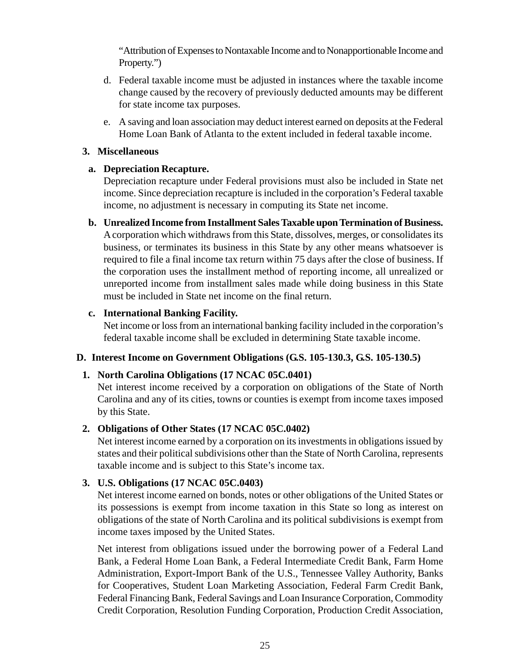<span id="page-29-0"></span>"Attribution of Expenses to Nontaxable Income and to Nonapportionable Income and Property.")

- d. Federal taxable income must be adjusted in instances where the taxable income change caused by the recovery of previously deducted amounts may be different for state income tax purposes.
- e. A saving and loan association may deduct interest earned on deposits at the Federal Home Loan Bank of Atlanta to the extent included in federal taxable income.

#### **3. Miscellaneous**

#### **a. Depreciation Recapture.**

Depreciation recapture under Federal provisions must also be included in State net income. Since depreciation recapture is included in the corporation's Federal taxable income, no adjustment is necessary in computing its State net income.

**b. Unrealized Income from Installment Sales Taxable upon Termination of Business.** A corporation which withdraws from this State, dissolves, merges, or consolidates its business, or terminates its business in this State by any other means whatsoever is required to file a final income tax return within 75 days after the close of business. If the corporation uses the installment method of reporting income, all unrealized or unreported income from installment sales made while doing business in this State must be included in State net income on the final return.

# **c. International Banking Facility.**

Net income or loss from an international banking facility included in the corporation's federal taxable income shall be excluded in determining State taxable income.

# **D. Interest Income on Government Obligations (G.S. 105-130.3, G.S. 105-130.5)**

# **1. North Carolina Obligations (17 NCAC 05C.0401)**

Net interest income received by a corporation on obligations of the State of North Carolina and any of its cities, towns or counties is exempt from income taxes imposed by this State.

# **2. Obligations of Other States (17 NCAC 05C.0402)**

Net interest income earned by a corporation on its investments in obligations issued by states and their political subdivisions other than the State of North Carolina, represents taxable income and is subject to this State's income tax.

# **3. U.S. Obligations (17 NCAC 05C.0403)**

Net interest income earned on bonds, notes or other obligations of the United States or its possessions is exempt from income taxation in this State so long as interest on obligations of the state of North Carolina and its political subdivisions is exempt from income taxes imposed by the United States.

Net interest from obligations issued under the borrowing power of a Federal Land Bank, a Federal Home Loan Bank, a Federal Intermediate Credit Bank, Farm Home Administration, Export-Import Bank of the U.S., Tennessee Valley Authority, Banks for Cooperatives, Student Loan Marketing Association, Federal Farm Credit Bank, Federal Financing Bank, Federal Savings and Loan Insurance Corporation, Commodity Credit Corporation, Resolution Funding Corporation, Production Credit Association,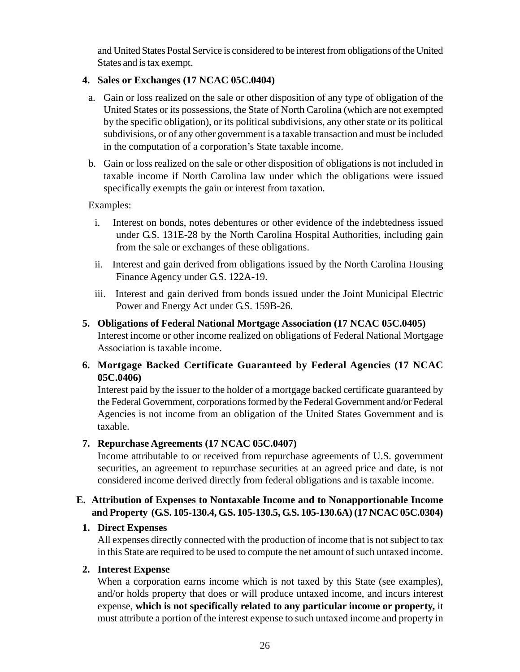<span id="page-30-0"></span>and United States Postal Service is considered to be interest from obligations of the United States and is tax exempt.

# **4. Sales or Exchanges (17 NCAC 05C.0404)**

- a. Gain or loss realized on the sale or other disposition of any type of obligation of the United States or its possessions, the State of North Carolina (which are not exempted by the specific obligation), or its political subdivisions, any other state or its political subdivisions, or of any other government is a taxable transaction and must be included in the computation of a corporation's State taxable income.
- b. Gain or loss realized on the sale or other disposition of obligations is not included in taxable income if North Carolina law under which the obligations were issued specifically exempts the gain or interest from taxation.

Examples:

- i. Interest on bonds, notes debentures or other evidence of the indebtedness issued under G.S. 131E-28 by the North Carolina Hospital Authorities, including gain from the sale or exchanges of these obligations.
- ii. Interest and gain derived from obligations issued by the North Carolina Housing Finance Agency under G.S. 122A-19.
- iii. Interest and gain derived from bonds issued under the Joint Municipal Electric Power and Energy Act under G.S. 159B-26.
- **5. Obligations of Federal National Mortgage Association (17 NCAC 05C.0405)** Interest income or other income realized on obligations of Federal National Mortgage Association is taxable income.
- **6. Mortgage Backed Certificate Guaranteed by Federal Agencies (17 NCAC 05C.0406)**

Interest paid by the issuer to the holder of a mortgage backed certificate guaranteed by the Federal Government, corporations formed by the Federal Government and/or Federal Agencies is not income from an obligation of the United States Government and is taxable.

# **7. Repurchase Agreements (17 NCAC 05C.0407)**

Income attributable to or received from repurchase agreements of U.S. government securities, an agreement to repurchase securities at an agreed price and date, is not considered income derived directly from federal obligations and is taxable income.

# **E. Attribution of Expenses to Nontaxable Income and to Nonapportionable Income and Property (G.S. 105-130.4, G.S. 105-130.5, G.S. 105-130.6A) (17 NCAC 05C.0304)**

# **1. Direct Expenses**

All expenses directly connected with the production of income that is not subject to tax in this State are required to be used to compute the net amount of such untaxed income.

# **2. Interest Expense**

When a corporation earns income which is not taxed by this State (see examples), and/or holds property that does or will produce untaxed income, and incurs interest expense, **which is not specifically related to any particular income or property,** it must attribute a portion of the interest expense to such untaxed income and property in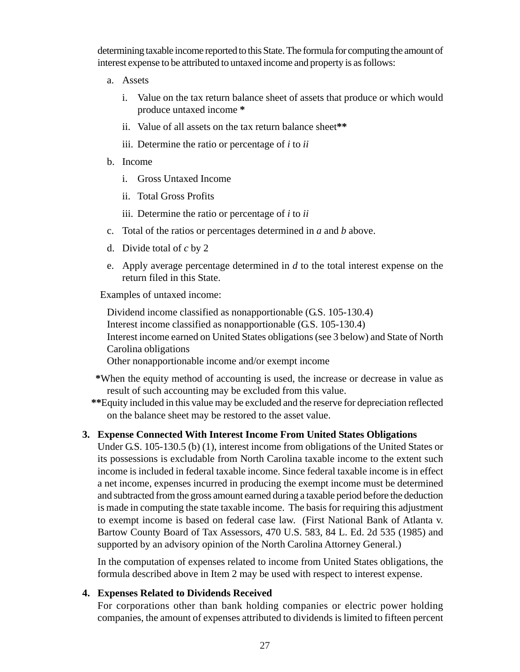determining taxable income reported to this State. The formula for computing the amount of interest expense to be attributed to untaxed income and property is as follows:

- a. Assets
	- i. Value on the tax return balance sheet of assets that produce or which would produce untaxed income **\***
	- ii. Value of all assets on the tax return balance sheet**\*\***
	- iii. Determine the ratio or percentage of *i* to *ii*
- b. Income
	- i. Gross Untaxed Income
	- ii. Total Gross Profits
	- iii. Determine the ratio or percentage of *i* to *ii*
- c. Total of the ratios or percentages determined in *a* and *b* above.
- d. Divide total of *c* by 2
- e. Apply average percentage determined in *d* to the total interest expense on the return filed in this State.

Examples of untaxed income:

Dividend income classified as nonapportionable (G.S. 105-130.4) Interest income classified as nonapportionable (G.S. 105-130.4) Interest income earned on United States obligations (see 3 below) and State of North Carolina obligations Other nonapportionable income and/or exempt income

- **\***When the equity method of accounting is used, the increase or decrease in value as result of such accounting may be excluded from this value.
- **\*\***Equity included in this value may be excluded and the reserve for depreciation reflected on the balance sheet may be restored to the asset value.

# **3. Expense Connected With Interest Income From United States Obligations**

Under G.S. 105-130.5 (b) (1), interest income from obligations of the United States or its possessions is excludable from North Carolina taxable income to the extent such income is included in federal taxable income. Since federal taxable income is in effect a net income, expenses incurred in producing the exempt income must be determined and subtracted from the gross amount earned during a taxable period before the deduction is made in computing the state taxable income. The basis for requiring this adjustment to exempt income is based on federal case law. (First National Bank of Atlanta v. Bartow County Board of Tax Assessors, 470 U.S. 583, 84 L. Ed. 2d 535 (1985) and supported by an advisory opinion of the North Carolina Attorney General.)

In the computation of expenses related to income from United States obligations, the formula described above in Item 2 may be used with respect to interest expense.

# **4. Expenses Related to Dividends Received**

For corporations other than bank holding companies or electric power holding companies, the amount of expenses attributed to dividends is limited to fifteen percent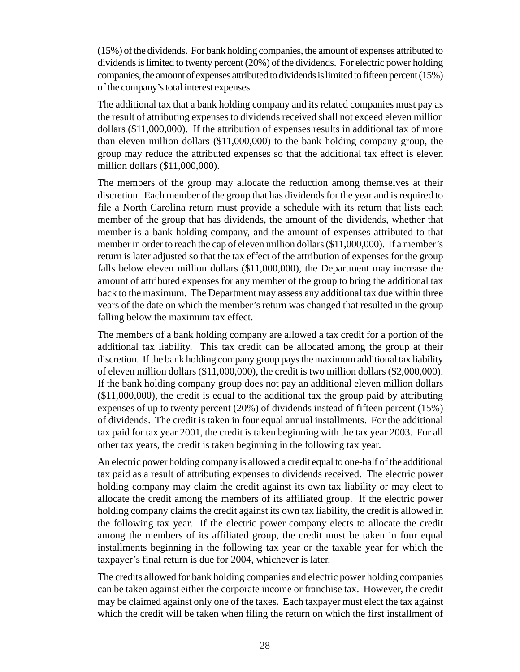(15%) of the dividends. For bank holding companies, the amount of expenses attributed to dividends is limited to twenty percent (20%) of the dividends. For electric power holding companies, the amount of expenses attributed to dividends is limited to fifteen percent (15%) of the company's total interest expenses.

The additional tax that a bank holding company and its related companies must pay as the result of attributing expenses to dividends received shall not exceed eleven million dollars (\$11,000,000). If the attribution of expenses results in additional tax of more than eleven million dollars (\$11,000,000) to the bank holding company group, the group may reduce the attributed expenses so that the additional tax effect is eleven million dollars (\$11,000,000).

The members of the group may allocate the reduction among themselves at their discretion. Each member of the group that has dividends for the year and is required to file a North Carolina return must provide a schedule with its return that lists each member of the group that has dividends, the amount of the dividends, whether that member is a bank holding company, and the amount of expenses attributed to that member in order to reach the cap of eleven million dollars (\$11,000,000). If a member's return is later adjusted so that the tax effect of the attribution of expenses for the group falls below eleven million dollars (\$11,000,000), the Department may increase the amount of attributed expenses for any member of the group to bring the additional tax back to the maximum. The Department may assess any additional tax due within three years of the date on which the member's return was changed that resulted in the group falling below the maximum tax effect.

The members of a bank holding company are allowed a tax credit for a portion of the additional tax liability. This tax credit can be allocated among the group at their discretion. If the bank holding company group pays the maximum additional tax liability of eleven million dollars (\$11,000,000), the credit is two million dollars (\$2,000,000). If the bank holding company group does not pay an additional eleven million dollars (\$11,000,000), the credit is equal to the additional tax the group paid by attributing expenses of up to twenty percent (20%) of dividends instead of fifteen percent (15%) of dividends. The credit is taken in four equal annual installments. For the additional tax paid for tax year 2001, the credit is taken beginning with the tax year 2003. For all other tax years, the credit is taken beginning in the following tax year.

An electric power holding company is allowed a credit equal to one-half of the additional tax paid as a result of attributing expenses to dividends received. The electric power holding company may claim the credit against its own tax liability or may elect to allocate the credit among the members of its affiliated group. If the electric power holding company claims the credit against its own tax liability, the credit is allowed in the following tax year. If the electric power company elects to allocate the credit among the members of its affiliated group, the credit must be taken in four equal installments beginning in the following tax year or the taxable year for which the taxpayer's final return is due for 2004, whichever is later.

The credits allowed for bank holding companies and electric power holding companies can be taken against either the corporate income or franchise tax. However, the credit may be claimed against only one of the taxes. Each taxpayer must elect the tax against which the credit will be taken when filing the return on which the first installment of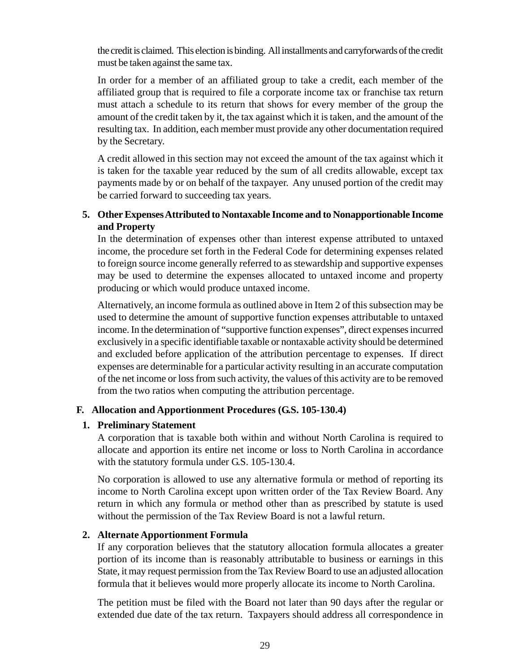<span id="page-33-0"></span>the credit is claimed. This election is binding. All installments and carryforwards of the credit must be taken against the same tax.

In order for a member of an affiliated group to take a credit, each member of the affiliated group that is required to file a corporate income tax or franchise tax return must attach a schedule to its return that shows for every member of the group the amount of the credit taken by it, the tax against which it is taken, and the amount of the resulting tax. In addition, each member must provide any other documentation required by the Secretary.

A credit allowed in this section may not exceed the amount of the tax against which it is taken for the taxable year reduced by the sum of all credits allowable, except tax payments made by or on behalf of the taxpayer. Any unused portion of the credit may be carried forward to succeeding tax years.

# **5. Other Expenses Attributed to Nontaxable Income and to Nonapportionable Income and Property**

In the determination of expenses other than interest expense attributed to untaxed income, the procedure set forth in the Federal Code for determining expenses related to foreign source income generally referred to as stewardship and supportive expenses may be used to determine the expenses allocated to untaxed income and property producing or which would produce untaxed income.

Alternatively, an income formula as outlined above in Item 2 of this subsection may be used to determine the amount of supportive function expenses attributable to untaxed income. In the determination of "supportive function expenses", direct expenses incurred exclusively in a specific identifiable taxable or nontaxable activity should be determined and excluded before application of the attribution percentage to expenses. If direct expenses are determinable for a particular activity resulting in an accurate computation of the net income or loss from such activity, the values of this activity are to be removed from the two ratios when computing the attribution percentage.

# **F. Allocation and Apportionment Procedures (G.S. 105-130.4)**

#### **1. Preliminary Statement**

A corporation that is taxable both within and without North Carolina is required to allocate and apportion its entire net income or loss to North Carolina in accordance with the statutory formula under G.S. 105-130.4.

No corporation is allowed to use any alternative formula or method of reporting its income to North Carolina except upon written order of the Tax Review Board. Any return in which any formula or method other than as prescribed by statute is used without the permission of the Tax Review Board is not a lawful return.

# **2. Alternate Apportionment Formula**

If any corporation believes that the statutory allocation formula allocates a greater portion of its income than is reasonably attributable to business or earnings in this State, it may request permission from the Tax Review Board to use an adjusted allocation formula that it believes would more properly allocate its income to North Carolina.

The petition must be filed with the Board not later than 90 days after the regular or extended due date of the tax return. Taxpayers should address all correspondence in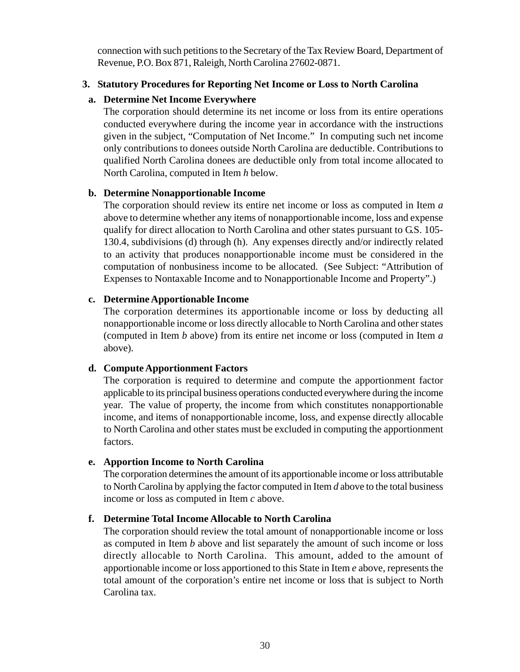connection with such petitions to the Secretary of the Tax Review Board, Department of Revenue, P.O. Box 871, Raleigh, North Carolina 27602-0871.

#### **3. Statutory Procedures for Reporting Net Income or Loss to North Carolina**

#### **a. Determine Net Income Everywhere**

The corporation should determine its net income or loss from its entire operations conducted everywhere during the income year in accordance with the instructions given in the subject, "Computation of Net Income." In computing such net income only contributions to donees outside North Carolina are deductible. Contributions to qualified North Carolina donees are deductible only from total income allocated to North Carolina, computed in Item *h* below*.*

#### **b. Determine Nonapportionable Income**

The corporation should review its entire net income or loss as computed in Item *a* above to determine whether any items of nonapportionable income, loss and expense qualify for direct allocation to North Carolina and other states pursuant to G.S. 105- 130.4, subdivisions (d) through (h). Any expenses directly and/or indirectly related to an activity that produces nonapportionable income must be considered in the computation of nonbusiness income to be allocated. (See Subject: "Attribution of Expenses to Nontaxable Income and to Nonapportionable Income and Property".)

#### **c. Determine Apportionable Income**

The corporation determines its apportionable income or loss by deducting all nonapportionable income or loss directly allocable to North Carolina and other states (computed in Item *b* above) from its entire net income or loss (computed in Item *a* above).

# **d. Compute Apportionment Factors**

The corporation is required to determine and compute the apportionment factor applicable to its principal business operations conducted everywhere during the income year. The value of property, the income from which constitutes nonapportionable income, and items of nonapportionable income, loss, and expense directly allocable to North Carolina and other states must be excluded in computing the apportionment factors.

# **e. Apportion Income to North Carolina**

The corporation determines the amount of its apportionable income or loss attributable to North Carolina by applying the factor computed in Item *d* above to the total business income or loss as computed in Item *c* above.

# **f. Determine Total Income Allocable to North Carolina**

The corporation should review the total amount of nonapportionable income or loss as computed in Item *b* above and list separately the amount of such income or loss directly allocable to North Carolina. This amount, added to the amount of apportionable income or loss apportioned to this State in Item *e* above, represents the total amount of the corporation's entire net income or loss that is subject to North Carolina tax.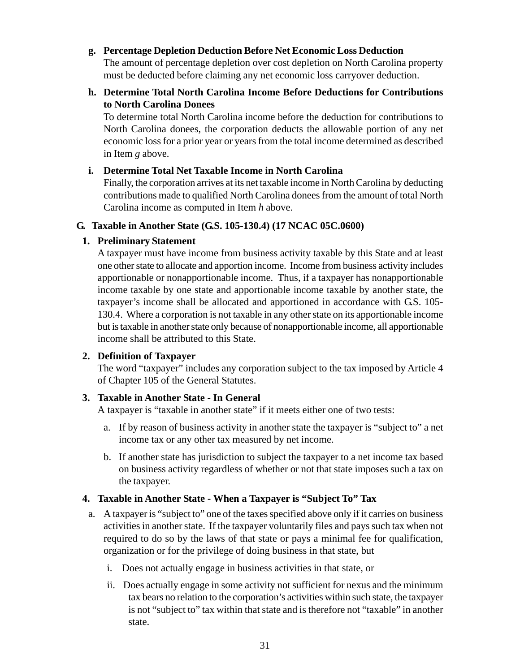#### <span id="page-35-0"></span>**g. Percentage Depletion Deduction Before Net Economic Loss Deduction**

The amount of percentage depletion over cost depletion on North Carolina property must be deducted before claiming any net economic loss carryover deduction.

# **h. Determine Total North Carolina Income Before Deductions for Contributions to North Carolina Donees**

To determine total North Carolina income before the deduction for contributions to North Carolina donees, the corporation deducts the allowable portion of any net economic loss for a prior year or years from the total income determined as described in Item *g* above*.*

#### **i. Determine Total Net Taxable Income in North Carolina**

Finally, the corporation arrives at its net taxable income in North Carolina by deducting contributions made to qualified North Carolina donees from the amount of total North Carolina income as computed in Item *h* above.

#### **G. Taxable in Another State (G.S. 105-130.4) (17 NCAC 05C.0600)**

#### **1. Preliminary Statement**

A taxpayer must have income from business activity taxable by this State and at least one other state to allocate and apportion income. Income from business activity includes apportionable or nonapportionable income. Thus, if a taxpayer has nonapportionable income taxable by one state and apportionable income taxable by another state, the taxpayer's income shall be allocated and apportioned in accordance with G.S. 105- 130.4. Where a corporation is not taxable in any other state on its apportionable income but is taxable in another state only because of nonapportionable income, all apportionable income shall be attributed to this State.

# **2. Definition of Taxpayer**

The word "taxpayer" includes any corporation subject to the tax imposed by Article 4 of Chapter 105 of the General Statutes.

# **3. Taxable in Another State - In General**

A taxpayer is "taxable in another state" if it meets either one of two tests:

- a. If by reason of business activity in another state the taxpayer is "subject to" a net income tax or any other tax measured by net income.
- b. If another state has jurisdiction to subject the taxpayer to a net income tax based on business activity regardless of whether or not that state imposes such a tax on the taxpayer.

# **4. Taxable in Another State - When a Taxpayer is "Subject To" Tax**

- a. A taxpayer is "subject to" one of the taxes specified above only if it carries on business activities in another state. If the taxpayer voluntarily files and pays such tax when not required to do so by the laws of that state or pays a minimal fee for qualification, organization or for the privilege of doing business in that state, but
	- i. Does not actually engage in business activities in that state, or
	- ii. Does actually engage in some activity not sufficient for nexus and the minimum tax bears no relation to the corporation's activities within such state, the taxpayer is not "subject to" tax within that state and is therefore not "taxable" in another state.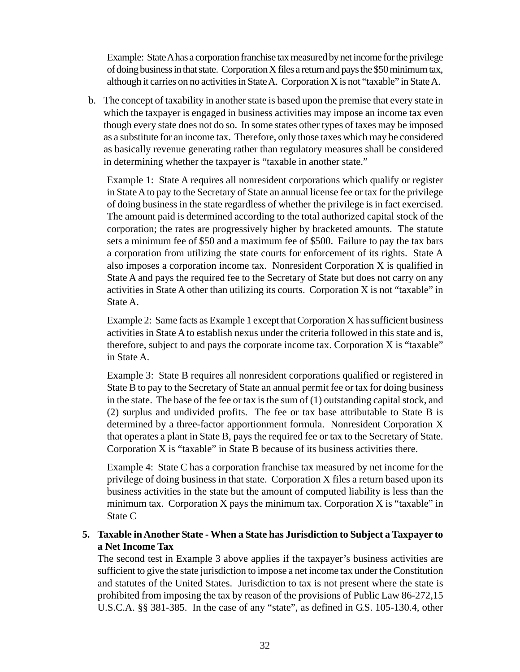Example: State A has a corporation franchise tax measured by net income for the privilege of doing business in that state. Corporation X files a return and pays the \$50 minimum tax, although it carries on no activities in State A. Corporation X is not "taxable" in State A.

b. The concept of taxability in another state is based upon the premise that every state in which the taxpayer is engaged in business activities may impose an income tax even though every state does not do so. In some states other types of taxes may be imposed as a substitute for an income tax. Therefore, only those taxes which may be considered as basically revenue generating rather than regulatory measures shall be considered in determining whether the taxpayer is "taxable in another state."

Example 1: State A requires all nonresident corporations which qualify or register in State A to pay to the Secretary of State an annual license fee or tax for the privilege of doing business in the state regardless of whether the privilege is in fact exercised. The amount paid is determined according to the total authorized capital stock of the corporation; the rates are progressively higher by bracketed amounts. The statute sets a minimum fee of \$50 and a maximum fee of \$500. Failure to pay the tax bars a corporation from utilizing the state courts for enforcement of its rights. State A also imposes a corporation income tax. Nonresident Corporation X is qualified in State A and pays the required fee to the Secretary of State but does not carry on any activities in State A other than utilizing its courts. Corporation X is not "taxable" in State A.

Example 2: Same facts as Example 1 except that Corporation X has sufficient business activities in State A to establish nexus under the criteria followed in this state and is, therefore, subject to and pays the corporate income tax. Corporation X is "taxable" in State A.

Example 3: State B requires all nonresident corporations qualified or registered in State B to pay to the Secretary of State an annual permit fee or tax for doing business in the state. The base of the fee or tax is the sum of (1) outstanding capital stock, and (2) surplus and undivided profits. The fee or tax base attributable to State B is determined by a three-factor apportionment formula. Nonresident Corporation X that operates a plant in State B, pays the required fee or tax to the Secretary of State. Corporation X is "taxable" in State B because of its business activities there.

Example 4: State C has a corporation franchise tax measured by net income for the privilege of doing business in that state. Corporation X files a return based upon its business activities in the state but the amount of computed liability is less than the minimum tax. Corporation  $X$  pays the minimum tax. Corporation  $X$  is "taxable" in State C

### **5. Taxable in Another State - When a State has Jurisdiction to Subject a Taxpayer to a Net Income Tax**

The second test in Example 3 above applies if the taxpayer's business activities are sufficient to give the state jurisdiction to impose a net income tax under the Constitution and statutes of the United States. Jurisdiction to tax is not present where the state is prohibited from imposing the tax by reason of the provisions of Public Law 86-272,15 U.S.C.A. §§ 381-385. In the case of any "state", as defined in G.S. 105-130.4, other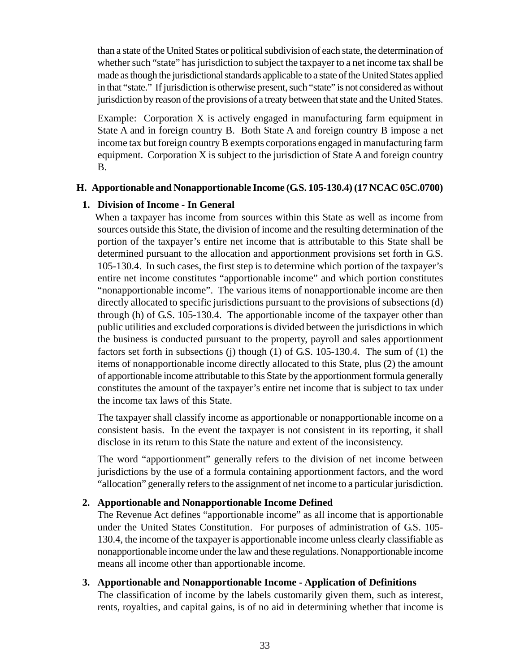than a state of the United States or political subdivision of each state, the determination of whether such "state" has jurisdiction to subject the taxpayer to a net income tax shall be made as though the jurisdictional standards applicable to a state of the United States applied in that "state." If jurisdiction is otherwise present, such "state" is not considered as without jurisdiction by reason of the provisions of a treaty between that state and the United States.

Example: Corporation X is actively engaged in manufacturing farm equipment in State A and in foreign country B. Both State A and foreign country B impose a net income tax but foreign country B exempts corporations engaged in manufacturing farm equipment. Corporation X is subject to the jurisdiction of State A and foreign country B.

#### **H. Apportionable and Nonapportionable Income (G.S. 105-130.4) (17 NCAC 05C.0700)**

#### **1. Division of Income - In General**

 When a taxpayer has income from sources within this State as well as income from sources outside this State, the division of income and the resulting determination of the portion of the taxpayer's entire net income that is attributable to this State shall be determined pursuant to the allocation and apportionment provisions set forth in G.S. 105-130.4. In such cases, the first step is to determine which portion of the taxpayer's entire net income constitutes "apportionable income" and which portion constitutes "nonapportionable income". The various items of nonapportionable income are then directly allocated to specific jurisdictions pursuant to the provisions of subsections (d) through (h) of G.S. 105-130.4. The apportionable income of the taxpayer other than public utilities and excluded corporations is divided between the jurisdictions in which the business is conducted pursuant to the property, payroll and sales apportionment factors set forth in subsections (j) though (1) of G.S. 105-130.4. The sum of (1) the items of nonapportionable income directly allocated to this State, plus (2) the amount of apportionable income attributable to this State by the apportionment formula generally constitutes the amount of the taxpayer's entire net income that is subject to tax under the income tax laws of this State.

The taxpayer shall classify income as apportionable or nonapportionable income on a consistent basis. In the event the taxpayer is not consistent in its reporting, it shall disclose in its return to this State the nature and extent of the inconsistency.

The word "apportionment" generally refers to the division of net income between jurisdictions by the use of a formula containing apportionment factors, and the word "allocation" generally refers to the assignment of net income to a particular jurisdiction.

#### **2. Apportionable and Nonapportionable Income Defined**

The Revenue Act defines "apportionable income" as all income that is apportionable under the United States Constitution. For purposes of administration of G.S. 105- 130.4, the income of the taxpayer is apportionable income unless clearly classifiable as nonapportionable income under the law and these regulations. Nonapportionable income means all income other than apportionable income.

#### **3. Apportionable and Nonapportionable Income - Application of Definitions**

The classification of income by the labels customarily given them, such as interest, rents, royalties, and capital gains, is of no aid in determining whether that income is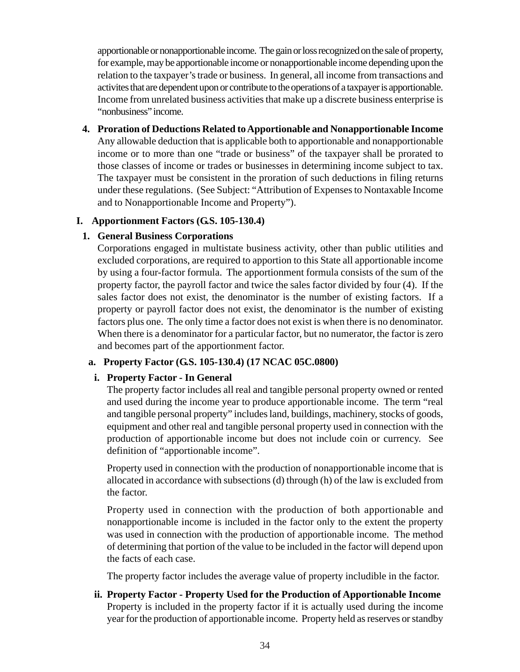apportionable or nonapportionable income. The gain or loss recognized on the sale of property, for example, may be apportionable income or nonapportionable income depending upon the relation to the taxpayer's trade or business. In general, all income from transactions and activites that are dependent upon or contribute to the operations of a taxpayer is apportionable. Income from unrelated business activities that make up a discrete business enterprise is "nonbusiness" income.

**4. Proration of Deductions Related to Apportionable and Nonapportionable Income** Any allowable deduction that is applicable both to apportionable and nonapportionable income or to more than one "trade or business" of the taxpayer shall be prorated to those classes of income or trades or businesses in determining income subject to tax. The taxpayer must be consistent in the proration of such deductions in filing returns under these regulations. (See Subject: "Attribution of Expenses to Nontaxable Income and to Nonapportionable Income and Property").

#### **I. Apportionment Factors (G.S. 105-130.4)**

#### **1. General Business Corporations**

Corporations engaged in multistate business activity, other than public utilities and excluded corporations, are required to apportion to this State all apportionable income by using a four-factor formula. The apportionment formula consists of the sum of the property factor, the payroll factor and twice the sales factor divided by four (4). If the sales factor does not exist, the denominator is the number of existing factors. If a property or payroll factor does not exist, the denominator is the number of existing factors plus one. The only time a factor does not exist is when there is no denominator. When there is a denominator for a particular factor, but no numerator, the factor is zero and becomes part of the apportionment factor.

#### **a. Property Factor (G.S. 105-130.4) (17 NCAC 05C.0800)**

### **i. Property Factor - In General**

The property factor includes all real and tangible personal property owned or rented and used during the income year to produce apportionable income. The term "real and tangible personal property" includes land, buildings, machinery, stocks of goods, equipment and other real and tangible personal property used in connection with the production of apportionable income but does not include coin or currency. See definition of "apportionable income".

Property used in connection with the production of nonapportionable income that is allocated in accordance with subsections (d) through (h) of the law is excluded from the factor.

Property used in connection with the production of both apportionable and nonapportionable income is included in the factor only to the extent the property was used in connection with the production of apportionable income. The method of determining that portion of the value to be included in the factor will depend upon the facts of each case.

The property factor includes the average value of property includible in the factor.

**ii. Property Factor - Property Used for the Production of Apportionable Income** Property is included in the property factor if it is actually used during the income year for the production of apportionable income. Property held as reserves or standby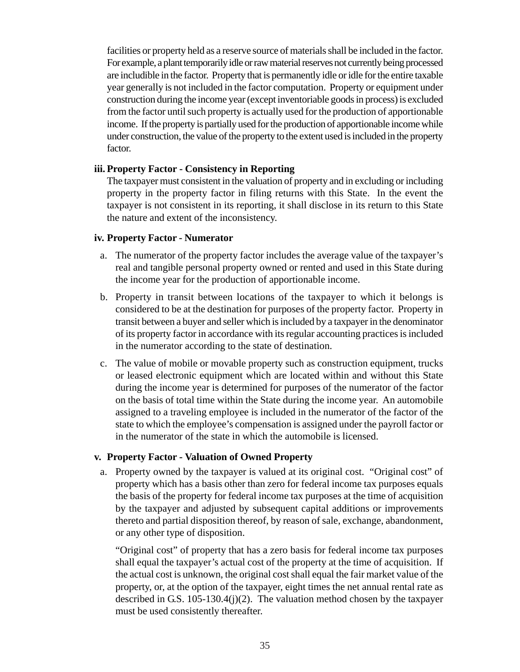facilities or property held as a reserve source of materials shall be included in the factor. For example, a plant temporarily idle or raw material reserves not currently being processed are includible in the factor. Property that is permanently idle or idle for the entire taxable year generally is not included in the factor computation. Property or equipment under construction during the income year (except inventoriable goods in process) is excluded from the factor until such property is actually used for the production of apportionable income. If the property is partially used for the production of apportionable income while under construction, the value of the property to the extent used is included in the property factor.

#### **iii. Property Factor - Consistency in Reporting**

The taxpayer must consistent in the valuation of property and in excluding or including property in the property factor in filing returns with this State. In the event the taxpayer is not consistent in its reporting, it shall disclose in its return to this State the nature and extent of the inconsistency.

#### **iv. Property Factor - Numerator**

- a. The numerator of the property factor includes the average value of the taxpayer's real and tangible personal property owned or rented and used in this State during the income year for the production of apportionable income.
- b. Property in transit between locations of the taxpayer to which it belongs is considered to be at the destination for purposes of the property factor. Property in transit between a buyer and seller which is included by a taxpayer in the denominator of its property factor in accordance with its regular accounting practices is included in the numerator according to the state of destination.
- c. The value of mobile or movable property such as construction equipment, trucks or leased electronic equipment which are located within and without this State during the income year is determined for purposes of the numerator of the factor on the basis of total time within the State during the income year. An automobile assigned to a traveling employee is included in the numerator of the factor of the state to which the employee's compensation is assigned under the payroll factor or in the numerator of the state in which the automobile is licensed.

#### **v. Property Factor - Valuation of Owned Property**

a. Property owned by the taxpayer is valued at its original cost. "Original cost" of property which has a basis other than zero for federal income tax purposes equals the basis of the property for federal income tax purposes at the time of acquisition by the taxpayer and adjusted by subsequent capital additions or improvements thereto and partial disposition thereof, by reason of sale, exchange, abandonment, or any other type of disposition.

"Original cost" of property that has a zero basis for federal income tax purposes shall equal the taxpayer's actual cost of the property at the time of acquisition. If the actual cost is unknown, the original cost shall equal the fair market value of the property, or, at the option of the taxpayer, eight times the net annual rental rate as described in G.S. 105-130.4(j)(2). The valuation method chosen by the taxpayer must be used consistently thereafter.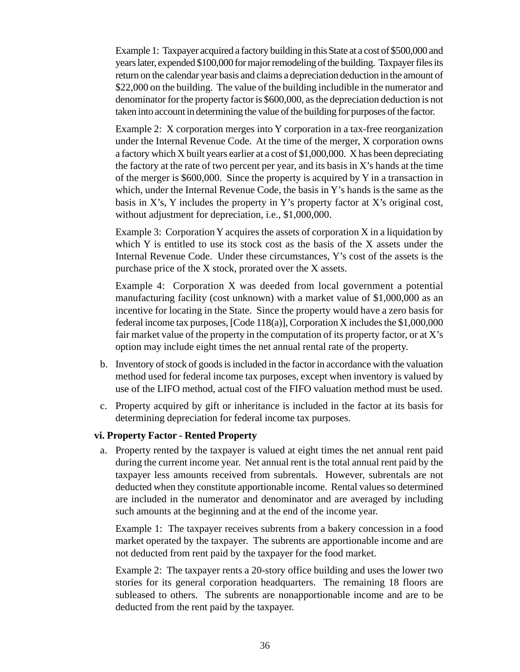Example 1: Taxpayer acquired a factory building in this State at a cost of \$500,000 and years later, expended \$100,000 for major remodeling of the building. Taxpayer files its return on the calendar year basis and claims a depreciation deduction in the amount of \$22,000 on the building. The value of the building includible in the numerator and denominator for the property factor is \$600,000, as the depreciation deduction is not taken into account in determining the value of the building for purposes of the factor.

Example 2: X corporation merges into Y corporation in a tax-free reorganization under the Internal Revenue Code. At the time of the merger, X corporation owns a factory which X built years earlier at a cost of \$1,000,000. X has been depreciating the factory at the rate of two percent per year, and its basis in  $X$ 's hands at the time of the merger is \$600,000. Since the property is acquired by Y in a transaction in which, under the Internal Revenue Code, the basis in Y's hands is the same as the basis in X's, Y includes the property in Y's property factor at X's original cost, without adjustment for depreciation, i.e., \$1,000,000.

Example 3: Corporation Y acquires the assets of corporation X in a liquidation by which Y is entitled to use its stock cost as the basis of the X assets under the Internal Revenue Code. Under these circumstances, Y's cost of the assets is the purchase price of the X stock, prorated over the X assets.

Example 4: Corporation X was deeded from local government a potential manufacturing facility (cost unknown) with a market value of \$1,000,000 as an incentive for locating in the State. Since the property would have a zero basis for federal income tax purposes, [Code 118(a)], Corporation X includes the \$1,000,000 fair market value of the property in the computation of its property factor, or at  $X$ 's option may include eight times the net annual rental rate of the property.

- b. Inventory of stock of goods is included in the factor in accordance with the valuation method used for federal income tax purposes, except when inventory is valued by use of the LIFO method, actual cost of the FIFO valuation method must be used.
- c. Property acquired by gift or inheritance is included in the factor at its basis for determining depreciation for federal income tax purposes.

#### **vi. Property Factor - Rented Property**

a. Property rented by the taxpayer is valued at eight times the net annual rent paid during the current income year. Net annual rent is the total annual rent paid by the taxpayer less amounts received from subrentals. However, subrentals are not deducted when they constitute apportionable income. Rental values so determined are included in the numerator and denominator and are averaged by including such amounts at the beginning and at the end of the income year.

Example 1: The taxpayer receives subrents from a bakery concession in a food market operated by the taxpayer. The subrents are apportionable income and are not deducted from rent paid by the taxpayer for the food market.

Example 2: The taxpayer rents a 20-story office building and uses the lower two stories for its general corporation headquarters. The remaining 18 floors are subleased to others. The subrents are nonapportionable income and are to be deducted from the rent paid by the taxpayer.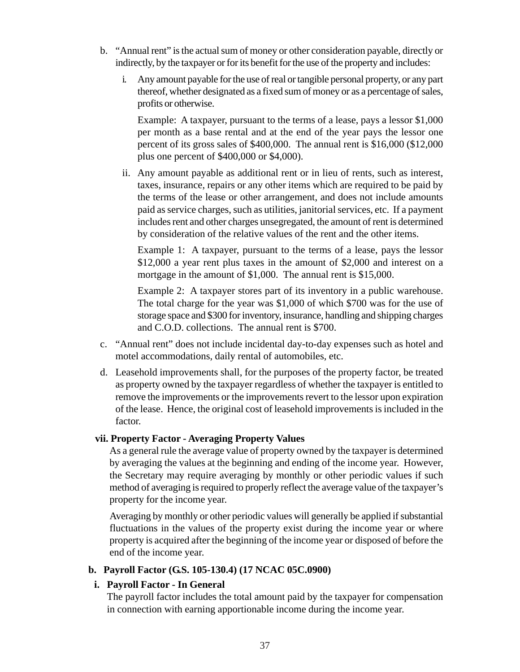- b. "Annual rent" is the actual sum of money or other consideration payable, directly or indirectly, by the taxpayer or for its benefit for the use of the property and includes:
	- i. Any amount payable for the use of real or tangible personal property, or any part thereof, whether designated as a fixed sum of money or as a percentage of sales, profits or otherwise.

Example: A taxpayer, pursuant to the terms of a lease, pays a lessor \$1,000 per month as a base rental and at the end of the year pays the lessor one percent of its gross sales of \$400,000. The annual rent is \$16,000 (\$12,000 plus one percent of \$400,000 or \$4,000).

ii. Any amount payable as additional rent or in lieu of rents, such as interest, taxes, insurance, repairs or any other items which are required to be paid by the terms of the lease or other arrangement, and does not include amounts paid as service charges, such as utilities, janitorial services, etc. If a payment includes rent and other charges unsegregated, the amount of rent is determined by consideration of the relative values of the rent and the other items.

Example 1: A taxpayer, pursuant to the terms of a lease, pays the lessor \$12,000 a year rent plus taxes in the amount of \$2,000 and interest on a mortgage in the amount of \$1,000. The annual rent is \$15,000.

Example 2: A taxpayer stores part of its inventory in a public warehouse. The total charge for the year was \$1,000 of which \$700 was for the use of storage space and \$300 for inventory, insurance, handling and shipping charges and C.O.D. collections. The annual rent is \$700.

- c. "Annual rent" does not include incidental day-to-day expenses such as hotel and motel accommodations, daily rental of automobiles, etc.
- d. Leasehold improvements shall, for the purposes of the property factor, be treated as property owned by the taxpayer regardless of whether the taxpayer is entitled to remove the improvements or the improvements revert to the lessor upon expiration of the lease. Hence, the original cost of leasehold improvements is included in the factor.

#### **vii. Property Factor - Averaging Property Values**

As a general rule the average value of property owned by the taxpayer is determined by averaging the values at the beginning and ending of the income year. However, the Secretary may require averaging by monthly or other periodic values if such method of averaging is required to properly reflect the average value of the taxpayer's property for the income year.

Averaging by monthly or other periodic values will generally be applied if substantial fluctuations in the values of the property exist during the income year or where property is acquired after the beginning of the income year or disposed of before the end of the income year.

#### **b. Payroll Factor (G.S. 105-130.4) (17 NCAC 05C.0900)**

### **i. Payroll Factor - In General**

The payroll factor includes the total amount paid by the taxpayer for compensation in connection with earning apportionable income during the income year.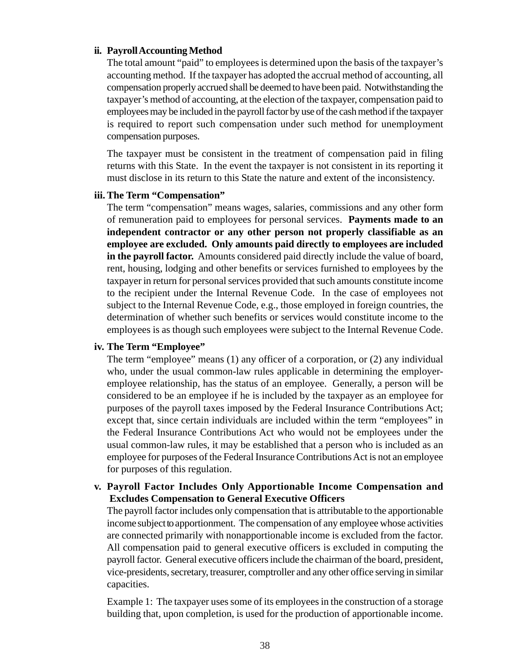#### **ii. Payroll Accounting Method**

The total amount "paid" to employees is determined upon the basis of the taxpayer's accounting method. If the taxpayer has adopted the accrual method of accounting, all compensation properly accrued shall be deemed to have been paid. Notwithstanding the taxpayer's method of accounting, at the election of the taxpayer, compensation paid to employees may be included in the payroll factor by use of the cash method if the taxpayer is required to report such compensation under such method for unemployment compensation purposes.

The taxpayer must be consistent in the treatment of compensation paid in filing returns with this State. In the event the taxpayer is not consistent in its reporting it must disclose in its return to this State the nature and extent of the inconsistency.

#### **iii. The Term "Compensation"**

The term "compensation" means wages, salaries, commissions and any other form of remuneration paid to employees for personal services. **Payments made to an independent contractor or any other person not properly classifiable as an employee are excluded. Only amounts paid directly to employees are included in the payroll factor.** Amounts considered paid directly include the value of board, rent, housing, lodging and other benefits or services furnished to employees by the taxpayer in return for personal services provided that such amounts constitute income to the recipient under the Internal Revenue Code. In the case of employees not subject to the Internal Revenue Code, e.g., those employed in foreign countries, the determination of whether such benefits or services would constitute income to the employees is as though such employees were subject to the Internal Revenue Code.

#### **iv. The Term "Employee"**

The term "employee" means (1) any officer of a corporation, or (2) any individual who, under the usual common-law rules applicable in determining the employeremployee relationship, has the status of an employee. Generally, a person will be considered to be an employee if he is included by the taxpayer as an employee for purposes of the payroll taxes imposed by the Federal Insurance Contributions Act; except that, since certain individuals are included within the term "employees" in the Federal Insurance Contributions Act who would not be employees under the usual common-law rules, it may be established that a person who is included as an employee for purposes of the Federal Insurance Contributions Act is not an employee for purposes of this regulation.

#### **v. Payroll Factor Includes Only Apportionable Income Compensation and Excludes Compensation to General Executive Officers**

The payroll factor includes only compensation that is attributable to the apportionable income subject to apportionment. The compensation of any employee whose activities are connected primarily with nonapportionable income is excluded from the factor. All compensation paid to general executive officers is excluded in computing the payroll factor. General executive officers include the chairman of the board, president, vice-presidents, secretary, treasurer, comptroller and any other office serving in similar capacities.

Example 1: The taxpayer uses some of its employees in the construction of a storage building that, upon completion, is used for the production of apportionable income.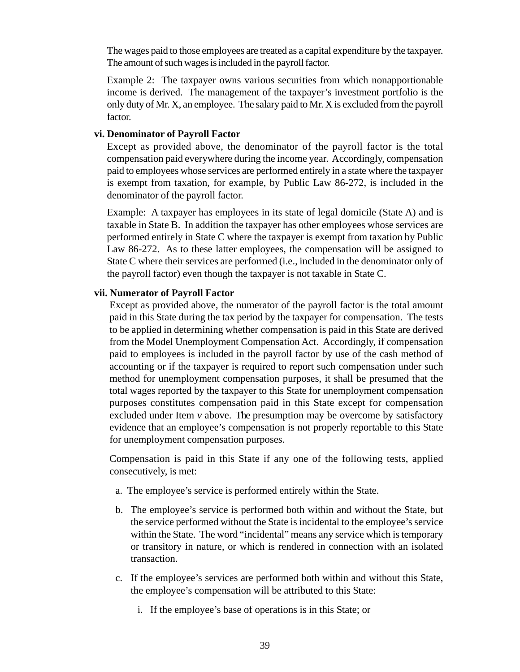The wages paid to those employees are treated as a capital expenditure by the taxpayer. The amount of such wages is included in the payroll factor.

Example 2: The taxpayer owns various securities from which nonapportionable income is derived. The management of the taxpayer's investment portfolio is the only duty of Mr. X, an employee. The salary paid to Mr. X is excluded from the payroll factor.

#### **vi. Denominator of Payroll Factor**

Except as provided above, the denominator of the payroll factor is the total compensation paid everywhere during the income year. Accordingly, compensation paid to employees whose services are performed entirely in a state where the taxpayer is exempt from taxation, for example, by Public Law 86-272, is included in the denominator of the payroll factor.

Example: A taxpayer has employees in its state of legal domicile (State A) and is taxable in State B. In addition the taxpayer has other employees whose services are performed entirely in State C where the taxpayer is exempt from taxation by Public Law 86-272. As to these latter employees, the compensation will be assigned to State C where their services are performed (i.e., included in the denominator only of the payroll factor) even though the taxpayer is not taxable in State C.

#### **vii. Numerator of Payroll Factor**

Except as provided above, the numerator of the payroll factor is the total amount paid in this State during the tax period by the taxpayer for compensation. The tests to be applied in determining whether compensation is paid in this State are derived from the Model Unemployment Compensation Act. Accordingly, if compensation paid to employees is included in the payroll factor by use of the cash method of accounting or if the taxpayer is required to report such compensation under such method for unemployment compensation purposes, it shall be presumed that the total wages reported by the taxpayer to this State for unemployment compensation purposes constitutes compensation paid in this State except for compensation excluded under Item *v* above. The presumption may be overcome by satisfactory evidence that an employee's compensation is not properly reportable to this State for unemployment compensation purposes.

Compensation is paid in this State if any one of the following tests, applied consecutively, is met:

- a. The employee's service is performed entirely within the State.
- b. The employee's service is performed both within and without the State, but the service performed without the State is incidental to the employee's service within the State. The word "incidental" means any service which is temporary or transitory in nature, or which is rendered in connection with an isolated transaction.
- c. If the employee's services are performed both within and without this State, the employee's compensation will be attributed to this State:
	- i. If the employee's base of operations is in this State; or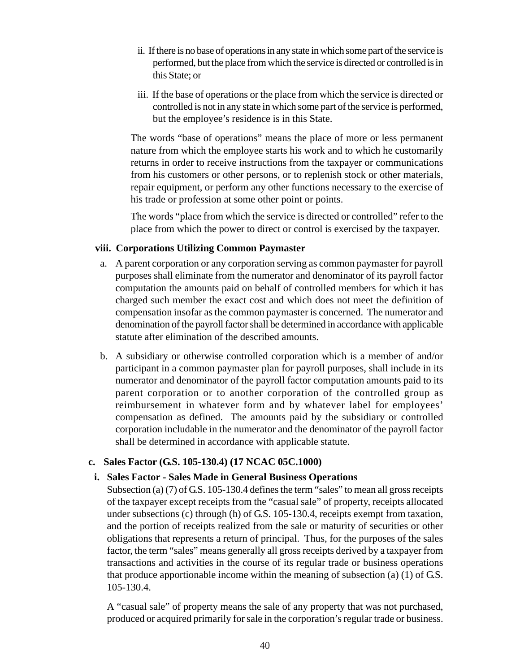- ii. If there is no base of operations in any state in which some part of the service is performed, but the place from which the service is directed or controlled is in this State; or
- iii. If the base of operations or the place from which the service is directed or controlled is not in any state in which some part of the service is performed, but the employee's residence is in this State.

The words "base of operations" means the place of more or less permanent nature from which the employee starts his work and to which he customarily returns in order to receive instructions from the taxpayer or communications from his customers or other persons, or to replenish stock or other materials, repair equipment, or perform any other functions necessary to the exercise of his trade or profession at some other point or points.

The words "place from which the service is directed or controlled" refer to the place from which the power to direct or control is exercised by the taxpayer.

# **viii. Corporations Utilizing Common Paymaster**

- a. A parent corporation or any corporation serving as common paymaster for payroll purposes shall eliminate from the numerator and denominator of its payroll factor computation the amounts paid on behalf of controlled members for which it has charged such member the exact cost and which does not meet the definition of compensation insofar as the common paymaster is concerned. The numerator and denomination of the payroll factor shall be determined in accordance with applicable statute after elimination of the described amounts.
- b. A subsidiary or otherwise controlled corporation which is a member of and/or participant in a common paymaster plan for payroll purposes, shall include in its numerator and denominator of the payroll factor computation amounts paid to its parent corporation or to another corporation of the controlled group as reimbursement in whatever form and by whatever label for employees' compensation as defined. The amounts paid by the subsidiary or controlled corporation includable in the numerator and the denominator of the payroll factor shall be determined in accordance with applicable statute.

### **c. Sales Factor (G.S. 105-130.4) (17 NCAC 05C.1000)**

### **i. Sales Factor - Sales Made in General Business Operations**

Subsection (a)  $(7)$  of G.S. 105-130.4 defines the term "sales" to mean all gross receipts of the taxpayer except receipts from the "casual sale" of property, receipts allocated under subsections (c) through (h) of G.S. 105-130.4, receipts exempt from taxation, and the portion of receipts realized from the sale or maturity of securities or other obligations that represents a return of principal. Thus, for the purposes of the sales factor, the term "sales" means generally all gross receipts derived by a taxpayer from transactions and activities in the course of its regular trade or business operations that produce apportionable income within the meaning of subsection (a) (1) of G.S. 105-130.4.

A "casual sale" of property means the sale of any property that was not purchased, produced or acquired primarily for sale in the corporation's regular trade or business.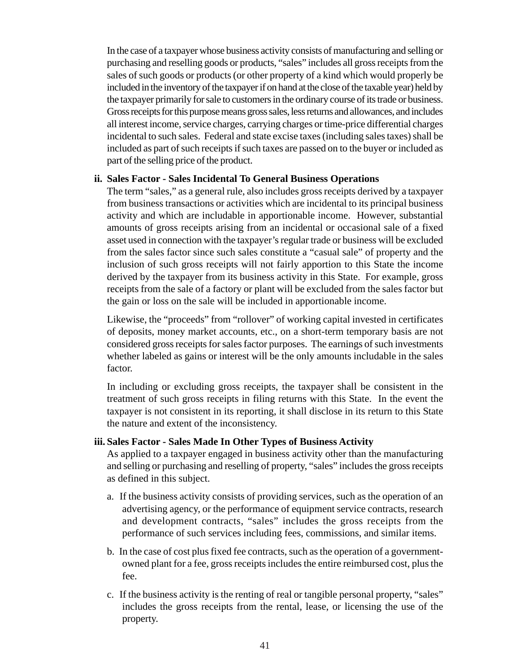In the case of a taxpayer whose business activity consists of manufacturing and selling or purchasing and reselling goods or products, "sales" includes all gross receipts from the sales of such goods or products (or other property of a kind which would properly be included in the inventory of the taxpayer if on hand at the close of the taxable year) held by the taxpayer primarily for sale to customers in the ordinary course of its trade or business. Gross receipts for this purpose means gross sales, less returns and allowances, and includes all interest income, service charges, carrying charges or time-price differential charges incidental to such sales. Federal and state excise taxes (including sales taxes) shall be included as part of such receipts if such taxes are passed on to the buyer or included as part of the selling price of the product.

#### **ii. Sales Factor - Sales Incidental To General Business Operations**

The term "sales," as a general rule, also includes gross receipts derived by a taxpayer from business transactions or activities which are incidental to its principal business activity and which are includable in apportionable income. However, substantial amounts of gross receipts arising from an incidental or occasional sale of a fixed asset used in connection with the taxpayer's regular trade or business will be excluded from the sales factor since such sales constitute a "casual sale" of property and the inclusion of such gross receipts will not fairly apportion to this State the income derived by the taxpayer from its business activity in this State. For example, gross receipts from the sale of a factory or plant will be excluded from the sales factor but the gain or loss on the sale will be included in apportionable income.

Likewise, the "proceeds" from "rollover" of working capital invested in certificates of deposits, money market accounts, etc., on a short-term temporary basis are not considered gross receipts for sales factor purposes. The earnings of such investments whether labeled as gains or interest will be the only amounts includable in the sales factor.

In including or excluding gross receipts, the taxpayer shall be consistent in the treatment of such gross receipts in filing returns with this State. In the event the taxpayer is not consistent in its reporting, it shall disclose in its return to this State the nature and extent of the inconsistency.

#### **iii. Sales Factor - Sales Made In Other Types of Business Activity**

As applied to a taxpayer engaged in business activity other than the manufacturing and selling or purchasing and reselling of property, "sales" includes the gross receipts as defined in this subject.

- a. If the business activity consists of providing services, such as the operation of an advertising agency, or the performance of equipment service contracts, research and development contracts, "sales" includes the gross receipts from the performance of such services including fees, commissions, and similar items.
- b. In the case of cost plus fixed fee contracts, such as the operation of a governmentowned plant for a fee, gross receipts includes the entire reimbursed cost, plus the fee.
- c. If the business activity is the renting of real or tangible personal property, "sales" includes the gross receipts from the rental, lease, or licensing the use of the property.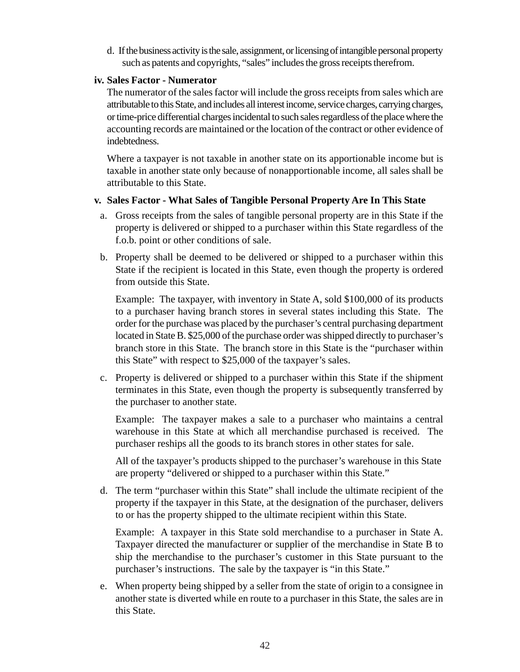d. If the business activity is the sale, assignment, or licensing of intangible personal property such as patents and copyrights, "sales" includes the gross receipts therefrom.

#### **iv. Sales Factor - Numerator**

The numerator of the sales factor will include the gross receipts from sales which are attributable to this State, and includes all interest income, service charges, carrying charges, or time-price differential charges incidental to such sales regardless of the place where the accounting records are maintained or the location of the contract or other evidence of indebtedness.

Where a taxpayer is not taxable in another state on its apportionable income but is taxable in another state only because of nonapportionable income, all sales shall be attributable to this State.

#### **v. Sales Factor - What Sales of Tangible Personal Property Are In This State**

- a. Gross receipts from the sales of tangible personal property are in this State if the property is delivered or shipped to a purchaser within this State regardless of the f.o.b. point or other conditions of sale.
- b. Property shall be deemed to be delivered or shipped to a purchaser within this State if the recipient is located in this State, even though the property is ordered from outside this State.

Example: The taxpayer, with inventory in State A, sold \$100,000 of its products to a purchaser having branch stores in several states including this State. The order for the purchase was placed by the purchaser's central purchasing department located in State B. \$25,000 of the purchase order was shipped directly to purchaser's branch store in this State. The branch store in this State is the "purchaser within this State" with respect to \$25,000 of the taxpayer's sales.

c. Property is delivered or shipped to a purchaser within this State if the shipment terminates in this State, even though the property is subsequently transferred by the purchaser to another state.

Example: The taxpayer makes a sale to a purchaser who maintains a central warehouse in this State at which all merchandise purchased is received. The purchaser reships all the goods to its branch stores in other states for sale.

All of the taxpayer's products shipped to the purchaser's warehouse in this State are property "delivered or shipped to a purchaser within this State."

d. The term "purchaser within this State" shall include the ultimate recipient of the property if the taxpayer in this State, at the designation of the purchaser, delivers to or has the property shipped to the ultimate recipient within this State.

Example: A taxpayer in this State sold merchandise to a purchaser in State A. Taxpayer directed the manufacturer or supplier of the merchandise in State B to ship the merchandise to the purchaser's customer in this State pursuant to the purchaser's instructions. The sale by the taxpayer is "in this State."

e. When property being shipped by a seller from the state of origin to a consignee in another state is diverted while en route to a purchaser in this State, the sales are in this State.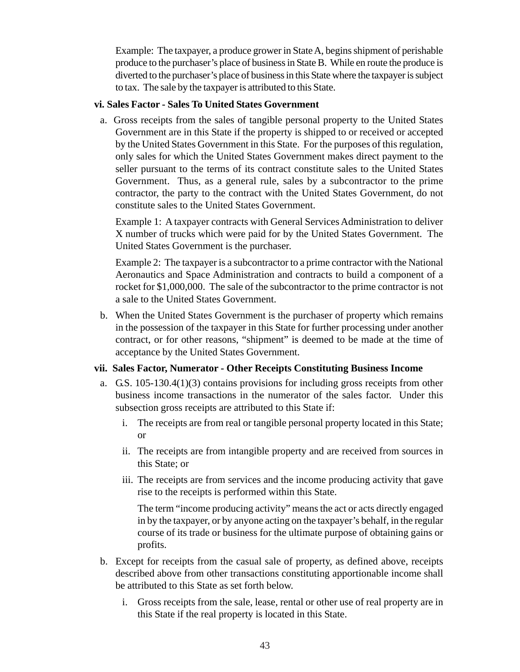Example: The taxpayer, a produce grower in State A, begins shipment of perishable produce to the purchaser's place of business in State B. While en route the produce is diverted to the purchaser's place of business in this State where the taxpayer is subject to tax. The sale by the taxpayer is attributed to this State.

#### **vi. Sales Factor - Sales To United States Government**

a. Gross receipts from the sales of tangible personal property to the United States Government are in this State if the property is shipped to or received or accepted by the United States Government in this State. For the purposes of this regulation, only sales for which the United States Government makes direct payment to the seller pursuant to the terms of its contract constitute sales to the United States Government. Thus, as a general rule, sales by a subcontractor to the prime contractor, the party to the contract with the United States Government, do not constitute sales to the United States Government.

Example 1: A taxpayer contracts with General Services Administration to deliver X number of trucks which were paid for by the United States Government. The United States Government is the purchaser.

Example 2: The taxpayer is a subcontractor to a prime contractor with the National Aeronautics and Space Administration and contracts to build a component of a rocket for \$1,000,000. The sale of the subcontractor to the prime contractor is not a sale to the United States Government.

b. When the United States Government is the purchaser of property which remains in the possession of the taxpayer in this State for further processing under another contract, or for other reasons, "shipment" is deemed to be made at the time of acceptance by the United States Government.

### **vii. Sales Factor, Numerator - Other Receipts Constituting Business Income**

- a. G.S.  $105-130.4(1)(3)$  contains provisions for including gross receipts from other business income transactions in the numerator of the sales factor. Under this subsection gross receipts are attributed to this State if:
	- i. The receipts are from real or tangible personal property located in this State; or
	- ii. The receipts are from intangible property and are received from sources in this State; or
	- iii. The receipts are from services and the income producing activity that gave rise to the receipts is performed within this State.

The term "income producing activity" means the act or acts directly engaged in by the taxpayer, or by anyone acting on the taxpayer's behalf, in the regular course of its trade or business for the ultimate purpose of obtaining gains or profits.

- b. Except for receipts from the casual sale of property, as defined above, receipts described above from other transactions constituting apportionable income shall be attributed to this State as set forth below.
	- i. Gross receipts from the sale, lease, rental or other use of real property are in this State if the real property is located in this State.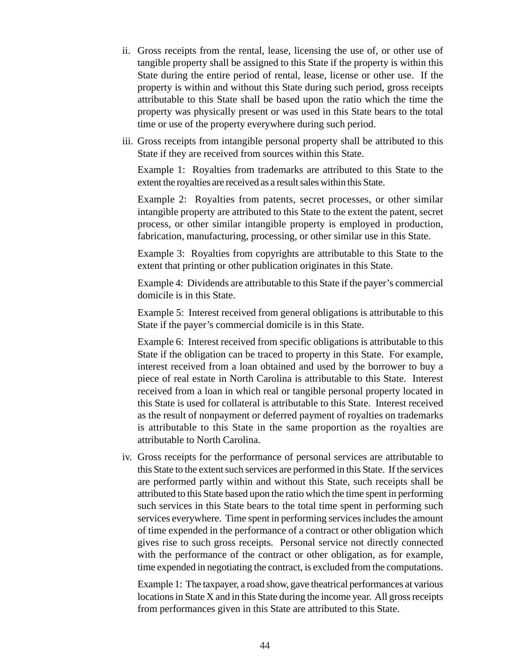- ii. Gross receipts from the rental, lease, licensing the use of, or other use of tangible property shall be assigned to this State if the property is within this State during the entire period of rental, lease, license or other use. If the property is within and without this State during such period, gross receipts attributable to this State shall be based upon the ratio which the time the property was physically present or was used in this State bears to the total time or use of the property everywhere during such period.
- iii. Gross receipts from intangible personal property shall be attributed to this State if they are received from sources within this State.

Example 1: Royalties from trademarks are attributed to this State to the extent the royalties are received as a result sales within this State.

Example 2: Royalties from patents, secret processes, or other similar intangible property are attributed to this State to the extent the patent, secret process, or other similar intangible property is employed in production, fabrication, manufacturing, processing, or other similar use in this State.

Example 3: Royalties from copyrights are attributable to this State to the extent that printing or other publication originates in this State.

Example 4: Dividends are attributable to this State if the payer's commercial domicile is in this State.

Example 5: Interest received from general obligations is attributable to this State if the payer's commercial domicile is in this State.

Example 6: Interest received from specific obligations is attributable to this State if the obligation can be traced to property in this State. For example, interest received from a loan obtained and used by the borrower to buy a piece of real estate in North Carolina is attributable to this State. Interest received from a loan in which real or tangible personal property located in this State is used for collateral is attributable to this State. Interest received as the result of nonpayment or deferred payment of royalties on trademarks is attributable to this State in the same proportion as the royalties are attributable to North Carolina.

iv. Gross receipts for the performance of personal services are attributable to this State to the extent such services are performed in this State. If the services are performed partly within and without this State, such receipts shall be attributed to this State based upon the ratio which the time spent in performing such services in this State bears to the total time spent in performing such services everywhere. Time spent in performing services includes the amount of time expended in the performance of a contract or other obligation which gives rise to such gross receipts. Personal service not directly connected with the performance of the contract or other obligation, as for example, time expended in negotiating the contract, is excluded from the computations.

Example 1: The taxpayer, a road show, gave theatrical performances at various locations in State X and in this State during the income year. All gross receipts from performances given in this State are attributed to this State.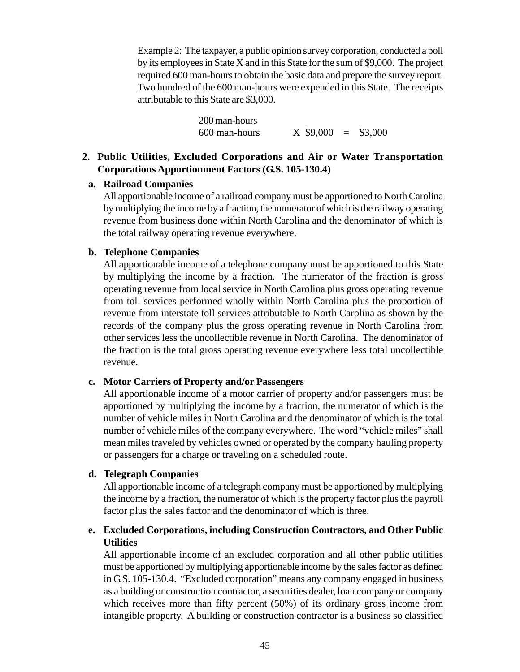Example 2: The taxpayer, a public opinion survey corporation, conducted a poll by its employees in State X and in this State for the sum of \$9,000. The project required 600 man-hours to obtain the basic data and prepare the survey report. Two hundred of the 600 man-hours were expended in this State. The receipts attributable to this State are \$3,000.

| 200 man-hours |             |             |
|---------------|-------------|-------------|
| 600 man-hours | $X$ \$9,000 | $=$ \$3,000 |

## **2. Public Utilities, Excluded Corporations and Air or Water Transportation Corporations Apportionment Factors (G.S. 105-130.4)**

#### **a. Railroad Companies**

All apportionable income of a railroad company must be apportioned to North Carolina by multiplying the income by a fraction, the numerator of which is the railway operating revenue from business done within North Carolina and the denominator of which is the total railway operating revenue everywhere.

### **b. Telephone Companies**

All apportionable income of a telephone company must be apportioned to this State by multiplying the income by a fraction. The numerator of the fraction is gross operating revenue from local service in North Carolina plus gross operating revenue from toll services performed wholly within North Carolina plus the proportion of revenue from interstate toll services attributable to North Carolina as shown by the records of the company plus the gross operating revenue in North Carolina from other services less the uncollectible revenue in North Carolina. The denominator of the fraction is the total gross operating revenue everywhere less total uncollectible revenue.

### **c. Motor Carriers of Property and/or Passengers**

All apportionable income of a motor carrier of property and/or passengers must be apportioned by multiplying the income by a fraction, the numerator of which is the number of vehicle miles in North Carolina and the denominator of which is the total number of vehicle miles of the company everywhere. The word "vehicle miles" shall mean miles traveled by vehicles owned or operated by the company hauling property or passengers for a charge or traveling on a scheduled route.

### **d. Telegraph Companies**

All apportionable income of a telegraph company must be apportioned by multiplying the income by a fraction, the numerator of which is the property factor plus the payroll factor plus the sales factor and the denominator of which is three.

# **e. Excluded Corporations, including Construction Contractors, and Other Public Utilities**

All apportionable income of an excluded corporation and all other public utilities must be apportioned by multiplying apportionable income by the sales factor as defined in G.S. 105-130.4. "Excluded corporation" means any company engaged in business as a building or construction contractor, a securities dealer, loan company or company which receives more than fifty percent (50%) of its ordinary gross income from intangible property. A building or construction contractor is a business so classified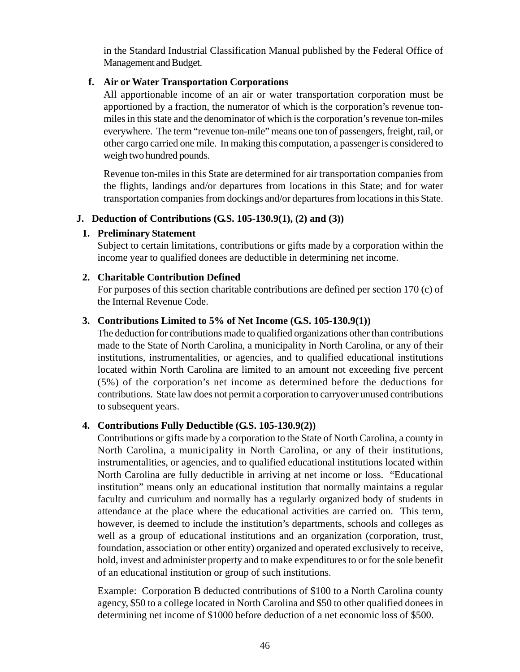in the Standard Industrial Classification Manual published by the Federal Office of Management and Budget.

## **f. Air or Water Transportation Corporations**

All apportionable income of an air or water transportation corporation must be apportioned by a fraction, the numerator of which is the corporation's revenue tonmiles in this state and the denominator of which is the corporation's revenue ton-miles everywhere. The term "revenue ton-mile" means one ton of passengers, freight, rail, or other cargo carried one mile. In making this computation, a passenger is considered to weigh two hundred pounds.

Revenue ton-miles in this State are determined for air transportation companies from the flights, landings and/or departures from locations in this State; and for water transportation companies from dockings and/or departures from locations in this State.

# **J. Deduction of Contributions (G.S. 105-130.9(1), (2) and (3))**

# **1. Preliminary Statement**

Subject to certain limitations, contributions or gifts made by a corporation within the income year to qualified donees are deductible in determining net income.

# **2. Charitable Contribution Defined**

For purposes of this section charitable contributions are defined per section 170 (c) of the Internal Revenue Code.

### **3. Contributions Limited to 5% of Net Income (G.S. 105-130.9(1))**

The deduction for contributions made to qualified organizations other than contributions made to the State of North Carolina, a municipality in North Carolina, or any of their institutions, instrumentalities, or agencies, and to qualified educational institutions located within North Carolina are limited to an amount not exceeding five percent (5%) of the corporation's net income as determined before the deductions for contributions. State law does not permit a corporation to carryover unused contributions to subsequent years.

### **4. Contributions Fully Deductible (G.S. 105-130.9(2))**

Contributions or gifts made by a corporation to the State of North Carolina, a county in North Carolina, a municipality in North Carolina, or any of their institutions, instrumentalities, or agencies, and to qualified educational institutions located within North Carolina are fully deductible in arriving at net income or loss. "Educational institution" means only an educational institution that normally maintains a regular faculty and curriculum and normally has a regularly organized body of students in attendance at the place where the educational activities are carried on. This term, however, is deemed to include the institution's departments, schools and colleges as well as a group of educational institutions and an organization (corporation, trust, foundation, association or other entity) organized and operated exclusively to receive, hold, invest and administer property and to make expenditures to or for the sole benefit of an educational institution or group of such institutions.

Example: Corporation B deducted contributions of \$100 to a North Carolina county agency, \$50 to a college located in North Carolina and \$50 to other qualified donees in determining net income of \$1000 before deduction of a net economic loss of \$500.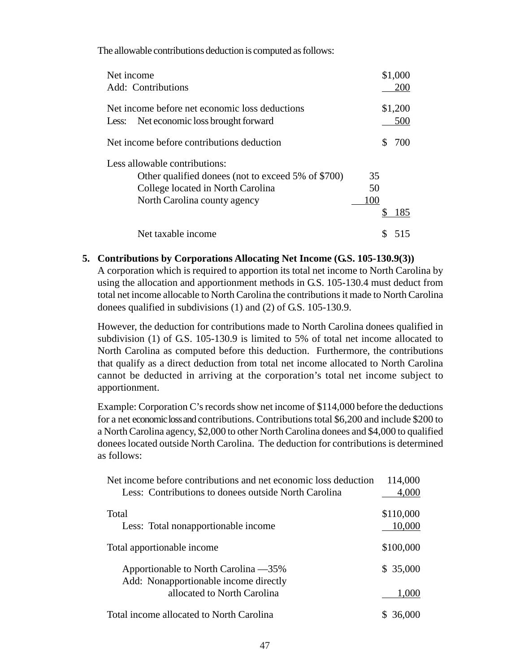The allowable contributions deduction is computed as follows:

| Net income                                         |     | \$1,000 |
|----------------------------------------------------|-----|---------|
| <b>Add: Contributions</b>                          |     | 200     |
| Net income before net economic loss deductions     |     | \$1,200 |
| Less: Net economic loss brought forward            |     | 500     |
| Net income before contributions deduction          | S   | 700     |
| Less allowable contributions:                      |     |         |
| Other qualified donees (not to exceed 5% of \$700) | 35  |         |
| College located in North Carolina                  | 50  |         |
| North Carolina county agency                       | 100 |         |
|                                                    | S   | 185     |
| Net taxable income                                 |     |         |

#### **5. Contributions by Corporations Allocating Net Income (G.S. 105-130.9(3))**

A corporation which is required to apportion its total net income to North Carolina by using the allocation and apportionment methods in G.S. 105-130.4 must deduct from total net income allocable to North Carolina the contributions it made to North Carolina donees qualified in subdivisions (1) and (2) of G.S. 105-130.9.

However, the deduction for contributions made to North Carolina donees qualified in subdivision (1) of G.S. 105-130.9 is limited to 5% of total net income allocated to North Carolina as computed before this deduction. Furthermore, the contributions that qualify as a direct deduction from total net income allocated to North Carolina cannot be deducted in arriving at the corporation's total net income subject to apportionment.

Example: Corporation C's records show net income of \$114,000 before the deductions for a net economic loss and contributions. Contributions total \$6,200 and include \$200 to a North Carolina agency, \$2,000 to other North Carolina donees and \$4,000 to qualified donees located outside North Carolina. The deduction for contributions is determined as follows:

| Net income before contributions and net economic loss deduction | 114,000     |
|-----------------------------------------------------------------|-------------|
| Less: Contributions to donees outside North Carolina            | 4,000       |
| Total                                                           | \$110,000   |
| Less: Total nonapportionable income                             | 10,000      |
| Total apportionable income                                      | \$100,000   |
| Apportionable to North Carolina —35%                            | \$35,000    |
| Add: Nonapportionable income directly                           |             |
| allocated to North Carolina                                     | 1.000       |
| Total income allocated to North Carolina                        | S<br>36,000 |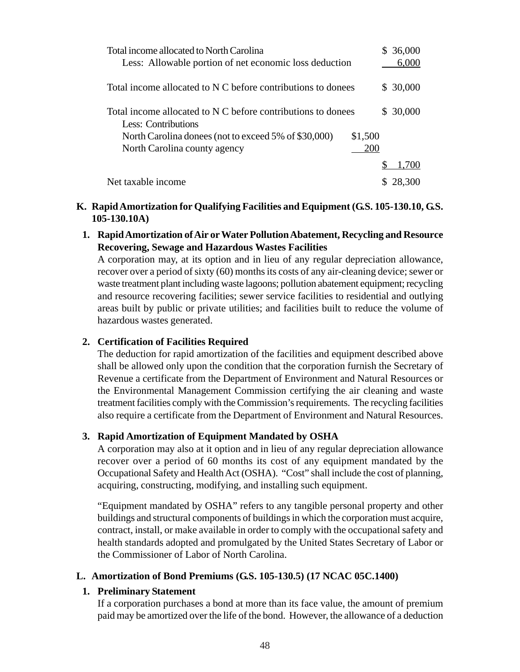| Total income allocated to North Carolina                                            | \$36,000  |
|-------------------------------------------------------------------------------------|-----------|
| Less: Allowable portion of net economic loss deduction                              | 6,000     |
| Total income allocated to N C before contributions to donees                        | \$ 30,000 |
| Total income allocated to N C before contributions to donees<br>Less: Contributions | \$30,000  |
| North Carolina donees (not to exceed 5% of \$30,000)                                | \$1,500   |
| North Carolina county agency                                                        | 200       |
|                                                                                     | 1.700     |
| Net taxable income                                                                  | 28.300    |

### **K. Rapid Amortization for Qualifying Facilities and Equipment (G.S. 105-130.10, G.S. 105-130.10A)**

**1. Rapid Amortization of Air or Water Pollution Abatement, Recycling and Resource Recovering, Sewage and Hazardous Wastes Facilities**

A corporation may, at its option and in lieu of any regular depreciation allowance, recover over a period of sixty (60) months its costs of any air-cleaning device; sewer or waste treatment plant including waste lagoons; pollution abatement equipment; recycling and resource recovering facilities; sewer service facilities to residential and outlying areas built by public or private utilities; and facilities built to reduce the volume of hazardous wastes generated.

## **2. Certification of Facilities Required**

The deduction for rapid amortization of the facilities and equipment described above shall be allowed only upon the condition that the corporation furnish the Secretary of Revenue a certificate from the Department of Environment and Natural Resources or the Environmental Management Commission certifying the air cleaning and waste treatment facilities comply with the Commission's requirements. The recycling facilities also require a certificate from the Department of Environment and Natural Resources.

# **3. Rapid Amortization of Equipment Mandated by OSHA**

A corporation may also at it option and in lieu of any regular depreciation allowance recover over a period of 60 months its cost of any equipment mandated by the Occupational Safety and Health Act (OSHA). "Cost" shall include the cost of planning, acquiring, constructing, modifying, and installing such equipment.

"Equipment mandated by OSHA" refers to any tangible personal property and other buildings and structural components of buildings in which the corporation must acquire, contract, install, or make available in order to comply with the occupational safety and health standards adopted and promulgated by the United States Secretary of Labor or the Commissioner of Labor of North Carolina.

### **L. Amortization of Bond Premiums (G.S. 105-130.5) (17 NCAC 05C.1400)**

# **1. Preliminary Statement**

If a corporation purchases a bond at more than its face value, the amount of premium paid may be amortized over the life of the bond. However, the allowance of a deduction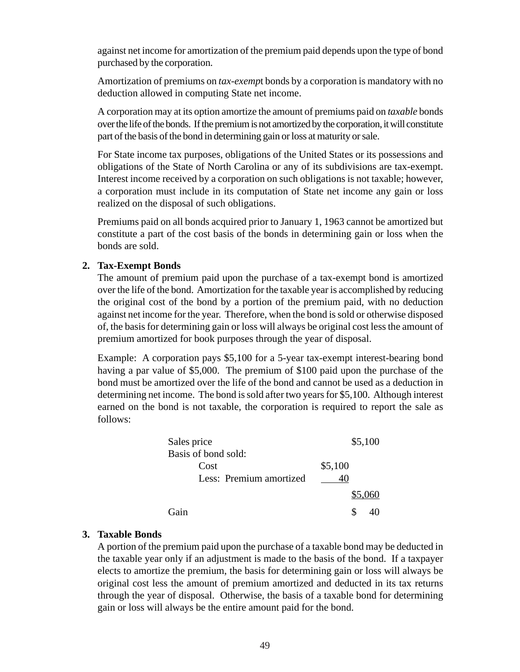against net income for amortization of the premium paid depends upon the type of bond purchased by the corporation.

Amortization of premiums on *tax-exemp*t bonds by a corporation is mandatory with no deduction allowed in computing State net income.

A corporation may at its option amortize the amount of premiums paid on *taxable* bonds over the life of the bonds. If the premium is not amortized by the corporation, it will constitute part of the basis of the bond in determining gain or loss at maturity or sale.

For State income tax purposes, obligations of the United States or its possessions and obligations of the State of North Carolina or any of its subdivisions are tax-exempt. Interest income received by a corporation on such obligations is not taxable; however, a corporation must include in its computation of State net income any gain or loss realized on the disposal of such obligations.

Premiums paid on all bonds acquired prior to January 1, 1963 cannot be amortized but constitute a part of the cost basis of the bonds in determining gain or loss when the bonds are sold.

#### **2. Tax-Exempt Bonds**

The amount of premium paid upon the purchase of a tax-exempt bond is amortized over the life of the bond. Amortization for the taxable year is accomplished by reducing the original cost of the bond by a portion of the premium paid, with no deduction against net income for the year. Therefore, when the bond is sold or otherwise disposed of, the basis for determining gain or loss will always be original cost less the amount of premium amortized for book purposes through the year of disposal.

Example: A corporation pays \$5,100 for a 5-year tax-exempt interest-bearing bond having a par value of \$5,000. The premium of \$100 paid upon the purchase of the bond must be amortized over the life of the bond and cannot be used as a deduction in determining net income. The bond is sold after two years for \$5,100. Although interest earned on the bond is not taxable, the corporation is required to report the sale as follows:

| Sales price             | \$5,100 |
|-------------------------|---------|
| Basis of bond sold:     |         |
| Cost                    | \$5,100 |
| Less: Premium amortized |         |
|                         | \$5,060 |
| Gain                    |         |

### **3. Taxable Bonds**

A portion of the premium paid upon the purchase of a taxable bond may be deducted in the taxable year only if an adjustment is made to the basis of the bond. If a taxpayer elects to amortize the premium, the basis for determining gain or loss will always be original cost less the amount of premium amortized and deducted in its tax returns through the year of disposal. Otherwise, the basis of a taxable bond for determining gain or loss will always be the entire amount paid for the bond.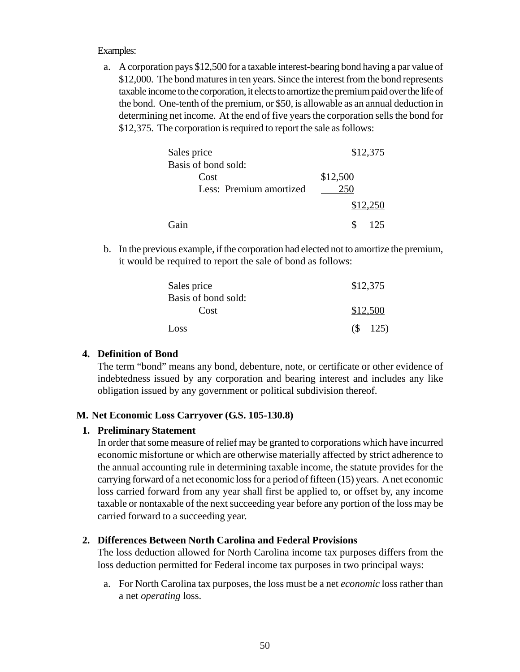#### Examples:

a. A corporation pays \$12,500 for a taxable interest-bearing bond having a par value of \$12,000. The bond matures in ten years. Since the interest from the bond represents taxable income to the corporation, it elects to amortize the premium paid over the life of the bond. One-tenth of the premium, or \$50, is allowable as an annual deduction in determining net income. At the end of five years the corporation sells the bond for \$12,375. The corporation is required to report the sale as follows:

| Sales price             | \$12,375 |
|-------------------------|----------|
| Basis of bond sold:     |          |
| Cost                    | \$12,500 |
| Less: Premium amortized | 250      |
|                         | \$12,250 |
| Gain                    | 125      |

b. In the previous example, if the corporation had elected not to amortize the premium, it would be required to report the sale of bond as follows:

| Sales price                 | \$12,375    |
|-----------------------------|-------------|
| Basis of bond sold:<br>Cost | \$12,500    |
| Loss                        | $($ \$ 125) |

#### **4. Definition of Bond**

The term "bond" means any bond, debenture, note, or certificate or other evidence of indebtedness issued by any corporation and bearing interest and includes any like obligation issued by any government or political subdivision thereof.

#### **M. Net Economic Loss Carryover (G.S. 105-130.8)**

#### **1. Preliminary Statement**

In order that some measure of relief may be granted to corporations which have incurred economic misfortune or which are otherwise materially affected by strict adherence to the annual accounting rule in determining taxable income, the statute provides for the carrying forward of a net economic loss for a period of fifteen (15) years. A net economic loss carried forward from any year shall first be applied to, or offset by, any income taxable or nontaxable of the next succeeding year before any portion of the loss may be carried forward to a succeeding year.

#### **2. Differences Between North Carolina and Federal Provisions**

The loss deduction allowed for North Carolina income tax purposes differs from the loss deduction permitted for Federal income tax purposes in two principal ways:

a. For North Carolina tax purposes, the loss must be a net *economic* loss rather than a net *operating* loss.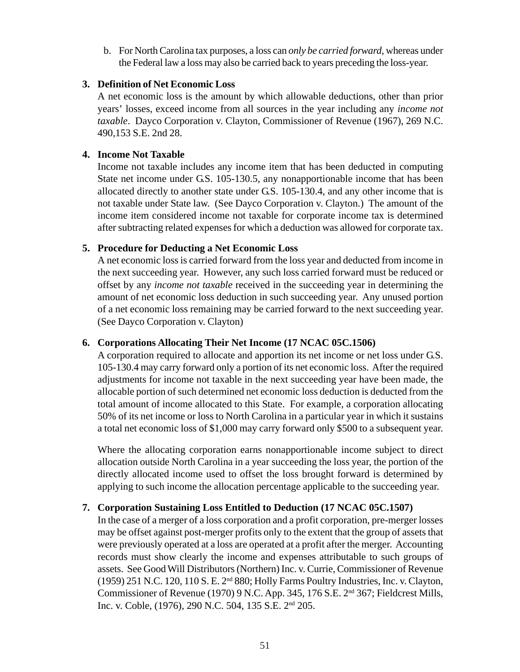b. For North Carolina tax purposes, a loss can *only be carried forward*, whereas under the Federal law a loss may also be carried back to years preceding the loss-year.

#### **3. Definition of Net Economic Loss**

A net economic loss is the amount by which allowable deductions, other than prior years' losses, exceed income from all sources in the year including any *income not taxable*. Dayco Corporation v. Clayton, Commissioner of Revenue (1967), 269 N.C. 490,153 S.E. 2nd 28.

#### **4. Income Not Taxable**

Income not taxable includes any income item that has been deducted in computing State net income under G.S. 105-130.5, any nonapportionable income that has been allocated directly to another state under G.S. 105-130.4, and any other income that is not taxable under State law. (See Dayco Corporation v. Clayton.) The amount of the income item considered income not taxable for corporate income tax is determined after subtracting related expenses for which a deduction was allowed for corporate tax.

#### **5. Procedure for Deducting a Net Economic Loss**

A net economic loss is carried forward from the loss year and deducted from income in the next succeeding year. However, any such loss carried forward must be reduced or offset by any *income not taxable* received in the succeeding year in determining the amount of net economic loss deduction in such succeeding year. Any unused portion of a net economic loss remaining may be carried forward to the next succeeding year. (See Dayco Corporation v. Clayton)

### **6. Corporations Allocating Their Net Income (17 NCAC 05C.1506)**

A corporation required to allocate and apportion its net income or net loss under G.S. 105-130.4 may carry forward only a portion of its net economic loss. After the required adjustments for income not taxable in the next succeeding year have been made, the allocable portion of such determined net economic loss deduction is deducted from the total amount of income allocated to this State. For example, a corporation allocating 50% of its net income or loss to North Carolina in a particular year in which it sustains a total net economic loss of \$1,000 may carry forward only \$500 to a subsequent year.

Where the allocating corporation earns nonapportionable income subject to direct allocation outside North Carolina in a year succeeding the loss year, the portion of the directly allocated income used to offset the loss brought forward is determined by applying to such income the allocation percentage applicable to the succeeding year.

### **7. Corporation Sustaining Loss Entitled to Deduction (17 NCAC 05C.1507)**

In the case of a merger of a loss corporation and a profit corporation, pre-merger losses may be offset against post-merger profits only to the extent that the group of assets that were previously operated at a loss are operated at a profit after the merger. Accounting records must show clearly the income and expenses attributable to such groups of assets. See Good Will Distributors (Northern) Inc. v. Currie, Commissioner of Revenue (1959) 251 N.C. 120, 110 S. E. 2nd 880; Holly Farms Poultry Industries, Inc. v. Clayton, Commissioner of Revenue (1970) 9 N.C. App. 345, 176 S.E. 2nd 367; Fieldcrest Mills, Inc. v. Coble, (1976), 290 N.C. 504, 135 S.E. 2nd 205.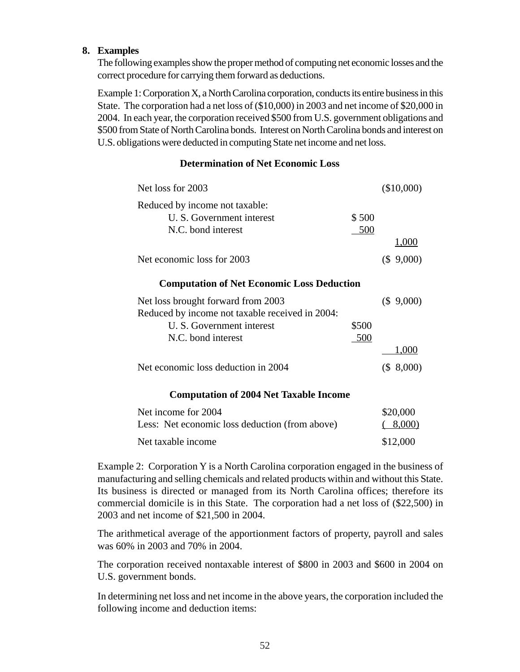#### **8. Examples**

The following examples show the proper method of computing net economic losses and the correct procedure for carrying them forward as deductions.

Example 1: Corporation X, a North Carolina corporation, conducts its entire business in this State. The corporation had a net loss of (\$10,000) in 2003 and net income of \$20,000 in 2004. In each year, the corporation received \$500 from U.S. government obligations and \$500 from State of North Carolina bonds. Interest on North Carolina bonds and interest on U.S. obligations were deducted in computing State net income and net loss.

## **Determination of Net Economic Loss**

| Net loss for 2003                                           |       | $(\$10,000)$ |
|-------------------------------------------------------------|-------|--------------|
| Reduced by income not taxable:<br>U. S. Government interest | \$500 |              |
| N.C. bond interest                                          | 500   |              |
|                                                             |       | 1,000        |
| Net economic loss for 2003                                  |       | (\$9,000)    |
| <b>Computation of Net Economic Loss Deduction</b>           |       |              |
| Net loss brought forward from 2003                          |       | (\$9,000)    |
| Reduced by income not taxable received in 2004:             |       |              |
| U. S. Government interest                                   | \$500 |              |
| N.C. bond interest                                          | 500   |              |
|                                                             |       | 1,000        |
| Net economic loss deduction in 2004                         |       | (\$.8,000)   |
| <b>Computation of 2004 Net Taxable Income</b>               |       |              |
| $\mu$ income for $2004$                                     |       | ፍንስ ስሰስ      |

| Net income for 2004                            | \$20,000 |
|------------------------------------------------|----------|
| Less: Net economic loss deduction (from above) | (8,000)  |
| Net taxable income                             | \$12,000 |

Example 2: Corporation Y is a North Carolina corporation engaged in the business of manufacturing and selling chemicals and related products within and without this State. Its business is directed or managed from its North Carolina offices; therefore its commercial domicile is in this State. The corporation had a net loss of (\$22,500) in 2003 and net income of \$21,500 in 2004.

The arithmetical average of the apportionment factors of property, payroll and sales was 60% in 2003 and 70% in 2004.

The corporation received nontaxable interest of \$800 in 2003 and \$600 in 2004 on U.S. government bonds.

In determining net loss and net income in the above years, the corporation included the following income and deduction items: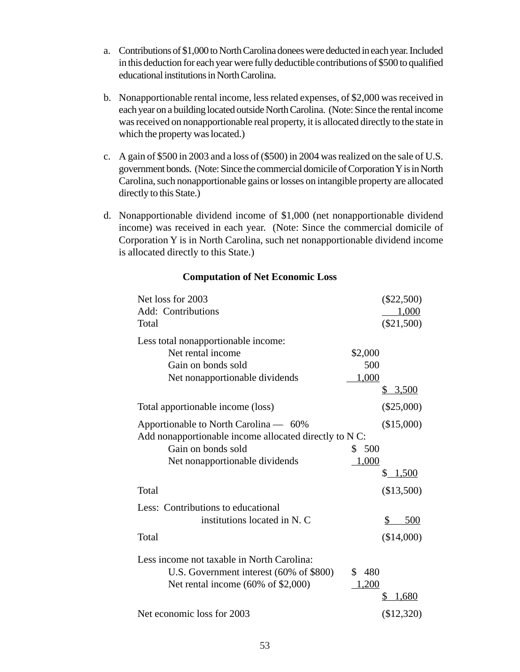- a. Contributions of \$1,000 to North Carolina donees were deducted in each year. Included in this deduction for each year were fully deductible contributions of \$500 to qualified educational institutions in North Carolina.
- b. Nonapportionable rental income, less related expenses, of \$2,000 was received in each year on a building located outside North Carolina. (Note: Since the rental income was received on nonapportionable real property, it is allocated directly to the state in which the property was located.)
- c. A gain of \$500 in 2003 and a loss of (\$500) in 2004 was realized on the sale of U.S. government bonds. (Note: Since the commercial domicile of Corporation Y is in North Carolina, such nonapportionable gains or losses on intangible property are allocated directly to this State.)
- d. Nonapportionable dividend income of \$1,000 (net nonapportionable dividend income) was received in each year. (Note: Since the commercial domicile of Corporation Y is in North Carolina, such net nonapportionable dividend income is allocated directly to this State.)

| Net loss for 2003                                      | $(\$22,500)$      |
|--------------------------------------------------------|-------------------|
| Add: Contributions                                     | 1,000             |
| Total                                                  | $(\$21,500)$      |
| Less total nonapportionable income:                    |                   |
| Net rental income                                      | \$2,000           |
| Gain on bonds sold                                     | 500               |
| Net nonapportionable dividends                         | 1,000             |
|                                                        | <u>3,500</u><br>S |
| Total apportionable income (loss)                      | $(\$25,000)$      |
| Apportionable to North Carolina — 60%                  | (\$15,000)        |
| Add nonapportionable income allocated directly to N C: |                   |
| Gain on bonds sold                                     | \$500             |
| Net nonapportionable dividends                         | 1,000             |
|                                                        | \$1,500           |
| Total                                                  | (\$13,500)        |
| Less: Contributions to educational                     |                   |
| institutions located in N. C                           | \$<br>500         |
| Total                                                  | (\$14,000)        |
| Less income not taxable in North Carolina:             |                   |
| U.S. Government interest (60% of \$800)                | \$<br>480         |
| Net rental income $(60\% \text{ of } $2,000)$          | 1,200             |
|                                                        | 1,680<br>\$       |
| Net economic loss for 2003                             | (\$12,320)        |

#### **Computation of Net Economic Loss**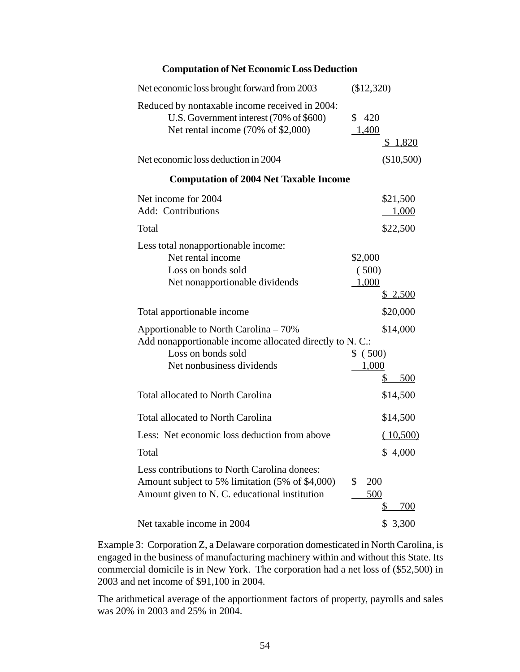| Net economic loss brought forward from 2003                                                                                                                                        | $(\$12,320)$                                           |
|------------------------------------------------------------------------------------------------------------------------------------------------------------------------------------|--------------------------------------------------------|
| Reduced by nontaxable income received in 2004:<br>U.S. Government interest (70% of \$600)<br>Net rental income $(70\% \text{ of } $2,000)$                                         | 420<br>\$<br><u>1,400</u><br><u>\$1,820</u>            |
| Net economic loss deduction in 2004                                                                                                                                                | $(\$10,500)$                                           |
| <b>Computation of 2004 Net Taxable Income</b>                                                                                                                                      |                                                        |
| Net income for 2004<br>Add: Contributions<br>Total                                                                                                                                 | \$21,500<br><u>1,000</u><br>\$22,500                   |
| Less total nonapportionable income:<br>Net rental income<br>Loss on bonds sold<br>Net nonapportionable dividends                                                                   | \$2,000<br>(500)<br>1,000<br>\$2,500                   |
| Total apportionable income<br>Apportionable to North Carolina – 70%<br>Add nonapportionable income allocated directly to N. C.:<br>Loss on bonds sold<br>Net nonbusiness dividends | \$20,000<br>\$14,000<br>\$ (500)<br>1,000<br>500<br>\$ |
| <b>Total allocated to North Carolina</b>                                                                                                                                           | \$14,500                                               |
| <b>Total allocated to North Carolina</b><br>Less: Net economic loss deduction from above<br>Total                                                                                  | \$14,500<br>(10,500)<br>\$4,000                        |
| Less contributions to North Carolina donees:<br>Amount subject to 5% limitation (5% of \$4,000)<br>Amount given to N. C. educational institution                                   | \$<br>200<br>500<br><u>700</u><br>\$                   |
| Net taxable income in 2004                                                                                                                                                         | \$ 3,300                                               |

**Computation of Net Economic Loss Deduction**

Example 3: Corporation Z, a Delaware corporation domesticated in North Carolina, is engaged in the business of manufacturing machinery within and without this State. Its commercial domicile is in New York. The corporation had a net loss of (\$52,500) in 2003 and net income of \$91,100 in 2004.

The arithmetical average of the apportionment factors of property, payrolls and sales was 20% in 2003 and 25% in 2004.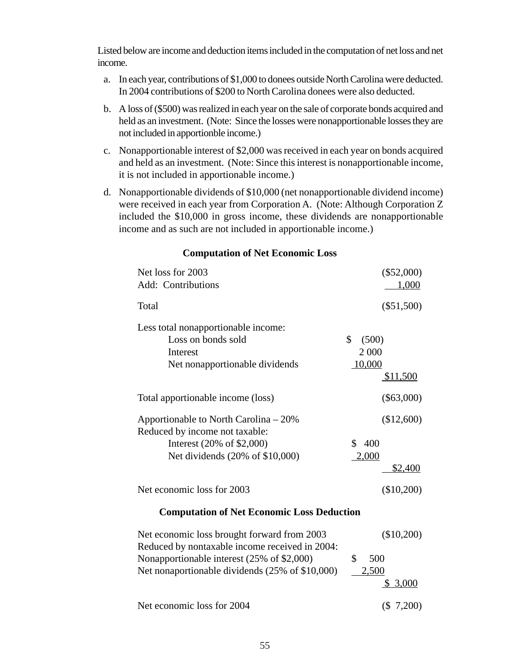Listed below are income and deduction items included in the computation of net loss and net income.

- a. In each year, contributions of \$1,000 to donees outside North Carolina were deducted. In 2004 contributions of \$200 to North Carolina donees were also deducted.
- b. A loss of (\$500) was realized in each year on the sale of corporate bonds acquired and held as an investment. (Note: Since the losses were nonapportionable losses they are not included in apportionble income.)
- c. Nonapportionable interest of \$2,000 was received in each year on bonds acquired and held as an investment. (Note: Since this interest is nonapportionable income, it is not included in apportionable income.)
- d. Nonapportionable dividends of \$10,000 (net nonapportionable dividend income) were received in each year from Corporation A. (Note: Although Corporation Z included the \$10,000 in gross income, these dividends are nonapportionable income and as such are not included in apportionable income.)

| Net loss for 2003<br>Add: Contributions                                                                                                              | $(\$52,000)$<br>1,000                              |  |
|------------------------------------------------------------------------------------------------------------------------------------------------------|----------------------------------------------------|--|
| Total                                                                                                                                                | $(\$51,500)$                                       |  |
| Less total nonapportionable income:<br>Loss on bonds sold<br>Interest<br>Net nonapportionable dividends                                              | \$<br>(500)<br>2 000<br>10,000<br>\$11,500         |  |
| Total apportionable income (loss)                                                                                                                    | $(\$63,000)$                                       |  |
| Apportionable to North Carolina $-20\%$<br>Reduced by income not taxable:<br>Interest $(20\% \text{ of } $2,000)$<br>Net dividends (20% of \$10,000) | (\$12,600)<br>400<br>S.<br>2,000<br><u>\$2,400</u> |  |
| Net economic loss for 2003                                                                                                                           | (\$10,200)                                         |  |
| <b>Computation of Net Economic Loss Deduction</b>                                                                                                    |                                                    |  |
| Net economic loss brought forward from 2003<br>Reduced by nontaxable income received in 2004:<br>$\sim$ $\sim$ $\sim$ $\sim$ $\sim$ $\sim$ $\sim$    | (\$10,200)<br>$\sim$ $\sim$ $\sim$                 |  |

### **Computation of Net Economic Loss**

| Net economic loss brought forward from 2003     | (510,200) |
|-------------------------------------------------|-----------|
| Reduced by nontaxable income received in 2004:  |           |
| Nonapportionable interest (25% of \$2,000)      | 500       |
| Net nonaportionable dividends (25% of \$10,000) | 2,500     |
|                                                 | \$3,000   |
| Net economic loss for 2004                      | (\$7,200) |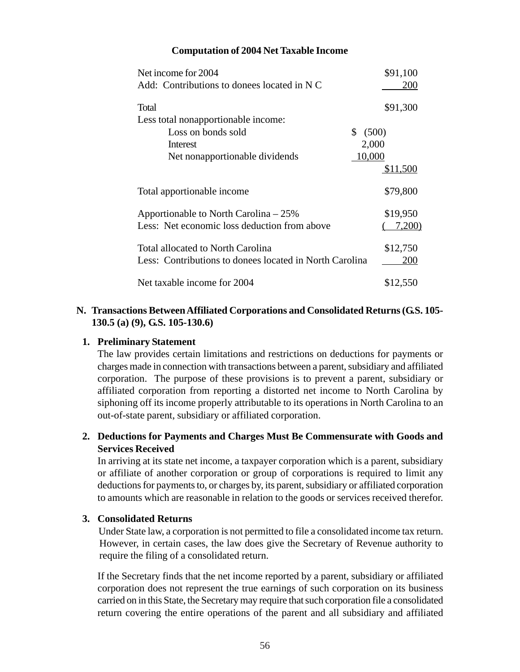#### **Computation of 2004 Net Taxable Income**

| Net income for 2004                                     | \$91,100    |
|---------------------------------------------------------|-------------|
| Add: Contributions to donees located in N C             | 200         |
| Total                                                   | \$91,300    |
| Less total nonapportionable income:                     |             |
| Loss on bonds sold                                      | \$<br>(500) |
| Interest                                                | 2,000       |
| Net nonapportionable dividends                          | 10,000      |
|                                                         | \$11,500    |
| Total apportionable income                              | \$79,800    |
| Apportionable to North Carolina $-25\%$                 | \$19,950    |
| Less: Net economic loss deduction from above            | 7,200)      |
| Total allocated to North Carolina                       | \$12,750    |
| Less: Contributions to donees located in North Carolina | 200         |
| Net taxable income for 2004                             | \$12,550    |

#### **N. Transactions Between Affiliated Corporations and Consolidated Returns (G.S. 105- 130.5 (a) (9), G.S. 105-130.6)**

#### **1. Preliminary Statement**

The law provides certain limitations and restrictions on deductions for payments or charges made in connection with transactions between a parent, subsidiary and affiliated corporation. The purpose of these provisions is to prevent a parent, subsidiary or affiliated corporation from reporting a distorted net income to North Carolina by siphoning off its income properly attributable to its operations in North Carolina to an out-of-state parent, subsidiary or affiliated corporation.

### **2. Deductions for Payments and Charges Must Be Commensurate with Goods and Services Received**

In arriving at its state net income, a taxpayer corporation which is a parent, subsidiary or affiliate of another corporation or group of corporations is required to limit any deductions for payments to, or charges by, its parent, subsidiary or affiliated corporation to amounts which are reasonable in relation to the goods or services received therefor.

#### **3. Consolidated Returns**

Under State law, a corporation is not permitted to file a consolidated income tax return. However, in certain cases, the law does give the Secretary of Revenue authority to require the filing of a consolidated return.

If the Secretary finds that the net income reported by a parent, subsidiary or affiliated corporation does not represent the true earnings of such corporation on its business carried on in this State, the Secretary may require that such corporation file a consolidated return covering the entire operations of the parent and all subsidiary and affiliated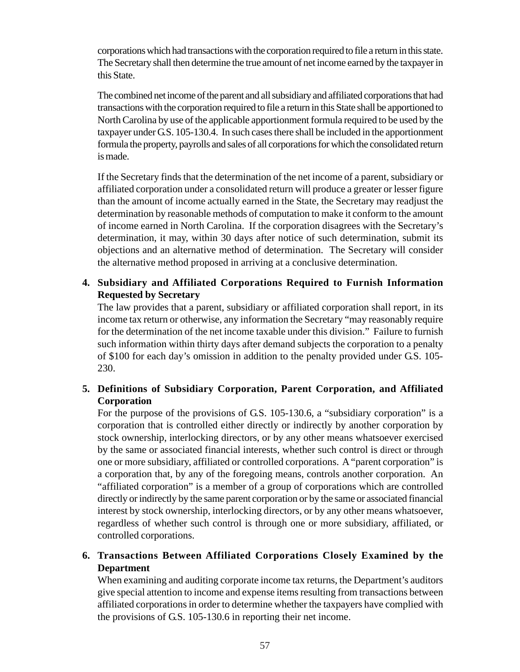corporations which had transactions with the corporation required to file a return in this state. The Secretary shall then determine the true amount of net income earned by the taxpayer in this State.

The combined net income of the parent and all subsidiary and affiliated corporations that had transactions with the corporation required to file a return in this State shall be apportioned to North Carolina by use of the applicable apportionment formula required to be used by the taxpayer under G.S. 105-130.4. In such cases there shall be included in the apportionment formula the property, payrolls and sales of all corporations for which the consolidated return is made.

If the Secretary finds that the determination of the net income of a parent, subsidiary or affiliated corporation under a consolidated return will produce a greater or lesser figure than the amount of income actually earned in the State, the Secretary may readjust the determination by reasonable methods of computation to make it conform to the amount of income earned in North Carolina. If the corporation disagrees with the Secretary's determination, it may, within 30 days after notice of such determination, submit its objections and an alternative method of determination. The Secretary will consider the alternative method proposed in arriving at a conclusive determination.

# **4. Subsidiary and Affiliated Corporations Required to Furnish Information Requested by Secretary**

The law provides that a parent, subsidiary or affiliated corporation shall report, in its income tax return or otherwise, any information the Secretary "may reasonably require for the determination of the net income taxable under this division." Failure to furnish such information within thirty days after demand subjects the corporation to a penalty of \$100 for each day's omission in addition to the penalty provided under G.S. 105- 230.

# **5. Definitions of Subsidiary Corporation, Parent Corporation, and Affiliated Corporation**

For the purpose of the provisions of G.S. 105-130.6, a "subsidiary corporation" is a corporation that is controlled either directly or indirectly by another corporation by stock ownership, interlocking directors, or by any other means whatsoever exercised by the same or associated financial interests, whether such control is direct or through one or more subsidiary, affiliated or controlled corporations. A "parent corporation" is a corporation that, by any of the foregoing means, controls another corporation. An "affiliated corporation" is a member of a group of corporations which are controlled directly or indirectly by the same parent corporation or by the same or associated financial interest by stock ownership, interlocking directors, or by any other means whatsoever, regardless of whether such control is through one or more subsidiary, affiliated, or controlled corporations.

# **6. Transactions Between Affiliated Corporations Closely Examined by the Department**

When examining and auditing corporate income tax returns, the Department's auditors give special attention to income and expense items resulting from transactions between affiliated corporations in order to determine whether the taxpayers have complied with the provisions of G.S. 105-130.6 in reporting their net income.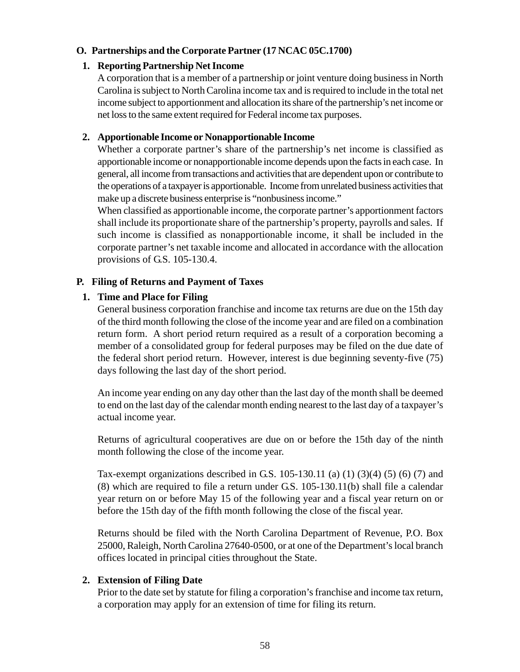### **O. Partnerships and the Corporate Partner (17 NCAC 05C.1700)**

#### **1. Reporting Partnership Net Income**

A corporation that is a member of a partnership or joint venture doing business in North Carolina is subject to North Carolina income tax and is required to include in the total net income subject to apportionment and allocation its share of the partnership's net income or net loss to the same extent required for Federal income tax purposes.

#### **2. Apportionable Income or Nonapportionable Income**

Whether a corporate partner's share of the partnership's net income is classified as apportionable income or nonapportionable income depends upon the facts in each case. In general, all income from transactions and activities that are dependent upon or contribute to the operations of a taxpayer is apportionable. Income from unrelated business activities that make up a discrete business enterprise is "nonbusiness income."

When classified as apportionable income, the corporate partner's apportionment factors shall include its proportionate share of the partnership's property, payrolls and sales. If such income is classified as nonapportionable income, it shall be included in the corporate partner's net taxable income and allocated in accordance with the allocation provisions of G.S. 105-130.4.

#### **P. Filing of Returns and Payment of Taxes**

### **1. Time and Place for Filing**

General business corporation franchise and income tax returns are due on the 15th day of the third month following the close of the income year and are filed on a combination return form. A short period return required as a result of a corporation becoming a member of a consolidated group for federal purposes may be filed on the due date of the federal short period return. However, interest is due beginning seventy-five (75) days following the last day of the short period.

An income year ending on any day other than the last day of the month shall be deemed to end on the last day of the calendar month ending nearest to the last day of a taxpayer's actual income year.

Returns of agricultural cooperatives are due on or before the 15th day of the ninth month following the close of the income year.

Tax-exempt organizations described in G.S.  $105-130.11$  (a)  $(1)$   $(3)(4)$   $(5)$   $(6)$   $(7)$  and (8) which are required to file a return under G.S. 105-130.11(b) shall file a calendar year return on or before May 15 of the following year and a fiscal year return on or before the 15th day of the fifth month following the close of the fiscal year.

Returns should be filed with the North Carolina Department of Revenue, P.O. Box 25000, Raleigh, North Carolina 27640-0500, or at one of the Department's local branch offices located in principal cities throughout the State.

### **2. Extension of Filing Date**

Prior to the date set by statute for filing a corporation's franchise and income tax return, a corporation may apply for an extension of time for filing its return.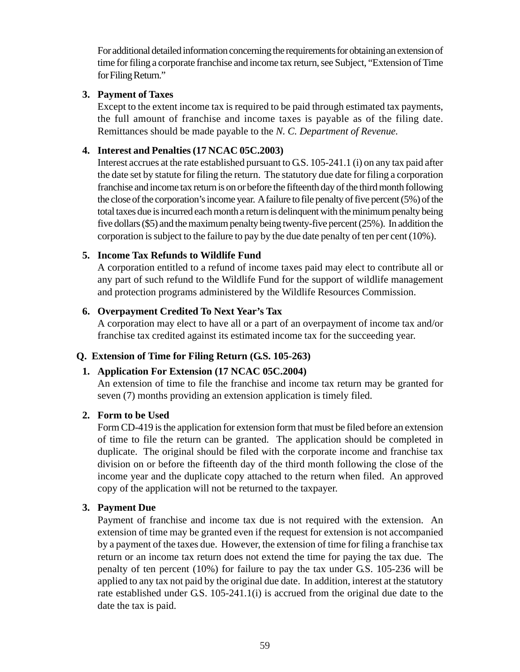For additional detailed information concerning the requirements for obtaining an extension of time for filing a corporate franchise and income tax return, see Subject, "Extension of Time for Filing Return."

### **3. Payment of Taxes**

Except to the extent income tax is required to be paid through estimated tax payments, the full amount of franchise and income taxes is payable as of the filing date. Remittances should be made payable to the *N. C. Department of Revenue.*

# **4. Interest and Penalties (17 NCAC 05C.2003)**

Interest accrues at the rate established pursuant to G.S. 105-241.1 (i) on any tax paid after the date set by statute for filing the return. The statutory due date for filing a corporation franchise and income tax return is on or before the fifteenth day of the third month following the close of the corporation's income year. A failure to file penalty of five percent (5%) of the total taxes due is incurred each month a return is delinquent with the minimum penalty being five dollars (\$5) and the maximum penalty being twenty-five percent (25%). In addition the corporation is subject to the failure to pay by the due date penalty of ten per cent (10%).

# **5. Income Tax Refunds to Wildlife Fund**

A corporation entitled to a refund of income taxes paid may elect to contribute all or any part of such refund to the Wildlife Fund for the support of wildlife management and protection programs administered by the Wildlife Resources Commission.

# **6. Overpayment Credited To Next Year's Tax**

A corporation may elect to have all or a part of an overpayment of income tax and/or franchise tax credited against its estimated income tax for the succeeding year.

# **Q. Extension of Time for Filing Return (G.S. 105-263)**

# **1. Application For Extension (17 NCAC 05C.2004)**

An extension of time to file the franchise and income tax return may be granted for seven (7) months providing an extension application is timely filed.

### **2. Form to be Used**

Form CD-419 is the application for extension form that must be filed before an extension of time to file the return can be granted. The application should be completed in duplicate. The original should be filed with the corporate income and franchise tax division on or before the fifteenth day of the third month following the close of the income year and the duplicate copy attached to the return when filed. An approved copy of the application will not be returned to the taxpayer.

# **3. Payment Due**

Payment of franchise and income tax due is not required with the extension. An extension of time may be granted even if the request for extension is not accompanied by a payment of the taxes due. However, the extension of time for filing a franchise tax return or an income tax return does not extend the time for paying the tax due. The penalty of ten percent (10%) for failure to pay the tax under G.S. 105-236 will be applied to any tax not paid by the original due date. In addition, interest at the statutory rate established under G.S. 105-241.1(i) is accrued from the original due date to the date the tax is paid.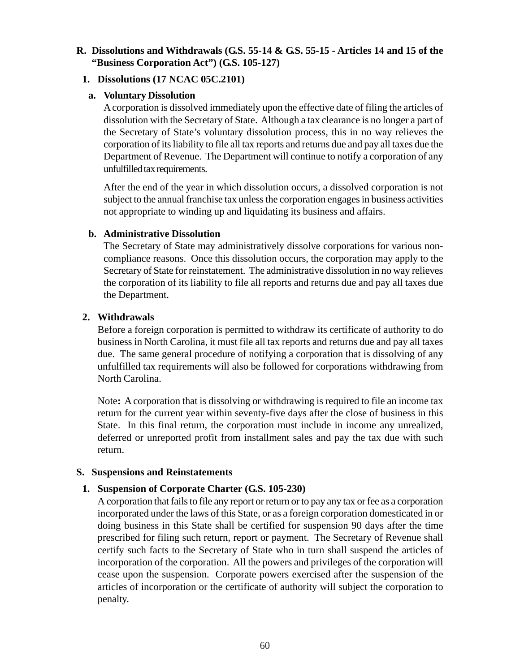### **R. Dissolutions and Withdrawals (G.S. 55-14 & G.S. 55-15 - Articles 14 and 15 of the "Business Corporation Act") (G.S. 105-127)**

#### **1. Dissolutions (17 NCAC 05C.2101)**

#### **a. Voluntary Dissolution**

A corporation is dissolved immediately upon the effective date of filing the articles of dissolution with the Secretary of State. Although a tax clearance is no longer a part of the Secretary of State's voluntary dissolution process, this in no way relieves the corporation of its liability to file all tax reports and returns due and pay all taxes due the Department of Revenue. The Department will continue to notify a corporation of any unfulfilled tax requirements.

After the end of the year in which dissolution occurs, a dissolved corporation is not subject to the annual franchise tax unless the corporation engages in business activities not appropriate to winding up and liquidating its business and affairs.

#### **b. Administrative Dissolution**

The Secretary of State may administratively dissolve corporations for various noncompliance reasons. Once this dissolution occurs, the corporation may apply to the Secretary of State for reinstatement. The administrative dissolution in no way relieves the corporation of its liability to file all reports and returns due and pay all taxes due the Department.

#### **2. Withdrawals**

Before a foreign corporation is permitted to withdraw its certificate of authority to do business in North Carolina, it must file all tax reports and returns due and pay all taxes due. The same general procedure of notifying a corporation that is dissolving of any unfulfilled tax requirements will also be followed for corporations withdrawing from North Carolina.

Note**:** A corporation that is dissolving or withdrawing is required to file an income tax return for the current year within seventy-five days after the close of business in this State. In this final return, the corporation must include in income any unrealized, deferred or unreported profit from installment sales and pay the tax due with such return.

#### **S. Suspensions and Reinstatements**

#### **1. Suspension of Corporate Charter (G.S. 105-230)**

A corporation that fails to file any report or return or to pay any tax or fee as a corporation incorporated under the laws of this State, or as a foreign corporation domesticated in or doing business in this State shall be certified for suspension 90 days after the time prescribed for filing such return, report or payment. The Secretary of Revenue shall certify such facts to the Secretary of State who in turn shall suspend the articles of incorporation of the corporation. All the powers and privileges of the corporation will cease upon the suspension. Corporate powers exercised after the suspension of the articles of incorporation or the certificate of authority will subject the corporation to penalty.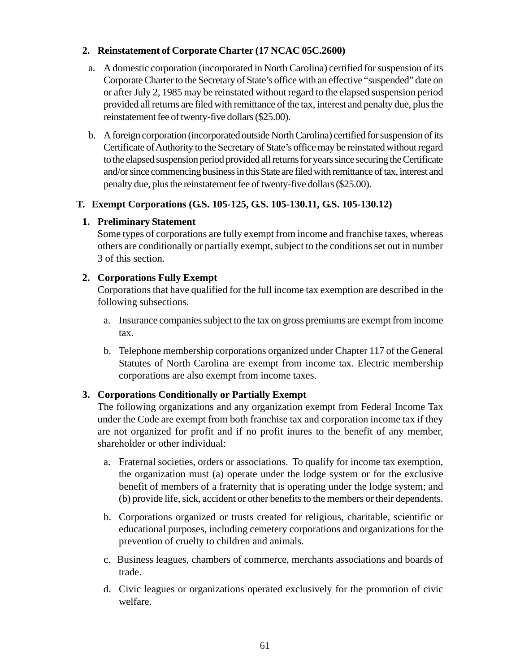## **2. Reinstatement of Corporate Charter (17 NCAC 05C.2600)**

- a. A domestic corporation (incorporated in North Carolina) certified for suspension of its Corporate Charter to the Secretary of State's office with an effective "suspended" date on or after July 2, 1985 may be reinstated without regard to the elapsed suspension period provided all returns are filed with remittance of the tax, interest and penalty due, plus the reinstatement fee of twenty-five dollars (\$25.00).
- b. A foreign corporation (incorporated outside North Carolina) certified for suspension of its Certificate of Authority to the Secretary of State's office may be reinstated without regard to the elapsed suspension period provided all returns for years since securing the Certificate and/or since commencing business in this State are filed with remittance of tax, interest and penalty due, plus the reinstatement fee of twenty-five dollars (\$25.00).

# **T. Exempt Corporations (G.S. 105-125, G.S. 105-130.11, G.S. 105-130.12)**

# **1. Preliminary Statement**

Some types of corporations are fully exempt from income and franchise taxes, whereas others are conditionally or partially exempt, subject to the conditions set out in number 3 of this section.

# **2. Corporations Fully Exempt**

Corporations that have qualified for the full income tax exemption are described in the following subsections.

- a. Insurance companies subject to the tax on gross premiums are exempt from income tax.
- b. Telephone membership corporations organized under Chapter 117 of the General Statutes of North Carolina are exempt from income tax. Electric membership corporations are also exempt from income taxes.

# **3. Corporations Conditionally or Partially Exempt**

The following organizations and any organization exempt from Federal Income Tax under the Code are exempt from both franchise tax and corporation income tax if they are not organized for profit and if no profit inures to the benefit of any member, shareholder or other individual:

- a. Fraternal societies, orders or associations. To qualify for income tax exemption, the organization must (a) operate under the lodge system or for the exclusive benefit of members of a fraternity that is operating under the lodge system; and (b) provide life, sick, accident or other benefits to the members or their dependents.
- b. Corporations organized or trusts created for religious, charitable, scientific or educational purposes, including cemetery corporations and organizations for the prevention of cruelty to children and animals.
- c. Business leagues, chambers of commerce, merchants associations and boards of trade.
- d. Civic leagues or organizations operated exclusively for the promotion of civic welfare.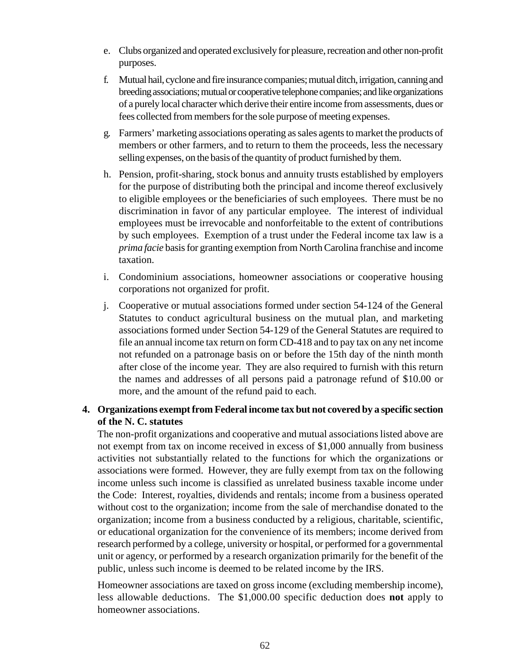- e. Clubs organized and operated exclusively for pleasure, recreation and other non-profit purposes.
- f. Mutual hail, cyclone and fire insurance companies; mutual ditch, irrigation, canning and breeding associations; mutual or cooperative telephone companies; and like organizations of a purely local character which derive their entire income from assessments, dues or fees collected from members for the sole purpose of meeting expenses.
- g. Farmers' marketing associations operating as sales agents to market the products of members or other farmers, and to return to them the proceeds, less the necessary selling expenses, on the basis of the quantity of product furnished by them.
- h. Pension, profit-sharing, stock bonus and annuity trusts established by employers for the purpose of distributing both the principal and income thereof exclusively to eligible employees or the beneficiaries of such employees. There must be no discrimination in favor of any particular employee. The interest of individual employees must be irrevocable and nonforfeitable to the extent of contributions by such employees. Exemption of a trust under the Federal income tax law is a *prima facie* basis for granting exemption from North Carolina franchise and income taxation.
- i. Condominium associations, homeowner associations or cooperative housing corporations not organized for profit.
- j. Cooperative or mutual associations formed under section 54-124 of the General Statutes to conduct agricultural business on the mutual plan, and marketing associations formed under Section 54-129 of the General Statutes are required to file an annual income tax return on form CD-418 and to pay tax on any net income not refunded on a patronage basis on or before the 15th day of the ninth month after close of the income year. They are also required to furnish with this return the names and addresses of all persons paid a patronage refund of \$10.00 or more, and the amount of the refund paid to each.

# **4. Organizations exempt from Federal income tax but not covered by a specific section of the N. C. statutes**

The non-profit organizations and cooperative and mutual associations listed above are not exempt from tax on income received in excess of \$1,000 annually from business activities not substantially related to the functions for which the organizations or associations were formed. However, they are fully exempt from tax on the following income unless such income is classified as unrelated business taxable income under the Code: Interest, royalties, dividends and rentals; income from a business operated without cost to the organization; income from the sale of merchandise donated to the organization; income from a business conducted by a religious, charitable, scientific, or educational organization for the convenience of its members; income derived from research performed by a college, university or hospital, or performed for a governmental unit or agency, or performed by a research organization primarily for the benefit of the public, unless such income is deemed to be related income by the IRS.

Homeowner associations are taxed on gross income (excluding membership income), less allowable deductions. The \$1,000.00 specific deduction does **not** apply to homeowner associations.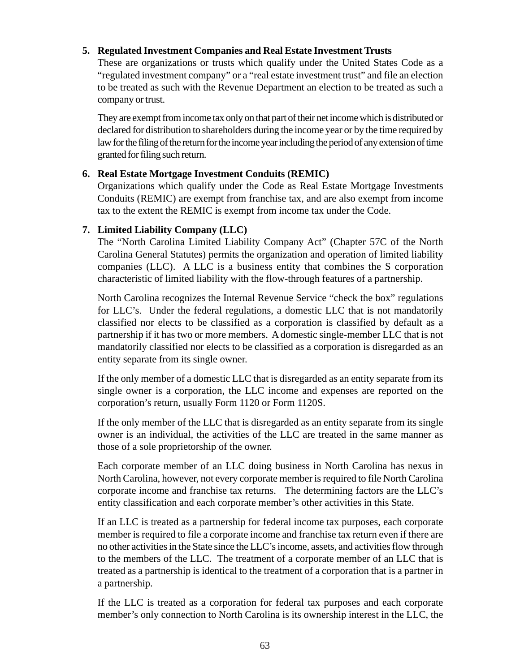### **5. Regulated Investment Companies and Real Estate Investment Trusts**

These are organizations or trusts which qualify under the United States Code as a "regulated investment company" or a "real estate investment trust" and file an election to be treated as such with the Revenue Department an election to be treated as such a company or trust.

They are exempt from income tax only on that part of their net income which is distributed or declared for distribution to shareholders during the income year or by the time required by law for the filing of the return for the income year including the period of any extension of time granted for filing such return.

### **6. Real Estate Mortgage Investment Conduits (REMIC)**

Organizations which qualify under the Code as Real Estate Mortgage Investments Conduits (REMIC) are exempt from franchise tax, and are also exempt from income tax to the extent the REMIC is exempt from income tax under the Code.

### **7. Limited Liability Company (LLC)**

The "North Carolina Limited Liability Company Act" (Chapter 57C of the North Carolina General Statutes) permits the organization and operation of limited liability companies (LLC). A LLC is a business entity that combines the S corporation characteristic of limited liability with the flow-through features of a partnership.

North Carolina recognizes the Internal Revenue Service "check the box" regulations for LLC's. Under the federal regulations, a domestic LLC that is not mandatorily classified nor elects to be classified as a corporation is classified by default as a partnership if it has two or more members. A domestic single-member LLC that is not mandatorily classified nor elects to be classified as a corporation is disregarded as an entity separate from its single owner.

If the only member of a domestic LLC that is disregarded as an entity separate from its single owner is a corporation, the LLC income and expenses are reported on the corporation's return, usually Form 1120 or Form 1120S.

If the only member of the LLC that is disregarded as an entity separate from its single owner is an individual, the activities of the LLC are treated in the same manner as those of a sole proprietorship of the owner.

Each corporate member of an LLC doing business in North Carolina has nexus in North Carolina, however, not every corporate member is required to file North Carolina corporate income and franchise tax returns. The determining factors are the LLC's entity classification and each corporate member's other activities in this State.

If an LLC is treated as a partnership for federal income tax purposes, each corporate member is required to file a corporate income and franchise tax return even if there are no other activities in the State since the LLC's income, assets, and activities flow through to the members of the LLC. The treatment of a corporate member of an LLC that is treated as a partnership is identical to the treatment of a corporation that is a partner in a partnership.

If the LLC is treated as a corporation for federal tax purposes and each corporate member's only connection to North Carolina is its ownership interest in the LLC, the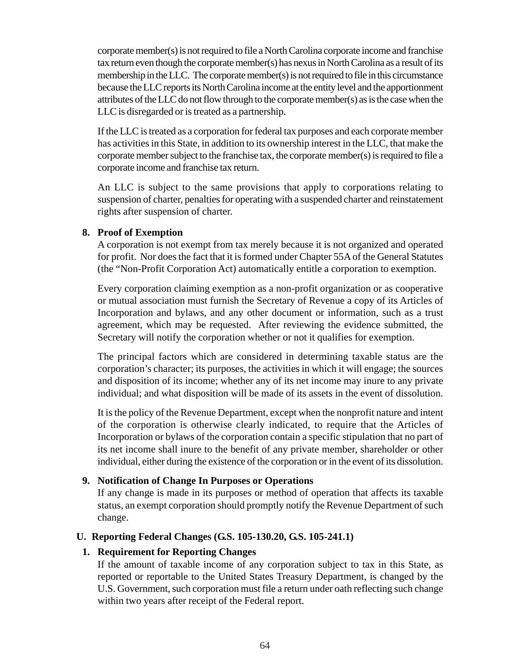corporate member(s) is not required to file a North Carolina corporate income and franchise tax return even though the corporate member(s) has nexus in North Carolina as a result of its membership in the LLC. The corporate member(s) is not required to file in this circumstance because the LLC reports its North Carolina income at the entity level and the apportionment attributes of the LLC do not flow through to the corporate member(s) as is the case when the LLC is disregarded or is treated as a partnership.

If the LLC is treated as a corporation for federal tax purposes and each corporate member has activities in this State, in addition to its ownership interest in the LLC, that make the corporate member subject to the franchise tax, the corporate member(s) is required to file a corporate income and franchise tax return.

An LLC is subject to the same provisions that apply to corporations relating to suspension of charter, penalties for operating with a suspended charter and reinstatement rights after suspension of charter.

#### **8. Proof of Exemption**

A corporation is not exempt from tax merely because it is not organized and operated for profit. Nor does the fact that it is formed under Chapter 55A of the General Statutes (the "Non-Profit Corporation Act) automatically entitle a corporation to exemption.

Every corporation claiming exemption as a non-profit organization or as cooperative or mutual association must furnish the Secretary of Revenue a copy of its Articles of Incorporation and bylaws, and any other document or information, such as a trust agreement, which may be requested. After reviewing the evidence submitted, the Secretary will notify the corporation whether or not it qualifies for exemption.

The principal factors which are considered in determining taxable status are the corporation's character; its purposes, the activities in which it will engage; the sources and disposition of its income; whether any of its net income may inure to any private individual; and what disposition will be made of its assets in the event of dissolution.

It is the policy of the Revenue Department, except when the nonprofit nature and intent of the corporation is otherwise clearly indicated, to require that the Articles of Incorporation or bylaws of the corporation contain a specific stipulation that no part of its net income shall inure to the benefit of any private member, shareholder or other individual, either during the existence of the corporation or in the event of its dissolution.

### **9. Notification of Change In Purposes or Operations**

If any change is made in its purposes or method of operation that affects its taxable status, an exempt corporation should promptly notify the Revenue Department of such change.

### **U. Reporting Federal Changes (G.S. 105-130.20, G.S. 105-241.1)**

### **1. Requirement for Reporting Changes**

If the amount of taxable income of any corporation subject to tax in this State, as reported or reportable to the United States Treasury Department, is changed by the U.S. Government, such corporation must file a return under oath reflecting such change within two years after receipt of the Federal report.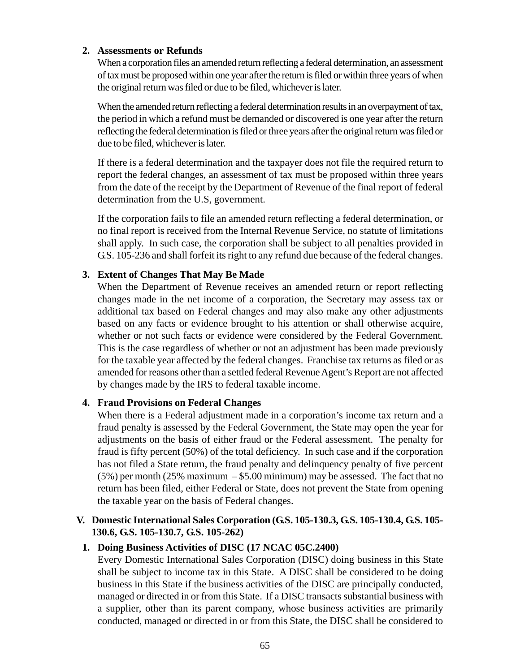#### **2. Assessments or Refunds**

When a corporation files an amended return reflecting a federal determination, an assessment of tax must be proposed within one year after the return is filed or within three years of when the original return was filed or due to be filed, whichever is later.

When the amended return reflecting a federal determination results in an overpayment of tax, the period in which a refund must be demanded or discovered is one year after the return reflecting the federal determination is filed or three years after the original return was filed or due to be filed, whichever is later.

If there is a federal determination and the taxpayer does not file the required return to report the federal changes, an assessment of tax must be proposed within three years from the date of the receipt by the Department of Revenue of the final report of federal determination from the U.S, government.

If the corporation fails to file an amended return reflecting a federal determination, or no final report is received from the Internal Revenue Service, no statute of limitations shall apply. In such case, the corporation shall be subject to all penalties provided in G.S. 105-236 and shall forfeit its right to any refund due because of the federal changes.

### **3. Extent of Changes That May Be Made**

When the Department of Revenue receives an amended return or report reflecting changes made in the net income of a corporation, the Secretary may assess tax or additional tax based on Federal changes and may also make any other adjustments based on any facts or evidence brought to his attention or shall otherwise acquire, whether or not such facts or evidence were considered by the Federal Government. This is the case regardless of whether or not an adjustment has been made previously for the taxable year affected by the federal changes. Franchise tax returns as filed or as amended for reasons other than a settled federal Revenue Agent's Report are not affected by changes made by the IRS to federal taxable income.

### **4. Fraud Provisions on Federal Changes**

When there is a Federal adjustment made in a corporation's income tax return and a fraud penalty is assessed by the Federal Government, the State may open the year for adjustments on the basis of either fraud or the Federal assessment. The penalty for fraud is fifty percent (50%) of the total deficiency. In such case and if the corporation has not filed a State return, the fraud penalty and delinquency penalty of five percent  $(5\%)$  per month (25% maximum – \$5.00 minimum) may be assessed. The fact that no return has been filed, either Federal or State, does not prevent the State from opening the taxable year on the basis of Federal changes.

### **V. Domestic International Sales Corporation (G.S. 105-130.3, G.S. 105-130.4, G.S. 105- 130.6, G.S. 105-130.7, G.S. 105-262)**

### **1. Doing Business Activities of DISC (17 NCAC 05C.2400)**

Every Domestic International Sales Corporation (DISC) doing business in this State shall be subject to income tax in this State. A DISC shall be considered to be doing business in this State if the business activities of the DISC are principally conducted, managed or directed in or from this State. If a DISC transacts substantial business with a supplier, other than its parent company, whose business activities are primarily conducted, managed or directed in or from this State, the DISC shall be considered to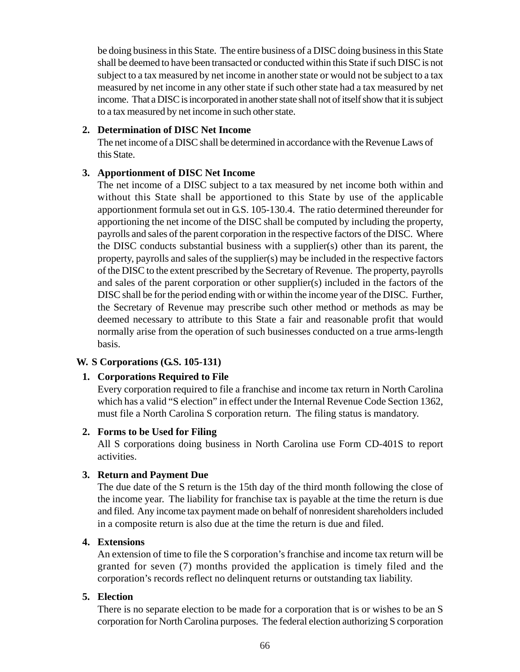be doing business in this State. The entire business of a DISC doing business in this State shall be deemed to have been transacted or conducted within this State if such DISC is not subject to a tax measured by net income in another state or would not be subject to a tax measured by net income in any other state if such other state had a tax measured by net income. That a DISC is incorporated in another state shall not of itself show that it is subject to a tax measured by net income in such other state.

### **2. Determination of DISC Net Income**

The net income of a DISC shall be determined in accordance with the Revenue Laws of this State.

### **3. Apportionment of DISC Net Income**

The net income of a DISC subject to a tax measured by net income both within and without this State shall be apportioned to this State by use of the applicable apportionment formula set out in G.S. 105-130.4. The ratio determined thereunder for apportioning the net income of the DISC shall be computed by including the property, payrolls and sales of the parent corporation in the respective factors of the DISC. Where the DISC conducts substantial business with a supplier(s) other than its parent, the property, payrolls and sales of the supplier(s) may be included in the respective factors of the DISC to the extent prescribed by the Secretary of Revenue. The property, payrolls and sales of the parent corporation or other supplier(s) included in the factors of the DISC shall be for the period ending with or within the income year of the DISC. Further, the Secretary of Revenue may prescribe such other method or methods as may be deemed necessary to attribute to this State a fair and reasonable profit that would normally arise from the operation of such businesses conducted on a true arms-length basis.

### **W. S Corporations (G.S. 105-131)**

### **1. Corporations Required to File**

Every corporation required to file a franchise and income tax return in North Carolina which has a valid "S election" in effect under the Internal Revenue Code Section 1362, must file a North Carolina S corporation return. The filing status is mandatory.

#### **2. Forms to be Used for Filing**

All S corporations doing business in North Carolina use Form CD-401S to report activities.

### **3. Return and Payment Due**

The due date of the S return is the 15th day of the third month following the close of the income year. The liability for franchise tax is payable at the time the return is due and filed. Any income tax payment made on behalf of nonresident shareholders included in a composite return is also due at the time the return is due and filed.

#### **4. Extensions**

An extension of time to file the S corporation's franchise and income tax return will be granted for seven (7) months provided the application is timely filed and the corporation's records reflect no delinquent returns or outstanding tax liability.

#### **5. Election**

There is no separate election to be made for a corporation that is or wishes to be an S corporation for North Carolina purposes. The federal election authorizing S corporation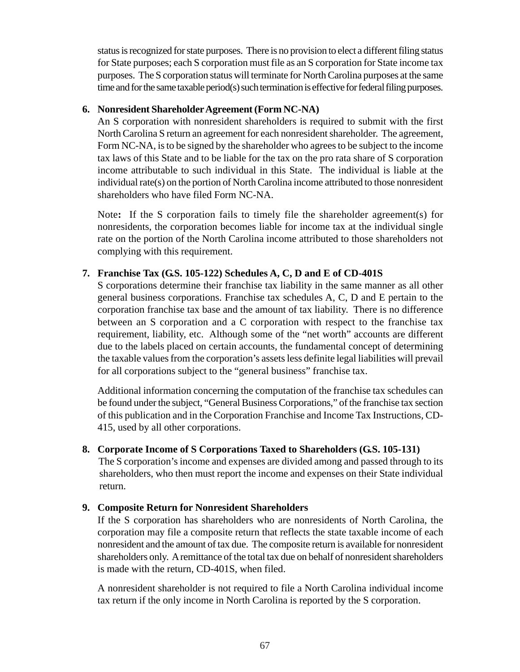status is recognized for state purposes. There is no provision to elect a different filing status for State purposes; each S corporation must file as an S corporation for State income tax purposes. The S corporation status will terminate for North Carolina purposes at the same time and for the same taxable period(s) such termination is effective for federal filing purposes.

#### **6. Nonresident Shareholder Agreement (Form NC-NA)**

An S corporation with nonresident shareholders is required to submit with the first North Carolina S return an agreement for each nonresident shareholder. The agreement, Form NC-NA, is to be signed by the shareholder who agrees to be subject to the income tax laws of this State and to be liable for the tax on the pro rata share of S corporation income attributable to such individual in this State. The individual is liable at the individual rate(s) on the portion of North Carolina income attributed to those nonresident shareholders who have filed Form NC-NA.

Note**:** If the S corporation fails to timely file the shareholder agreement(s) for nonresidents, the corporation becomes liable for income tax at the individual single rate on the portion of the North Carolina income attributed to those shareholders not complying with this requirement.

### **7. Franchise Tax (G.S. 105-122) Schedules A, C, D and E of CD-401S**

S corporations determine their franchise tax liability in the same manner as all other general business corporations. Franchise tax schedules A, C, D and E pertain to the corporation franchise tax base and the amount of tax liability. There is no difference between an S corporation and a C corporation with respect to the franchise tax requirement, liability, etc. Although some of the "net worth" accounts are different due to the labels placed on certain accounts, the fundamental concept of determining the taxable values from the corporation's assets less definite legal liabilities will prevail for all corporations subject to the "general business" franchise tax.

Additional information concerning the computation of the franchise tax schedules can be found under the subject, "General Business Corporations," of the franchise tax section of this publication and in the Corporation Franchise and Income Tax Instructions, CD-415, used by all other corporations.

### **8. Corporate Income of S Corporations Taxed to Shareholders (G.S. 105-131)**

The S corporation's income and expenses are divided among and passed through to its shareholders, who then must report the income and expenses on their State individual return.

### **9. Composite Return for Nonresident Shareholders**

If the S corporation has shareholders who are nonresidents of North Carolina, the corporation may file a composite return that reflects the state taxable income of each nonresident and the amount of tax due. The composite return is available for nonresident shareholders only. A remittance of the total tax due on behalf of nonresident shareholders is made with the return, CD-401S, when filed.

A nonresident shareholder is not required to file a North Carolina individual income tax return if the only income in North Carolina is reported by the S corporation.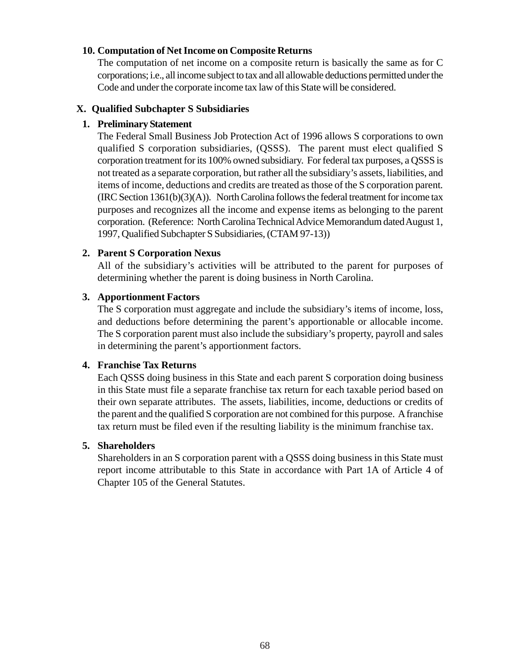#### **10. Computation of Net Income on Composite Returns**

The computation of net income on a composite return is basically the same as for C corporations; i.e., all income subject to tax and all allowable deductions permitted under the Code and under the corporate income tax law of this State will be considered.

#### **X. Qualified Subchapter S Subsidiaries**

#### **1. Preliminary Statement**

The Federal Small Business Job Protection Act of 1996 allows S corporations to own qualified S corporation subsidiaries, (QSSS). The parent must elect qualified S corporation treatment for its 100% owned subsidiary. For federal tax purposes, a QSSS is not treated as a separate corporation, but rather all the subsidiary's assets, liabilities, and items of income, deductions and credits are treated as those of the S corporation parent*.*  $(IRC Section 1361(b)(3)(A))$ . North Carolina follows the federal treatment for income tax purposes and recognizes all the income and expense items as belonging to the parent corporation. (Reference: North Carolina Technical Advice Memorandum dated August 1, 1997, Qualified Subchapter S Subsidiaries, (CTAM 97-13))

#### **2. Parent S Corporation Nexus**

All of the subsidiary's activities will be attributed to the parent for purposes of determining whether the parent is doing business in North Carolina.

#### **3. Apportionment Factors**

The S corporation must aggregate and include the subsidiary's items of income, loss, and deductions before determining the parent's apportionable or allocable income. The S corporation parent must also include the subsidiary's property, payroll and sales in determining the parent's apportionment factors.

#### **4. Franchise Tax Returns**

Each QSSS doing business in this State and each parent S corporation doing business in this State must file a separate franchise tax return for each taxable period based on their own separate attributes. The assets, liabilities, income, deductions or credits of the parent and the qualified S corporation are not combined for this purpose. A franchise tax return must be filed even if the resulting liability is the minimum franchise tax.

### **5. Shareholders**

Shareholders in an S corporation parent with a QSSS doing business in this State must report income attributable to this State in accordance with Part 1A of Article 4 of Chapter 105 of the General Statutes.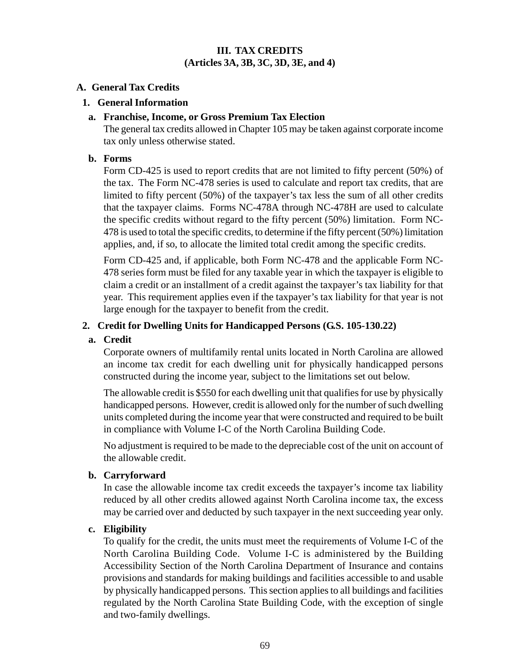### **III. TAX CREDITS (Articles 3A, 3B, 3C, 3D, 3E, and 4)**

#### **A. General Tax Credits**

#### **1. General Information**

#### **a. Franchise, Income, or Gross Premium Tax Election**

The general tax credits allowed in Chapter 105 may be taken against corporate income tax only unless otherwise stated.

#### **b. Forms**

Form CD-425 is used to report credits that are not limited to fifty percent (50%) of the tax. The Form NC-478 series is used to calculate and report tax credits, that are limited to fifty percent (50%) of the taxpayer's tax less the sum of all other credits that the taxpayer claims. Forms NC-478A through NC-478H are used to calculate the specific credits without regard to the fifty percent (50%) limitation. Form NC-478 is used to total the specific credits, to determine if the fifty percent (50%) limitation applies, and, if so, to allocate the limited total credit among the specific credits.

Form CD-425 and, if applicable, both Form NC-478 and the applicable Form NC-478 series form must be filed for any taxable year in which the taxpayer is eligible to claim a credit or an installment of a credit against the taxpayer's tax liability for that year. This requirement applies even if the taxpayer's tax liability for that year is not large enough for the taxpayer to benefit from the credit.

### **2. Credit for Dwelling Units for Handicapped Persons (G.S. 105-130.22)**

### **a. Credit**

Corporate owners of multifamily rental units located in North Carolina are allowed an income tax credit for each dwelling unit for physically handicapped persons constructed during the income year, subject to the limitations set out below.

The allowable credit is \$550 for each dwelling unit that qualifies for use by physically handicapped persons. However, credit is allowed only for the number of such dwelling units completed during the income year that were constructed and required to be built in compliance with Volume I-C of the North Carolina Building Code.

No adjustment is required to be made to the depreciable cost of the unit on account of the allowable credit.

### **b. Carryforward**

In case the allowable income tax credit exceeds the taxpayer's income tax liability reduced by all other credits allowed against North Carolina income tax, the excess may be carried over and deducted by such taxpayer in the next succeeding year only.

### **c. Eligibility**

To qualify for the credit, the units must meet the requirements of Volume I-C of the North Carolina Building Code. Volume I-C is administered by the Building Accessibility Section of the North Carolina Department of Insurance and contains provisions and standards for making buildings and facilities accessible to and usable by physically handicapped persons. This section applies to all buildings and facilities regulated by the North Carolina State Building Code, with the exception of single and two-family dwellings.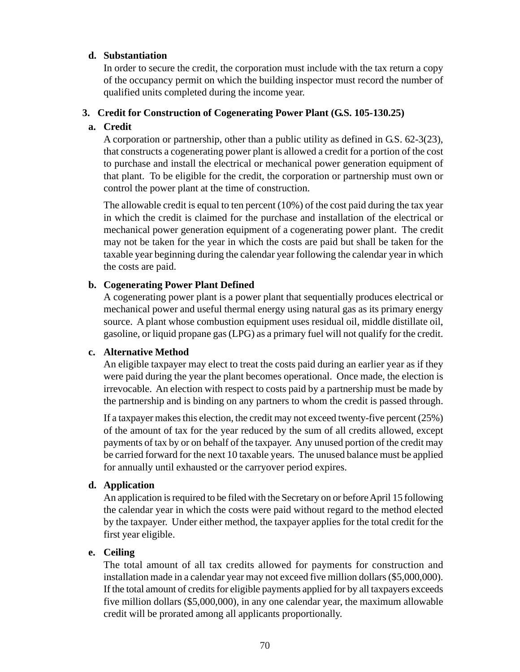#### **d. Substantiation**

In order to secure the credit, the corporation must include with the tax return a copy of the occupancy permit on which the building inspector must record the number of qualified units completed during the income year.

#### **3. Credit for Construction of Cogenerating Power Plant (G.S. 105-130.25)**

#### **a. Credit**

A corporation or partnership, other than a public utility as defined in G.S. 62-3(23), that constructs a cogenerating power plant is allowed a credit for a portion of the cost to purchase and install the electrical or mechanical power generation equipment of that plant. To be eligible for the credit, the corporation or partnership must own or control the power plant at the time of construction.

The allowable credit is equal to ten percent (10%) of the cost paid during the tax year in which the credit is claimed for the purchase and installation of the electrical or mechanical power generation equipment of a cogenerating power plant. The credit may not be taken for the year in which the costs are paid but shall be taken for the taxable year beginning during the calendar year following the calendar year in which the costs are paid.

#### **b. Cogenerating Power Plant Defined**

A cogenerating power plant is a power plant that sequentially produces electrical or mechanical power and useful thermal energy using natural gas as its primary energy source. A plant whose combustion equipment uses residual oil, middle distillate oil, gasoline, or liquid propane gas (LPG) as a primary fuel will not qualify for the credit.

#### **c. Alternative Method**

An eligible taxpayer may elect to treat the costs paid during an earlier year as if they were paid during the year the plant becomes operational. Once made, the election is irrevocable. An election with respect to costs paid by a partnership must be made by the partnership and is binding on any partners to whom the credit is passed through.

If a taxpayer makes this election, the credit may not exceed twenty-five percent (25%) of the amount of tax for the year reduced by the sum of all credits allowed, except payments of tax by or on behalf of the taxpayer. Any unused portion of the credit may be carried forward for the next 10 taxable years. The unused balance must be applied for annually until exhausted or the carryover period expires.

#### **d. Application**

An application is required to be filed with the Secretary on or before April 15 following the calendar year in which the costs were paid without regard to the method elected by the taxpayer. Under either method, the taxpayer applies for the total credit for the first year eligible.

### **e. Ceiling**

The total amount of all tax credits allowed for payments for construction and installation made in a calendar year may not exceed five million dollars (\$5,000,000). If the total amount of credits for eligible payments applied for by all taxpayers exceeds five million dollars (\$5,000,000), in any one calendar year, the maximum allowable credit will be prorated among all applicants proportionally.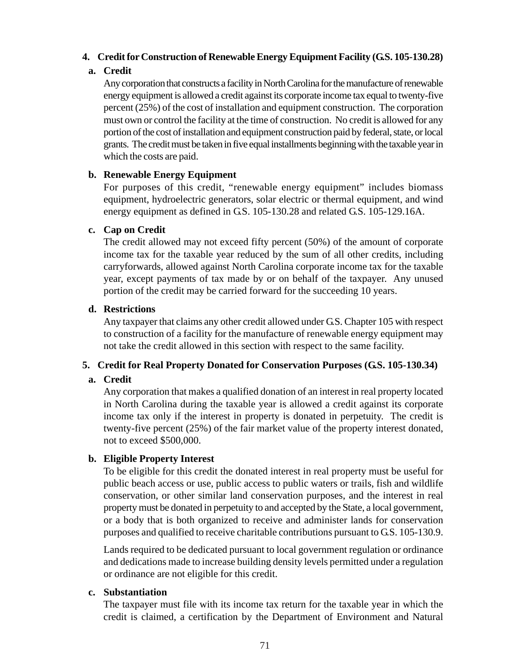### **4. Credit for Construction of Renewable Energy Equipment Facility (G.S. 105-130.28)**

# **a. Credit**

Any corporation that constructs a facility in North Carolina for the manufacture of renewable energy equipment is allowed a credit against its corporate income tax equal to twenty-five percent (25%) of the cost of installation and equipment construction. The corporation must own or control the facility at the time of construction. No credit is allowed for any portion of the cost of installation and equipment construction paid by federal, state, or local grants. The credit must be taken in five equal installments beginning with the taxable year in which the costs are paid.

# **b. Renewable Energy Equipment**

For purposes of this credit, "renewable energy equipment" includes biomass equipment, hydroelectric generators, solar electric or thermal equipment, and wind energy equipment as defined in G.S. 105-130.28 and related G.S. 105-129.16A.

# **c. Cap on Credit**

The credit allowed may not exceed fifty percent (50%) of the amount of corporate income tax for the taxable year reduced by the sum of all other credits, including carryforwards, allowed against North Carolina corporate income tax for the taxable year, except payments of tax made by or on behalf of the taxpayer. Any unused portion of the credit may be carried forward for the succeeding 10 years.

# **d. Restrictions**

Any taxpayer that claims any other credit allowed under G.S. Chapter 105 with respect to construction of a facility for the manufacture of renewable energy equipment may not take the credit allowed in this section with respect to the same facility.

# **5. Credit for Real Property Donated for Conservation Purposes (G.S. 105-130.34)**

### **a. Credit**

Any corporation that makes a qualified donation of an interest in real property located in North Carolina during the taxable year is allowed a credit against its corporate income tax only if the interest in property is donated in perpetuity. The credit is twenty-five percent (25%) of the fair market value of the property interest donated, not to exceed \$500,000.

### **b. Eligible Property Interest**

To be eligible for this credit the donated interest in real property must be useful for public beach access or use, public access to public waters or trails, fish and wildlife conservation, or other similar land conservation purposes, and the interest in real property must be donated in perpetuity to and accepted by the State, a local government, or a body that is both organized to receive and administer lands for conservation purposes and qualified to receive charitable contributions pursuant to G.S. 105-130.9.

Lands required to be dedicated pursuant to local government regulation or ordinance and dedications made to increase building density levels permitted under a regulation or ordinance are not eligible for this credit.

### **c. Substantiation**

The taxpayer must file with its income tax return for the taxable year in which the credit is claimed, a certification by the Department of Environment and Natural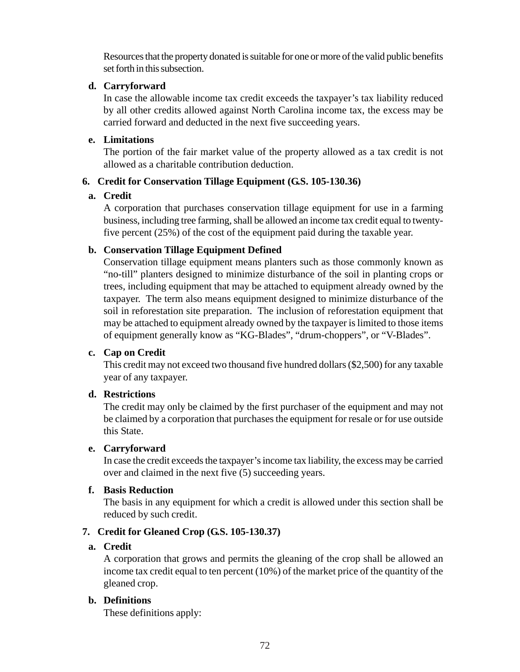Resources that the property donated is suitable for one or more of the valid public benefits set forth in this subsection.

## **d. Carryforward**

In case the allowable income tax credit exceeds the taxpayer's tax liability reduced by all other credits allowed against North Carolina income tax, the excess may be carried forward and deducted in the next five succeeding years.

# **e. Limitations**

The portion of the fair market value of the property allowed as a tax credit is not allowed as a charitable contribution deduction.

# **6. Credit for Conservation Tillage Equipment (G.S. 105-130.36)**

# **a. Credit**

A corporation that purchases conservation tillage equipment for use in a farming business, including tree farming, shall be allowed an income tax credit equal to twentyfive percent (25%) of the cost of the equipment paid during the taxable year.

# **b. Conservation Tillage Equipment Defined**

Conservation tillage equipment means planters such as those commonly known as "no-till" planters designed to minimize disturbance of the soil in planting crops or trees, including equipment that may be attached to equipment already owned by the taxpayer. The term also means equipment designed to minimize disturbance of the soil in reforestation site preparation. The inclusion of reforestation equipment that may be attached to equipment already owned by the taxpayer is limited to those items of equipment generally know as "KG-Blades", "drum-choppers", or "V-Blades".

### **c. Cap on Credit**

This credit may not exceed two thousand five hundred dollars (\$2,500) for any taxable year of any taxpayer.

# **d. Restrictions**

The credit may only be claimed by the first purchaser of the equipment and may not be claimed by a corporation that purchases the equipment for resale or for use outside this State.

### **e. Carryforward**

In case the credit exceeds the taxpayer's income tax liability, the excess may be carried over and claimed in the next five (5) succeeding years.

### **f. Basis Reduction**

The basis in any equipment for which a credit is allowed under this section shall be reduced by such credit.

# **7. Credit for Gleaned Crop (G.S. 105-130.37)**

# **a. Credit**

A corporation that grows and permits the gleaning of the crop shall be allowed an income tax credit equal to ten percent (10%) of the market price of the quantity of the gleaned crop.

# **b. Definitions**

These definitions apply: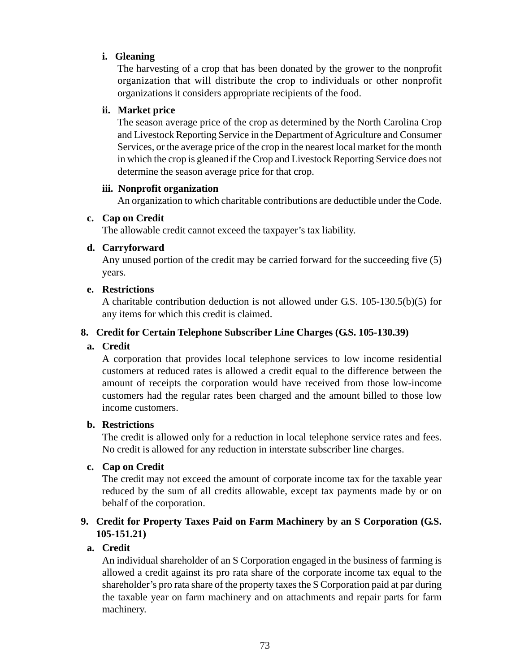# **i. Gleaning**

The harvesting of a crop that has been donated by the grower to the nonprofit organization that will distribute the crop to individuals or other nonprofit organizations it considers appropriate recipients of the food.

## **ii. Market price**

The season average price of the crop as determined by the North Carolina Crop and Livestock Reporting Service in the Department of Agriculture and Consumer Services, or the average price of the crop in the nearest local market for the month in which the crop is gleaned if the Crop and Livestock Reporting Service does not determine the season average price for that crop.

### **iii. Nonprofit organization**

An organization to which charitable contributions are deductible under the Code.

# **c. Cap on Credit**

The allowable credit cannot exceed the taxpayer's tax liability.

# **d. Carryforward**

Any unused portion of the credit may be carried forward for the succeeding five (5) years.

# **e. Restrictions**

A charitable contribution deduction is not allowed under G.S. 105-130.5(b)(5) for any items for which this credit is claimed.

# **8. Credit for Certain Telephone Subscriber Line Charges (G.S. 105-130.39)**

# **a. Credit**

A corporation that provides local telephone services to low income residential customers at reduced rates is allowed a credit equal to the difference between the amount of receipts the corporation would have received from those low-income customers had the regular rates been charged and the amount billed to those low income customers.

### **b. Restrictions**

The credit is allowed only for a reduction in local telephone service rates and fees. No credit is allowed for any reduction in interstate subscriber line charges.

# **c. Cap on Credit**

The credit may not exceed the amount of corporate income tax for the taxable year reduced by the sum of all credits allowable, except tax payments made by or on behalf of the corporation.

# **9. Credit for Property Taxes Paid on Farm Machinery by an S Corporation (G.S. 105-151.21)**

# **a. Credit**

An individual shareholder of an S Corporation engaged in the business of farming is allowed a credit against its pro rata share of the corporate income tax equal to the shareholder's pro rata share of the property taxes the S Corporation paid at par during the taxable year on farm machinery and on attachments and repair parts for farm machinery.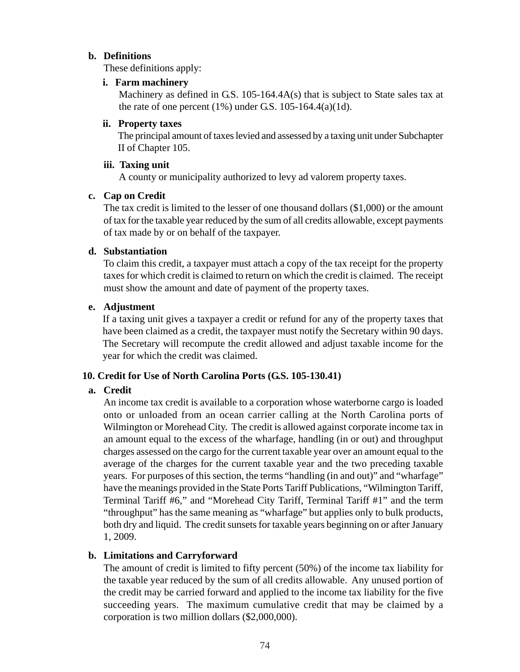### **b. Definitions**

These definitions apply:

#### **i. Farm machinery**

Machinery as defined in G.S. 105-164.4A(s) that is subject to State sales tax at the rate of one percent  $(1\%)$  under G.S. 105-164.4(a)(1d).

#### **ii. Property taxes**

The principal amount of taxes levied and assessed by a taxing unit under Subchapter II of Chapter 105.

#### **iii. Taxing unit**

A county or municipality authorized to levy ad valorem property taxes.

#### **c. Cap on Credit**

The tax credit is limited to the lesser of one thousand dollars (\$1,000) or the amount of tax for the taxable year reduced by the sum of all credits allowable, except payments of tax made by or on behalf of the taxpayer.

#### **d. Substantiation**

To claim this credit, a taxpayer must attach a copy of the tax receipt for the property taxes for which credit is claimed to return on which the credit is claimed. The receipt must show the amount and date of payment of the property taxes.

#### **e. Adjustment**

If a taxing unit gives a taxpayer a credit or refund for any of the property taxes that have been claimed as a credit, the taxpayer must notify the Secretary within 90 days. The Secretary will recompute the credit allowed and adjust taxable income for the year for which the credit was claimed.

### **10. Credit for Use of North Carolina Ports (G.S. 105-130.41)**

### **a. Credit**

An income tax credit is available to a corporation whose waterborne cargo is loaded onto or unloaded from an ocean carrier calling at the North Carolina ports of Wilmington or Morehead City. The credit is allowed against corporate income tax in an amount equal to the excess of the wharfage, handling (in or out) and throughput charges assessed on the cargo for the current taxable year over an amount equal to the average of the charges for the current taxable year and the two preceding taxable years. For purposes of this section, the terms "handling (in and out)" and "wharfage" have the meanings provided in the State Ports Tariff Publications, "Wilmington Tariff, Terminal Tariff #6," and "Morehead City Tariff, Terminal Tariff #1" and the term "throughput" has the same meaning as "wharfage" but applies only to bulk products, both dry and liquid. The credit sunsets for taxable years beginning on or after January 1, 2009.

### **b. Limitations and Carryforward**

The amount of credit is limited to fifty percent (50%) of the income tax liability for the taxable year reduced by the sum of all credits allowable. Any unused portion of the credit may be carried forward and applied to the income tax liability for the five succeeding years. The maximum cumulative credit that may be claimed by a corporation is two million dollars (\$2,000,000).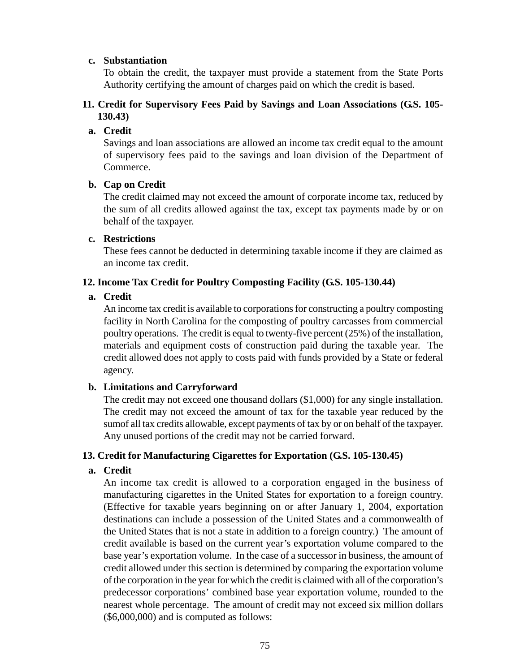#### **c. Substantiation**

To obtain the credit, the taxpayer must provide a statement from the State Ports Authority certifying the amount of charges paid on which the credit is based.

### **11. Credit for Supervisory Fees Paid by Savings and Loan Associations (G.S. 105- 130.43)**

#### **a. Credit**

Savings and loan associations are allowed an income tax credit equal to the amount of supervisory fees paid to the savings and loan division of the Department of Commerce.

#### **b. Cap on Credit**

The credit claimed may not exceed the amount of corporate income tax, reduced by the sum of all credits allowed against the tax, except tax payments made by or on behalf of the taxpayer.

#### **c. Restrictions**

These fees cannot be deducted in determining taxable income if they are claimed as an income tax credit.

### **12. Income Tax Credit for Poultry Composting Facility (G.S. 105-130.44)**

### **a. Credit**

An income tax credit is available to corporations for constructing a poultry composting facility in North Carolina for the composting of poultry carcasses from commercial poultry operations. The credit is equal to twenty-five percent (25%) of the installation, materials and equipment costs of construction paid during the taxable year. The credit allowed does not apply to costs paid with funds provided by a State or federal agency.

### **b. Limitations and Carryforward**

The credit may not exceed one thousand dollars (\$1,000) for any single installation. The credit may not exceed the amount of tax for the taxable year reduced by the sumof all tax credits allowable, except payments of tax by or on behalf of the taxpayer. Any unused portions of the credit may not be carried forward.

### **13. Credit for Manufacturing Cigarettes for Exportation (G.S. 105-130.45)**

### **a. Credit**

An income tax credit is allowed to a corporation engaged in the business of manufacturing cigarettes in the United States for exportation to a foreign country. (Effective for taxable years beginning on or after January 1, 2004, exportation destinations can include a possession of the United States and a commonwealth of the United States that is not a state in addition to a foreign country.) The amount of credit available is based on the current year's exportation volume compared to the base year's exportation volume. In the case of a successor in business, the amount of credit allowed under this section is determined by comparing the exportation volume of the corporation in the year for which the credit is claimed with all of the corporation's predecessor corporations' combined base year exportation volume, rounded to the nearest whole percentage. The amount of credit may not exceed six million dollars (\$6,000,000) and is computed as follows: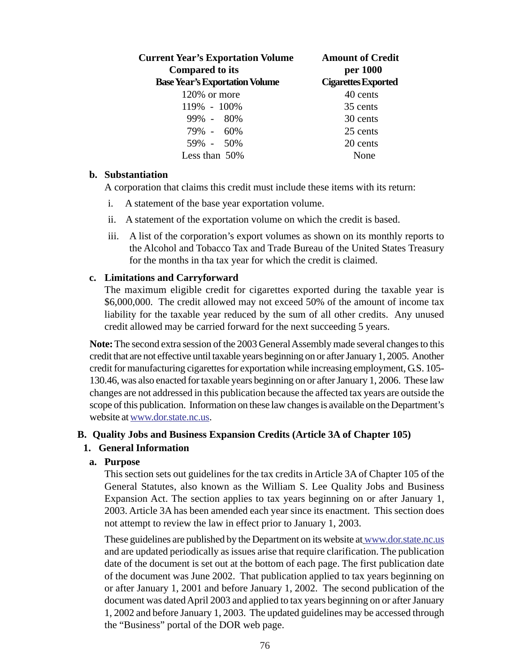| <b>Current Year's Exportation Volume</b><br><b>Compared to its</b> | <b>Amount of Credit</b><br>per 1000 |  |
|--------------------------------------------------------------------|-------------------------------------|--|
| <b>Base Year's Exportation Volume</b>                              | <b>Cigarettes Exported</b>          |  |
| 120% or more                                                       | 40 cents                            |  |
| 119% - 100%                                                        | 35 cents                            |  |
| $99\% - 80\%$                                                      | 30 cents                            |  |
| $79\% - 60\%$                                                      | 25 cents                            |  |
| 59% - 50%                                                          | 20 cents                            |  |
| Less than $50\%$                                                   | None                                |  |

#### **b. Substantiation**

A corporation that claims this credit must include these items with its return:

- i. A statement of the base year exportation volume.
- ii. A statement of the exportation volume on which the credit is based.
- iii. A list of the corporation's export volumes as shown on its monthly reports to the Alcohol and Tobacco Tax and Trade Bureau of the United States Treasury for the months in tha tax year for which the credit is claimed.

#### **c. Limitations and Carryforward**

The maximum eligible credit for cigarettes exported during the taxable year is \$6,000,000. The credit allowed may not exceed 50% of the amount of income tax liability for the taxable year reduced by the sum of all other credits. Any unused credit allowed may be carried forward for the next succeeding 5 years.

**Note:** The second extra session of the 2003 General Assembly made several changes to this credit that are not effective until taxable years beginning on or after January 1, 2005. Another credit for manufacturing cigarettes for exportation while increasing employment, G.S. 105- 130.46, was also enacted for taxable years beginning on or after January 1, 2006. These law changes are not addressed in this publication because the affected tax years are outside the scope of this publication. Information on these law changes is available on the Department's website at www.dor.state.nc.us.

#### **B. Quality Jobs and Business Expansion Credits (Article 3A of Chapter 105)**

### **1. General Information**

#### **a. Purpose**

This section sets out guidelines for the tax credits in Article 3A of Chapter 105 of the General Statutes, also known as the William S. Lee Quality Jobs and Business Expansion Act. The section applies to tax years beginning on or after January 1, 2003. Article 3A has been amended each year since its enactment. This section does not attempt to review the law in effect prior to January 1, 2003.

These guidelines are published by the Department on its website at www.dor.state.nc.us and are updated periodically as issues arise that require clarification. The publication date of the document is set out at the bottom of each page. The first publication date of the document was June 2002. That publication applied to tax years beginning on or after January 1, 2001 and before January 1, 2002. The second publication of the document was dated April 2003 and applied to tax years beginning on or after January 1, 2002 and before January 1, 2003. The updated guidelines may be accessed through the "Business" portal of the DOR web page.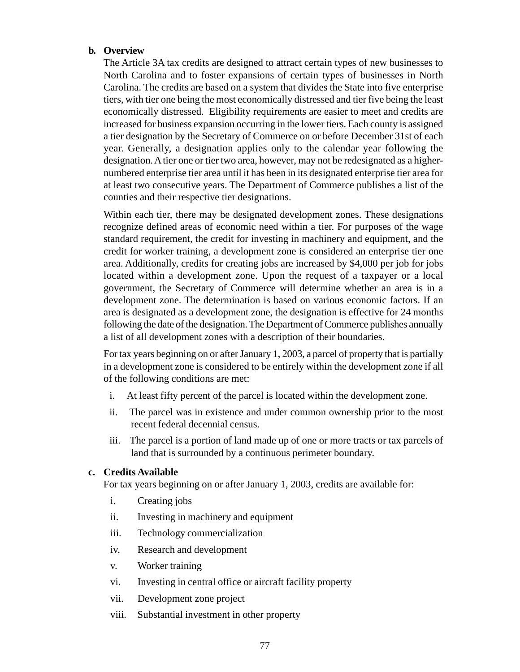#### **b. Overview**

The Article 3A tax credits are designed to attract certain types of new businesses to North Carolina and to foster expansions of certain types of businesses in North Carolina. The credits are based on a system that divides the State into five enterprise tiers, with tier one being the most economically distressed and tier five being the least economically distressed. Eligibility requirements are easier to meet and credits are increased for business expansion occurring in the lower tiers. Each county is assigned a tier designation by the Secretary of Commerce on or before December 31st of each year. Generally, a designation applies only to the calendar year following the designation. A tier one or tier two area, however, may not be redesignated as a highernumbered enterprise tier area until it has been in its designated enterprise tier area for at least two consecutive years. The Department of Commerce publishes a list of the counties and their respective tier designations.

Within each tier, there may be designated development zones. These designations recognize defined areas of economic need within a tier. For purposes of the wage standard requirement, the credit for investing in machinery and equipment, and the credit for worker training, a development zone is considered an enterprise tier one area. Additionally, credits for creating jobs are increased by \$4,000 per job for jobs located within a development zone. Upon the request of a taxpayer or a local government, the Secretary of Commerce will determine whether an area is in a development zone. The determination is based on various economic factors. If an area is designated as a development zone, the designation is effective for 24 months following the date of the designation. The Department of Commerce publishes annually a list of all development zones with a description of their boundaries.

For tax years beginning on or after January 1, 2003, a parcel of property that is partially in a development zone is considered to be entirely within the development zone if all of the following conditions are met:

- i. At least fifty percent of the parcel is located within the development zone.
- ii. The parcel was in existence and under common ownership prior to the most recent federal decennial census.
- iii. The parcel is a portion of land made up of one or more tracts or tax parcels of land that is surrounded by a continuous perimeter boundary.

#### **c. Credits Available**

For tax years beginning on or after January 1, 2003, credits are available for:

- i. Creating jobs
- ii. Investing in machinery and equipment
- iii. Technology commercialization
- iv. Research and development
- v. Worker training
- vi. Investing in central office or aircraft facility property
- vii. Development zone project
- viii. Substantial investment in other property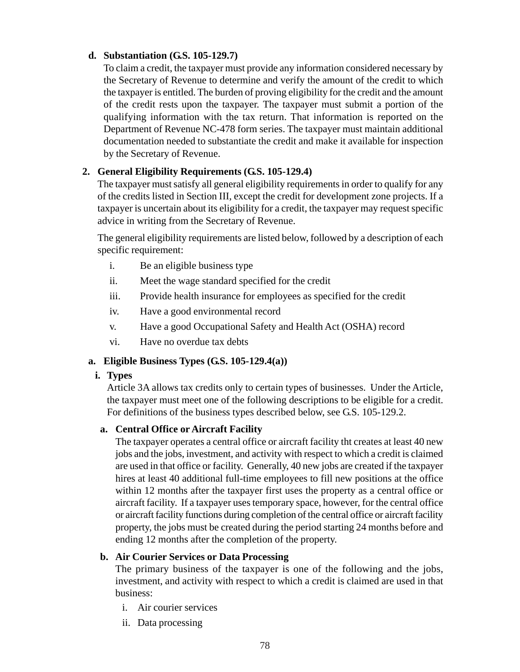### **d. Substantiation (G.S. 105-129.7)**

To claim a credit, the taxpayer must provide any information considered necessary by the Secretary of Revenue to determine and verify the amount of the credit to which the taxpayer is entitled. The burden of proving eligibility for the credit and the amount of the credit rests upon the taxpayer. The taxpayer must submit a portion of the qualifying information with the tax return. That information is reported on the Department of Revenue NC-478 form series. The taxpayer must maintain additional documentation needed to substantiate the credit and make it available for inspection by the Secretary of Revenue.

# **2. General Eligibility Requirements (G.S. 105-129.4)**

The taxpayer must satisfy all general eligibility requirements in order to qualify for any of the credits listed in Section III, except the credit for development zone projects. If a taxpayer is uncertain about its eligibility for a credit, the taxpayer may request specific advice in writing from the Secretary of Revenue.

The general eligibility requirements are listed below, followed by a description of each specific requirement:

- i. Be an eligible business type
- ii. Meet the wage standard specified for the credit
- iii. Provide health insurance for employees as specified for the credit
- iv. Have a good environmental record
- v. Have a good Occupational Safety and Health Act (OSHA) record
- vi. Have no overdue tax debts

### **a. Eligible Business Types (G.S. 105-129.4(a))**

#### **i. Types**

Article 3A allows tax credits only to certain types of businesses. Under the Article, the taxpayer must meet one of the following descriptions to be eligible for a credit. For definitions of the business types described below, see G.S. 105-129.2.

### **a. Central Office or Aircraft Facility**

The taxpayer operates a central office or aircraft facility tht creates at least 40 new jobs and the jobs, investment, and activity with respect to which a credit is claimed are used in that office or facility. Generally, 40 new jobs are created if the taxpayer hires at least 40 additional full-time employees to fill new positions at the office within 12 months after the taxpayer first uses the property as a central office or aircraft facility. If a taxpayer uses temporary space, however, for the central office or aircraft facility functions during completion of the central office or aircraft facility property, the jobs must be created during the period starting 24 months before and ending 12 months after the completion of the property.

#### **b. Air Courier Services or Data Processing**

The primary business of the taxpayer is one of the following and the jobs, investment, and activity with respect to which a credit is claimed are used in that business:

- i. Air courier services
- ii. Data processing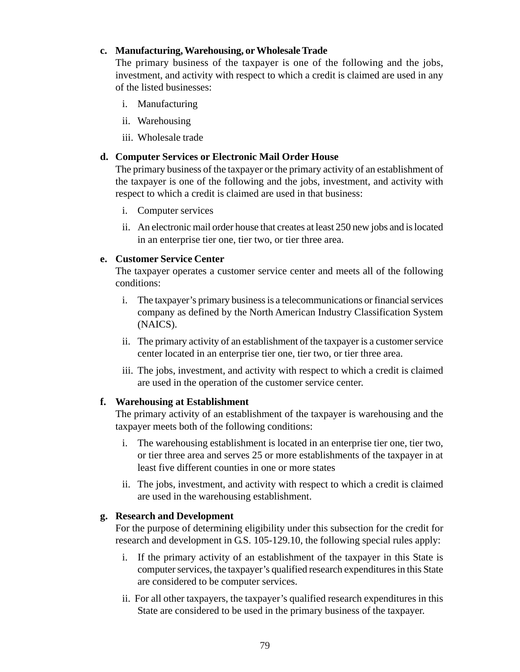#### **c. Manufacturing, Warehousing, or Wholesale Trade**

The primary business of the taxpayer is one of the following and the jobs, investment, and activity with respect to which a credit is claimed are used in any of the listed businesses:

- i. Manufacturing
- ii. Warehousing
- iii. Wholesale trade

#### **d. Computer Services or Electronic Mail Order House**

The primary business of the taxpayer or the primary activity of an establishment of the taxpayer is one of the following and the jobs, investment, and activity with respect to which a credit is claimed are used in that business:

- i. Computer services
- ii. An electronic mail order house that creates at least 250 new jobs and is located in an enterprise tier one, tier two, or tier three area.

### **e. Customer Service Center**

The taxpayer operates a customer service center and meets all of the following conditions:

- i. The taxpayer's primary business is a telecommunications or financial services company as defined by the North American Industry Classification System (NAICS).
- ii. The primary activity of an establishment of the taxpayer is a customer service center located in an enterprise tier one, tier two, or tier three area.
- iii. The jobs, investment, and activity with respect to which a credit is claimed are used in the operation of the customer service center.

### **f. Warehousing at Establishment**

The primary activity of an establishment of the taxpayer is warehousing and the taxpayer meets both of the following conditions:

- i. The warehousing establishment is located in an enterprise tier one, tier two, or tier three area and serves 25 or more establishments of the taxpayer in at least five different counties in one or more states
- ii. The jobs, investment, and activity with respect to which a credit is claimed are used in the warehousing establishment.

### **g. Research and Development**

For the purpose of determining eligibility under this subsection for the credit for research and development in G.S. 105-129.10, the following special rules apply:

- i. If the primary activity of an establishment of the taxpayer in this State is computer services, the taxpayer's qualified research expenditures in this State are considered to be computer services.
- ii. For all other taxpayers, the taxpayer's qualified research expenditures in this State are considered to be used in the primary business of the taxpayer.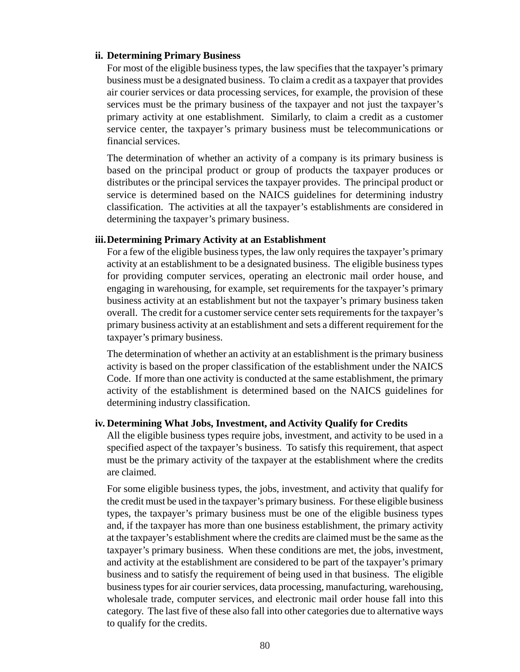#### **ii. Determining Primary Business**

For most of the eligible business types, the law specifies that the taxpayer's primary business must be a designated business. To claim a credit as a taxpayer that provides air courier services or data processing services, for example, the provision of these services must be the primary business of the taxpayer and not just the taxpayer's primary activity at one establishment. Similarly, to claim a credit as a customer service center, the taxpayer's primary business must be telecommunications or financial services.

The determination of whether an activity of a company is its primary business is based on the principal product or group of products the taxpayer produces or distributes or the principal services the taxpayer provides. The principal product or service is determined based on the NAICS guidelines for determining industry classification. The activities at all the taxpayer's establishments are considered in determining the taxpayer's primary business.

#### **iii.Determining Primary Activity at an Establishment**

For a few of the eligible business types, the law only requires the taxpayer's primary activity at an establishment to be a designated business. The eligible business types for providing computer services, operating an electronic mail order house, and engaging in warehousing, for example, set requirements for the taxpayer's primary business activity at an establishment but not the taxpayer's primary business taken overall. The credit for a customer service center sets requirements for the taxpayer's primary business activity at an establishment and sets a different requirement for the taxpayer's primary business.

The determination of whether an activity at an establishment is the primary business activity is based on the proper classification of the establishment under the NAICS Code. If more than one activity is conducted at the same establishment, the primary activity of the establishment is determined based on the NAICS guidelines for determining industry classification.

#### **iv. Determining What Jobs, Investment, and Activity Qualify for Credits**

All the eligible business types require jobs, investment, and activity to be used in a specified aspect of the taxpayer's business. To satisfy this requirement, that aspect must be the primary activity of the taxpayer at the establishment where the credits are claimed.

For some eligible business types, the jobs, investment, and activity that qualify for the credit must be used in the taxpayer's primary business. For these eligible business types, the taxpayer's primary business must be one of the eligible business types and, if the taxpayer has more than one business establishment, the primary activity at the taxpayer's establishment where the credits are claimed must be the same as the taxpayer's primary business. When these conditions are met, the jobs, investment, and activity at the establishment are considered to be part of the taxpayer's primary business and to satisfy the requirement of being used in that business. The eligible business types for air courier services, data processing, manufacturing, warehousing, wholesale trade, computer services, and electronic mail order house fall into this category. The last five of these also fall into other categories due to alternative ways to qualify for the credits.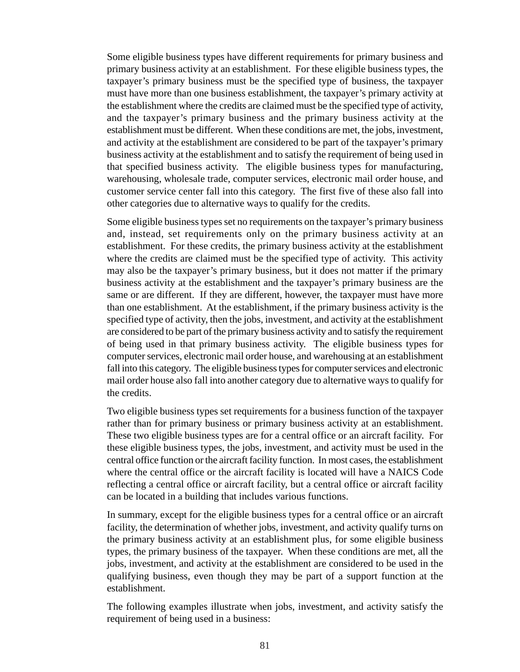Some eligible business types have different requirements for primary business and primary business activity at an establishment. For these eligible business types, the taxpayer's primary business must be the specified type of business, the taxpayer must have more than one business establishment, the taxpayer's primary activity at the establishment where the credits are claimed must be the specified type of activity, and the taxpayer's primary business and the primary business activity at the establishment must be different. When these conditions are met, the jobs, investment, and activity at the establishment are considered to be part of the taxpayer's primary business activity at the establishment and to satisfy the requirement of being used in that specified business activity. The eligible business types for manufacturing, warehousing, wholesale trade, computer services, electronic mail order house, and customer service center fall into this category. The first five of these also fall into other categories due to alternative ways to qualify for the credits.

Some eligible business types set no requirements on the taxpayer's primary business and, instead, set requirements only on the primary business activity at an establishment. For these credits, the primary business activity at the establishment where the credits are claimed must be the specified type of activity. This activity may also be the taxpayer's primary business, but it does not matter if the primary business activity at the establishment and the taxpayer's primary business are the same or are different. If they are different, however, the taxpayer must have more than one establishment. At the establishment, if the primary business activity is the specified type of activity, then the jobs, investment, and activity at the establishment are considered to be part of the primary business activity and to satisfy the requirement of being used in that primary business activity. The eligible business types for computer services, electronic mail order house, and warehousing at an establishment fall into this category. The eligible business types for computer services and electronic mail order house also fall into another category due to alternative ways to qualify for the credits.

Two eligible business types set requirements for a business function of the taxpayer rather than for primary business or primary business activity at an establishment. These two eligible business types are for a central office or an aircraft facility. For these eligible business types, the jobs, investment, and activity must be used in the central office function or the aircraft facility function. In most cases, the establishment where the central office or the aircraft facility is located will have a NAICS Code reflecting a central office or aircraft facility, but a central office or aircraft facility can be located in a building that includes various functions.

In summary, except for the eligible business types for a central office or an aircraft facility, the determination of whether jobs, investment, and activity qualify turns on the primary business activity at an establishment plus, for some eligible business types, the primary business of the taxpayer. When these conditions are met, all the jobs, investment, and activity at the establishment are considered to be used in the qualifying business, even though they may be part of a support function at the establishment.

The following examples illustrate when jobs, investment, and activity satisfy the requirement of being used in a business: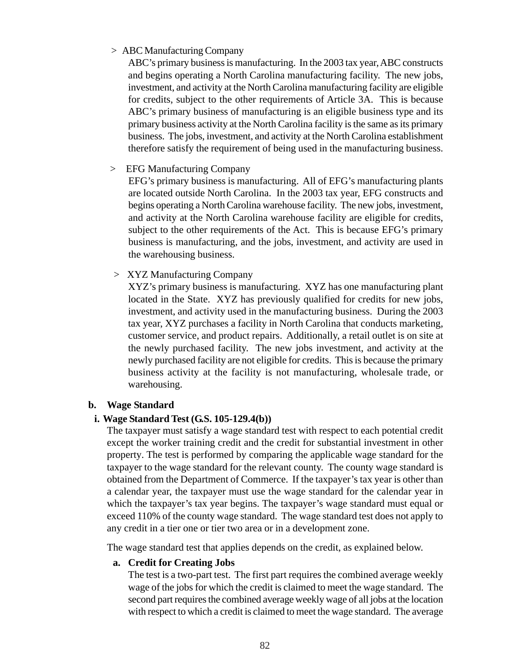#### *>* ABC Manufacturing Company

ABC's primary business is manufacturing. In the 2003 tax year, ABC constructs and begins operating a North Carolina manufacturing facility. The new jobs, investment, and activity at the North Carolina manufacturing facility are eligible for credits, subject to the other requirements of Article 3A. This is because ABC's primary business of manufacturing is an eligible business type and its primary business activity at the North Carolina facility is the same as its primary business. The jobs, investment, and activity at the North Carolina establishment therefore satisfy the requirement of being used in the manufacturing business.

 *>* EFG Manufacturing Company

EFG's primary business is manufacturing. All of EFG's manufacturing plants are located outside North Carolina. In the 2003 tax year, EFG constructs and begins operating a North Carolina warehouse facility. The new jobs, investment, and activity at the North Carolina warehouse facility are eligible for credits, subject to the other requirements of the Act. This is because EFG's primary business is manufacturing, and the jobs, investment, and activity are used in the warehousing business.

*>* XYZ Manufacturing Company

XYZ's primary business is manufacturing. XYZ has one manufacturing plant located in the State. XYZ has previously qualified for credits for new jobs, investment, and activity used in the manufacturing business. During the 2003 tax year, XYZ purchases a facility in North Carolina that conducts marketing, customer service, and product repairs. Additionally, a retail outlet is on site at the newly purchased facility. The new jobs investment, and activity at the newly purchased facility are not eligible for credits. This is because the primary business activity at the facility is not manufacturing, wholesale trade, or warehousing.

#### **b. Wage Standard**

### **i. Wage Standard Test (G.S. 105-129.4(b))**

The taxpayer must satisfy a wage standard test with respect to each potential credit except the worker training credit and the credit for substantial investment in other property. The test is performed by comparing the applicable wage standard for the taxpayer to the wage standard for the relevant county. The county wage standard is obtained from the Department of Commerce. If the taxpayer's tax year is other than a calendar year, the taxpayer must use the wage standard for the calendar year in which the taxpayer's tax year begins. The taxpayer's wage standard must equal or exceed 110% of the county wage standard. The wage standard test does not apply to any credit in a tier one or tier two area or in a development zone.

The wage standard test that applies depends on the credit, as explained below.

#### **a. Credit for Creating Jobs**

The test is a two-part test. The first part requires the combined average weekly wage of the jobs for which the credit is claimed to meet the wage standard. The second part requires the combined average weekly wage of all jobs at the location with respect to which a credit is claimed to meet the wage standard. The average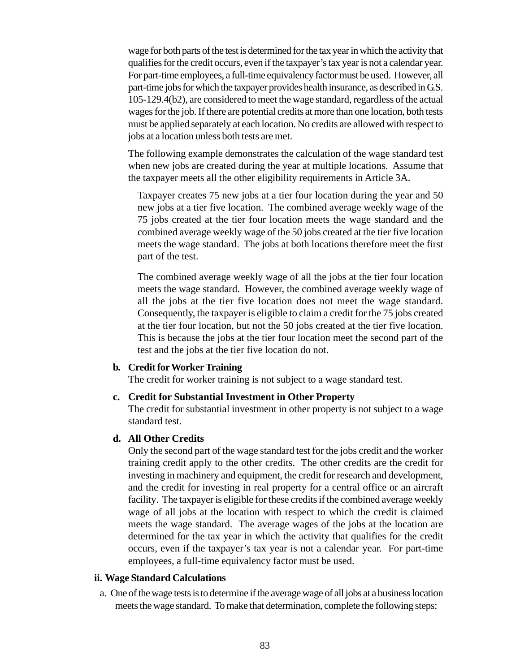wage for both parts of the test is determined for the tax year in which the activity that qualifies for the credit occurs, even if the taxpayer's tax year is not a calendar year. For part-time employees, a full-time equivalency factor must be used. However, all part-time jobs for which the taxpayer provides health insurance, as described in G.S. 105-129.4(b2), are considered to meet the wage standard, regardless of the actual wages for the job. If there are potential credits at more than one location, both tests must be applied separately at each location. No credits are allowed with respect to jobs at a location unless both tests are met.

The following example demonstrates the calculation of the wage standard test when new jobs are created during the year at multiple locations. Assume that the taxpayer meets all the other eligibility requirements in Article 3A.

Taxpayer creates 75 new jobs at a tier four location during the year and 50 new jobs at a tier five location. The combined average weekly wage of the 75 jobs created at the tier four location meets the wage standard and the combined average weekly wage of the 50 jobs created at the tier five location meets the wage standard. The jobs at both locations therefore meet the first part of the test.

The combined average weekly wage of all the jobs at the tier four location meets the wage standard. However, the combined average weekly wage of all the jobs at the tier five location does not meet the wage standard. Consequently, the taxpayer is eligible to claim a credit for the 75 jobs created at the tier four location, but not the 50 jobs created at the tier five location. This is because the jobs at the tier four location meet the second part of the test and the jobs at the tier five location do not.

#### **b. Credit for Worker Training**

The credit for worker training is not subject to a wage standard test.

#### **c. Credit for Substantial Investment in Other Property**

The credit for substantial investment in other property is not subject to a wage standard test.

#### **d. All Other Credits**

Only the second part of the wage standard test for the jobs credit and the worker training credit apply to the other credits. The other credits are the credit for investing in machinery and equipment, the credit for research and development, and the credit for investing in real property for a central office or an aircraft facility. The taxpayer is eligible for these credits if the combined average weekly wage of all jobs at the location with respect to which the credit is claimed meets the wage standard. The average wages of the jobs at the location are determined for the tax year in which the activity that qualifies for the credit occurs, even if the taxpayer's tax year is not a calendar year. For part-time employees, a full-time equivalency factor must be used.

#### **ii. Wage Standard Calculations**

a. One of the wage tests is to determine if the average wage of all jobs at a business location meets the wage standard. To make that determination, complete the following steps: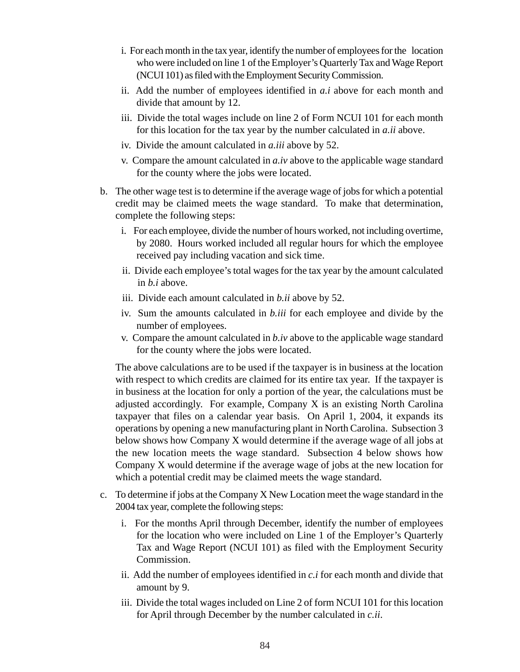- i. For each month in the tax year, identify the number of employees for the location who were included on line 1 of the Employer's Quarterly Tax and Wage Report (NCUI 101) as filed with the Employment Security Commission.
- ii. Add the number of employees identified in *a.i* above for each month and divide that amount by 12.
- iii. Divide the total wages include on line 2 of Form NCUI 101 for each month for this location for the tax year by the number calculated in *a.ii* above.
- iv. Divide the amount calculated in *a.iii* above by 52.
- v. Compare the amount calculated in *a.iv* above to the applicable wage standard for the county where the jobs were located.
- b. The other wage test is to determine if the average wage of jobs for which a potential credit may be claimed meets the wage standard. To make that determination, complete the following steps:
	- i. For each employee, divide the number of hours worked, not including overtime, by 2080. Hours worked included all regular hours for which the employee received pay including vacation and sick time.
	- ii. Divide each employee's total wages for the tax year by the amount calculated in *b.i* above.
	- iii. Divide each amount calculated in *b.ii* above by 52.
	- iv. Sum the amounts calculated in *b.iii* for each employee and divide by the number of employees.
	- v. Compare the amount calculated in *b.iv* above to the applicable wage standard for the county where the jobs were located.

The above calculations are to be used if the taxpayer is in business at the location with respect to which credits are claimed for its entire tax year. If the taxpayer is in business at the location for only a portion of the year, the calculations must be adjusted accordingly. For example, Company X is an existing North Carolina taxpayer that files on a calendar year basis. On April 1, 2004, it expands its operations by opening a new manufacturing plant in North Carolina. Subsection 3 below shows how Company X would determine if the average wage of all jobs at the new location meets the wage standard. Subsection 4 below shows how Company X would determine if the average wage of jobs at the new location for which a potential credit may be claimed meets the wage standard.

- c. To determine if jobs at the Company X New Location meet the wage standard in the 2004 tax year, complete the following steps:
	- i. For the months April through December, identify the number of employees for the location who were included on Line 1 of the Employer's Quarterly Tax and Wage Report (NCUI 101) as filed with the Employment Security Commission.
	- ii. Add the number of employees identified in *c.i* for each month and divide that amount by 9.
	- iii. Divide the total wages included on Line 2 of form NCUI 101 for this location for April through December by the number calculated in *c.ii*.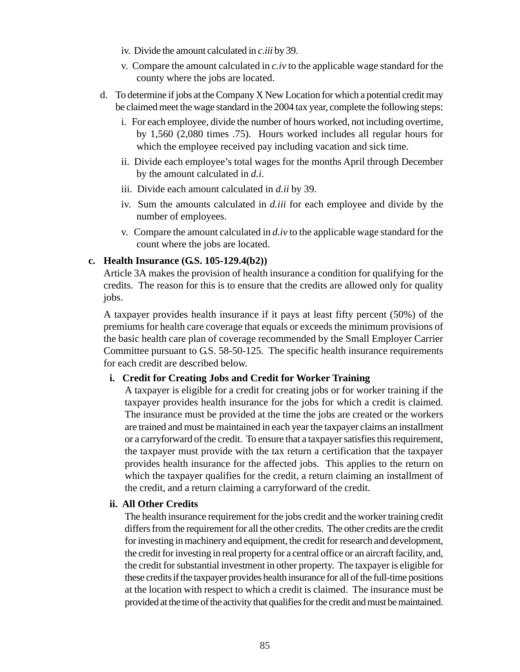- iv. Divide the amount calculated in *c.iii* by 39.
- v. Compare the amount calculated in *c.iv* to the applicable wage standard for the county where the jobs are located.
- d. To determine if jobs at the Company X New Location for which a potential credit may be claimed meet the wage standard in the 2004 tax year, complete the following steps:
	- i. For each employee, divide the number of hours worked, not including overtime, by 1,560 (2,080 times .75). Hours worked includes all regular hours for which the employee received pay including vacation and sick time.
	- ii. Divide each employee's total wages for the months April through December by the amount calculated in *d.i*.
	- iii. Divide each amount calculated in *d.ii* by 39.
	- iv. Sum the amounts calculated in *d.iii* for each employee and divide by the number of employees.
	- v. Compare the amount calculated in *d.iv* to the applicable wage standard for the count where the jobs are located.

### **c. Health Insurance (G.S. 105-129.4(b2))**

Article 3A makes the provision of health insurance a condition for qualifying for the credits. The reason for this is to ensure that the credits are allowed only for quality jobs.

A taxpayer provides health insurance if it pays at least fifty percent (50%) of the premiums for health care coverage that equals or exceeds the minimum provisions of the basic health care plan of coverage recommended by the Small Employer Carrier Committee pursuant to G.S. 58-50-125. The specific health insurance requirements for each credit are described below.

### **i. Credit for Creating Jobs and Credit for Worker Training**

A taxpayer is eligible for a credit for creating jobs or for worker training if the taxpayer provides health insurance for the jobs for which a credit is claimed. The insurance must be provided at the time the jobs are created or the workers are trained and must be maintained in each year the taxpayer claims an installment or a carryforward of the credit. To ensure that a taxpayer satisfies this requirement, the taxpayer must provide with the tax return a certification that the taxpayer provides health insurance for the affected jobs. This applies to the return on which the taxpayer qualifies for the credit, a return claiming an installment of the credit, and a return claiming a carryforward of the credit.

### **ii. All Other Credits**

The health insurance requirement for the jobs credit and the worker training credit differs from the requirement for all the other credits. The other credits are the credit for investing in machinery and equipment, the credit for research and development, the credit for investing in real property for a central office or an aircraft facility, and, the credit for substantial investment in other property. The taxpayer is eligible for these credits if the taxpayer provides health insurance for all of the full-time positions at the location with respect to which a credit is claimed. The insurance must be provided at the time of the activity that qualifies for the credit and must be maintained.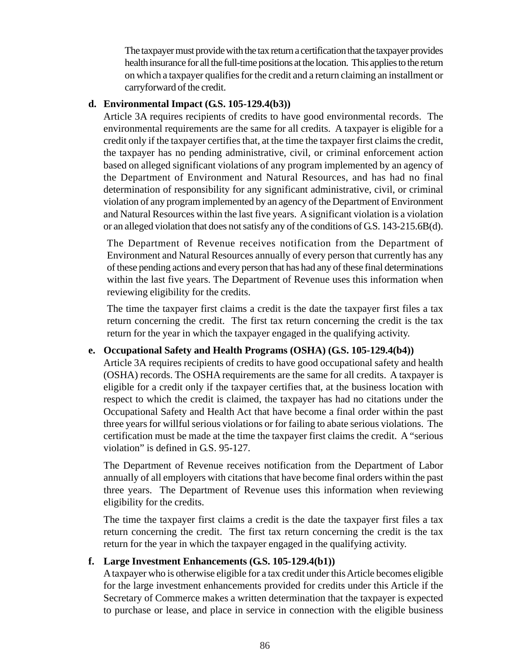The taxpayer must provide with the tax return a certification that the taxpayer provides health insurance for all the full-time positions at the location. This applies to the return on which a taxpayer qualifies for the credit and a return claiming an installment or carryforward of the credit.

#### **d. Environmental Impact (G.S. 105-129.4(b3))**

Article 3A requires recipients of credits to have good environmental records. The environmental requirements are the same for all credits. A taxpayer is eligible for a credit only if the taxpayer certifies that, at the time the taxpayer first claims the credit, the taxpayer has no pending administrative, civil, or criminal enforcement action based on alleged significant violations of any program implemented by an agency of the Department of Environment and Natural Resources, and has had no final determination of responsibility for any significant administrative, civil, or criminal violation of any program implemented by an agency of the Department of Environment and Natural Resources within the last five years. A significant violation is a violation or an alleged violation that does not satisfy any of the conditions of G.S. 143-215.6B(d).

The Department of Revenue receives notification from the Department of Environment and Natural Resources annually of every person that currently has any of these pending actions and every person that has had any of these final determinations within the last five years. The Department of Revenue uses this information when reviewing eligibility for the credits.

The time the taxpayer first claims a credit is the date the taxpayer first files a tax return concerning the credit. The first tax return concerning the credit is the tax return for the year in which the taxpayer engaged in the qualifying activity.

### **e. Occupational Safety and Health Programs (OSHA) (G.S. 105-129.4(b4))**

Article 3A requires recipients of credits to have good occupational safety and health (OSHA) records. The OSHA requirements are the same for all credits. A taxpayer is eligible for a credit only if the taxpayer certifies that, at the business location with respect to which the credit is claimed, the taxpayer has had no citations under the Occupational Safety and Health Act that have become a final order within the past three years for willful serious violations or for failing to abate serious violations. The certification must be made at the time the taxpayer first claims the credit. A "serious violation" is defined in G.S. 95-127.

The Department of Revenue receives notification from the Department of Labor annually of all employers with citations that have become final orders within the past three years. The Department of Revenue uses this information when reviewing eligibility for the credits.

The time the taxpayer first claims a credit is the date the taxpayer first files a tax return concerning the credit. The first tax return concerning the credit is the tax return for the year in which the taxpayer engaged in the qualifying activity.

### **f. Large Investment Enhancements (G.S. 105-129.4(b1))**

A taxpayer who is otherwise eligible for a tax credit under this Article becomes eligible for the large investment enhancements provided for credits under this Article if the Secretary of Commerce makes a written determination that the taxpayer is expected to purchase or lease, and place in service in connection with the eligible business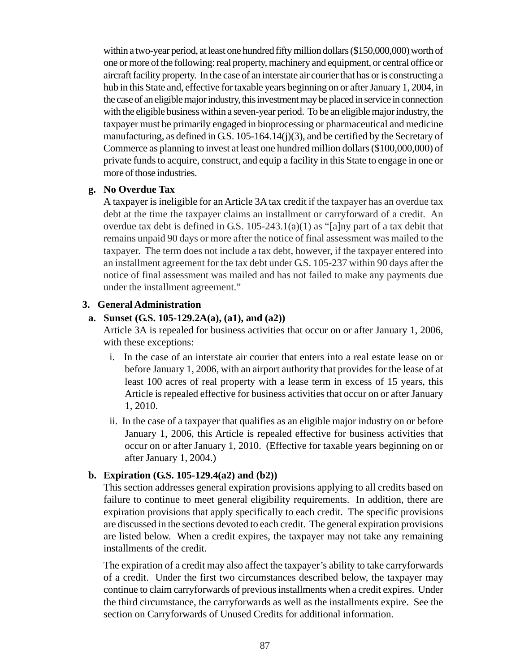within a two-year period, at least one hundred fifty million dollars (\$150,000,000) worth of one or more of the following: real property, machinery and equipment, or central office or aircraft facility property. In the case of an interstate air courier that has or is constructing a hub in this State and, effective for taxable years beginning on or after January 1, 2004, in the case of an eligible major industry, this investment may be placed in service in connection with the eligible business within a seven-year period. To be an eligible major industry, the taxpayer must be primarily engaged in bioprocessing or pharmaceutical and medicine manufacturing, as defined in G.S. 105-164.14(j)(3), and be certified by the Secretary of Commerce as planning to invest at least one hundred million dollars (\$100,000,000) of private funds to acquire, construct, and equip a facility in this State to engage in one or more of those industries.

#### **g. No Overdue Tax**

A taxpayer is ineligible for an Article 3A tax credit if the taxpayer has an overdue tax debt at the time the taxpayer claims an installment or carryforward of a credit. An overdue tax debt is defined in G.S. 105-243.1(a)(1) as "[a]ny part of a tax debit that remains unpaid 90 days or more after the notice of final assessment was mailed to the taxpayer. The term does not include a tax debt, however, if the taxpayer entered into an installment agreement for the tax debt under G.S. 105-237 within 90 days after the notice of final assessment was mailed and has not failed to make any payments due under the installment agreement."

### **3. General Administration**

### **a. Sunset (G.S. 105-129.2A(a), (a1), and (a2))**

Article 3A is repealed for business activities that occur on or after January 1, 2006, with these exceptions:

- i. In the case of an interstate air courier that enters into a real estate lease on or before January 1, 2006, with an airport authority that provides for the lease of at least 100 acres of real property with a lease term in excess of 15 years, this Article is repealed effective for business activities that occur on or after January 1, 2010.
- ii. In the case of a taxpayer that qualifies as an eligible major industry on or before January 1, 2006, this Article is repealed effective for business activities that occur on or after January 1, 2010. (Effective for taxable years beginning on or after January 1, 2004.)

### **b. Expiration (G.S. 105-129.4(a2) and (b2))**

This section addresses general expiration provisions applying to all credits based on failure to continue to meet general eligibility requirements. In addition, there are expiration provisions that apply specifically to each credit. The specific provisions are discussed in the sections devoted to each credit. The general expiration provisions are listed below. When a credit expires, the taxpayer may not take any remaining installments of the credit.

The expiration of a credit may also affect the taxpayer's ability to take carryforwards of a credit. Under the first two circumstances described below, the taxpayer may continue to claim carryforwards of previous installments when a credit expires. Under the third circumstance, the carryforwards as well as the installments expire. See the section on Carryforwards of Unused Credits for additional information.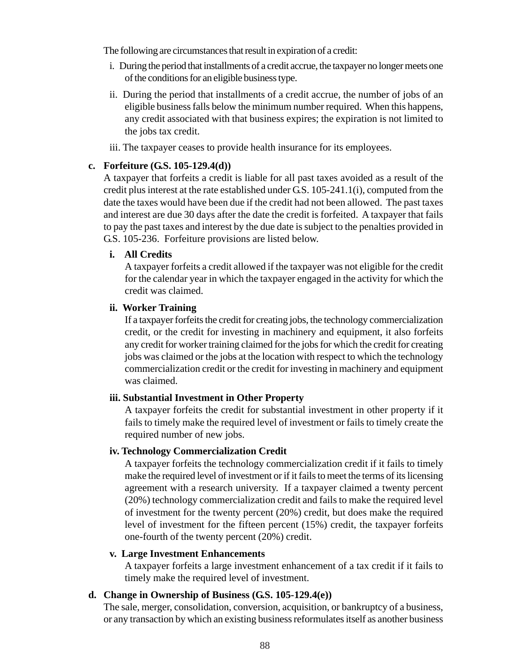The following are circumstances that result in expiration of a credit:

- i. During the period that installments of a credit accrue, the taxpayer no longer meets one of the conditions for an eligible business type.
- ii. During the period that installments of a credit accrue, the number of jobs of an eligible business falls below the minimum number required. When this happens, any credit associated with that business expires; the expiration is not limited to the jobs tax credit.
- iii. The taxpayer ceases to provide health insurance for its employees.

#### **c. Forfeiture (G.S. 105-129.4(d))**

A taxpayer that forfeits a credit is liable for all past taxes avoided as a result of the credit plus interest at the rate established under G.S. 105-241.1(i), computed from the date the taxes would have been due if the credit had not been allowed. The past taxes and interest are due 30 days after the date the credit is forfeited. A taxpayer that fails to pay the past taxes and interest by the due date is subject to the penalties provided in G.S. 105-236. Forfeiture provisions are listed below.

#### **i. All Credits**

A taxpayer forfeits a credit allowed if the taxpayer was not eligible for the credit for the calendar year in which the taxpayer engaged in the activity for which the credit was claimed.

#### **ii. Worker Training**

If a taxpayer forfeits the credit for creating jobs, the technology commercialization credit, or the credit for investing in machinery and equipment, it also forfeits any credit for worker training claimed for the jobs for which the credit for creating jobs was claimed or the jobs at the location with respect to which the technology commercialization credit or the credit for investing in machinery and equipment was claimed.

### **iii. Substantial Investment in Other Property**

A taxpayer forfeits the credit for substantial investment in other property if it fails to timely make the required level of investment or fails to timely create the required number of new jobs.

#### **iv. Technology Commercialization Credit**

A taxpayer forfeits the technology commercialization credit if it fails to timely make the required level of investment or if it fails to meet the terms of its licensing agreement with a research university. If a taxpayer claimed a twenty percent (20%) technology commercialization credit and fails to make the required level of investment for the twenty percent (20%) credit, but does make the required level of investment for the fifteen percent (15%) credit, the taxpayer forfeits one-fourth of the twenty percent (20%) credit.

### **v. Large Investment Enhancements**

A taxpayer forfeits a large investment enhancement of a tax credit if it fails to timely make the required level of investment.

### **d. Change in Ownership of Business (G.S. 105-129.4(e))**

The sale, merger, consolidation, conversion, acquisition, or bankruptcy of a business, or any transaction by which an existing business reformulates itself as another business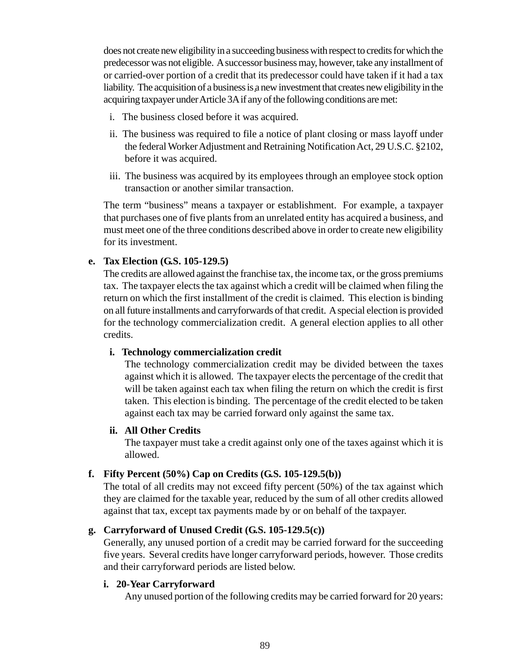does not create new eligibility in a succeeding business with respect to credits for which the predecessor was not eligible. A successor business may, however, take any installment of or carried-over portion of a credit that its predecessor could have taken if it had a tax liability. The acquisition of a business is a new investment that creates new eligibility in the acquiring taxpayer under Article 3A if any of the following conditions are met:

- i. The business closed before it was acquired.
- ii. The business was required to file a notice of plant closing or mass layoff under the federal Worker Adjustment and Retraining Notification Act, 29 U.S.C. §2102, before it was acquired.
- iii. The business was acquired by its employees through an employee stock option transaction or another similar transaction.

The term "business" means a taxpayer or establishment. For example, a taxpayer that purchases one of five plants from an unrelated entity has acquired a business, and must meet one of the three conditions described above in order to create new eligibility for its investment.

#### **e. Tax Election (G.S. 105-129.5)**

The credits are allowed against the franchise tax, the income tax, or the gross premiums tax. The taxpayer elects the tax against which a credit will be claimed when filing the return on which the first installment of the credit is claimed. This election is binding on all future installments and carryforwards of that credit. A special election is provided for the technology commercialization credit. A general election applies to all other credits.

#### **i. Technology commercialization credit**

The technology commercialization credit may be divided between the taxes against which it is allowed. The taxpayer elects the percentage of the credit that will be taken against each tax when filing the return on which the credit is first taken. This election is binding. The percentage of the credit elected to be taken against each tax may be carried forward only against the same tax.

#### **ii. All Other Credits**

The taxpayer must take a credit against only one of the taxes against which it is allowed.

### **f. Fifty Percent (50%) Cap on Credits (G.S. 105-129.5(b))**

The total of all credits may not exceed fifty percent (50%) of the tax against which they are claimed for the taxable year, reduced by the sum of all other credits allowed against that tax, except tax payments made by or on behalf of the taxpayer.

### **g. Carryforward of Unused Credit (G.S. 105-129.5(c))**

Generally, any unused portion of a credit may be carried forward for the succeeding five years. Several credits have longer carryforward periods, however. Those credits and their carryforward periods are listed below.

### **i. 20-Year Carryforward**

Any unused portion of the following credits may be carried forward for 20 years: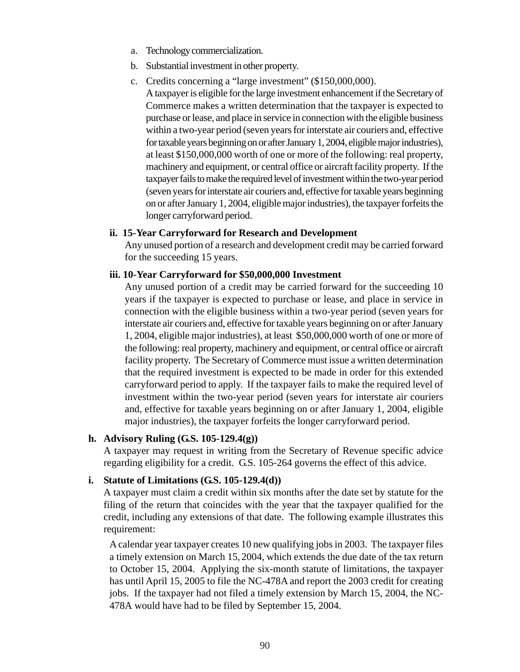- a. Technology commercialization.
- b. Substantial investment in other property.
- c. Credits concerning a "large investment" (\$150,000,000).

A taxpayer is eligible for the large investment enhancement if the Secretary of Commerce makes a written determination that the taxpayer is expected to purchase or lease, and place in service in connection with the eligible business within a two-year period (seven years for interstate air couriers and, effective for taxable years beginning on or after January 1, 2004, eligible major industries), at least \$150,000,000 worth of one or more of the following: real property, machinery and equipment, or central office or aircraft facility property. If the taxpayer fails to make the required level of investment within the two-year period (seven years for interstate air couriers and, effective for taxable years beginning on or after January 1, 2004, eligible major industries), the taxpayer forfeits the longer carryforward period.

#### **ii. 15-Year Carryforward for Research and Development**

Any unused portion of a research and development credit may be carried forward for the succeeding 15 years.

#### **iii. 10-Year Carryforward for \$50,000,000 Investment**

Any unused portion of a credit may be carried forward for the succeeding 10 years if the taxpayer is expected to purchase or lease, and place in service in connection with the eligible business within a two-year period (seven years for interstate air couriers and, effective for taxable years beginning on or after January 1, 2004, eligible major industries), at least \$50,000,000 worth of one or more of the following: real property, machinery and equipment, or central office or aircraft facility property. The Secretary of Commerce must issue a written determination that the required investment is expected to be made in order for this extended carryforward period to apply. If the taxpayer fails to make the required level of investment within the two-year period (seven years for interstate air couriers and, effective for taxable years beginning on or after January 1, 2004, eligible major industries), the taxpayer forfeits the longer carryforward period.

#### **h. Advisory Ruling (G.S. 105-129.4(g))**

A taxpayer may request in writing from the Secretary of Revenue specific advice regarding eligibility for a credit. G.S. 105-264 governs the effect of this advice.

### **i. Statute of Limitations (G.S. 105-129.4(d))**

A taxpayer must claim a credit within six months after the date set by statute for the filing of the return that coincides with the year that the taxpayer qualified for the credit, including any extensions of that date. The following example illustrates this requirement:

A calendar year taxpayer creates 10 new qualifying jobs in 2003. The taxpayer files a timely extension on March 15, 2004, which extends the due date of the tax return to October 15, 2004. Applying the six-month statute of limitations, the taxpayer has until April 15, 2005 to file the NC-478A and report the 2003 credit for creating jobs. If the taxpayer had not filed a timely extension by March 15, 2004, the NC-478A would have had to be filed by September 15, 2004.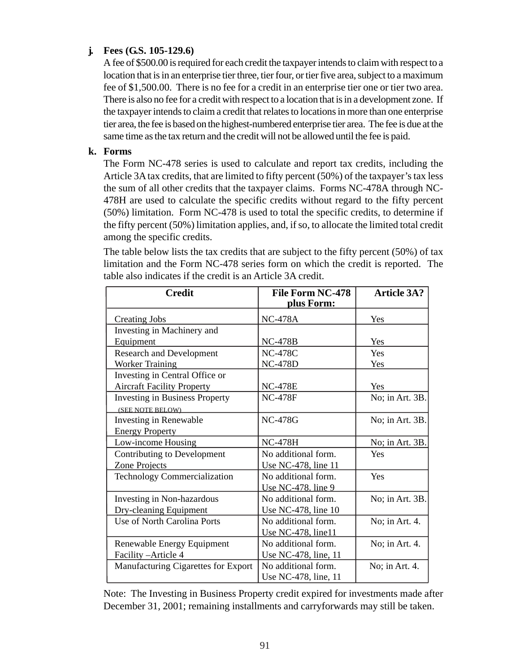### **j. Fees (G.S. 105-129.6)**

A fee of \$500.00 is required for each credit the taxpayer intends to claim with respect to a location that is in an enterprise tier three, tier four, or tier five area, subject to a maximum fee of \$1,500.00. There is no fee for a credit in an enterprise tier one or tier two area. There is also no fee for a credit with respect to a location that is in a development zone. If the taxpayer intends to claim a credit that relates to locations in more than one enterprise tier area, the fee is based on the highest-numbered enterprise tier area. The fee is due at the same time as the tax return and the credit will not be allowed until the fee is paid.

### **k. Forms**

The Form NC-478 series is used to calculate and report tax credits, including the Article 3A tax credits, that are limited to fifty percent (50%) of the taxpayer's tax less the sum of all other credits that the taxpayer claims. Forms NC-478A through NC-478H are used to calculate the specific credits without regard to the fifty percent (50%) limitation. Form NC-478 is used to total the specific credits, to determine if the fifty percent (50%) limitation applies, and, if so, to allocate the limited total credit among the specific credits.

The table below lists the tax credits that are subject to the fifty percent (50%) of tax limitation and the Form NC-478 series form on which the credit is reported. The table also indicates if the credit is an Article 3A credit.

| <b>Credit</b>                         | <b>File Form NC-478</b><br><u>plus Form:</u> | <b>Article 3A?</b> |
|---------------------------------------|----------------------------------------------|--------------------|
| <b>Creating Jobs</b>                  | <b>NC-478A</b>                               | Yes                |
| Investing in Machinery and            |                                              |                    |
| Equipment                             | $NC-478B$                                    | Yes                |
| <b>Research and Development</b>       | <b>NC-478C</b>                               | Yes                |
| <b>Worker Training</b>                | <b>NC-478D</b>                               | Yes                |
| Investing in Central Office or        |                                              |                    |
| <b>Aircraft Facility Property</b>     | <b>NC-478E</b>                               | Yes                |
| <b>Investing in Business Property</b> | <b>NC-478F</b>                               | No; in Art. 3B.    |
| (SEE NOTE BELOW)                      |                                              |                    |
| <b>Investing in Renewable</b>         | <b>NC-478G</b>                               | No; in Art. $3B$ . |
| <b>Energy Property</b>                |                                              |                    |
| Low-income Housing                    | <b>NC-478H</b>                               | No; in Art. $3B$ . |
| Contributing to Development           | No additional form.                          | Yes                |
| Zone Projects                         | Use NC-478, line 11                          |                    |
| Technology Commercialization          | No additional form.                          | Yes                |
|                                       | Use NC-478. line 9                           |                    |
| Investing in Non-hazardous            | No additional form.                          | No; in Art. $3B$ . |
| Dry-cleaning Equipment                | Use NC-478, line 10                          |                    |
| Use of North Carolina Ports           | No additional form.                          | No; in Art. 4.     |
|                                       | Use NC-478, line11                           |                    |
| Renewable Energy Equipment            | No additional form.                          | No; in Art. 4.     |
| Facility - Article 4                  | Use NC-478, line, 11                         |                    |
| Manufacturing Cigarettes for Export   | No additional form.                          | No; in Art. 4.     |
|                                       | Use NC-478, line, 11                         |                    |

Note: The Investing in Business Property credit expired for investments made after December 31, 2001; remaining installments and carryforwards may still be taken.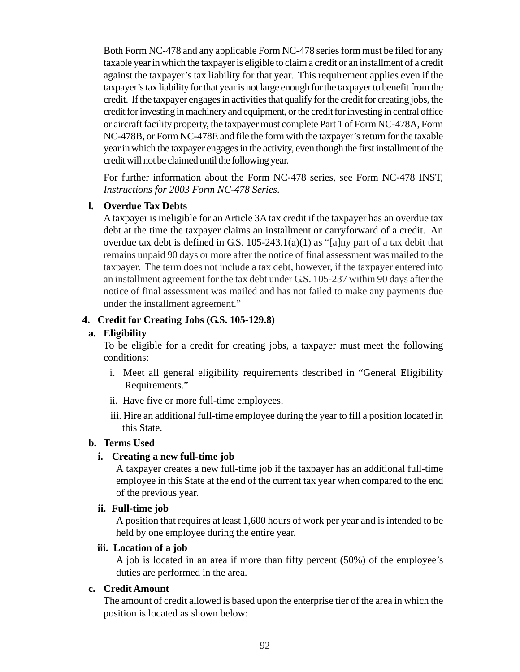Both Form NC-478 and any applicable Form NC-478 series form must be filed for any taxable year in which the taxpayer is eligible to claim a credit or an installment of a credit against the taxpayer's tax liability for that year. This requirement applies even if the taxpayer's tax liability for that year is not large enough for the taxpayer to benefit from the credit. If the taxpayer engages in activities that qualify for the credit for creating jobs, the credit for investing in machinery and equipment, or the credit for investing in central office or aircraft facility property, the taxpayer must complete Part 1 of Form NC-478A, Form NC-478B, or Form NC-478E and file the form with the taxpayer's return for the taxable year in which the taxpayer engages in the activity, even though the first installment of the credit will not be claimed until the following year.

For further information about the Form NC-478 series, see Form NC-478 INST, *Instructions for 2003 Form NC-478 Series*.

#### **l. Overdue Tax Debts**

A taxpayer is ineligible for an Article 3A tax credit if the taxpayer has an overdue tax debt at the time the taxpayer claims an installment or carryforward of a credit. An overdue tax debt is defined in G.S.  $105-243.1(a)(1)$  as "[a]ny part of a tax debit that remains unpaid 90 days or more after the notice of final assessment was mailed to the taxpayer. The term does not include a tax debt, however, if the taxpayer entered into an installment agreement for the tax debt under G.S. 105-237 within 90 days after the notice of final assessment was mailed and has not failed to make any payments due under the installment agreement."

### **4. Credit for Creating Jobs (G.S. 105-129.8)**

#### **a. Eligibility**

To be eligible for a credit for creating jobs, a taxpayer must meet the following conditions:

- i. Meet all general eligibility requirements described in "General Eligibility Requirements."
- ii. Have five or more full-time employees.
- iii. Hire an additional full-time employee during the year to fill a position located in this State.

#### **b. Terms Used**

### **i. Creating a new full-time job**

A taxpayer creates a new full-time job if the taxpayer has an additional full-time employee in this State at the end of the current tax year when compared to the end of the previous year.

#### **ii. Full-time job**

A position that requires at least 1,600 hours of work per year and is intended to be held by one employee during the entire year.

#### **iii. Location of a job**

A job is located in an area if more than fifty percent (50%) of the employee's duties are performed in the area.

#### **c. Credit Amount**

The amount of credit allowed is based upon the enterprise tier of the area in which the position is located as shown below: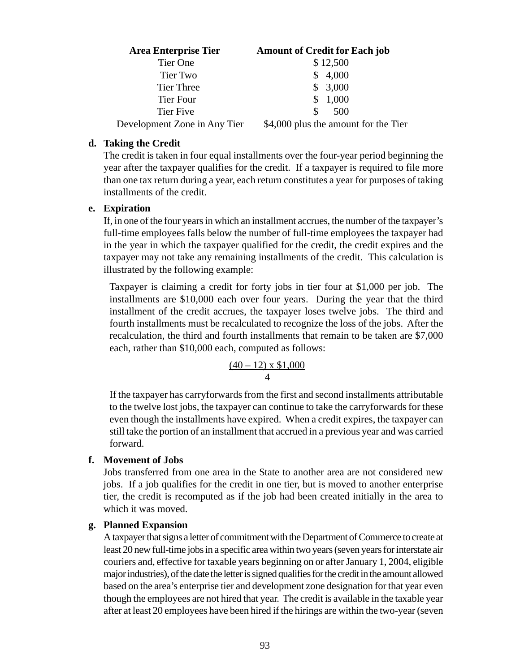| <b>Area Enterprise Tier</b>  | <b>Amount of Credit for Each job</b> |
|------------------------------|--------------------------------------|
| Tier One                     | \$12,500                             |
| Tier Two                     | \$4,000                              |
| Tier Three                   | \$3,000                              |
| Tier Four                    | 1,000<br>S.                          |
| Tier Five                    | \$.<br>500                           |
| Development Zone in Any Tier | \$4,000 plus the amount for the Tier |

#### **d. Taking the Credit**

The credit is taken in four equal installments over the four-year period beginning the year after the taxpayer qualifies for the credit. If a taxpayer is required to file more than one tax return during a year, each return constitutes a year for purposes of taking installments of the credit.

#### **e. Expiration**

If, in one of the four years in which an installment accrues, the number of the taxpayer's full-time employees falls below the number of full-time employees the taxpayer had in the year in which the taxpayer qualified for the credit, the credit expires and the taxpayer may not take any remaining installments of the credit. This calculation is illustrated by the following example:

Taxpayer is claiming a credit for forty jobs in tier four at \$1,000 per job. The installments are \$10,000 each over four years. During the year that the third installment of the credit accrues, the taxpayer loses twelve jobs. The third and fourth installments must be recalculated to recognize the loss of the jobs. After the recalculation, the third and fourth installments that remain to be taken are \$7,000 each, rather than \$10,000 each, computed as follows:

$$
\frac{(40-12)\times \$1,000}{4}
$$

If the taxpayer has carryforwards from the first and second installments attributable to the twelve lost jobs, the taxpayer can continue to take the carryforwards for these even though the installments have expired. When a credit expires, the taxpayer can still take the portion of an installment that accrued in a previous year and was carried forward.

#### **f. Movement of Jobs**

Jobs transferred from one area in the State to another area are not considered new jobs. If a job qualifies for the credit in one tier, but is moved to another enterprise tier, the credit is recomputed as if the job had been created initially in the area to which it was moved.

#### **g. Planned Expansion**

A taxpayer that signs a letter of commitment with the Department of Commerce to create at least 20 new full-time jobs in a specific area within two years (seven years for interstate air couriers and, effective for taxable years beginning on or after January 1, 2004, eligible major industries), of the date the letter is signed qualifies for the credit in the amount allowed based on the area's enterprise tier and development zone designation for that year even though the employees are not hired that year. The credit is available in the taxable year after at least 20 employees have been hired if the hirings are within the two-year (seven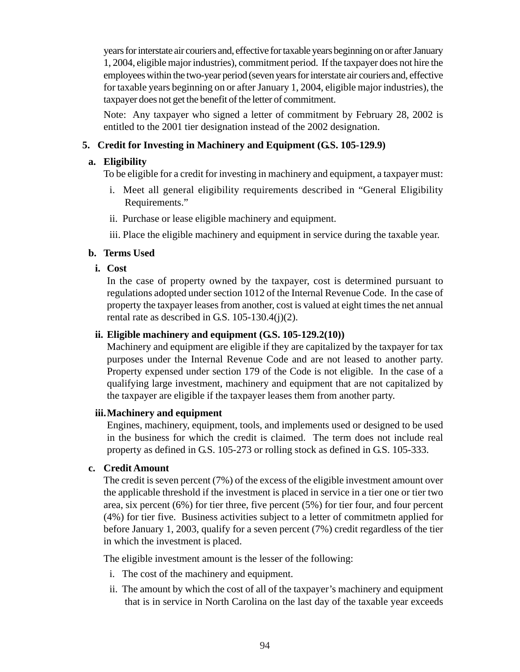years for interstate air couriers and, effective for taxable years beginning on or after January 1, 2004, eligible major industries), commitment period. If the taxpayer does not hire the employees within the two-year period (seven years for interstate air couriers and, effective for taxable years beginning on or after January 1, 2004, eligible major industries), the taxpayer does not get the benefit of the letter of commitment.

Note: Any taxpayer who signed a letter of commitment by February 28, 2002 is entitled to the 2001 tier designation instead of the 2002 designation.

# **5. Credit for Investing in Machinery and Equipment (G.S. 105-129.9)**

#### **a. Eligibility**

To be eligible for a credit for investing in machinery and equipment, a taxpayer must:

- i. Meet all general eligibility requirements described in "General Eligibility Requirements."
- ii. Purchase or lease eligible machinery and equipment.
- iii. Place the eligible machinery and equipment in service during the taxable year.

#### **b. Terms Used**

**i. Cost**

In the case of property owned by the taxpayer, cost is determined pursuant to regulations adopted under section 1012 of the Internal Revenue Code. In the case of property the taxpayer leases from another, cost is valued at eight times the net annual rental rate as described in G.S.  $105-130.4(j)(2)$ .

#### **ii. Eligible machinery and equipment (G.S. 105-129.2(10))**

Machinery and equipment are eligible if they are capitalized by the taxpayer for tax purposes under the Internal Revenue Code and are not leased to another party. Property expensed under section 179 of the Code is not eligible. In the case of a qualifying large investment, machinery and equipment that are not capitalized by the taxpayer are eligible if the taxpayer leases them from another party.

#### **iii.Machinery and equipment**

Engines, machinery, equipment, tools, and implements used or designed to be used in the business for which the credit is claimed. The term does not include real property as defined in G.S. 105-273 or rolling stock as defined in G.S. 105-333.

#### **c. Credit Amount**

The credit is seven percent (7%) of the excess of the eligible investment amount over the applicable threshold if the investment is placed in service in a tier one or tier two area, six percent (6%) for tier three, five percent (5%) for tier four, and four percent (4%) for tier five. Business activities subject to a letter of commitmetn applied for before January 1, 2003, qualify for a seven percent (7%) credit regardless of the tier in which the investment is placed.

The eligible investment amount is the lesser of the following:

- i. The cost of the machinery and equipment.
- ii. The amount by which the cost of all of the taxpayer's machinery and equipment that is in service in North Carolina on the last day of the taxable year exceeds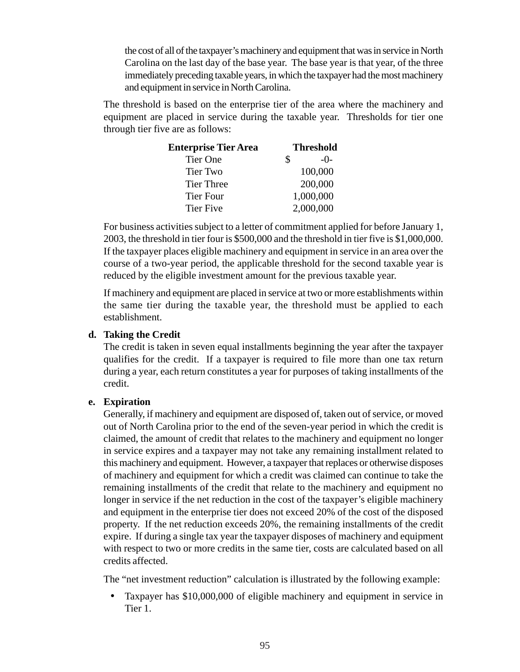the cost of all of the taxpayer's machinery and equipment that was in service in North Carolina on the last day of the base year. The base year is that year, of the three immediately preceding taxable years, in which the taxpayer had the most machinery and equipment in service in North Carolina.

The threshold is based on the enterprise tier of the area where the machinery and equipment are placed in service during the taxable year. Thresholds for tier one through tier five are as follows:

| <b>Enterprise Tier Area</b> | <b>Threshold</b> |           |
|-----------------------------|------------------|-----------|
| <b>Tier One</b>             | \$               | $-()$     |
| <b>Tier Two</b>             |                  | 100,000   |
| <b>Tier Three</b>           |                  | 200,000   |
| <b>Tier Four</b>            |                  | 1,000,000 |
| <b>Tier Five</b>            |                  | 2,000,000 |

For business activities subject to a letter of commitment applied for before January 1, 2003, the threshold in tier four is \$500,000 and the threshold in tier five is \$1,000,000. If the taxpayer places eligible machinery and equipment in service in an area over the course of a two-year period, the applicable threshold for the second taxable year is reduced by the eligible investment amount for the previous taxable year.

If machinery and equipment are placed in service at two or more establishments within the same tier during the taxable year, the threshold must be applied to each establishment.

#### **d. Taking the Credit**

The credit is taken in seven equal installments beginning the year after the taxpayer qualifies for the credit. If a taxpayer is required to file more than one tax return during a year, each return constitutes a year for purposes of taking installments of the credit.

#### **e. Expiration**

Generally, if machinery and equipment are disposed of, taken out of service, or moved out of North Carolina prior to the end of the seven-year period in which the credit is claimed, the amount of credit that relates to the machinery and equipment no longer in service expires and a taxpayer may not take any remaining installment related to this machinery and equipment. However, a taxpayer that replaces or otherwise disposes of machinery and equipment for which a credit was claimed can continue to take the remaining installments of the credit that relate to the machinery and equipment no longer in service if the net reduction in the cost of the taxpayer's eligible machinery and equipment in the enterprise tier does not exceed 20% of the cost of the disposed property. If the net reduction exceeds 20%, the remaining installments of the credit expire. If during a single tax year the taxpayer disposes of machinery and equipment with respect to two or more credits in the same tier, costs are calculated based on all credits affected.

The "net investment reduction" calculation is illustrated by the following example:

• Taxpayer has \$10,000,000 of eligible machinery and equipment in service in Tier 1.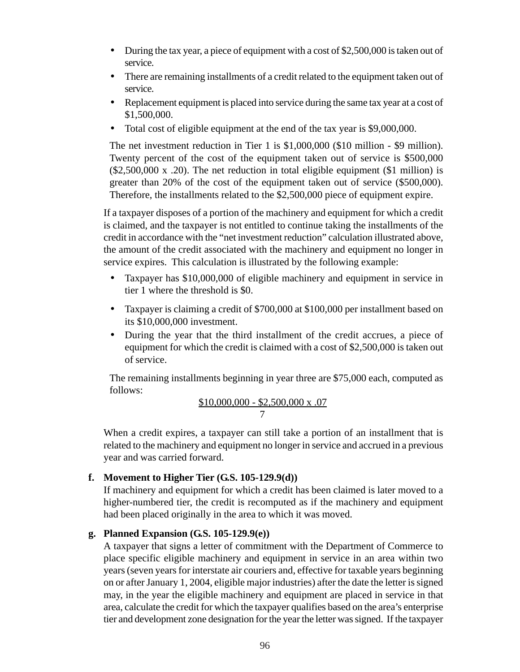- During the tax year, a piece of equipment with a cost of \$2,500,000 is taken out of service.
- There are remaining installments of a credit related to the equipment taken out of service.
- Replacement equipment is placed into service during the same tax year at a cost of \$1,500,000.
- Total cost of eligible equipment at the end of the tax year is \$9,000,000.

The net investment reduction in Tier 1 is \$1,000,000 (\$10 million - \$9 million). Twenty percent of the cost of the equipment taken out of service is \$500,000  $($2,500,000 \times .20)$ . The net reduction in total eligible equipment  $($1 \text{ million})$  is greater than 20% of the cost of the equipment taken out of service (\$500,000). Therefore, the installments related to the \$2,500,000 piece of equipment expire.

If a taxpayer disposes of a portion of the machinery and equipment for which a credit is claimed, and the taxpayer is not entitled to continue taking the installments of the credit in accordance with the "net investment reduction" calculation illustrated above, the amount of the credit associated with the machinery and equipment no longer in service expires. This calculation is illustrated by the following example:

- Taxpayer has \$10,000,000 of eligible machinery and equipment in service in tier 1 where the threshold is \$0.
- Taxpayer is claiming a credit of \$700,000 at \$100,000 per installment based on its \$10,000,000 investment.
- During the year that the third installment of the credit accrues, a piece of equipment for which the credit is claimed with a cost of \$2,500,000 is taken out of service.

The remaining installments beginning in year three are \$75,000 each, computed as follows:

$$
\frac{\$10,000,000 - \$2,500,000 \text{ x } .07}{7}
$$

When a credit expires, a taxpayer can still take a portion of an installment that is related to the machinery and equipment no longer in service and accrued in a previous year and was carried forward.

### **f. Movement to Higher Tier (G.S. 105-129.9(d))**

If machinery and equipment for which a credit has been claimed is later moved to a higher-numbered tier, the credit is recomputed as if the machinery and equipment had been placed originally in the area to which it was moved.

#### **g. Planned Expansion (G.S. 105-129.9(e))**

A taxpayer that signs a letter of commitment with the Department of Commerce to place specific eligible machinery and equipment in service in an area within two years (seven years for interstate air couriers and, effective for taxable years beginning on or after January 1, 2004, eligible major industries) after the date the letter is signed may, in the year the eligible machinery and equipment are placed in service in that area, calculate the credit for which the taxpayer qualifies based on the area's enterprise tier and development zone designation for the year the letter was signed. If the taxpayer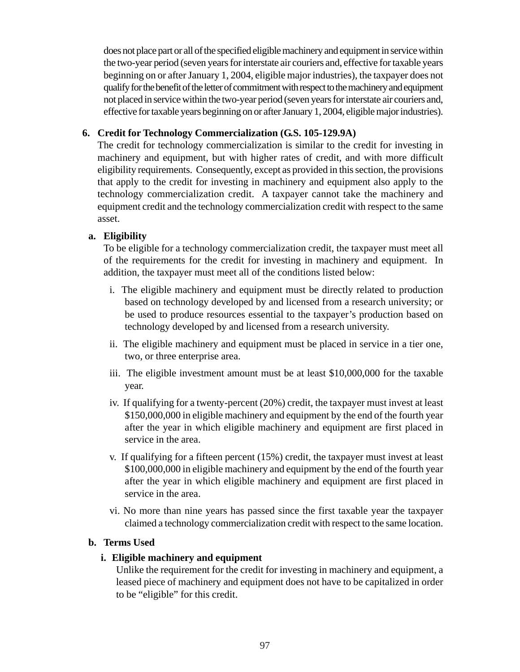does not place part or all of the specified eligible machinery and equipment in service within the two-year period (seven years for interstate air couriers and, effective for taxable years beginning on or after January 1, 2004, eligible major industries), the taxpayer does not qualify for the benefit of the letter of commitment with respect to the machinery and equipment not placed in service within the two-year period (seven years for interstate air couriers and, effective for taxable years beginning on or after January 1, 2004, eligible major industries).

### **6. Credit for Technology Commercialization (G.S. 105-129.9A)**

The credit for technology commercialization is similar to the credit for investing in machinery and equipment, but with higher rates of credit, and with more difficult eligibility requirements.Consequently, except as provided in this section, the provisions that apply to the credit for investing in machinery and equipment also apply to the technology commercialization credit. A taxpayer cannot take the machinery and equipment credit and the technology commercialization credit with respect to the same asset.

#### **a. Eligibility**

To be eligible for a technology commercialization credit, the taxpayer must meet all of the requirements for the credit for investing in machinery and equipment. In addition, the taxpayer must meet all of the conditions listed below:

- i. The eligible machinery and equipment must be directly related to production based on technology developed by and licensed from a research university; or be used to produce resources essential to the taxpayer's production based on technology developed by and licensed from a research university.
- ii. The eligible machinery and equipment must be placed in service in a tier one, two, or three enterprise area.
- iii. The eligible investment amount must be at least \$10,000,000 for the taxable year.
- iv. If qualifying for a twenty-percent (20%) credit, the taxpayer must invest at least \$150,000,000 in eligible machinery and equipment by the end of the fourth year after the year in which eligible machinery and equipment are first placed in service in the area.
- v. If qualifying for a fifteen percent (15%) credit, the taxpayer must invest at least \$100,000,000 in eligible machinery and equipment by the end of the fourth year after the year in which eligible machinery and equipment are first placed in service in the area.
- vi. No more than nine years has passed since the first taxable year the taxpayer claimed a technology commercialization credit with respect to the same location.

#### **b. Terms Used**

#### **i. Eligible machinery and equipment**

Unlike the requirement for the credit for investing in machinery and equipment, a leased piece of machinery and equipment does not have to be capitalized in order to be "eligible" for this credit.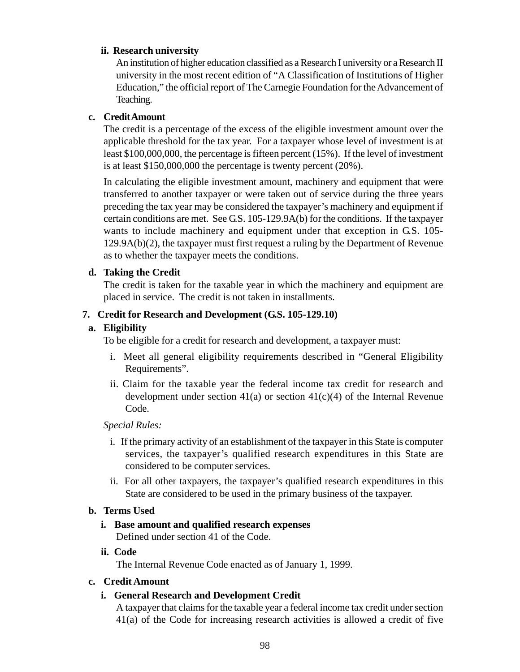#### **ii. Research university**

An institution of higher education classified as a Research I university or a Research II university in the most recent edition of "A Classification of Institutions of Higher Education," the official report of The Carnegie Foundation for the Advancement of Teaching.

### **c. Credit Amount**

The credit is a percentage of the excess of the eligible investment amount over the applicable threshold for the tax year. For a taxpayer whose level of investment is at least \$100,000,000, the percentage is fifteen percent (15%). If the level of investment is at least \$150,000,000 the percentage is twenty percent (20%).

In calculating the eligible investment amount, machinery and equipment that were transferred to another taxpayer or were taken out of service during the three years preceding the tax year may be considered the taxpayer's machinery and equipment if certain conditions are met. See G.S. 105-129.9A(b) for the conditions. If the taxpayer wants to include machinery and equipment under that exception in G.S. 105- 129.9A(b)(2), the taxpayer must first request a ruling by the Department of Revenue as to whether the taxpayer meets the conditions.

### **d. Taking the Credit**

The credit is taken for the taxable year in which the machinery and equipment are placed in service. The credit is not taken in installments.

# **7. Credit for Research and Development (G.S. 105-129.10)**

### **a. Eligibility**

To be eligible for a credit for research and development, a taxpayer must:

- i. Meet all general eligibility requirements described in "General Eligibility Requirements".
- ii. Claim for the taxable year the federal income tax credit for research and development under section  $41(a)$  or section  $41(c)(4)$  of the Internal Revenue Code.

### *Special Rules:*

- i. If the primary activity of an establishment of the taxpayer in this State is computer services, the taxpayer's qualified research expenditures in this State are considered to be computer services.
- ii. For all other taxpayers, the taxpayer's qualified research expenditures in this State are considered to be used in the primary business of the taxpayer.

### **b. Terms Used**

# **i. Base amount and qualified research expenses**

Defined under section 41 of the Code.

**ii. Code**

The Internal Revenue Code enacted as of January 1, 1999.

### **c. Credit Amount**

### **i. General Research and Development Credit**

A taxpayer that claims for the taxable year a federal income tax credit under section 41(a) of the Code for increasing research activities is allowed a credit of five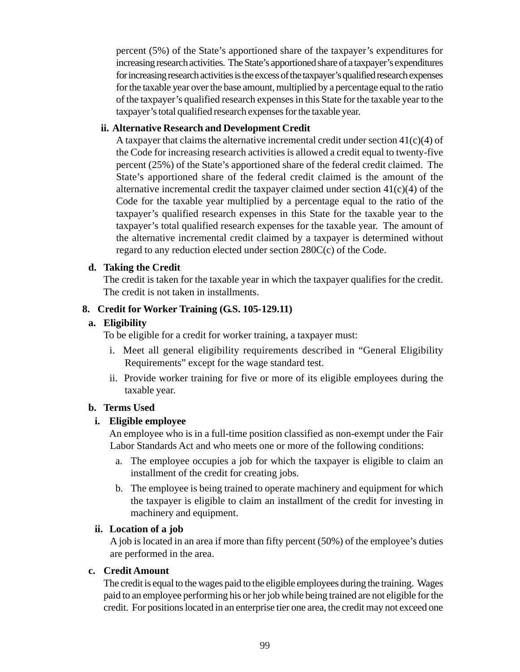percent (5%) of the State's apportioned share of the taxpayer's expenditures for increasing research activities. The State's apportioned share of a taxpayer's expenditures for increasing research activities is the excess of the taxpayer's qualified research expenses for the taxable year over the base amount, multiplied by a percentage equal to the ratio of the taxpayer's qualified research expenses in this State for the taxable year to the taxpayer's total qualified research expenses for the taxable year.

#### **ii. Alternative Research and Development Credit**

A taxpayer that claims the alternative incremental credit under section  $41(c)(4)$  of the Code for increasing research activities is allowed a credit equal to twenty-five percent (25%) of the State's apportioned share of the federal credit claimed. The State's apportioned share of the federal credit claimed is the amount of the alternative incremental credit the taxpayer claimed under section  $41(c)(4)$  of the Code for the taxable year multiplied by a percentage equal to the ratio of the taxpayer's qualified research expenses in this State for the taxable year to the taxpayer's total qualified research expenses for the taxable year. The amount of the alternative incremental credit claimed by a taxpayer is determined without regard to any reduction elected under section 280C(c) of the Code.

#### **d. Taking the Credit**

The credit is taken for the taxable year in which the taxpayer qualifies for the credit. The credit is not taken in installments.

### **8. Credit for Worker Training (G.S. 105-129.11)**

#### **a. Eligibility**

To be eligible for a credit for worker training, a taxpayer must:

- i. Meet all general eligibility requirements described in "General Eligibility Requirements" except for the wage standard test.
- ii. Provide worker training for five or more of its eligible employees during the taxable year.

#### **b. Terms Used**

### **i. Eligible employee**

An employee who is in a full-time position classified as non-exempt under the Fair Labor Standards Act and who meets one or more of the following conditions:

- a. The employee occupies a job for which the taxpayer is eligible to claim an installment of the credit for creating jobs.
- b. The employee is being trained to operate machinery and equipment for which the taxpayer is eligible to claim an installment of the credit for investing in machinery and equipment.

#### **ii. Location of a job**

A job is located in an area if more than fifty percent (50%) of the employee's duties are performed in the area.

#### **c. Credit Amount**

The credit is equal to the wages paid to the eligible employees during the training. Wages paid to an employee performing his or her job while being trained are not eligible for the credit. For positions located in an enterprise tier one area, the credit may not exceed one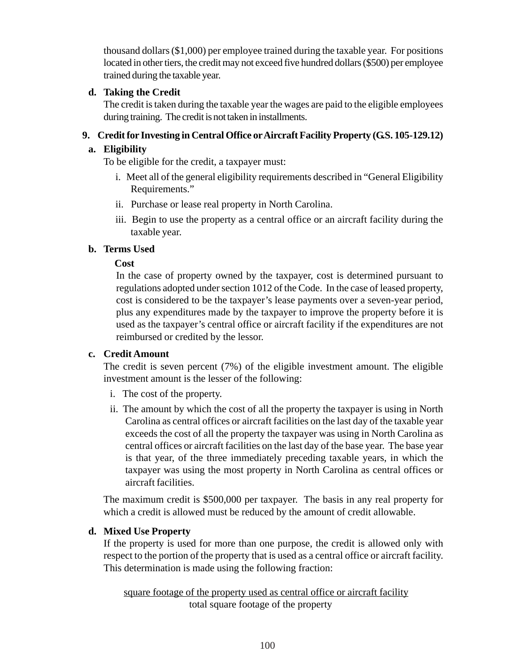thousand dollars (\$1,000) per employee trained during the taxable year. For positions located in other tiers, the credit may not exceed five hundred dollars (\$500) per employee trained during the taxable year.

# **d. Taking the Credit**

The credit is taken during the taxable year the wages are paid to the eligible employees during training. The credit is not taken in installments.

# **9. Credit for Investing in Central Office or Aircraft Facility Property (G.S. 105-129.12)**

## **a. Eligibility**

To be eligible for the credit, a taxpayer must:

- i. Meet all of the general eligibility requirements described in "General Eligibility Requirements."
- ii. Purchase or lease real property in North Carolina.
- iii. Begin to use the property as a central office or an aircraft facility during the taxable year.

# **b. Terms Used**

# **Cost**

In the case of property owned by the taxpayer, cost is determined pursuant to regulations adopted under section 1012 of the Code. In the case of leased property, cost is considered to be the taxpayer's lease payments over a seven-year period, plus any expenditures made by the taxpayer to improve the property before it is used as the taxpayer's central office or aircraft facility if the expenditures are not reimbursed or credited by the lessor.

### **c. Credit Amount**

The credit is seven percent (7%) of the eligible investment amount. The eligible investment amount is the lesser of the following:

- i. The cost of the property.
- ii. The amount by which the cost of all the property the taxpayer is using in North Carolina as central offices or aircraft facilities on the last day of the taxable year exceeds the cost of all the property the taxpayer was using in North Carolina as central offices or aircraft facilities on the last day of the base year. The base year is that year, of the three immediately preceding taxable years, in which the taxpayer was using the most property in North Carolina as central offices or aircraft facilities.

The maximum credit is \$500,000 per taxpayer. The basis in any real property for which a credit is allowed must be reduced by the amount of credit allowable.

# **d. Mixed Use Property**

If the property is used for more than one purpose, the credit is allowed only with respect to the portion of the property that is used as a central office or aircraft facility. This determination is made using the following fraction:

 square footage of the property used as central office or aircraft facility total square footage of the property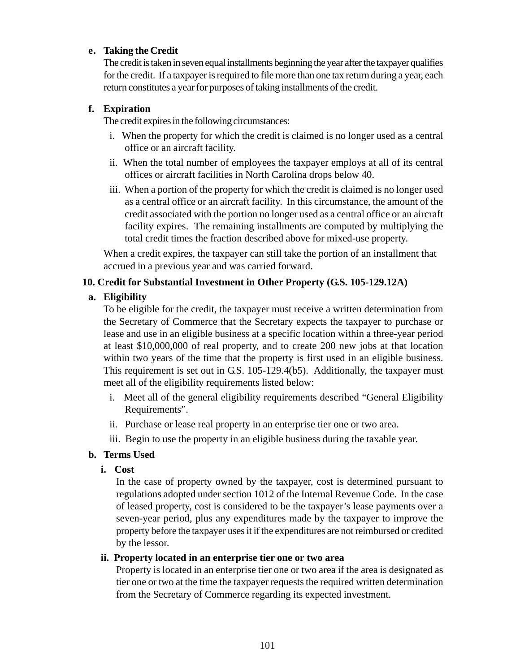### **e. Taking the Credit**

The credit is taken in seven equal installments beginning the year after the taxpayer qualifies for the credit. If a taxpayer is required to file more than one tax return during a year, each return constitutes a year for purposes of taking installments of the credit.

#### **f. Expiration**

The credit expires in the following circumstances:

- i. When the property for which the credit is claimed is no longer used as a central office or an aircraft facility.
- ii. When the total number of employees the taxpayer employs at all of its central offices or aircraft facilities in North Carolina drops below 40.
- iii. When a portion of the property for which the credit is claimed is no longer used as a central office or an aircraft facility. In this circumstance, the amount of the credit associated with the portion no longer used as a central office or an aircraft facility expires. The remaining installments are computed by multiplying the total credit times the fraction described above for mixed-use property.

When a credit expires, the taxpayer can still take the portion of an installment that accrued in a previous year and was carried forward.

#### **10. Credit for Substantial Investment in Other Property (G.S. 105-129.12A)**

#### **a. Eligibility**

To be eligible for the credit, the taxpayer must receive a written determination from the Secretary of Commerce that the Secretary expects the taxpayer to purchase or lease and use in an eligible business at a specific location within a three-year period at least \$10,000,000 of real property, and to create 200 new jobs at that location within two years of the time that the property is first used in an eligible business. This requirement is set out in G.S. 105-129.4(b5). Additionally, the taxpayer must meet all of the eligibility requirements listed below:

- i. Meet all of the general eligibility requirements described "General Eligibility Requirements".
- ii. Purchase or lease real property in an enterprise tier one or two area.
- iii. Begin to use the property in an eligible business during the taxable year.

#### **b. Terms Used**

**i. Cost**

In the case of property owned by the taxpayer, cost is determined pursuant to regulations adopted under section 1012 of the Internal Revenue Code. In the case of leased property, cost is considered to be the taxpayer's lease payments over a seven-year period, plus any expenditures made by the taxpayer to improve the property before the taxpayer uses it if the expenditures are not reimbursed or credited by the lessor.

#### **ii. Property located in an enterprise tier one or two area**

Property is located in an enterprise tier one or two area if the area is designated as tier one or two at the time the taxpayer requests the required written determination from the Secretary of Commerce regarding its expected investment.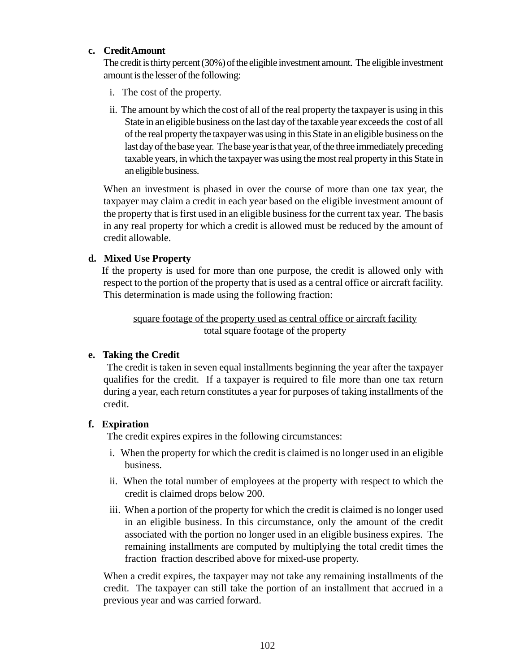#### **c. Credit Amount**

The credit is thirty percent (30%) of the eligible investment amount. The eligible investment amount is the lesser of the following:

- i. The cost of the property.
- ii. The amount by which the cost of all of the real property the taxpayer is using in this State in an eligible business on the last day of the taxable year exceeds the cost of all of the real property the taxpayer was using in this State in an eligible business on the last day of the base year. The base year is that year, of the three immediately preceding taxable years, in which the taxpayer was using the most real property in this State in an eligible business.

When an investment is phased in over the course of more than one tax year, the taxpayer may claim a credit in each year based on the eligible investment amount of the property that is first used in an eligible business for the current tax year. The basis in any real property for which a credit is allowed must be reduced by the amount of credit allowable.

#### **d. Mixed Use Property**

If the property is used for more than one purpose, the credit is allowed only with respect to the portion of the property that is used as a central office or aircraft facility. This determination is made using the following fraction:

square footage of the property used as central office or aircraft facility total square footage of the property

### **e. Taking the Credit**

The credit is taken in seven equal installments beginning the year after the taxpayer qualifies for the credit. If a taxpayer is required to file more than one tax return during a year, each return constitutes a year for purposes of taking installments of the credit.

### **f. Expiration**

The credit expires expires in the following circumstances:

- i. When the property for which the credit is claimed is no longer used in an eligible business.
- ii. When the total number of employees at the property with respect to which the credit is claimed drops below 200.
- iii. When a portion of the property for which the credit is claimed is no longer used in an eligible business. In this circumstance, only the amount of the credit associated with the portion no longer used in an eligible business expires. The remaining installments are computed by multiplying the total credit times the fraction fraction described above for mixed-use property.

When a credit expires, the taxpayer may not take any remaining installments of the credit. The taxpayer can still take the portion of an installment that accrued in a previous year and was carried forward.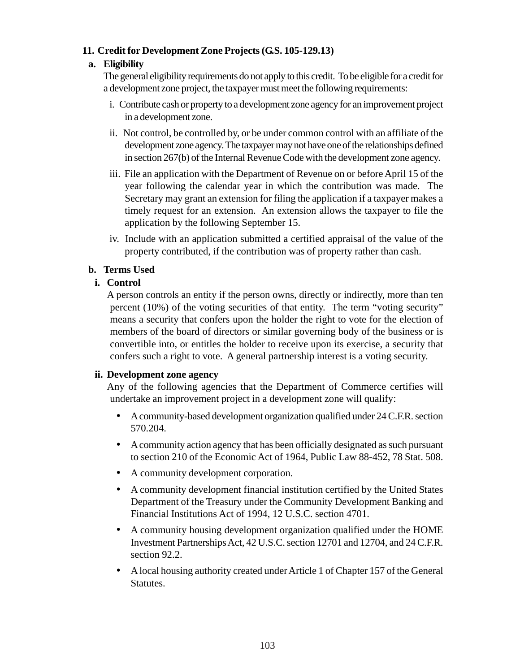## **11. Credit for Development Zone Projects (G.S. 105-129.13)**

## **a. Eligibility**

The general eligibility requirements do not apply to this credit. To be eligible for a credit for a development zone project, the taxpayer must meet the following requirements:

- i. Contribute cash or property to a development zone agency for an improvement project in a development zone.
- ii. Not control, be controlled by, or be under common control with an affiliate of the development zone agency. The taxpayer may not have one of the relationships defined in section 267(b) of the Internal Revenue Code with the development zone agency.
- iii. File an application with the Department of Revenue on or before April 15 of the year following the calendar year in which the contribution was made. The Secretary may grant an extension for filing the application if a taxpayer makes a timely request for an extension. An extension allows the taxpayer to file the application by the following September 15.
- iv. Include with an application submitted a certified appraisal of the value of the property contributed, if the contribution was of property rather than cash.

# **b. Terms Used**

# **i. Control**

A person controls an entity if the person owns, directly or indirectly, more than ten percent (10%) of the voting securities of that entity. The term "voting security" means a security that confers upon the holder the right to vote for the election of members of the board of directors or similar governing body of the business or is convertible into, or entitles the holder to receive upon its exercise, a security that confers such a right to vote. A general partnership interest is a voting security.

### **ii. Development zone agency**

Any of the following agencies that the Department of Commerce certifies will undertake an improvement project in a development zone will qualify:

- A community-based development organization qualified under 24 C.F.R. section 570.204.
- A community action agency that has been officially designated as such pursuant to section 210 of the Economic Act of 1964, Public Law 88-452, 78 Stat. 508.
- A community development corporation.
- A community development financial institution certified by the United States Department of the Treasury under the Community Development Banking and Financial Institutions Act of 1994, 12 U.S.C. section 4701.
- A community housing development organization qualified under the HOME Investment Partnerships Act, 42 U.S.C. section 12701 and 12704, and 24 C.F.R. section 92.2.
- A local housing authority created under Article 1 of Chapter 157 of the General Statutes.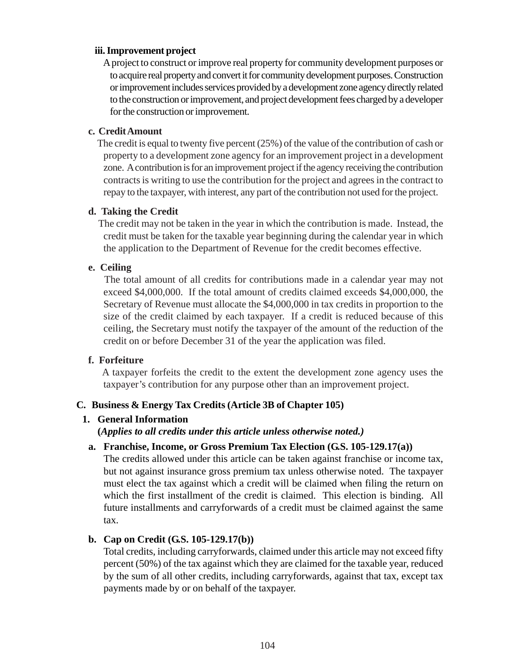#### **iii. Improvement project**

A project to construct or improve real property for community development purposes or to acquire real property and convert it for community development purposes. Construction or improvement includes services provided by a development zone agency directly related to the construction or improvement, and project development fees charged by a developer for the construction or improvement.

#### **c. Credit Amount**

The credit is equal to twenty five percent (25%) of the value of the contribution of cash or property to a development zone agency for an improvement project in a development zone. A contribution is for an improvement project if the agency receiving the contribution contracts is writing to use the contribution for the project and agrees in the contract to repay to the taxpayer, with interest, any part of the contribution not used for the project.

#### **d. Taking the Credit**

The credit may not be taken in the year in which the contribution is made. Instead, the credit must be taken for the taxable year beginning during the calendar year in which the application to the Department of Revenue for the credit becomes effective.

#### **e. Ceiling**

The total amount of all credits for contributions made in a calendar year may not exceed \$4,000,000. If the total amount of credits claimed exceeds \$4,000,000, the Secretary of Revenue must allocate the \$4,000,000 in tax credits in proportion to the size of the credit claimed by each taxpayer. If a credit is reduced because of this ceiling, the Secretary must notify the taxpayer of the amount of the reduction of the credit on or before December 31 of the year the application was filed.

# **f. Forfeiture**

A taxpayer forfeits the credit to the extent the development zone agency uses the taxpayer's contribution for any purpose other than an improvement project.

# **C. Business & Energy Tax Credits (Article 3B of Chapter 105)**

# **1. General Information**

**(***Applies to all credits under this article unless otherwise noted.)*

#### **a. Franchise, Income, or Gross Premium Tax Election (G.S. 105-129.17(a))**

The credits allowed under this article can be taken against franchise or income tax, but not against insurance gross premium tax unless otherwise noted. The taxpayer must elect the tax against which a credit will be claimed when filing the return on which the first installment of the credit is claimed. This election is binding. All future installments and carryforwards of a credit must be claimed against the same tax.

# **b. Cap on Credit (G.S. 105-129.17(b))**

Total credits, including carryforwards, claimed under this article may not exceed fifty percent (50%) of the tax against which they are claimed for the taxable year, reduced by the sum of all other credits, including carryforwards, against that tax, except tax payments made by or on behalf of the taxpayer.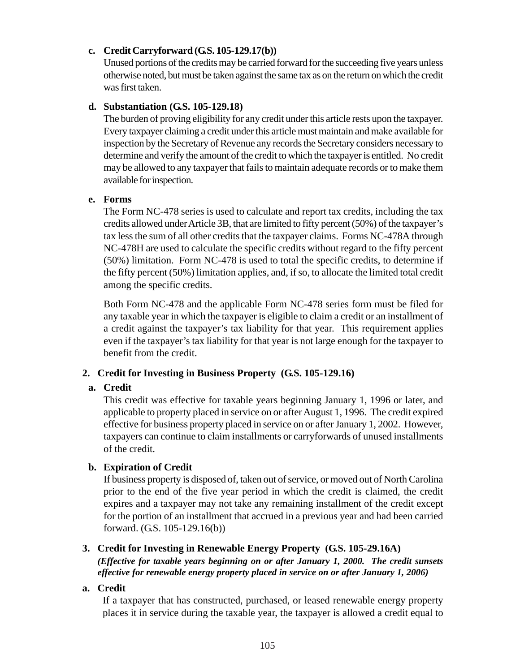#### **c. Credit Carryforward (G.S. 105-129.17(b))**

Unused portions of the credits may be carried forward for the succeeding five years unless otherwise noted, but must be taken against the same tax as on the return on which the credit was first taken.

#### **d. Substantiation (G.S. 105-129.18)**

The burden of proving eligibility for any credit under this article rests upon the taxpayer. Every taxpayer claiming a credit under this article must maintain and make available for inspection by the Secretary of Revenue any records the Secretary considers necessary to determine and verify the amount of the credit to which the taxpayer is entitled. No credit may be allowed to any taxpayer that fails to maintain adequate records or to make them available for inspection.

#### **e. Forms**

The Form NC-478 series is used to calculate and report tax credits, including the tax credits allowed under Article 3B, that are limited to fifty percent (50%) of the taxpayer's tax less the sum of all other credits that the taxpayer claims. Forms NC-478A through NC-478H are used to calculate the specific credits without regard to the fifty percent (50%) limitation. Form NC-478 is used to total the specific credits, to determine if the fifty percent (50%) limitation applies, and, if so, to allocate the limited total credit among the specific credits.

Both Form NC-478 and the applicable Form NC-478 series form must be filed for any taxable year in which the taxpayer is eligible to claim a credit or an installment of a credit against the taxpayer's tax liability for that year. This requirement applies even if the taxpayer's tax liability for that year is not large enough for the taxpayer to benefit from the credit.

# **2. Credit for Investing in Business Property (G.S. 105-129.16)**

# **a. Credit**

This credit was effective for taxable years beginning January 1, 1996 or later, and applicable to property placed in service on or after August 1, 1996. The credit expired effective for business property placed in service on or after January 1, 2002. However, taxpayers can continue to claim installments or carryforwards of unused installments of the credit.

# **b. Expiration of Credit**

If business property is disposed of, taken out of service, or moved out of North Carolina prior to the end of the five year period in which the credit is claimed, the credit expires and a taxpayer may not take any remaining installment of the credit except for the portion of an installment that accrued in a previous year and had been carried forward. (G.S. 105-129.16(b))

# **3. Credit for Investing in Renewable Energy Property (G.S. 105-29.16A)**

*(Effective for taxable years beginning on or after January 1, 2000. The credit sunsets effective for renewable energy property placed in service on or after January 1, 2006)*

**a. Credit**

If a taxpayer that has constructed, purchased, or leased renewable energy property places it in service during the taxable year, the taxpayer is allowed a credit equal to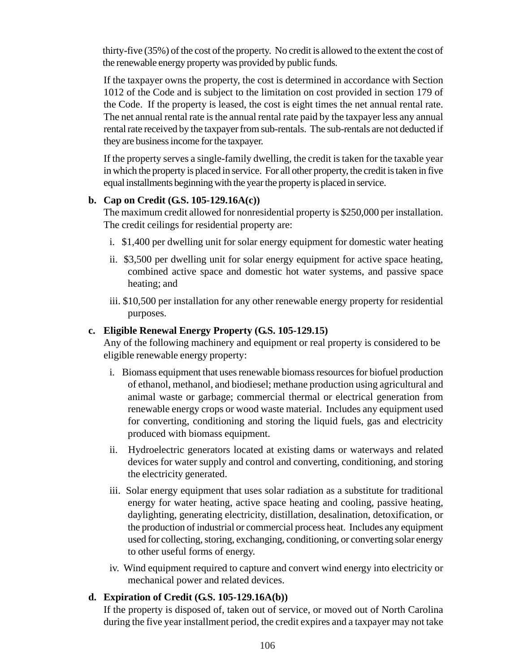thirty-five (35%) of the cost of the property. No credit is allowed to the extent the cost of the renewable energy property was provided by public funds.

If the taxpayer owns the property, the cost is determined in accordance with Section 1012 of the Code and is subject to the limitation on cost provided in section 179 of the Code. If the property is leased, the cost is eight times the net annual rental rate. The net annual rental rate is the annual rental rate paid by the taxpayer less any annual rental rate received by the taxpayer from sub-rentals. The sub-rentals are not deducted if they are business income for the taxpayer.

If the property serves a single-family dwelling, the credit is taken for the taxable year in which the property is placed in service. For all other property, the credit is taken in five equal installments beginning with the year the property is placed in service.

#### **b. Cap on Credit (G.S. 105-129.16A(c))**

The maximum credit allowed for nonresidential property is \$250,000 per installation. The credit ceilings for residential property are:

- i. \$1,400 per dwelling unit for solar energy equipment for domestic water heating
- ii. \$3,500 per dwelling unit for solar energy equipment for active space heating, combined active space and domestic hot water systems, and passive space heating; and
- iii. \$10,500 per installation for any other renewable energy property for residential purposes.

# **c. Eligible Renewal Energy Property (G.S. 105-129.15)**

Any of the following machinery and equipment or real property is considered to be eligible renewable energy property:

- i. Biomass equipment that uses renewable biomass resources for biofuel production of ethanol, methanol, and biodiesel; methane production using agricultural and animal waste or garbage; commercial thermal or electrical generation from renewable energy crops or wood waste material. Includes any equipment used for converting, conditioning and storing the liquid fuels, gas and electricity produced with biomass equipment.
- ii. Hydroelectric generators located at existing dams or waterways and related devices for water supply and control and converting, conditioning, and storing the electricity generated.
- iii. Solar energy equipment that uses solar radiation as a substitute for traditional energy for water heating, active space heating and cooling, passive heating, daylighting, generating electricity, distillation, desalination, detoxification, or the production of industrial or commercial process heat. Includes any equipment used for collecting, storing, exchanging, conditioning, or converting solar energy to other useful forms of energy.
- iv. Wind equipment required to capture and convert wind energy into electricity or mechanical power and related devices.

# **d. Expiration of Credit (G.S. 105-129.16A(b))**

If the property is disposed of, taken out of service, or moved out of North Carolina during the five year installment period, the credit expires and a taxpayer may not take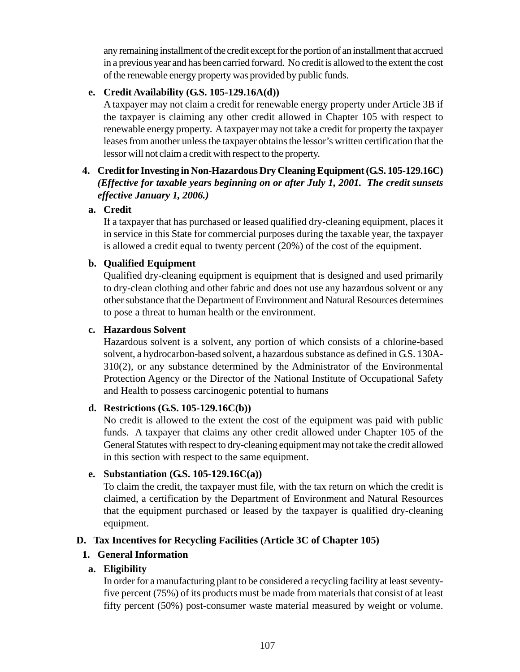any remaining installment of the credit except for the portion of an installment that accrued in a previous year and has been carried forward. No credit is allowed to the extent the cost of the renewable energy property was provided by public funds.

# **e. Credit Availability (G.S. 105-129.16A(d))**

A taxpayer may not claim a credit for renewable energy property under Article 3B if the taxpayer is claiming any other credit allowed in Chapter 105 with respect to renewable energy property. A taxpayer may not take a credit for property the taxpayer leases from another unless the taxpayer obtains the lessor's written certification that the lessor will not claim a credit with respect to the property.

# **4. Credit for Investing in Non-Hazardous Dry Cleaning Equipment (G.S. 105-129.16C)** *(Effective for taxable years beginning on or after July 1, 2001. The credit sunsets effective January 1, 2006.)*

# **a. Credit**

If a taxpayer that has purchased or leased qualified dry-cleaning equipment, places it in service in this State for commercial purposes during the taxable year, the taxpayer is allowed a credit equal to twenty percent (20%) of the cost of the equipment.

# **b. Qualified Equipment**

Qualified dry-cleaning equipment is equipment that is designed and used primarily to dry-clean clothing and other fabric and does not use any hazardous solvent or any other substance that the Department of Environment and Natural Resources determines to pose a threat to human health or the environment.

# **c. Hazardous Solvent**

Hazardous solvent is a solvent, any portion of which consists of a chlorine-based solvent, a hydrocarbon-based solvent, a hazardous substance as defined in G.S. 130A-310(2), or any substance determined by the Administrator of the Environmental Protection Agency or the Director of the National Institute of Occupational Safety and Health to possess carcinogenic potential to humans

# **d. Restrictions (G.S. 105-129.16C(b))**

No credit is allowed to the extent the cost of the equipment was paid with public funds. A taxpayer that claims any other credit allowed under Chapter 105 of the General Statutes with respect to dry-cleaning equipment may not take the credit allowed in this section with respect to the same equipment.

# **e. Substantiation (G.S. 105-129.16C(a))**

To claim the credit, the taxpayer must file, with the tax return on which the credit is claimed, a certification by the Department of Environment and Natural Resources that the equipment purchased or leased by the taxpayer is qualified dry-cleaning equipment.

# **D. Tax Incentives for Recycling Facilities (Article 3C of Chapter 105)**

# **1. General Information**

# **a. Eligibility**

In order for a manufacturing plant to be considered a recycling facility at least seventyfive percent (75%) of its products must be made from materials that consist of at least fifty percent (50%) post-consumer waste material measured by weight or volume.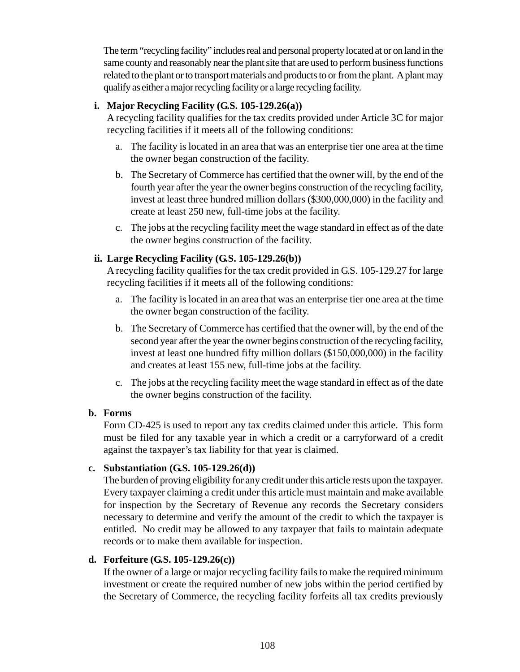The term "recycling facility" includes real and personal property located at or on land in the same county and reasonably near the plant site that are used to perform business functions related to the plant or to transport materials and products to or from the plant. A plant may qualify as either a major recycling facility or a large recycling facility.

# **i. Major Recycling Facility (G.S. 105-129.26(a))**

A recycling facility qualifies for the tax credits provided under Article 3C for major recycling facilities if it meets all of the following conditions:

- a. The facility is located in an area that was an enterprise tier one area at the time the owner began construction of the facility.
- b. The Secretary of Commerce has certified that the owner will, by the end of the fourth year after the year the owner begins construction of the recycling facility, invest at least three hundred million dollars (\$300,000,000) in the facility and create at least 250 new, full-time jobs at the facility.
- c. The jobs at the recycling facility meet the wage standard in effect as of the date the owner begins construction of the facility.

# **ii. Large Recycling Facility (G.S. 105-129.26(b))**

A recycling facility qualifies for the tax credit provided in G.S. 105-129.27 for large recycling facilities if it meets all of the following conditions:

- a. The facility is located in an area that was an enterprise tier one area at the time the owner began construction of the facility.
- b. The Secretary of Commerce has certified that the owner will, by the end of the second year after the year the owner begins construction of the recycling facility, invest at least one hundred fifty million dollars (\$150,000,000) in the facility and creates at least 155 new, full-time jobs at the facility.
- c. The jobs at the recycling facility meet the wage standard in effect as of the date the owner begins construction of the facility.

# **b. Forms**

Form CD-425 is used to report any tax credits claimed under this article. This form must be filed for any taxable year in which a credit or a carryforward of a credit against the taxpayer's tax liability for that year is claimed.

# **c. Substantiation (G.S. 105-129.26(d))**

The burden of proving eligibility for any credit under this article rests upon the taxpayer. Every taxpayer claiming a credit under this article must maintain and make available for inspection by the Secretary of Revenue any records the Secretary considers necessary to determine and verify the amount of the credit to which the taxpayer is entitled. No credit may be allowed to any taxpayer that fails to maintain adequate records or to make them available for inspection.

# **d. Forfeiture (G.S. 105-129.26(c))**

If the owner of a large or major recycling facility fails to make the required minimum investment or create the required number of new jobs within the period certified by the Secretary of Commerce, the recycling facility forfeits all tax credits previously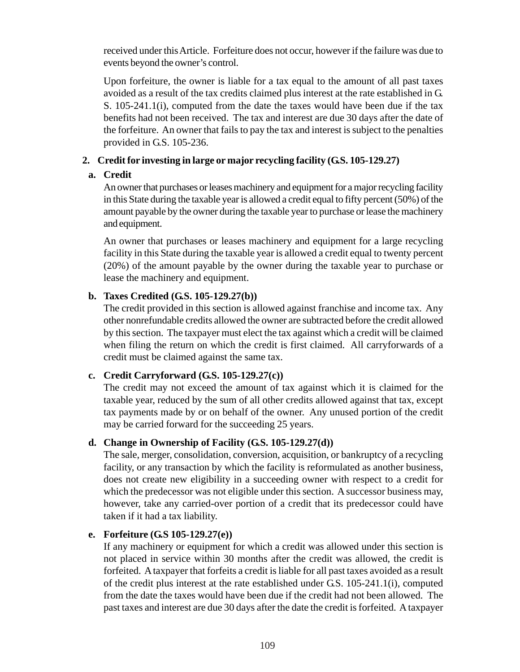received under this Article. Forfeiture does not occur, however if the failure was due to events beyond the owner's control.

Upon forfeiture, the owner is liable for a tax equal to the amount of all past taxes avoided as a result of the tax credits claimed plus interest at the rate established in G. S. 105-241.1(i), computed from the date the taxes would have been due if the tax benefits had not been received. The tax and interest are due 30 days after the date of the forfeiture. An owner that fails to pay the tax and interest is subject to the penalties provided in G.S. 105-236.

# **2. Credit for investing in large or major recycling facility (G.S. 105-129.27)**

# **a. Credit**

An owner that purchases or leases machinery and equipment for a major recycling facility in this State during the taxable year is allowed a credit equal to fifty percent (50%) of the amount payable by the owner during the taxable year to purchase or lease the machinery and equipment.

An owner that purchases or leases machinery and equipment for a large recycling facility in this State during the taxable year is allowed a credit equal to twenty percent (20%) of the amount payable by the owner during the taxable year to purchase or lease the machinery and equipment.

# **b. Taxes Credited (G.S. 105-129.27(b))**

The credit provided in this section is allowed against franchise and income tax. Any other nonrefundable credits allowed the owner are subtracted before the credit allowed by this section. The taxpayer must elect the tax against which a credit will be claimed when filing the return on which the credit is first claimed. All carryforwards of a credit must be claimed against the same tax.

# **c. Credit Carryforward (G.S. 105-129.27(c))**

The credit may not exceed the amount of tax against which it is claimed for the taxable year, reduced by the sum of all other credits allowed against that tax, except tax payments made by or on behalf of the owner. Any unused portion of the credit may be carried forward for the succeeding 25 years.

# **d. Change in Ownership of Facility (G.S. 105-129.27(d))**

The sale, merger, consolidation, conversion, acquisition, or bankruptcy of a recycling facility, or any transaction by which the facility is reformulated as another business, does not create new eligibility in a succeeding owner with respect to a credit for which the predecessor was not eligible under this section. A successor business may, however, take any carried-over portion of a credit that its predecessor could have taken if it had a tax liability.

# **e. Forfeiture (G.S 105-129.27(e))**

If any machinery or equipment for which a credit was allowed under this section is not placed in service within 30 months after the credit was allowed, the credit is forfeited. A taxpayer that forfeits a credit is liable for all past taxes avoided as a result of the credit plus interest at the rate established under G.S. 105-241.1(i), computed from the date the taxes would have been due if the credit had not been allowed. The past taxes and interest are due 30 days after the date the credit is forfeited. A taxpayer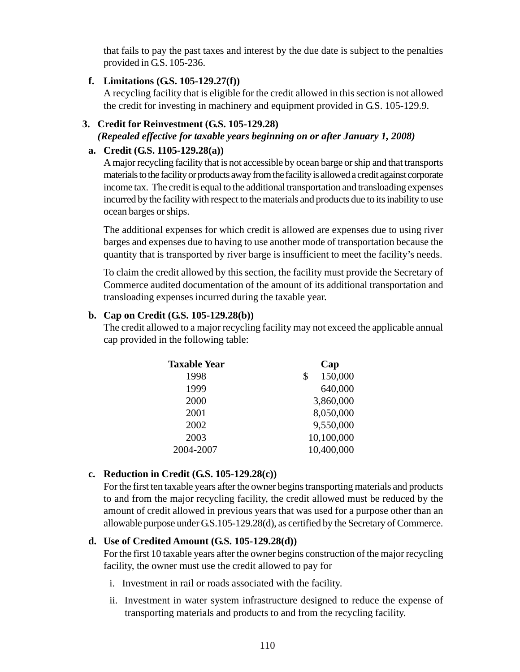that fails to pay the past taxes and interest by the due date is subject to the penalties provided in G.S. 105-236.

# **f. Limitations (G.S. 105-129.27(f))**

A recycling facility that is eligible for the credit allowed in this section is not allowed the credit for investing in machinery and equipment provided in G.S. 105-129.9.

# **3. Credit for Reinvestment (G.S. 105-129.28)** *(Repealed effective for taxable years beginning on or after January 1, 2008)*

#### **a. Credit (G.S. 1105-129.28(a))**

A major recycling facility that is not accessible by ocean barge or ship and that transports materials to the facility or products away from the facility is allowed a credit against corporate income tax. The credit is equal to the additional transportation and transloading expenses incurred by the facility with respect to the materials and products due to its inability to use ocean barges or ships.

The additional expenses for which credit is allowed are expenses due to using river barges and expenses due to having to use another mode of transportation because the quantity that is transported by river barge is insufficient to meet the facility's needs.

To claim the credit allowed by this section, the facility must provide the Secretary of Commerce audited documentation of the amount of its additional transportation and transloading expenses incurred during the taxable year.

#### **b. Cap on Credit (G.S. 105-129.28(b))**

The credit allowed to a major recycling facility may not exceed the applicable annual cap provided in the following table:

| <b>Taxable Year</b> | Cap           |
|---------------------|---------------|
| 1998                | 150,000<br>\$ |
| 1999                | 640,000       |
| 2000                | 3,860,000     |
| 2001                | 8,050,000     |
| 2002                | 9,550,000     |
| 2003                | 10,100,000    |
| 2004-2007           | 10,400,000    |
|                     |               |

# **c. Reduction in Credit (G.S. 105-129.28(c))**

For the first ten taxable years after the owner begins transporting materials and products to and from the major recycling facility, the credit allowed must be reduced by the amount of credit allowed in previous years that was used for a purpose other than an allowable purpose under G.S.105-129.28(d), as certified by the Secretary of Commerce.

# **d. Use of Credited Amount (G.S. 105-129.28(d))**

For the first 10 taxable years after the owner begins construction of the major recycling facility, the owner must use the credit allowed to pay for

- i. Investment in rail or roads associated with the facility.
- ii. Investment in water system infrastructure designed to reduce the expense of transporting materials and products to and from the recycling facility.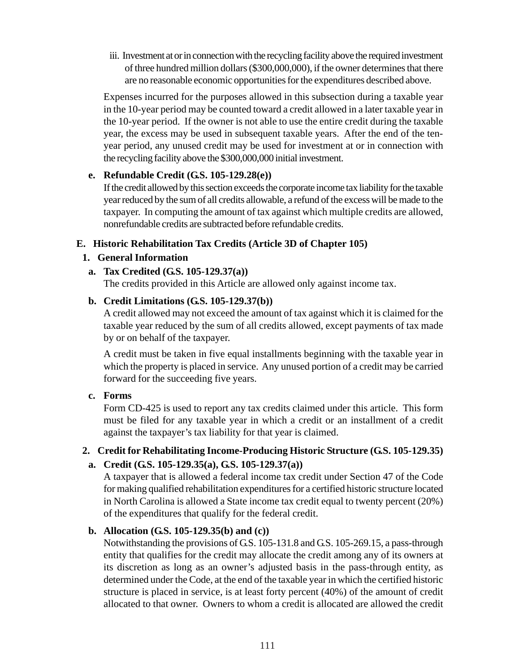iii. Investment at or in connection with the recycling facility above the required investment of three hundred million dollars (\$300,000,000), if the owner determines that there are no reasonable economic opportunities for the expenditures described above.

Expenses incurred for the purposes allowed in this subsection during a taxable year in the 10-year period may be counted toward a credit allowed in a later taxable year in the 10-year period. If the owner is not able to use the entire credit during the taxable year, the excess may be used in subsequent taxable years. After the end of the tenyear period, any unused credit may be used for investment at or in connection with the recycling facility above the \$300,000,000 initial investment.

#### **e. Refundable Credit (G.S. 105-129.28(e))**

If the credit allowed by this section exceeds the corporate income tax liability for the taxable year reduced by the sum of all credits allowable, a refund of the excess will be made to the taxpayer. In computing the amount of tax against which multiple credits are allowed, nonrefundable credits are subtracted before refundable credits.

#### **E. Historic Rehabilitation Tax Credits (Article 3D of Chapter 105)**

#### **1. General Information**

#### **a. Tax Credited (G.S. 105-129.37(a))**

The credits provided in this Article are allowed only against income tax.

#### **b. Credit Limitations (G.S. 105-129.37(b))**

A credit allowed may not exceed the amount of tax against which it is claimed for the taxable year reduced by the sum of all credits allowed, except payments of tax made by or on behalf of the taxpayer.

A credit must be taken in five equal installments beginning with the taxable year in which the property is placed in service. Any unused portion of a credit may be carried forward for the succeeding five years.

#### **c. Forms**

Form CD-425 is used to report any tax credits claimed under this article. This form must be filed for any taxable year in which a credit or an installment of a credit against the taxpayer's tax liability for that year is claimed.

# **2. Credit for Rehabilitating Income-Producing Historic Structure (G.S. 105-129.35) a. Credit (G.S. 105-129.35(a), G.S. 105-129.37(a))**

A taxpayer that is allowed a federal income tax credit under Section 47 of the Code

for making qualified rehabilitation expenditures for a certified historic structure located in North Carolina is allowed a State income tax credit equal to twenty percent (20%) of the expenditures that qualify for the federal credit.

# **b. Allocation (G.S. 105-129.35(b) and (c))**

Notwithstanding the provisions of G.S. 105-131.8 and G.S. 105-269.15, a pass-through entity that qualifies for the credit may allocate the credit among any of its owners at its discretion as long as an owner's adjusted basis in the pass-through entity, as determined under the Code, at the end of the taxable year in which the certified historic structure is placed in service, is at least forty percent (40%) of the amount of credit allocated to that owner. Owners to whom a credit is allocated are allowed the credit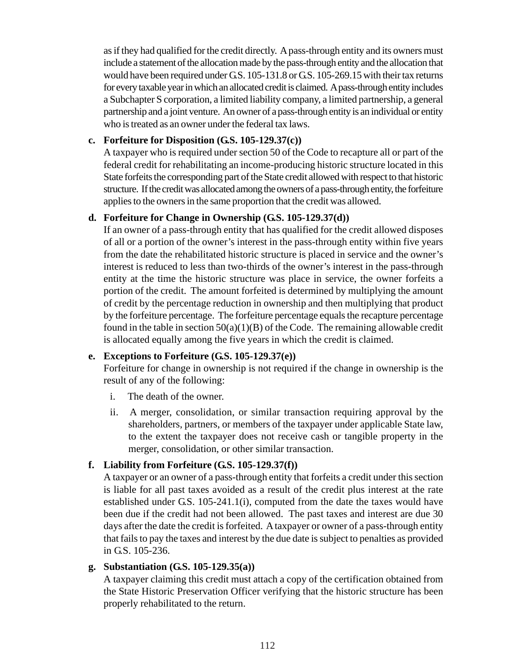as if they had qualified for the credit directly. A pass-through entity and its owners must include a statement of the allocation made by the pass-through entity and the allocation that would have been required under G.S. 105-131.8 or G.S. 105-269.15 with their tax returns for every taxable year in which an allocated credit is claimed. A pass-through entity includes a Subchapter S corporation, a limited liability company, a limited partnership, a general partnership and a joint venture. An owner of a pass-through entity is an individual or entity who is treated as an owner under the federal tax laws.

#### **c. Forfeiture for Disposition (G.S. 105-129.37(c))**

A taxpayer who is required under section 50 of the Code to recapture all or part of the federal credit for rehabilitating an income-producing historic structure located in this State forfeits the corresponding part of the State credit allowed with respect to that historic structure. If the credit was allocated among the owners of a pass-through entity, the forfeiture applies to the owners in the same proportion that the credit was allowed.

#### **d. Forfeiture for Change in Ownership (G.S. 105-129.37(d))**

If an owner of a pass-through entity that has qualified for the credit allowed disposes of all or a portion of the owner's interest in the pass-through entity within five years from the date the rehabilitated historic structure is placed in service and the owner's interest is reduced to less than two-thirds of the owner's interest in the pass-through entity at the time the historic structure was place in service, the owner forfeits a portion of the credit. The amount forfeited is determined by multiplying the amount of credit by the percentage reduction in ownership and then multiplying that product by the forfeiture percentage. The forfeiture percentage equals the recapture percentage found in the table in section  $50(a)(1)(B)$  of the Code. The remaining allowable credit is allocated equally among the five years in which the credit is claimed.

#### **e. Exceptions to Forfeiture (G.S. 105-129.37(e))**

Forfeiture for change in ownership is not required if the change in ownership is the result of any of the following:

- i. The death of the owner.
- ii. A merger, consolidation, or similar transaction requiring approval by the shareholders, partners, or members of the taxpayer under applicable State law, to the extent the taxpayer does not receive cash or tangible property in the merger, consolidation, or other similar transaction.

# **f. Liability from Forfeiture (G.S. 105-129.37(f))**

A taxpayer or an owner of a pass-through entity that forfeits a credit under this section is liable for all past taxes avoided as a result of the credit plus interest at the rate established under G.S. 105-241.1(i), computed from the date the taxes would have been due if the credit had not been allowed. The past taxes and interest are due 30 days after the date the credit is forfeited. A taxpayer or owner of a pass-through entity that fails to pay the taxes and interest by the due date is subject to penalties as provided in G.S. 105-236.

#### **g. Substantiation (G.S. 105-129.35(a))**

A taxpayer claiming this credit must attach a copy of the certification obtained from the State Historic Preservation Officer verifying that the historic structure has been properly rehabilitated to the return.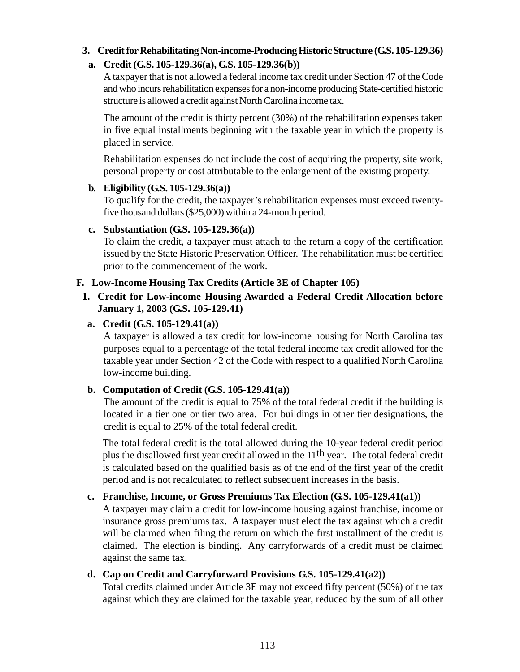# **3. Credit for Rehabilitating Non-income-Producing Historic Structure (G.S. 105-129.36)**

# **a. Credit (G.S. 105-129.36(a), G.S. 105-129.36(b))**

A taxpayer that is not allowed a federal income tax credit under Section 47 of the Code and who incurs rehabilitation expenses for a non-income producing State-certified historic structure is allowed a credit against North Carolina income tax.

The amount of the credit is thirty percent (30%) of the rehabilitation expenses taken in five equal installments beginning with the taxable year in which the property is placed in service.

Rehabilitation expenses do not include the cost of acquiring the property, site work, personal property or cost attributable to the enlargement of the existing property.

# **b. Eligibility (G.S. 105-129.36(a))**

To qualify for the credit, the taxpayer's rehabilitation expenses must exceed twentyfive thousand dollars (\$25,000) within a 24-month period.

# **c. Substantiation (G.S. 105-129.36(a))**

To claim the credit, a taxpayer must attach to the return a copy of the certification issued by the State Historic Preservation Officer. The rehabilitation must be certified prior to the commencement of the work.

# **F. Low-Income Housing Tax Credits (Article 3E of Chapter 105)**

# **1. Credit for Low-income Housing Awarded a Federal Credit Allocation before January 1, 2003 (G.S. 105-129.41)**

# **a. Credit (G.S. 105-129.41(a))**

A taxpayer is allowed a tax credit for low-income housing for North Carolina tax purposes equal to a percentage of the total federal income tax credit allowed for the taxable year under Section 42 of the Code with respect to a qualified North Carolina low-income building.

# **b. Computation of Credit (G.S. 105-129.41(a))**

The amount of the credit is equal to 75% of the total federal credit if the building is located in a tier one or tier two area. For buildings in other tier designations, the credit is equal to 25% of the total federal credit.

The total federal credit is the total allowed during the 10-year federal credit period plus the disallowed first year credit allowed in the 11th year. The total federal credit is calculated based on the qualified basis as of the end of the first year of the credit period and is not recalculated to reflect subsequent increases in the basis.

# **c. Franchise, Income, or Gross Premiums Tax Election (G.S. 105-129.41(a1))**

A taxpayer may claim a credit for low-income housing against franchise, income or insurance gross premiums tax. A taxpayer must elect the tax against which a credit will be claimed when filing the return on which the first installment of the credit is claimed. The election is binding. Any carryforwards of a credit must be claimed against the same tax.

# **d. Cap on Credit and Carryforward Provisions G.S. 105-129.41(a2))**

Total credits claimed under Article 3E may not exceed fifty percent (50%) of the tax against which they are claimed for the taxable year, reduced by the sum of all other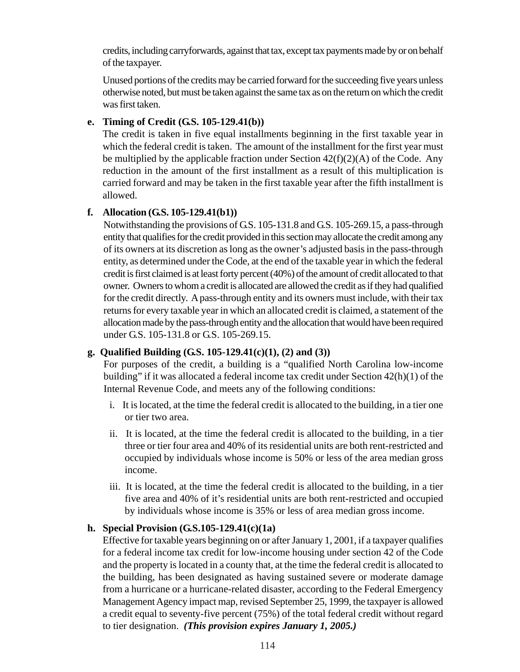credits, including carryforwards, against that tax, except tax payments made by or on behalf of the taxpayer.

Unused portions of the credits may be carried forward for the succeeding five years unless otherwise noted, but must be taken against the same tax as on the return on which the credit was first taken.

#### **e. Timing of Credit (G.S. 105-129.41(b))**

The credit is taken in five equal installments beginning in the first taxable year in which the federal credit is taken. The amount of the installment for the first year must be multiplied by the applicable fraction under Section  $42(f)(2)(A)$  of the Code. Any reduction in the amount of the first installment as a result of this multiplication is carried forward and may be taken in the first taxable year after the fifth installment is allowed.

#### **f. Allocation (G.S. 105-129.41(b1))**

Notwithstanding the provisions of G.S. 105-131.8 and G.S. 105-269.15, a pass-through entity that qualifies for the credit provided in this section may allocate the credit among any of its owners at its discretion as long as the owner's adjusted basis in the pass-through entity, as determined under the Code, at the end of the taxable year in which the federal credit is first claimed is at least forty percent (40%) of the amount of credit allocated to that owner. Owners to whom a credit is allocated are allowed the credit as if they had qualified for the credit directly. A pass-through entity and its owners must include, with their tax returns for every taxable year in which an allocated credit is claimed, a statement of the allocation made by the pass-through entity and the allocation that would have been required under G.S. 105-131.8 or G.S. 105-269.15.

# **g. Qualified Building (G.S. 105-129.41(c)(1), (2) and (3))**

For purposes of the credit, a building is a "qualified North Carolina low-income building" if it was allocated a federal income tax credit under Section 42(h)(1) of the Internal Revenue Code, and meets any of the following conditions:

- i. It is located, at the time the federal credit is allocated to the building, in a tier one or tier two area.
- ii. It is located, at the time the federal credit is allocated to the building, in a tier three or tier four area and 40% of its residential units are both rent-restricted and occupied by individuals whose income is 50% or less of the area median gross income.
- iii. It is located, at the time the federal credit is allocated to the building, in a tier five area and 40% of it's residential units are both rent-restricted and occupied by individuals whose income is 35% or less of area median gross income.

#### **h. Special Provision (G.S.105-129.41(c)(1a)**

Effective for taxable years beginning on or after January 1, 2001, if a taxpayer qualifies for a federal income tax credit for low-income housing under section 42 of the Code and the property is located in a county that, at the time the federal credit is allocated to the building, has been designated as having sustained severe or moderate damage from a hurricane or a hurricane-related disaster, according to the Federal Emergency Management Agency impact map, revised September 25, 1999, the taxpayer is allowed a credit equal to seventy-five percent (75%) of the total federal credit without regard to tier designation. *(This provision expires January 1, 2005.)*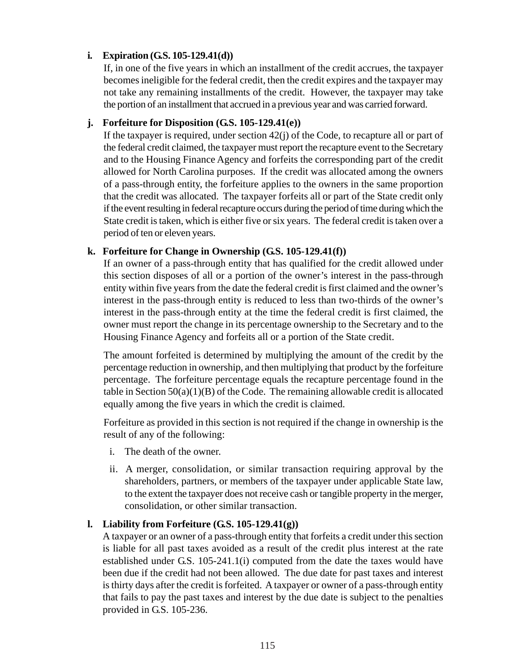# **i. Expiration (G.S. 105-129.41(d))**

If, in one of the five years in which an installment of the credit accrues, the taxpayer becomes ineligible for the federal credit, then the credit expires and the taxpayer may not take any remaining installments of the credit. However, the taxpayer may take the portion of an installment that accrued in a previous year and was carried forward.

#### **j. Forfeiture for Disposition (G.S. 105-129.41(e))**

If the taxpayer is required, under section 42(j) of the Code, to recapture all or part of the federal credit claimed, the taxpayer must report the recapture event to the Secretary and to the Housing Finance Agency and forfeits the corresponding part of the credit allowed for North Carolina purposes. If the credit was allocated among the owners of a pass-through entity, the forfeiture applies to the owners in the same proportion that the credit was allocated. The taxpayer forfeits all or part of the State credit only if the event resulting in federal recapture occurs during the period of time during which the State credit is taken, which is either five or six years. The federal credit is taken over a period of ten or eleven years.

# **k. Forfeiture for Change in Ownership (G.S. 105-129.41(f))**

If an owner of a pass-through entity that has qualified for the credit allowed under this section disposes of all or a portion of the owner's interest in the pass-through entity within five years from the date the federal credit is first claimed and the owner's interest in the pass-through entity is reduced to less than two-thirds of the owner's interest in the pass-through entity at the time the federal credit is first claimed, the owner must report the change in its percentage ownership to the Secretary and to the Housing Finance Agency and forfeits all or a portion of the State credit.

The amount forfeited is determined by multiplying the amount of the credit by the percentage reduction in ownership, and then multiplying that product by the forfeiture percentage. The forfeiture percentage equals the recapture percentage found in the table in Section  $50(a)(1)(B)$  of the Code. The remaining allowable credit is allocated equally among the five years in which the credit is claimed.

Forfeiture as provided in this section is not required if the change in ownership is the result of any of the following:

- i. The death of the owner.
- ii. A merger, consolidation, or similar transaction requiring approval by the shareholders, partners, or members of the taxpayer under applicable State law, to the extent the taxpayer does not receive cash or tangible property in the merger, consolidation, or other similar transaction.

#### **l. Liability from Forfeiture (G.S. 105-129.41(g))**

A taxpayer or an owner of a pass-through entity that forfeits a credit under this section is liable for all past taxes avoided as a result of the credit plus interest at the rate established under G.S. 105-241.1(i) computed from the date the taxes would have been due if the credit had not been allowed. The due date for past taxes and interest is thirty days after the credit is forfeited. A taxpayer or owner of a pass-through entity that fails to pay the past taxes and interest by the due date is subject to the penalties provided in G.S. 105-236.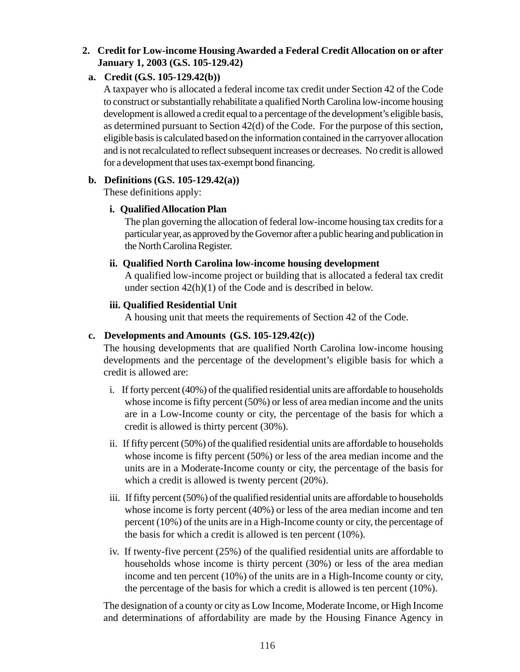# **2. Credit for Low-income Housing Awarded a Federal Credit Allocation on or after January 1, 2003 (G.S. 105-129.42)**

# **a. Credit (G.S. 105-129.42(b))**

A taxpayer who is allocated a federal income tax credit under Section 42 of the Code to construct or substantially rehabilitate a qualified North Carolina low-income housing development is allowed a credit equal to a percentage of the development's eligible basis, as determined pursuant to Section 42(d) of the Code. For the purpose of this section, eligible basis is calculated based on the information contained in the carryover allocation and is not recalculated to reflect subsequent increases or decreases. No credit is allowed for a development that uses tax-exempt bond financing.

# **b. Definitions (G.S. 105-129.42(a))**

These definitions apply:

# **i. Qualified Allocation Plan**

The plan governing the allocation of federal low-income housing tax credits for a particular year, as approved by the Governor after a public hearing and publication in the North Carolina Register.

# **ii. Qualified North Carolina low-income housing development**

A qualified low-income project or building that is allocated a federal tax credit under section 42(h)(1) of the Code and is described in below.

# **iii. Qualified Residential Unit**

A housing unit that meets the requirements of Section 42 of the Code.

# **c. Developments and Amounts (G.S. 105-129.42(c))**

The housing developments that are qualified North Carolina low-income housing developments and the percentage of the development's eligible basis for which a credit is allowed are:

- i. If forty percent (40%) of the qualified residential units are affordable to households whose income is fifty percent (50%) or less of area median income and the units are in a Low-Income county or city, the percentage of the basis for which a credit is allowed is thirty percent (30%).
- ii. If fifty percent (50%) of the qualified residential units are affordable to households whose income is fifty percent (50%) or less of the area median income and the units are in a Moderate-Income county or city, the percentage of the basis for which a credit is allowed is twenty percent (20%).
- iii. If fifty percent (50%) of the qualified residential units are affordable to households whose income is forty percent (40%) or less of the area median income and ten percent (10%) of the units are in a High-Income county or city, the percentage of the basis for which a credit is allowed is ten percent (10%).
- iv. If twenty-five percent (25%) of the qualified residential units are affordable to households whose income is thirty percent (30%) or less of the area median income and ten percent (10%) of the units are in a High-Income county or city, the percentage of the basis for which a credit is allowed is ten percent (10%).

The designation of a county or city as Low Income, Moderate Income, or High Income and determinations of affordability are made by the Housing Finance Agency in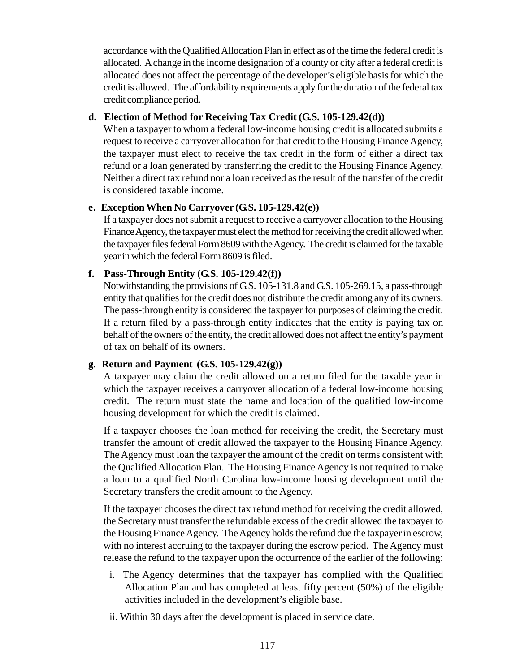accordance with the Qualified Allocation Plan in effect as of the time the federal credit is allocated. A change in the income designation of a county or city after a federal credit is allocated does not affect the percentage of the developer's eligible basis for which the credit is allowed. The affordability requirements apply for the duration of the federal tax credit compliance period.

#### **d. Election of Method for Receiving Tax Credit (G.S. 105-129.42(d))**

When a taxpayer to whom a federal low-income housing credit is allocated submits a request to receive a carryover allocation for that credit to the Housing Finance Agency, the taxpayer must elect to receive the tax credit in the form of either a direct tax refund or a loan generated by transferring the credit to the Housing Finance Agency. Neither a direct tax refund nor a loan received as the result of the transfer of the credit is considered taxable income.

# **e. Exception When No Carryover (G.S. 105-129.42(e))**

If a taxpayer does not submit a request to receive a carryover allocation to the Housing Finance Agency, the taxpayer must elect the method for receiving the credit allowed when the taxpayer files federal Form 8609 with the Agency. The credit is claimed for the taxable year in which the federal Form 8609 is filed.

# **f. Pass-Through Entity (G.S. 105-129.42(f))**

Notwithstanding the provisions of G.S. 105-131.8 and G.S. 105-269.15, a pass-through entity that qualifies for the credit does not distribute the credit among any of its owners. The pass-through entity is considered the taxpayer for purposes of claiming the credit. If a return filed by a pass-through entity indicates that the entity is paying tax on behalf of the owners of the entity, the credit allowed does not affect the entity's payment of tax on behalf of its owners.

# **g. Return and Payment (G.S. 105-129.42(g))**

A taxpayer may claim the credit allowed on a return filed for the taxable year in which the taxpayer receives a carryover allocation of a federal low-income housing credit. The return must state the name and location of the qualified low-income housing development for which the credit is claimed.

If a taxpayer chooses the loan method for receiving the credit, the Secretary must transfer the amount of credit allowed the taxpayer to the Housing Finance Agency. The Agency must loan the taxpayer the amount of the credit on terms consistent with the Qualified Allocation Plan. The Housing Finance Agency is not required to make a loan to a qualified North Carolina low-income housing development until the Secretary transfers the credit amount to the Agency.

If the taxpayer chooses the direct tax refund method for receiving the credit allowed, the Secretary must transfer the refundable excess of the credit allowed the taxpayer to the Housing Finance Agency. The Agency holds the refund due the taxpayer in escrow, with no interest accruing to the taxpayer during the escrow period. The Agency must release the refund to the taxpayer upon the occurrence of the earlier of the following:

- i. The Agency determines that the taxpayer has complied with the Qualified Allocation Plan and has completed at least fifty percent (50%) of the eligible activities included in the development's eligible base.
- ii. Within 30 days after the development is placed in service date.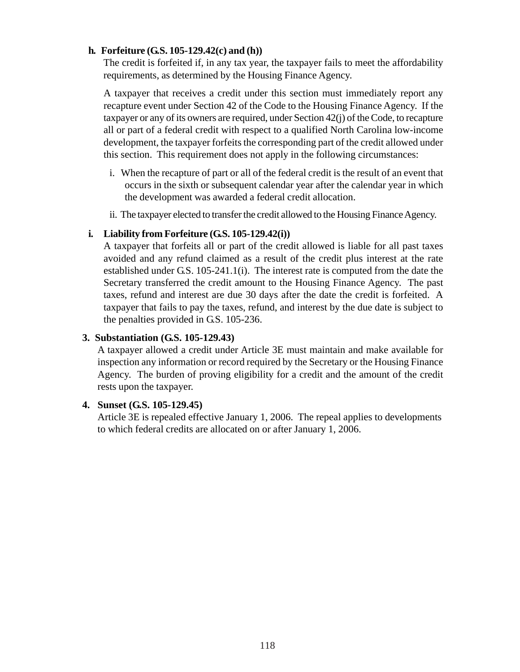#### **h. Forfeiture (G.S. 105-129.42(c) and (h))**

The credit is forfeited if, in any tax year, the taxpayer fails to meet the affordability requirements, as determined by the Housing Finance Agency.

A taxpayer that receives a credit under this section must immediately report any recapture event under Section 42 of the Code to the Housing Finance Agency. If the taxpayer or any of its owners are required, under Section 42(j) of the Code, to recapture all or part of a federal credit with respect to a qualified North Carolina low-income development, the taxpayer forfeits the corresponding part of the credit allowed under this section. This requirement does not apply in the following circumstances:

- i. When the recapture of part or all of the federal credit is the result of an event that occurs in the sixth or subsequent calendar year after the calendar year in which the development was awarded a federal credit allocation.
- ii. The taxpayer elected to transfer the credit allowed to the Housing Finance Agency.

#### **i. Liability from Forfeiture (G.S. 105-129.42(i))**

A taxpayer that forfeits all or part of the credit allowed is liable for all past taxes avoided and any refund claimed as a result of the credit plus interest at the rate established under G.S. 105-241.1(i). The interest rate is computed from the date the Secretary transferred the credit amount to the Housing Finance Agency. The past taxes, refund and interest are due 30 days after the date the credit is forfeited. A taxpayer that fails to pay the taxes, refund, and interest by the due date is subject to the penalties provided in G.S. 105-236.

#### **3. Substantiation (G.S. 105-129.43)**

A taxpayer allowed a credit under Article 3E must maintain and make available for inspection any information or record required by the Secretary or the Housing Finance Agency. The burden of proving eligibility for a credit and the amount of the credit rests upon the taxpayer.

#### **4. Sunset (G.S. 105-129.45)**

Article 3E is repealed effective January 1, 2006. The repeal applies to developments to which federal credits are allocated on or after January 1, 2006.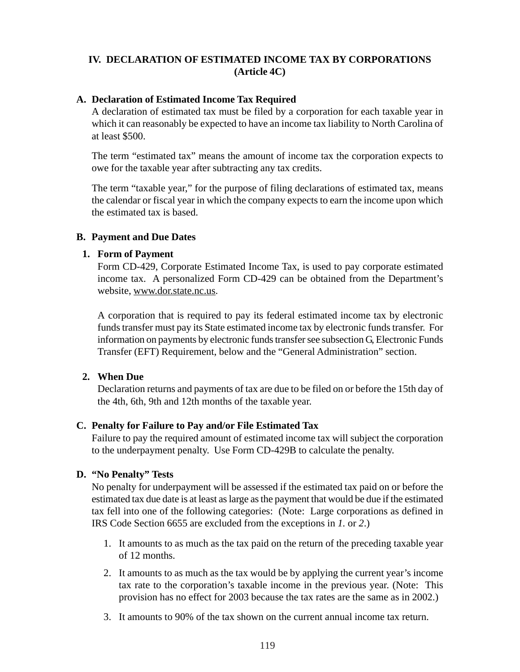# **IV. DECLARATION OF ESTIMATED INCOME TAX BY CORPORATIONS (Article 4C)**

#### **A. Declaration of Estimated Income Tax Required**

A declaration of estimated tax must be filed by a corporation for each taxable year in which it can reasonably be expected to have an income tax liability to North Carolina of at least \$500.

The term "estimated tax" means the amount of income tax the corporation expects to owe for the taxable year after subtracting any tax credits.

The term "taxable year," for the purpose of filing declarations of estimated tax, means the calendar or fiscal year in which the company expects to earn the income upon which the estimated tax is based.

#### **B. Payment and Due Dates**

#### **1. Form of Payment**

Form CD-429, Corporate Estimated Income Tax, is used to pay corporate estimated income tax. A personalized Form CD-429 can be obtained from the Department's website, www.dor.state.nc.us.

A corporation that is required to pay its federal estimated income tax by electronic funds transfer must pay its State estimated income tax by electronic funds transfer. For information on payments by electronic funds transfer see subsection G, Electronic Funds Transfer (EFT) Requirement, below and the "General Administration" section.

# **2. When Due**

Declaration returns and payments of tax are due to be filed on or before the 15th day of the 4th, 6th, 9th and 12th months of the taxable year.

# **C. Penalty for Failure to Pay and/or File Estimated Tax**

Failure to pay the required amount of estimated income tax will subject the corporation to the underpayment penalty. Use Form CD-429B to calculate the penalty.

# **D. "No Penalty" Tests**

No penalty for underpayment will be assessed if the estimated tax paid on or before the estimated tax due date is at least as large as the payment that would be due if the estimated tax fell into one of the following categories: (Note: Large corporations as defined in IRS Code Section 6655 are excluded from the exceptions in *1.* or *2*.)

- 1. It amounts to as much as the tax paid on the return of the preceding taxable year of 12 months.
- 2. It amounts to as much as the tax would be by applying the current year's income tax rate to the corporation's taxable income in the previous year. (Note: This provision has no effect for 2003 because the tax rates are the same as in 2002.)
- 3. It amounts to 90% of the tax shown on the current annual income tax return.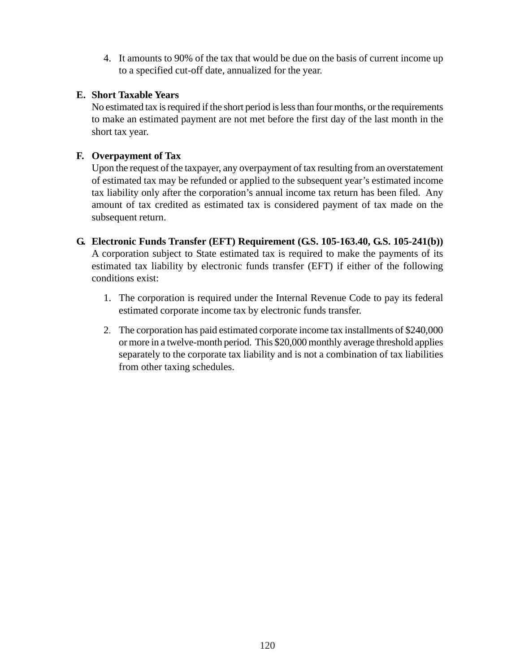4. It amounts to 90% of the tax that would be due on the basis of current income up to a specified cut-off date, annualized for the year.

# **E. Short Taxable Years**

No estimated tax is required if the short period is less than four months, or the requirements to make an estimated payment are not met before the first day of the last month in the short tax year.

# **F. Overpayment of Tax**

Upon the request of the taxpayer, any overpayment of tax resulting from an overstatement of estimated tax may be refunded or applied to the subsequent year's estimated income tax liability only after the corporation's annual income tax return has been filed. Any amount of tax credited as estimated tax is considered payment of tax made on the subsequent return.

- **G. Electronic Funds Transfer (EFT) Requirement (G.S. 105-163.40, G.S. 105-241(b))** A corporation subject to State estimated tax is required to make the payments of its estimated tax liability by electronic funds transfer (EFT) if either of the following conditions exist:
	- 1. The corporation is required under the Internal Revenue Code to pay its federal estimated corporate income tax by electronic funds transfer.
	- 2. The corporation has paid estimated corporate income tax installments of \$240,000 or more in a twelve-month period. This \$20,000 monthly average threshold applies separately to the corporate tax liability and is not a combination of tax liabilities from other taxing schedules.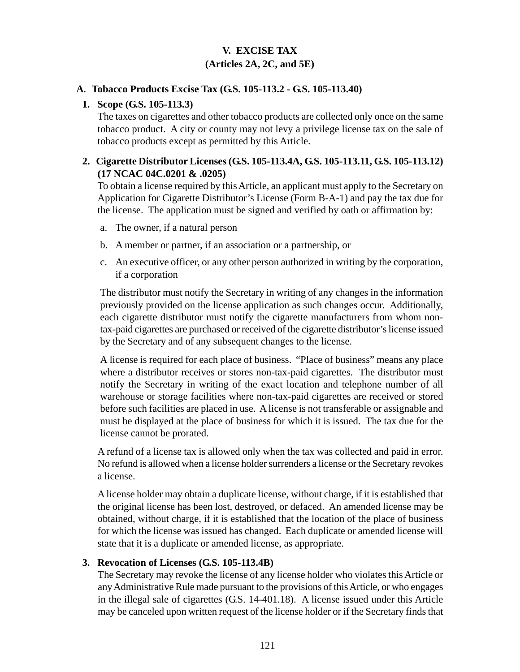# **V. EXCISE TAX (Articles 2A, 2C, and 5E)**

#### **A. Tobacco Products Excise Tax (G.S. 105-113.2 - G.S. 105-113.40)**

#### **1. Scope (G.S. 105-113.3)**

The taxes on cigarettes and other tobacco products are collected only once on the same tobacco product. A city or county may not levy a privilege license tax on the sale of tobacco products except as permitted by this Article.

#### **2. Cigarette Distributor Licenses (G.S. 105-113.4A, G.S. 105-113.11, G.S. 105-113.12) (17 NCAC 04C.0201 & .0205)**

To obtain a license required by this Article, an applicant must apply to the Secretary on Application for Cigarette Distributor's License (Form B-A-1) and pay the tax due for the license. The application must be signed and verified by oath or affirmation by:

- a. The owner, if a natural person
- b. A member or partner, if an association or a partnership, or
- c. An executive officer, or any other person authorized in writing by the corporation, if a corporation

The distributor must notify the Secretary in writing of any changes in the information previously provided on the license application as such changes occur. Additionally, each cigarette distributor must notify the cigarette manufacturers from whom nontax-paid cigarettes are purchased or received of the cigarette distributor's license issued by the Secretary and of any subsequent changes to the license.

A license is required for each place of business. "Place of business" means any place where a distributor receives or stores non-tax-paid cigarettes. The distributor must notify the Secretary in writing of the exact location and telephone number of all warehouse or storage facilities where non-tax-paid cigarettes are received or stored before such facilities are placed in use. A license is not transferable or assignable and must be displayed at the place of business for which it is issued. The tax due for the license cannot be prorated.

A refund of a license tax is allowed only when the tax was collected and paid in error. No refund is allowed when a license holder surrenders a license or the Secretary revokes a license.

A license holder may obtain a duplicate license, without charge, if it is established that the original license has been lost, destroyed, or defaced. An amended license may be obtained, without charge, if it is established that the location of the place of business for which the license was issued has changed. Each duplicate or amended license will state that it is a duplicate or amended license, as appropriate.

# **3. Revocation of Licenses (G.S. 105-113.4B)**

The Secretary may revoke the license of any license holder who violates this Article or any Administrative Rule made pursuant to the provisions of this Article, or who engages in the illegal sale of cigarettes (G.S. 14-401.18). A license issued under this Article may be canceled upon written request of the license holder or if the Secretary finds that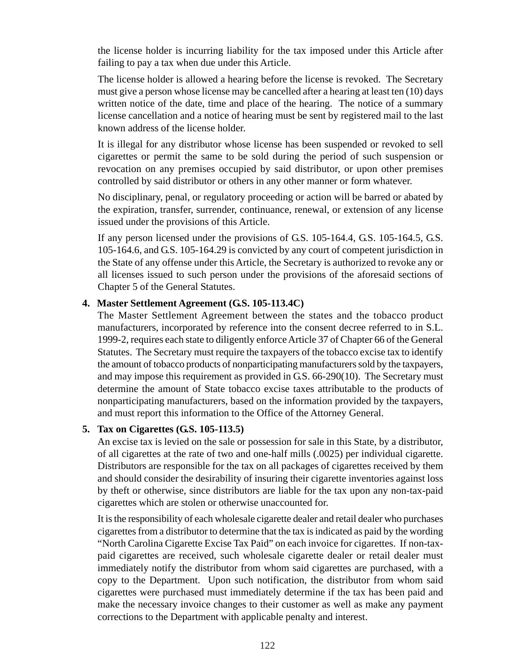the license holder is incurring liability for the tax imposed under this Article after failing to pay a tax when due under this Article.

The license holder is allowed a hearing before the license is revoked. The Secretary must give a person whose license may be cancelled after a hearing at least ten (10) days written notice of the date, time and place of the hearing. The notice of a summary license cancellation and a notice of hearing must be sent by registered mail to the last known address of the license holder.

It is illegal for any distributor whose license has been suspended or revoked to sell cigarettes or permit the same to be sold during the period of such suspension or revocation on any premises occupied by said distributor, or upon other premises controlled by said distributor or others in any other manner or form whatever.

No disciplinary, penal, or regulatory proceeding or action will be barred or abated by the expiration, transfer, surrender, continuance, renewal, or extension of any license issued under the provisions of this Article.

If any person licensed under the provisions of G.S. 105-164.4, G.S. 105-164.5, G.S. 105-164.6, and G.S. 105-164.29 is convicted by any court of competent jurisdiction in the State of any offense under this Article, the Secretary is authorized to revoke any or all licenses issued to such person under the provisions of the aforesaid sections of Chapter 5 of the General Statutes.

# **4. Master Settlement Agreement (G.S. 105-113.4C)**

The Master Settlement Agreement between the states and the tobacco product manufacturers, incorporated by reference into the consent decree referred to in S.L. 1999-2, requires each state to diligently enforce Article 37 of Chapter 66 of the General Statutes. The Secretary must require the taxpayers of the tobacco excise tax to identify the amount of tobacco products of nonparticipating manufacturers sold by the taxpayers, and may impose this requirement as provided in G.S. 66-290(10). The Secretary must determine the amount of State tobacco excise taxes attributable to the products of nonparticipating manufacturers, based on the information provided by the taxpayers, and must report this information to the Office of the Attorney General.

# **5. Tax on Cigarettes (G.S. 105-113.5)**

An excise tax is levied on the sale or possession for sale in this State, by a distributor, of all cigarettes at the rate of two and one-half mills (.0025) per individual cigarette. Distributors are responsible for the tax on all packages of cigarettes received by them and should consider the desirability of insuring their cigarette inventories against loss by theft or otherwise, since distributors are liable for the tax upon any non-tax-paid cigarettes which are stolen or otherwise unaccounted for.

It is the responsibility of each wholesale cigarette dealer and retail dealer who purchases cigarettes from a distributor to determine that the tax is indicated as paid by the wording "North Carolina Cigarette Excise Tax Paid" on each invoice for cigarettes. If non-taxpaid cigarettes are received, such wholesale cigarette dealer or retail dealer must immediately notify the distributor from whom said cigarettes are purchased, with a copy to the Department. Upon such notification, the distributor from whom said cigarettes were purchased must immediately determine if the tax has been paid and make the necessary invoice changes to their customer as well as make any payment corrections to the Department with applicable penalty and interest.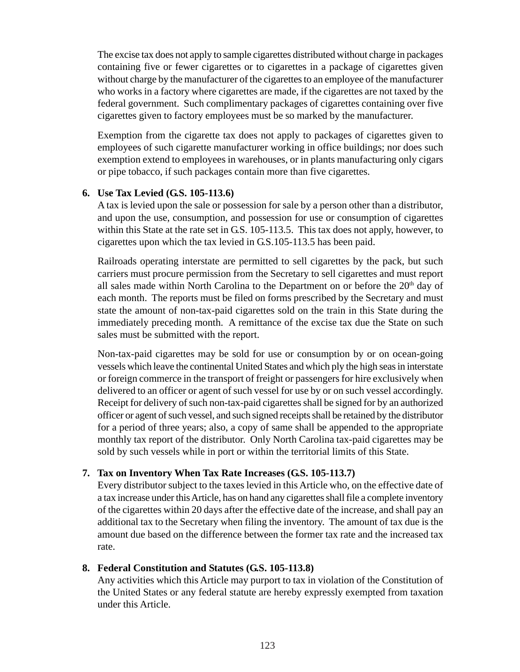The excise tax does not apply to sample cigarettes distributed without charge in packages containing five or fewer cigarettes or to cigarettes in a package of cigarettes given without charge by the manufacturer of the cigarettes to an employee of the manufacturer who works in a factory where cigarettes are made, if the cigarettes are not taxed by the federal government. Such complimentary packages of cigarettes containing over five cigarettes given to factory employees must be so marked by the manufacturer.

Exemption from the cigarette tax does not apply to packages of cigarettes given to employees of such cigarette manufacturer working in office buildings; nor does such exemption extend to employees in warehouses, or in plants manufacturing only cigars or pipe tobacco, if such packages contain more than five cigarettes.

#### **6. Use Tax Levied (G.S. 105-113.6)**

A tax is levied upon the sale or possession for sale by a person other than a distributor, and upon the use, consumption, and possession for use or consumption of cigarettes within this State at the rate set in G.S. 105-113.5. This tax does not apply, however, to cigarettes upon which the tax levied in G.S.105-113.5 has been paid.

Railroads operating interstate are permitted to sell cigarettes by the pack, but such carriers must procure permission from the Secretary to sell cigarettes and must report all sales made within North Carolina to the Department on or before the  $20<sup>th</sup>$  day of each month. The reports must be filed on forms prescribed by the Secretary and must state the amount of non-tax-paid cigarettes sold on the train in this State during the immediately preceding month. A remittance of the excise tax due the State on such sales must be submitted with the report.

Non-tax-paid cigarettes may be sold for use or consumption by or on ocean-going vessels which leave the continental United States and which ply the high seas in interstate or foreign commerce in the transport of freight or passengers for hire exclusively when delivered to an officer or agent of such vessel for use by or on such vessel accordingly. Receipt for delivery of such non-tax-paid cigarettes shall be signed for by an authorized officer or agent of such vessel, and such signed receipts shall be retained by the distributor for a period of three years; also, a copy of same shall be appended to the appropriate monthly tax report of the distributor. Only North Carolina tax-paid cigarettes may be sold by such vessels while in port or within the territorial limits of this State.

# **7. Tax on Inventory When Tax Rate Increases (G.S. 105-113.7)**

Every distributor subject to the taxes levied in this Article who, on the effective date of a tax increase under this Article, has on hand any cigarettes shall file a complete inventory of the cigarettes within 20 days after the effective date of the increase, and shall pay an additional tax to the Secretary when filing the inventory. The amount of tax due is the amount due based on the difference between the former tax rate and the increased tax rate.

#### **8. Federal Constitution and Statutes (G.S. 105-113.8)**

Any activities which this Article may purport to tax in violation of the Constitution of the United States or any federal statute are hereby expressly exempted from taxation under this Article.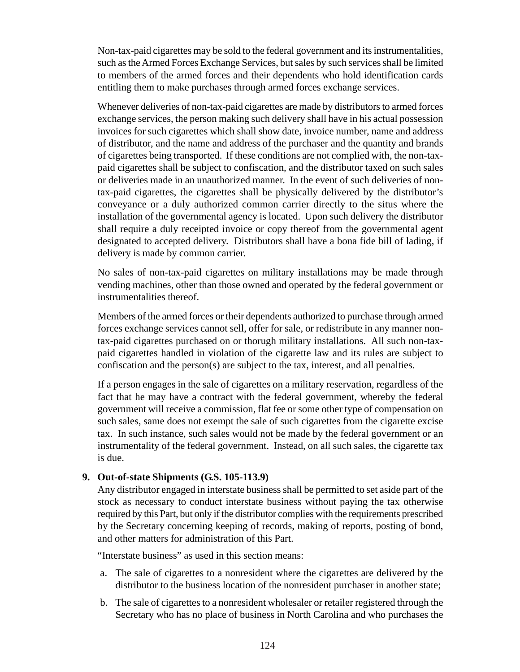Non-tax-paid cigarettes may be sold to the federal government and its instrumentalities, such as the Armed Forces Exchange Services, but sales by such services shall be limited to members of the armed forces and their dependents who hold identification cards entitling them to make purchases through armed forces exchange services.

Whenever deliveries of non-tax-paid cigarettes are made by distributors to armed forces exchange services, the person making such delivery shall have in his actual possession invoices for such cigarettes which shall show date, invoice number, name and address of distributor, and the name and address of the purchaser and the quantity and brands of cigarettes being transported. If these conditions are not complied with, the non-taxpaid cigarettes shall be subject to confiscation, and the distributor taxed on such sales or deliveries made in an unauthorized manner. In the event of such deliveries of nontax-paid cigarettes, the cigarettes shall be physically delivered by the distributor's conveyance or a duly authorized common carrier directly to the situs where the installation of the governmental agency is located. Upon such delivery the distributor shall require a duly receipted invoice or copy thereof from the governmental agent designated to accepted delivery. Distributors shall have a bona fide bill of lading, if delivery is made by common carrier.

No sales of non-tax-paid cigarettes on military installations may be made through vending machines, other than those owned and operated by the federal government or instrumentalities thereof.

Members of the armed forces or their dependents authorized to purchase through armed forces exchange services cannot sell, offer for sale, or redistribute in any manner nontax-paid cigarettes purchased on or thorugh military installations. All such non-taxpaid cigarettes handled in violation of the cigarette law and its rules are subject to confiscation and the person(s) are subject to the tax, interest, and all penalties.

If a person engages in the sale of cigarettes on a military reservation, regardless of the fact that he may have a contract with the federal government, whereby the federal government will receive a commission, flat fee or some other type of compensation on such sales, same does not exempt the sale of such cigarettes from the cigarette excise tax. In such instance, such sales would not be made by the federal government or an instrumentality of the federal government. Instead, on all such sales, the cigarette tax is due.

#### **9. Out-of-state Shipments (G.S. 105-113.9)**

Any distributor engaged in interstate business shall be permitted to set aside part of the stock as necessary to conduct interstate business without paying the tax otherwise required by this Part, but only if the distributor complies with the requirements prescribed by the Secretary concerning keeping of records, making of reports, posting of bond, and other matters for administration of this Part.

"Interstate business" as used in this section means:

- a. The sale of cigarettes to a nonresident where the cigarettes are delivered by the distributor to the business location of the nonresident purchaser in another state;
- b. The sale of cigarettes to a nonresident wholesaler or retailer registered through the Secretary who has no place of business in North Carolina and who purchases the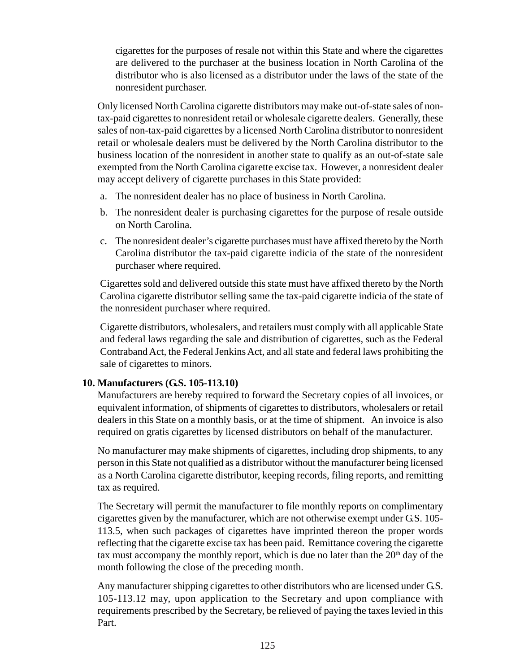cigarettes for the purposes of resale not within this State and where the cigarettes are delivered to the purchaser at the business location in North Carolina of the distributor who is also licensed as a distributor under the laws of the state of the nonresident purchaser.

Only licensed North Carolina cigarette distributors may make out-of-state sales of nontax-paid cigarettes to nonresident retail or wholesale cigarette dealers. Generally, these sales of non-tax-paid cigarettes by a licensed North Carolina distributor to nonresident retail or wholesale dealers must be delivered by the North Carolina distributor to the business location of the nonresident in another state to qualify as an out-of-state sale exempted from the North Carolina cigarette excise tax. However, a nonresident dealer may accept delivery of cigarette purchases in this State provided:

- a. The nonresident dealer has no place of business in North Carolina.
- b. The nonresident dealer is purchasing cigarettes for the purpose of resale outside on North Carolina.
- c. The nonresident dealer's cigarette purchases must have affixed thereto by the North Carolina distributor the tax-paid cigarette indicia of the state of the nonresident purchaser where required.

Cigarettes sold and delivered outside this state must have affixed thereto by the North Carolina cigarette distributor selling same the tax-paid cigarette indicia of the state of the nonresident purchaser where required.

Cigarette distributors, wholesalers, and retailers must comply with all applicable State and federal laws regarding the sale and distribution of cigarettes, such as the Federal Contraband Act, the Federal Jenkins Act, and all state and federal laws prohibiting the sale of cigarettes to minors.

# **10. Manufacturers (G.S. 105-113.10)**

Manufacturers are hereby required to forward the Secretary copies of all invoices, or equivalent information, of shipments of cigarettes to distributors, wholesalers or retail dealers in this State on a monthly basis, or at the time of shipment. An invoice is also required on gratis cigarettes by licensed distributors on behalf of the manufacturer.

No manufacturer may make shipments of cigarettes, including drop shipments, to any person in this State not qualified as a distributor without the manufacturer being licensed as a North Carolina cigarette distributor, keeping records, filing reports, and remitting tax as required.

The Secretary will permit the manufacturer to file monthly reports on complimentary cigarettes given by the manufacturer, which are not otherwise exempt under G.S. 105- 113.5, when such packages of cigarettes have imprinted thereon the proper words reflecting that the cigarette excise tax has been paid. Remittance covering the cigarette tax must accompany the monthly report, which is due no later than the  $20<sup>th</sup>$  day of the month following the close of the preceding month.

Any manufacturer shipping cigarettes to other distributors who are licensed under G.S. 105-113.12 may, upon application to the Secretary and upon compliance with requirements prescribed by the Secretary, be relieved of paying the taxes levied in this Part.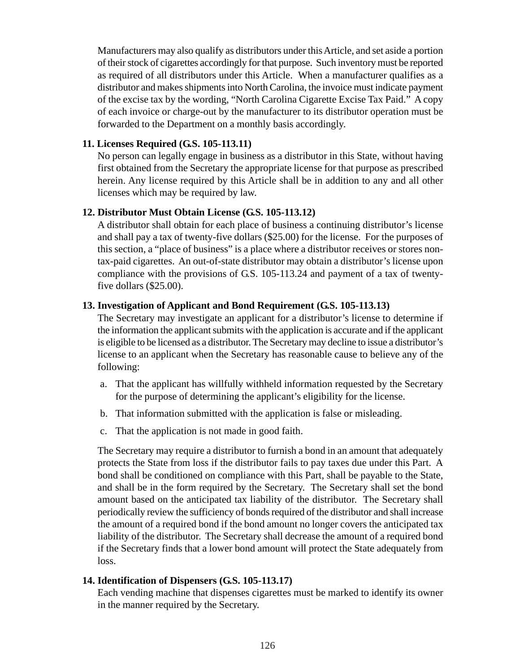Manufacturers may also qualify as distributors under this Article, and set aside a portion of their stock of cigarettes accordingly for that purpose. Such inventory must be reported as required of all distributors under this Article. When a manufacturer qualifies as a distributor and makes shipments into North Carolina, the invoice must indicate payment of the excise tax by the wording, "North Carolina Cigarette Excise Tax Paid." A copy of each invoice or charge-out by the manufacturer to its distributor operation must be forwarded to the Department on a monthly basis accordingly.

#### **11. Licenses Required (G.S. 105-113.11)**

No person can legally engage in business as a distributor in this State, without having first obtained from the Secretary the appropriate license for that purpose as prescribed herein. Any license required by this Article shall be in addition to any and all other licenses which may be required by law.

#### **12. Distributor Must Obtain License (G.S. 105-113.12)**

A distributor shall obtain for each place of business a continuing distributor's license and shall pay a tax of twenty-five dollars (\$25.00) for the license. For the purposes of this section, a "place of business" is a place where a distributor receives or stores nontax-paid cigarettes. An out-of-state distributor may obtain a distributor's license upon compliance with the provisions of G.S. 105-113.24 and payment of a tax of twentyfive dollars (\$25.00).

#### **13. Investigation of Applicant and Bond Requirement (G.S. 105-113.13)**

The Secretary may investigate an applicant for a distributor's license to determine if the information the applicant submits with the application is accurate and if the applicant is eligible to be licensed as a distributor. The Secretary may decline to issue a distributor's license to an applicant when the Secretary has reasonable cause to believe any of the following:

- a. That the applicant has willfully withheld information requested by the Secretary for the purpose of determining the applicant's eligibility for the license.
- b. That information submitted with the application is false or misleading.
- c. That the application is not made in good faith.

The Secretary may require a distributor to furnish a bond in an amount that adequately protects the State from loss if the distributor fails to pay taxes due under this Part. A bond shall be conditioned on compliance with this Part, shall be payable to the State, and shall be in the form required by the Secretary. The Secretary shall set the bond amount based on the anticipated tax liability of the distributor. The Secretary shall periodically review the sufficiency of bonds required of the distributor and shall increase the amount of a required bond if the bond amount no longer covers the anticipated tax liability of the distributor. The Secretary shall decrease the amount of a required bond if the Secretary finds that a lower bond amount will protect the State adequately from loss.

#### **14. Identification of Dispensers (G.S. 105-113.17)**

Each vending machine that dispenses cigarettes must be marked to identify its owner in the manner required by the Secretary.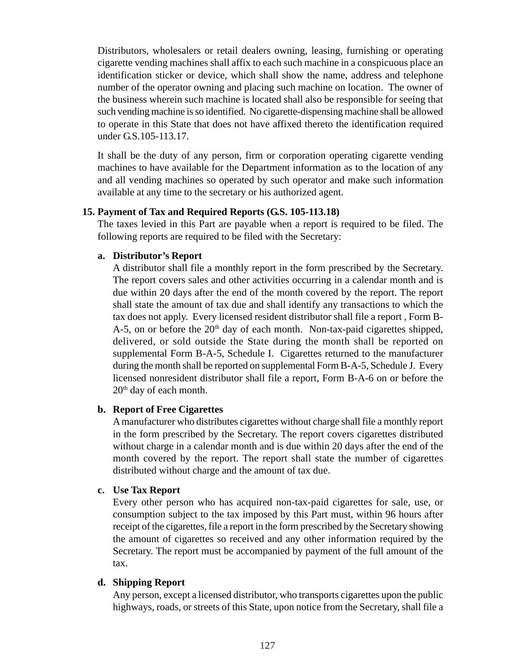Distributors, wholesalers or retail dealers owning, leasing, furnishing or operating cigarette vending machines shall affix to each such machine in a conspicuous place an identification sticker or device, which shall show the name, address and telephone number of the operator owning and placing such machine on location. The owner of the business wherein such machine is located shall also be responsible for seeing that such vending machine is so identified. No cigarette-dispensing machine shall be allowed to operate in this State that does not have affixed thereto the identification required under G.S.105-113.17.

It shall be the duty of any person, firm or corporation operating cigarette vending machines to have available for the Department information as to the location of any and all vending machines so operated by such operator and make such information available at any time to the secretary or his authorized agent.

#### **15. Payment of Tax and Required Reports (G.S. 105-113.18)**

The taxes levied in this Part are payable when a report is required to be filed. The following reports are required to be filed with the Secretary:

#### **a. Distributor's Report**

A distributor shall file a monthly report in the form prescribed by the Secretary. The report covers sales and other activities occurring in a calendar month and is due within 20 days after the end of the month covered by the report. The report shall state the amount of tax due and shall identify any transactions to which the tax does not apply. Every licensed resident distributor shall file a report , Form B-A-5, on or before the  $20<sup>th</sup>$  day of each month. Non-tax-paid cigarettes shipped, delivered, or sold outside the State during the month shall be reported on supplemental Form B-A-5, Schedule I. Cigarettes returned to the manufacturer during the month shall be reported on supplemental Form B-A-5, Schedule J. Every licensed nonresident distributor shall file a report, Form B-A-6 on or before the 20<sup>th</sup> day of each month.

#### **b. Report of Free Cigarettes**

A manufacturer who distributes cigarettes without charge shall file a monthly report in the form prescribed by the Secretary. The report covers cigarettes distributed without charge in a calendar month and is due within 20 days after the end of the month covered by the report. The report shall state the number of cigarettes distributed without charge and the amount of tax due.

#### **c. Use Tax Report**

Every other person who has acquired non-tax-paid cigarettes for sale, use, or consumption subject to the tax imposed by this Part must, within 96 hours after receipt of the cigarettes, file a report in the form prescribed by the Secretary showing the amount of cigarettes so received and any other information required by the Secretary. The report must be accompanied by payment of the full amount of the tax.

#### **d. Shipping Report**

Any person, except a licensed distributor, who transports cigarettes upon the public highways, roads, or streets of this State, upon notice from the Secretary, shall file a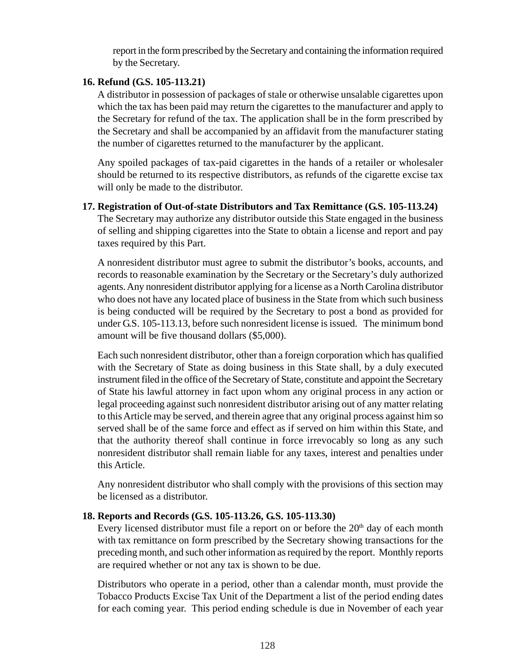report in the form prescribed by the Secretary and containing the information required by the Secretary.

# **16. Refund (G.S. 105-113.21)**

A distributor in possession of packages of stale or otherwise unsalable cigarettes upon which the tax has been paid may return the cigarettes to the manufacturer and apply to the Secretary for refund of the tax. The application shall be in the form prescribed by the Secretary and shall be accompanied by an affidavit from the manufacturer stating the number of cigarettes returned to the manufacturer by the applicant.

Any spoiled packages of tax-paid cigarettes in the hands of a retailer or wholesaler should be returned to its respective distributors, as refunds of the cigarette excise tax will only be made to the distributor.

#### **17. Registration of Out-of-state Distributors and Tax Remittance (G.S. 105-113.24)**

The Secretary may authorize any distributor outside this State engaged in the business of selling and shipping cigarettes into the State to obtain a license and report and pay taxes required by this Part.

A nonresident distributor must agree to submit the distributor's books, accounts, and records to reasonable examination by the Secretary or the Secretary's duly authorized agents. Any nonresident distributor applying for a license as a North Carolina distributor who does not have any located place of business in the State from which such business is being conducted will be required by the Secretary to post a bond as provided for under G.S. 105-113.13, before such nonresident license is issued. The minimum bond amount will be five thousand dollars (\$5,000).

Each such nonresident distributor, other than a foreign corporation which has qualified with the Secretary of State as doing business in this State shall, by a duly executed instrument filed in the office of the Secretary of State, constitute and appoint the Secretary of State his lawful attorney in fact upon whom any original process in any action or legal proceeding against such nonresident distributor arising out of any matter relating to this Article may be served, and therein agree that any original process against him so served shall be of the same force and effect as if served on him within this State, and that the authority thereof shall continue in force irrevocably so long as any such nonresident distributor shall remain liable for any taxes, interest and penalties under this Article.

Any nonresident distributor who shall comply with the provisions of this section may be licensed as a distributor.

# **18. Reports and Records (G.S. 105-113.26, G.S. 105-113.30)**

Every licensed distributor must file a report on or before the  $20<sup>th</sup>$  day of each month with tax remittance on form prescribed by the Secretary showing transactions for the preceding month, and such other information as required by the report. Monthly reports are required whether or not any tax is shown to be due.

Distributors who operate in a period, other than a calendar month, must provide the Tobacco Products Excise Tax Unit of the Department a list of the period ending dates for each coming year. This period ending schedule is due in November of each year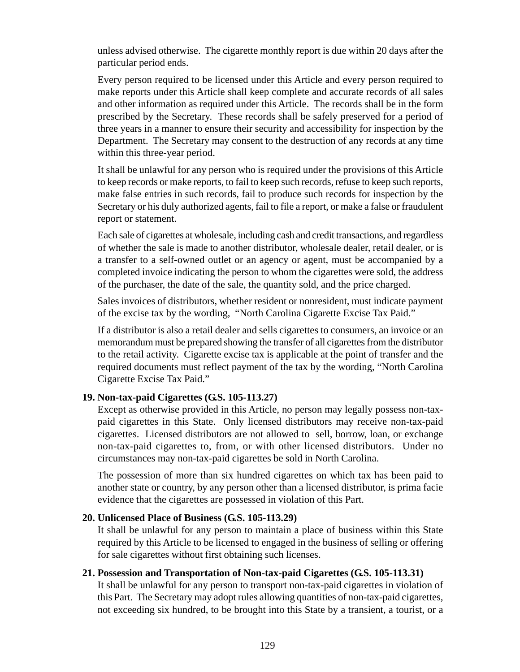unless advised otherwise. The cigarette monthly report is due within 20 days after the particular period ends.

Every person required to be licensed under this Article and every person required to make reports under this Article shall keep complete and accurate records of all sales and other information as required under this Article. The records shall be in the form prescribed by the Secretary. These records shall be safely preserved for a period of three years in a manner to ensure their security and accessibility for inspection by the Department. The Secretary may consent to the destruction of any records at any time within this three-year period.

It shall be unlawful for any person who is required under the provisions of this Article to keep records or make reports, to fail to keep such records, refuse to keep such reports, make false entries in such records, fail to produce such records for inspection by the Secretary or his duly authorized agents, fail to file a report, or make a false or fraudulent report or statement.

Each sale of cigarettes at wholesale, including cash and credit transactions, and regardless of whether the sale is made to another distributor, wholesale dealer, retail dealer, or is a transfer to a self-owned outlet or an agency or agent, must be accompanied by a completed invoice indicating the person to whom the cigarettes were sold, the address of the purchaser, the date of the sale, the quantity sold, and the price charged.

Sales invoices of distributors, whether resident or nonresident, must indicate payment of the excise tax by the wording, "North Carolina Cigarette Excise Tax Paid."

If a distributor is also a retail dealer and sells cigarettes to consumers, an invoice or an memorandum must be prepared showing the transfer of all cigarettes from the distributor to the retail activity. Cigarette excise tax is applicable at the point of transfer and the required documents must reflect payment of the tax by the wording, "North Carolina Cigarette Excise Tax Paid."

#### **19. Non-tax-paid Cigarettes (G.S. 105-113.27)**

Except as otherwise provided in this Article, no person may legally possess non-taxpaid cigarettes in this State. Only licensed distributors may receive non-tax-paid cigarettes. Licensed distributors are not allowed to sell, borrow, loan, or exchange non-tax-paid cigarettes to, from, or with other licensed distributors. Under no circumstances may non-tax-paid cigarettes be sold in North Carolina.

The possession of more than six hundred cigarettes on which tax has been paid to another state or country, by any person other than a licensed distributor, is prima facie evidence that the cigarettes are possessed in violation of this Part.

#### **20. Unlicensed Place of Business (G.S. 105-113.29)**

It shall be unlawful for any person to maintain a place of business within this State required by this Article to be licensed to engaged in the business of selling or offering for sale cigarettes without first obtaining such licenses.

# **21. Possession and Transportation of Non-tax-paid Cigarettes (G.S. 105-113.31)**

It shall be unlawful for any person to transport non-tax-paid cigarettes in violation of this Part. The Secretary may adopt rules allowing quantities of non-tax-paid cigarettes, not exceeding six hundred, to be brought into this State by a transient, a tourist, or a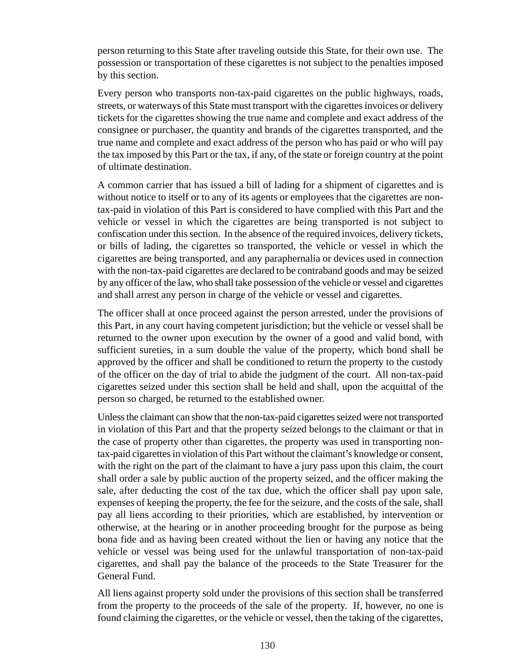person returning to this State after traveling outside this State, for their own use. The possession or transportation of these cigarettes is not subject to the penalties imposed by this section.

Every person who transports non-tax-paid cigarettes on the public highways, roads, streets, or waterways of this State must transport with the cigarettes invoices or delivery tickets for the cigarettes showing the true name and complete and exact address of the consignee or purchaser, the quantity and brands of the cigarettes transported, and the true name and complete and exact address of the person who has paid or who will pay the tax imposed by this Part or the tax, if any, of the state or foreign country at the point of ultimate destination.

A common carrier that has issued a bill of lading for a shipment of cigarettes and is without notice to itself or to any of its agents or employees that the cigarettes are nontax-paid in violation of this Part is considered to have complied with this Part and the vehicle or vessel in which the cigarettes are being transported is not subject to confiscation under this section. In the absence of the required invoices, delivery tickets, or bills of lading, the cigarettes so transported, the vehicle or vessel in which the cigarettes are being transported, and any paraphernalia or devices used in connection with the non-tax-paid cigarettes are declared to be contraband goods and may be seized by any officer of the law, who shall take possession of the vehicle or vessel and cigarettes and shall arrest any person in charge of the vehicle or vessel and cigarettes.

The officer shall at once proceed against the person arrested, under the provisions of this Part, in any court having competent jurisdiction; but the vehicle or vessel shall be returned to the owner upon execution by the owner of a good and valid bond, with sufficient sureties, in a sum double the value of the property, which bond shall be approved by the officer and shall be conditioned to return the property to the custody of the officer on the day of trial to abide the judgment of the court. All non-tax-paid cigarettes seized under this section shall be held and shall, upon the acquittal of the person so charged, be returned to the established owner.

Unless the claimant can show that the non-tax-paid cigarettes seized were not transported in violation of this Part and that the property seized belongs to the claimant or that in the case of property other than cigarettes, the property was used in transporting nontax-paid cigarettes in violation of this Part without the claimant's knowledge or consent, with the right on the part of the claimant to have a jury pass upon this claim, the court shall order a sale by public auction of the property seized, and the officer making the sale, after deducting the cost of the tax due, which the officer shall pay upon sale, expenses of keeping the property, the fee for the seizure, and the costs of the sale, shall pay all liens according to their priorities, which are established, by intervention or otherwise, at the hearing or in another proceeding brought for the purpose as being bona fide and as having been created without the lien or having any notice that the vehicle or vessel was being used for the unlawful transportation of non-tax-paid cigarettes, and shall pay the balance of the proceeds to the State Treasurer for the General Fund.

All liens against property sold under the provisions of this section shall be transferred from the property to the proceeds of the sale of the property. If, however, no one is found claiming the cigarettes, or the vehicle or vessel, then the taking of the cigarettes,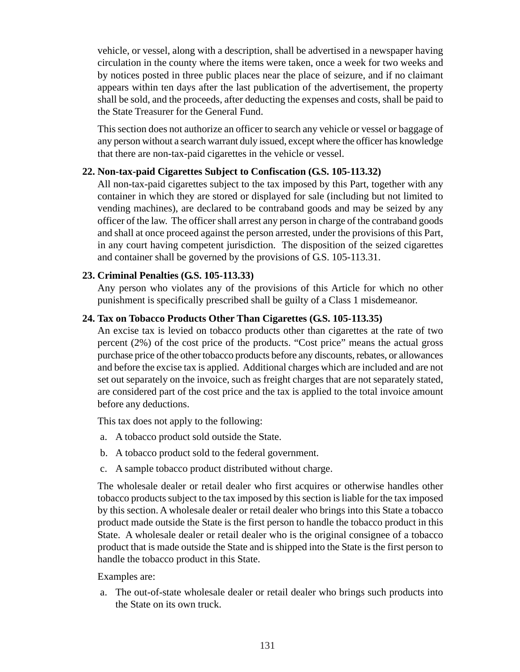vehicle, or vessel, along with a description, shall be advertised in a newspaper having circulation in the county where the items were taken, once a week for two weeks and by notices posted in three public places near the place of seizure, and if no claimant appears within ten days after the last publication of the advertisement, the property shall be sold, and the proceeds, after deducting the expenses and costs, shall be paid to the State Treasurer for the General Fund.

This section does not authorize an officer to search any vehicle or vessel or baggage of any person without a search warrant duly issued, except where the officer has knowledge that there are non-tax-paid cigarettes in the vehicle or vessel.

#### **22. Non-tax-paid Cigarettes Subject to Confiscation (G.S. 105-113.32)**

All non-tax-paid cigarettes subject to the tax imposed by this Part, together with any container in which they are stored or displayed for sale (including but not limited to vending machines), are declared to be contraband goods and may be seized by any officer of the law. The officer shall arrest any person in charge of the contraband goods and shall at once proceed against the person arrested, under the provisions of this Part, in any court having competent jurisdiction. The disposition of the seized cigarettes and container shall be governed by the provisions of G.S. 105-113.31.

#### **23. Criminal Penalties (G.S. 105-113.33)**

Any person who violates any of the provisions of this Article for which no other punishment is specifically prescribed shall be guilty of a Class 1 misdemeanor.

#### **24. Tax on Tobacco Products Other Than Cigarettes (G.S. 105-113.35)**

An excise tax is levied on tobacco products other than cigarettes at the rate of two percent (2%) of the cost price of the products. "Cost price" means the actual gross purchase price of the other tobacco products before any discounts, rebates, or allowances and before the excise tax is applied. Additional charges which are included and are not set out separately on the invoice, such as freight charges that are not separately stated, are considered part of the cost price and the tax is applied to the total invoice amount before any deductions.

This tax does not apply to the following:

- a. A tobacco product sold outside the State.
- b. A tobacco product sold to the federal government.
- c. A sample tobacco product distributed without charge.

The wholesale dealer or retail dealer who first acquires or otherwise handles other tobacco products subject to the tax imposed by this section is liable for the tax imposed by this section. A wholesale dealer or retail dealer who brings into this State a tobacco product made outside the State is the first person to handle the tobacco product in this State. A wholesale dealer or retail dealer who is the original consignee of a tobacco product that is made outside the State and is shipped into the State is the first person to handle the tobacco product in this State.

#### Examples are:

a. The out-of-state wholesale dealer or retail dealer who brings such products into the State on its own truck.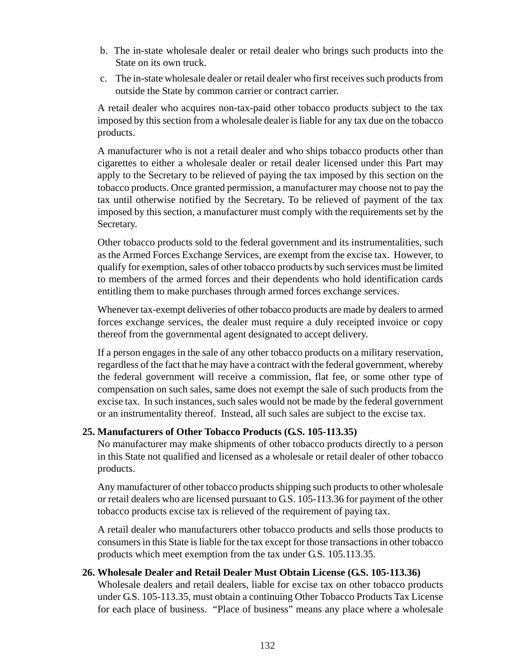- b. The in-state wholesale dealer or retail dealer who brings such products into the State on its own truck.
- c. The in-state wholesale dealer or retail dealer who first receives such products from outside the State by common carrier or contract carrier.

A retail dealer who acquires non-tax-paid other tobacco products subject to the tax imposed by this section from a wholesale dealer is liable for any tax due on the tobacco products.

A manufacturer who is not a retail dealer and who ships tobacco products other than cigarettes to either a wholesale dealer or retail dealer licensed under this Part may apply to the Secretary to be relieved of paying the tax imposed by this section on the tobacco products. Once granted permission, a manufacturer may choose not to pay the tax until otherwise notified by the Secretary. To be relieved of payment of the tax imposed by this section, a manufacturer must comply with the requirements set by the Secretary.

Other tobacco products sold to the federal government and its instrumentalities, such as the Armed Forces Exchange Services, are exempt from the excise tax. However, to qualify for exemption, sales of other tobacco products by such services must be limited to members of the armed forces and their dependents who hold identification cards entitling them to make purchases through armed forces exchange services.

Whenever tax-exempt deliveries of other tobacco products are made by dealers to armed forces exchange services, the dealer must require a duly receipted invoice or copy thereof from the governmental agent designated to accept delivery.

If a person engages in the sale of any other tobacco products on a military reservation, regardless of the fact that he may have a contract with the federal government, whereby the federal government will receive a commission, flat fee, or some other type of compensation on such sales, same does not exempt the sale of such products from the excise tax. In such instances, such sales would not be made by the federal government or an instrumentality thereof. Instead, all such sales are subject to the excise tax.

# **25. Manufacturers of Other Tobacco Products (G.S. 105-113.35)**

No manufacturer may make shipments of other tobacco products directly to a person in this State not qualified and licensed as a wholesale or retail dealer of other tobacco products.

Any manufacturer of other tobacco products shipping such products to other wholesale or retail dealers who are licensed pursuant to G.S. 105-113.36 for payment of the other tobacco products excise tax is relieved of the requirement of paying tax.

A retail dealer who manufacturers other tobacco products and sells those products to consumers in this State is liable for the tax except for those transactions in other tobacco products which meet exemption from the tax under G.S. 105.113.35.

# **26. Wholesale Dealer and Retail Dealer Must Obtain License (G.S. 105-113.36)**

Wholesale dealers and retail dealers, liable for excise tax on other tobacco products under G.S. 105-113.35, must obtain a continuing Other Tobacco Products Tax License for each place of business. "Place of business" means any place where a wholesale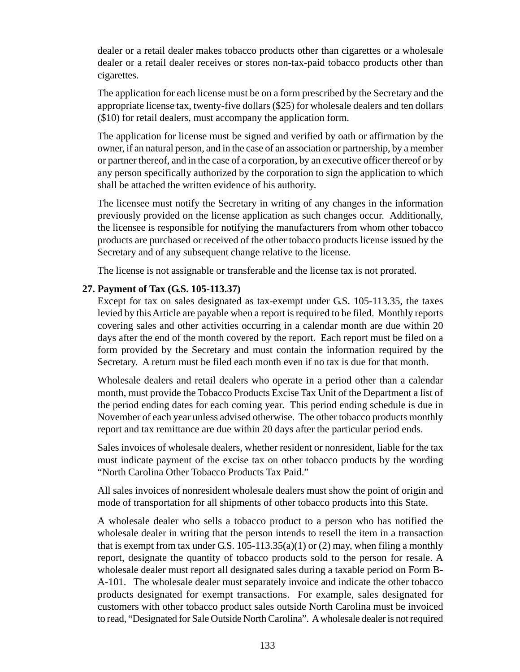dealer or a retail dealer makes tobacco products other than cigarettes or a wholesale dealer or a retail dealer receives or stores non-tax-paid tobacco products other than cigarettes.

The application for each license must be on a form prescribed by the Secretary and the appropriate license tax, twenty-five dollars (\$25) for wholesale dealers and ten dollars (\$10) for retail dealers, must accompany the application form.

The application for license must be signed and verified by oath or affirmation by the owner, if an natural person, and in the case of an association or partnership, by a member or partner thereof, and in the case of a corporation, by an executive officer thereof or by any person specifically authorized by the corporation to sign the application to which shall be attached the written evidence of his authority.

The licensee must notify the Secretary in writing of any changes in the information previously provided on the license application as such changes occur. Additionally, the licensee is responsible for notifying the manufacturers from whom other tobacco products are purchased or received of the other tobacco products license issued by the Secretary and of any subsequent change relative to the license.

The license is not assignable or transferable and the license tax is not prorated.

#### **27. Payment of Tax (G.S. 105-113.37)**

Except for tax on sales designated as tax-exempt under G.S. 105-113.35, the taxes levied by this Article are payable when a report is required to be filed. Monthly reports covering sales and other activities occurring in a calendar month are due within 20 days after the end of the month covered by the report. Each report must be filed on a form provided by the Secretary and must contain the information required by the Secretary. A return must be filed each month even if no tax is due for that month.

Wholesale dealers and retail dealers who operate in a period other than a calendar month, must provide the Tobacco Products Excise Tax Unit of the Department a list of the period ending dates for each coming year. This period ending schedule is due in November of each year unless advised otherwise. The other tobacco products monthly report and tax remittance are due within 20 days after the particular period ends.

Sales invoices of wholesale dealers, whether resident or nonresident, liable for the tax must indicate payment of the excise tax on other tobacco products by the wording "North Carolina Other Tobacco Products Tax Paid."

All sales invoices of nonresident wholesale dealers must show the point of origin and mode of transportation for all shipments of other tobacco products into this State.

A wholesale dealer who sells a tobacco product to a person who has notified the wholesale dealer in writing that the person intends to resell the item in a transaction that is exempt from tax under G.S.  $105-113.35(a)(1)$  or  $(2)$  may, when filing a monthly report, designate the quantity of tobacco products sold to the person for resale. A wholesale dealer must report all designated sales during a taxable period on Form B-A-101. The wholesale dealer must separately invoice and indicate the other tobacco products designated for exempt transactions. For example, sales designated for customers with other tobacco product sales outside North Carolina must be invoiced to read, "Designated for Sale Outside North Carolina". A wholesale dealer is not required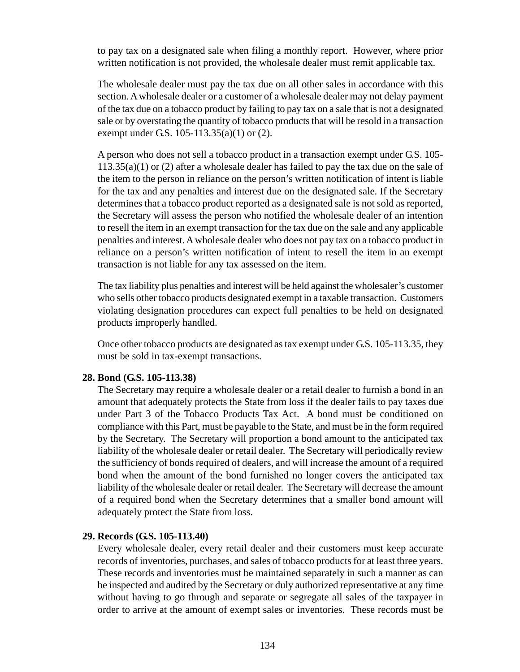to pay tax on a designated sale when filing a monthly report. However, where prior written notification is not provided, the wholesale dealer must remit applicable tax.

The wholesale dealer must pay the tax due on all other sales in accordance with this section. A wholesale dealer or a customer of a wholesale dealer may not delay payment of the tax due on a tobacco product by failing to pay tax on a sale that is not a designated sale or by overstating the quantity of tobacco products that will be resold in a transaction exempt under G.S. 105-113.35(a)(1) or (2).

A person who does not sell a tobacco product in a transaction exempt under G.S. 105- 113.35(a)(1) or (2) after a wholesale dealer has failed to pay the tax due on the sale of the item to the person in reliance on the person's written notification of intent is liable for the tax and any penalties and interest due on the designated sale. If the Secretary determines that a tobacco product reported as a designated sale is not sold as reported, the Secretary will assess the person who notified the wholesale dealer of an intention to resell the item in an exempt transaction for the tax due on the sale and any applicable penalties and interest. A wholesale dealer who does not pay tax on a tobacco product in reliance on a person's written notification of intent to resell the item in an exempt transaction is not liable for any tax assessed on the item.

The tax liability plus penalties and interest will be held against the wholesaler's customer who sells other tobacco products designated exempt in a taxable transaction. Customers violating designation procedures can expect full penalties to be held on designated products improperly handled.

Once other tobacco products are designated as tax exempt under G.S. 105-113.35, they must be sold in tax-exempt transactions.

#### **28. Bond (G.S. 105-113.38)**

The Secretary may require a wholesale dealer or a retail dealer to furnish a bond in an amount that adequately protects the State from loss if the dealer fails to pay taxes due under Part 3 of the Tobacco Products Tax Act. A bond must be conditioned on compliance with this Part, must be payable to the State, and must be in the form required by the Secretary. The Secretary will proportion a bond amount to the anticipated tax liability of the wholesale dealer or retail dealer. The Secretary will periodically review the sufficiency of bonds required of dealers, and will increase the amount of a required bond when the amount of the bond furnished no longer covers the anticipated tax liability of the wholesale dealer or retail dealer. The Secretary will decrease the amount of a required bond when the Secretary determines that a smaller bond amount will adequately protect the State from loss.

#### **29. Records (G.S. 105-113.40)**

Every wholesale dealer, every retail dealer and their customers must keep accurate records of inventories, purchases, and sales of tobacco products for at least three years. These records and inventories must be maintained separately in such a manner as can be inspected and audited by the Secretary or duly authorized representative at any time without having to go through and separate or segregate all sales of the taxpayer in order to arrive at the amount of exempt sales or inventories. These records must be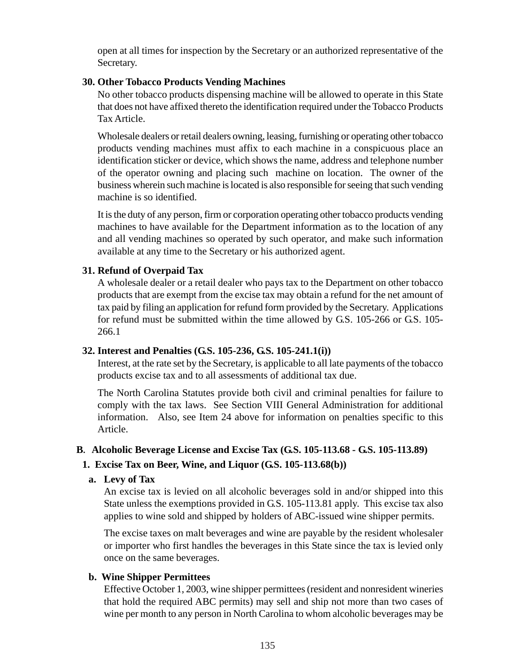open at all times for inspection by the Secretary or an authorized representative of the Secretary.

#### **30. Other Tobacco Products Vending Machines**

No other tobacco products dispensing machine will be allowed to operate in this State that does not have affixed thereto the identification required under the Tobacco Products Tax Article.

Wholesale dealers or retail dealers owning, leasing, furnishing or operating other tobacco products vending machines must affix to each machine in a conspicuous place an identification sticker or device, which shows the name, address and telephone number of the operator owning and placing such machine on location. The owner of the business wherein such machine is located is also responsible for seeing that such vending machine is so identified.

It is the duty of any person, firm or corporation operating other tobacco products vending machines to have available for the Department information as to the location of any and all vending machines so operated by such operator, and make such information available at any time to the Secretary or his authorized agent.

# **31. Refund of Overpaid Tax**

A wholesale dealer or a retail dealer who pays tax to the Department on other tobacco products that are exempt from the excise tax may obtain a refund for the net amount of tax paid by filing an application for refund form provided by the Secretary. Applications for refund must be submitted within the time allowed by G.S. 105-266 or G.S. 105- 266.1

# **32. Interest and Penalties (G.S. 105-236, G.S. 105-241.1(i))**

Interest, at the rate set by the Secretary, is applicable to all late payments of the tobacco products excise tax and to all assessments of additional tax due.

The North Carolina Statutes provide both civil and criminal penalties for failure to comply with the tax laws. See Section VIII General Administration for additional information. Also, see Item 24 above for information on penalties specific to this Article.

# **B. Alcoholic Beverage License and Excise Tax (G.S. 105-113.68 - G.S. 105-113.89)**

# **1. Excise Tax on Beer, Wine, and Liquor (G.S. 105-113.68(b))**

# **a. Levy of Tax**

An excise tax is levied on all alcoholic beverages sold in and/or shipped into this State unless the exemptions provided in G.S. 105-113.81 apply. This excise tax also applies to wine sold and shipped by holders of ABC-issued wine shipper permits.

The excise taxes on malt beverages and wine are payable by the resident wholesaler or importer who first handles the beverages in this State since the tax is levied only once on the same beverages.

# **b. Wine Shipper Permittees**

Effective October 1, 2003, wine shipper permittees (resident and nonresident wineries that hold the required ABC permits) may sell and ship not more than two cases of wine per month to any person in North Carolina to whom alcoholic beverages may be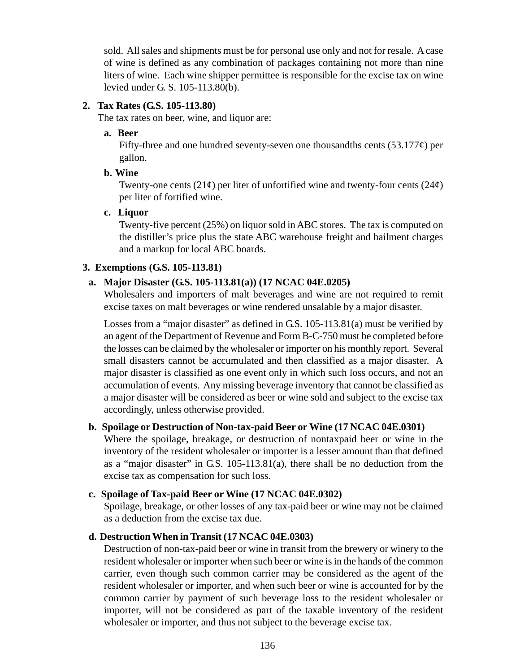sold. All sales and shipments must be for personal use only and not for resale. A case of wine is defined as any combination of packages containing not more than nine liters of wine. Each wine shipper permittee is responsible for the excise tax on wine levied under G. S. 105-113.80(b).

#### **2. Tax Rates (G.S. 105-113.80)**

The tax rates on beer, wine, and liquor are:

#### **a. Beer**

Fifty-three and one hundred seventy-seven one thousandths cents  $(53.177\phi)$  per gallon.

#### **b. Wine**

Twenty-one cents  $(21¢)$  per liter of unfortified wine and twenty-four cents  $(24¢)$ per liter of fortified wine.

#### **c. Liquor**

Twenty-five percent (25%) on liquor sold in ABC stores. The tax is computed on the distiller's price plus the state ABC warehouse freight and bailment charges and a markup for local ABC boards.

#### **3. Exemptions (G.S. 105-113.81)**

# **a. Major Disaster (G.S. 105-113.81(a)) (17 NCAC 04E.0205)**

Wholesalers and importers of malt beverages and wine are not required to remit excise taxes on malt beverages or wine rendered unsalable by a major disaster.

Losses from a "major disaster" as defined in G.S. 105-113.81(a) must be verified by an agent of the Department of Revenue and Form B-C-750 must be completed before the losses can be claimed by the wholesaler or importer on his monthly report. Several small disasters cannot be accumulated and then classified as a major disaster. A major disaster is classified as one event only in which such loss occurs, and not an accumulation of events. Any missing beverage inventory that cannot be classified as a major disaster will be considered as beer or wine sold and subject to the excise tax accordingly, unless otherwise provided.

#### **b. Spoilage or Destruction of Non-tax-paid Beer or Wine (17 NCAC 04E.0301)**

Where the spoilage, breakage, or destruction of nontaxpaid beer or wine in the inventory of the resident wholesaler or importer is a lesser amount than that defined as a "major disaster" in G.S. 105-113.81(a), there shall be no deduction from the excise tax as compensation for such loss.

# **c. Spoilage of Tax-paid Beer or Wine (17 NCAC 04E.0302)**

Spoilage, breakage, or other losses of any tax-paid beer or wine may not be claimed as a deduction from the excise tax due.

# **d. Destruction When in Transit (17 NCAC 04E.0303)**

Destruction of non-tax-paid beer or wine in transit from the brewery or winery to the resident wholesaler or importer when such beer or wine is in the hands of the common carrier, even though such common carrier may be considered as the agent of the resident wholesaler or importer, and when such beer or wine is accounted for by the common carrier by payment of such beverage loss to the resident wholesaler or importer, will not be considered as part of the taxable inventory of the resident wholesaler or importer, and thus not subject to the beverage excise tax.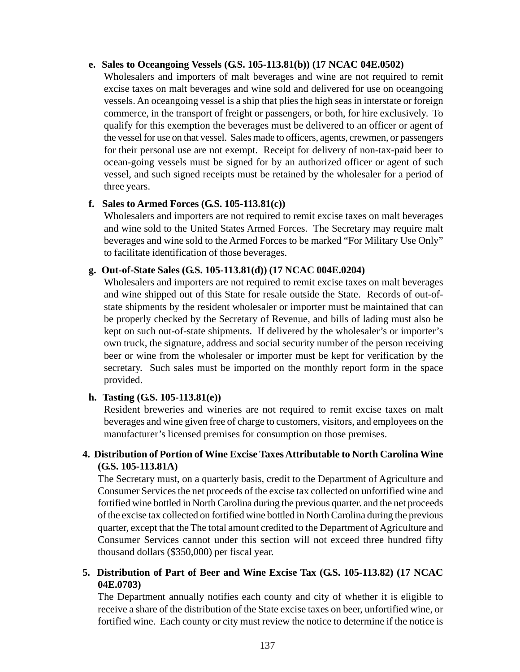#### **e. Sales to Oceangoing Vessels (G.S. 105-113.81(b)) (17 NCAC 04E.0502)**

Wholesalers and importers of malt beverages and wine are not required to remit excise taxes on malt beverages and wine sold and delivered for use on oceangoing vessels. An oceangoing vessel is a ship that plies the high seas in interstate or foreign commerce, in the transport of freight or passengers, or both, for hire exclusively. To qualify for this exemption the beverages must be delivered to an officer or agent of the vessel for use on that vessel. Sales made to officers, agents, crewmen, or passengers for their personal use are not exempt. Receipt for delivery of non-tax-paid beer to ocean-going vessels must be signed for by an authorized officer or agent of such vessel, and such signed receipts must be retained by the wholesaler for a period of three years.

#### **f. Sales to Armed Forces (G.S. 105-113.81(c))**

Wholesalers and importers are not required to remit excise taxes on malt beverages and wine sold to the United States Armed Forces. The Secretary may require malt beverages and wine sold to the Armed Forces to be marked "For Military Use Only" to facilitate identification of those beverages.

#### **g. Out-of-State Sales (G.S. 105-113.81(d)) (17 NCAC 004E.0204)**

Wholesalers and importers are not required to remit excise taxes on malt beverages and wine shipped out of this State for resale outside the State. Records of out-ofstate shipments by the resident wholesaler or importer must be maintained that can be properly checked by the Secretary of Revenue, and bills of lading must also be kept on such out-of-state shipments. If delivered by the wholesaler's or importer's own truck, the signature, address and social security number of the person receiving beer or wine from the wholesaler or importer must be kept for verification by the secretary. Such sales must be imported on the monthly report form in the space provided.

#### **h. Tasting (G.S. 105-113.81(e))**

Resident breweries and wineries are not required to remit excise taxes on malt beverages and wine given free of charge to customers, visitors, and employees on the manufacturer's licensed premises for consumption on those premises.

#### **4. Distribution of Portion of Wine Excise Taxes Attributable to North Carolina Wine (G.S. 105-113.81A)**

The Secretary must, on a quarterly basis, credit to the Department of Agriculture and Consumer Services the net proceeds of the excise tax collected on unfortified wine and fortified wine bottled in North Carolina during the previous quarter. and the net proceeds of the excise tax collected on fortified wine bottled in North Carolina during the previous quarter, except that the The total amount credited to the Department of Agriculture and Consumer Services cannot under this section will not exceed three hundred fifty thousand dollars (\$350,000) per fiscal year.

#### **5. Distribution of Part of Beer and Wine Excise Tax (G.S. 105-113.82) (17 NCAC 04E.0703)**

The Department annually notifies each county and city of whether it is eligible to receive a share of the distribution of the State excise taxes on beer, unfortified wine, or fortified wine. Each county or city must review the notice to determine if the notice is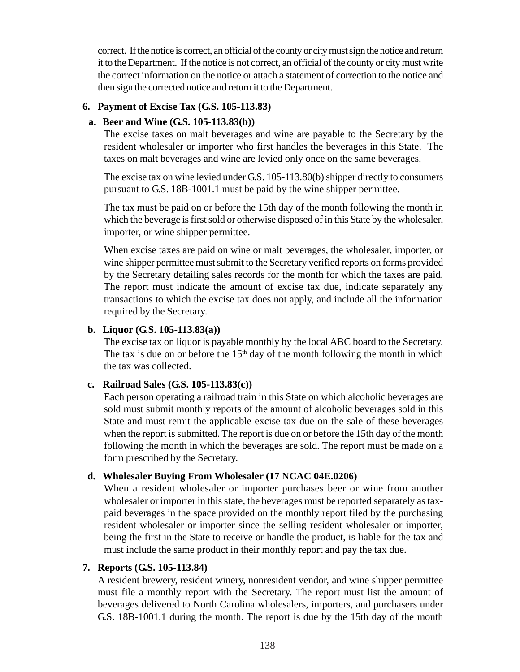correct. If the notice is correct, an official of the county or city must sign the notice and return it to the Department. If the notice is not correct, an official of the county or city must write the correct information on the notice or attach a statement of correction to the notice and then sign the corrected notice and return it to the Department.

# **6. Payment of Excise Tax (G.S. 105-113.83)**

#### **a. Beer and Wine (G.S. 105-113.83(b))**

The excise taxes on malt beverages and wine are payable to the Secretary by the resident wholesaler or importer who first handles the beverages in this State. The taxes on malt beverages and wine are levied only once on the same beverages.

The excise tax on wine levied under G.S. 105-113.80(b) shipper directly to consumers pursuant to G.S. 18B-1001.1 must be paid by the wine shipper permittee.

The tax must be paid on or before the 15th day of the month following the month in which the beverage is first sold or otherwise disposed of in this State by the wholesaler, importer, or wine shipper permittee.

When excise taxes are paid on wine or malt beverages, the wholesaler, importer, or wine shipper permittee must submit to the Secretary verified reports on forms provided by the Secretary detailing sales records for the month for which the taxes are paid. The report must indicate the amount of excise tax due, indicate separately any transactions to which the excise tax does not apply, and include all the information required by the Secretary.

#### **b. Liquor (G.S. 105-113.83(a))**

The excise tax on liquor is payable monthly by the local ABC board to the Secretary. The tax is due on or before the  $15<sup>th</sup>$  day of the month following the month in which the tax was collected.

#### **c. Railroad Sales (G.S. 105-113.83(c))**

Each person operating a railroad train in this State on which alcoholic beverages are sold must submit monthly reports of the amount of alcoholic beverages sold in this State and must remit the applicable excise tax due on the sale of these beverages when the report is submitted. The report is due on or before the 15th day of the month following the month in which the beverages are sold. The report must be made on a form prescribed by the Secretary.

#### **d. Wholesaler Buying From Wholesaler (17 NCAC 04E.0206)**

When a resident wholesaler or importer purchases beer or wine from another wholesaler or importer in this state, the beverages must be reported separately as taxpaid beverages in the space provided on the monthly report filed by the purchasing resident wholesaler or importer since the selling resident wholesaler or importer, being the first in the State to receive or handle the product, is liable for the tax and must include the same product in their monthly report and pay the tax due.

#### **7. Reports (G.S. 105-113.84)**

A resident brewery, resident winery, nonresident vendor, and wine shipper permittee must file a monthly report with the Secretary. The report must list the amount of beverages delivered to North Carolina wholesalers, importers, and purchasers under G.S. 18B-1001.1 during the month. The report is due by the 15th day of the month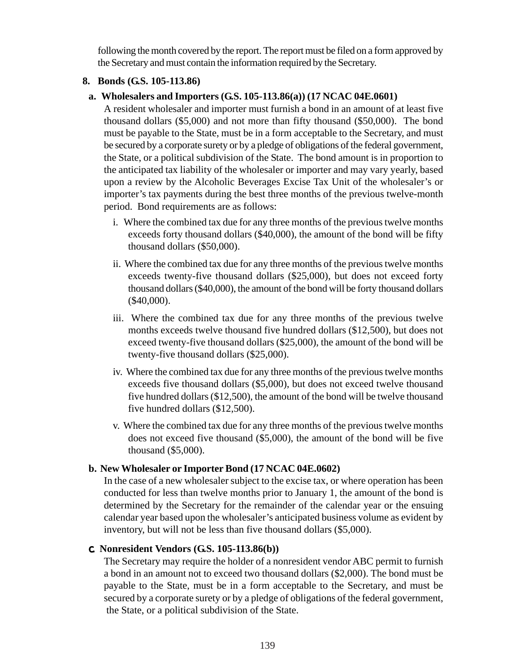following the month covered by the report. The report must be filed on a form approved by the Secretary and must contain the information required by the Secretary.

#### **8. Bonds (G.S. 105-113.86)**

# **a. Wholesalers and Importers (G.S. 105-113.86(a)) (17 NCAC 04E.0601)**

A resident wholesaler and importer must furnish a bond in an amount of at least five thousand dollars (\$5,000) and not more than fifty thousand (\$50,000). The bond must be payable to the State, must be in a form acceptable to the Secretary, and must be secured by a corporate surety or by a pledge of obligations of the federal government, the State, or a political subdivision of the State. The bond amount is in proportion to the anticipated tax liability of the wholesaler or importer and may vary yearly, based upon a review by the Alcoholic Beverages Excise Tax Unit of the wholesaler's or importer's tax payments during the best three months of the previous twelve-month period. Bond requirements are as follows:

- i. Where the combined tax due for any three months of the previous twelve months exceeds forty thousand dollars (\$40,000), the amount of the bond will be fifty thousand dollars (\$50,000).
- ii. Where the combined tax due for any three months of the previous twelve months exceeds twenty-five thousand dollars (\$25,000), but does not exceed forty thousand dollars (\$40,000), the amount of the bond will be forty thousand dollars (\$40,000).
- iii. Where the combined tax due for any three months of the previous twelve months exceeds twelve thousand five hundred dollars (\$12,500), but does not exceed twenty-five thousand dollars (\$25,000), the amount of the bond will be twenty-five thousand dollars (\$25,000).
- iv. Where the combined tax due for any three months of the previous twelve months exceeds five thousand dollars (\$5,000), but does not exceed twelve thousand five hundred dollars (\$12,500), the amount of the bond will be twelve thousand five hundred dollars (\$12,500).
- v. Where the combined tax due for any three months of the previous twelve months does not exceed five thousand (\$5,000), the amount of the bond will be five thousand (\$5,000).

# **b. New Wholesaler or Importer Bond (17 NCAC 04E.0602)**

In the case of a new wholesaler subject to the excise tax, or where operation has been conducted for less than twelve months prior to January 1, the amount of the bond is determined by the Secretary for the remainder of the calendar year or the ensuing calendar year based upon the wholesaler's anticipated business volume as evident by inventory, but will not be less than five thousand dollars (\$5,000).

# c. **Nonresident Vendors (G.S. 105-113.86(b))**

The Secretary may require the holder of a nonresident vendor ABC permit to furnish a bond in an amount not to exceed two thousand dollars (\$2,000). The bond must be payable to the State, must be in a form acceptable to the Secretary, and must be secured by a corporate surety or by a pledge of obligations of the federal government, the State, or a political subdivision of the State.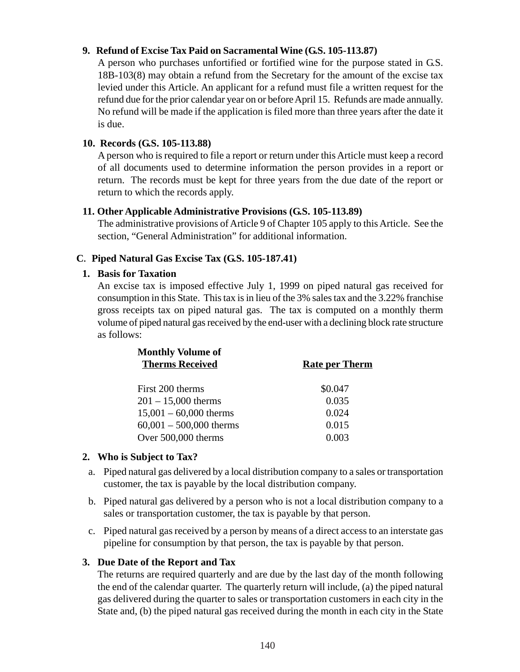### **9. Refund of Excise Tax Paid on Sacramental Wine (G.S. 105-113.87)**

A person who purchases unfortified or fortified wine for the purpose stated in G.S. 18B-103(8) may obtain a refund from the Secretary for the amount of the excise tax levied under this Article. An applicant for a refund must file a written request for the refund due for the prior calendar year on or before April 15. Refunds are made annually. No refund will be made if the application is filed more than three years after the date it is due.

### **10. Records (G.S. 105-113.88)**

A person who is required to file a report or return under this Article must keep a record of all documents used to determine information the person provides in a report or return. The records must be kept for three years from the due date of the report or return to which the records apply.

### **11. Other Applicable Administrative Provisions (G.S. 105-113.89)**

The administrative provisions of Article 9 of Chapter 105 apply to this Article. See the section, "General Administration" for additional information.

# **C. Piped Natural Gas Excise Tax (G.S. 105-187.41)**

# **1. Basis for Taxation**

An excise tax is imposed effective July 1, 1999 on piped natural gas received for consumption in this State. This tax is in lieu of the 3% sales tax and the 3.22% franchise gross receipts tax on piped natural gas. The tax is computed on a monthly therm volume of piped natural gas received by the end-user with a declining block rate structure as follows:

| <b>Monthly Volume of</b>  |                       |
|---------------------------|-----------------------|
| <b>Therms Received</b>    | <b>Rate per Therm</b> |
| First 200 therms          | \$0.047               |
| $201 - 15,000$ therms     | 0.035                 |
| $15,001 - 60,000$ therms  | 0.024                 |
| $60,001 - 500,000$ therms | 0.015                 |
| Over 500,000 therms       | 0.003                 |

# **2. Who is Subject to Tax?**

- a. Piped natural gas delivered by a local distribution company to a sales or transportation customer, the tax is payable by the local distribution company.
- b. Piped natural gas delivered by a person who is not a local distribution company to a sales or transportation customer, the tax is payable by that person.
- c. Piped natural gas received by a person by means of a direct access to an interstate gas pipeline for consumption by that person, the tax is payable by that person.

# **3. Due Date of the Report and Tax**

The returns are required quarterly and are due by the last day of the month following the end of the calendar quarter. The quarterly return will include, (a) the piped natural gas delivered during the quarter to sales or transportation customers in each city in the State and, (b) the piped natural gas received during the month in each city in the State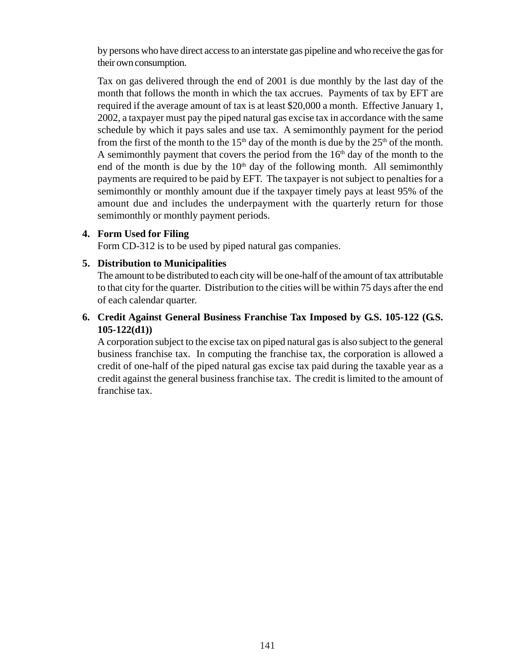by persons who have direct access to an interstate gas pipeline and who receive the gas for their own consumption.

Tax on gas delivered through the end of 2001 is due monthly by the last day of the month that follows the month in which the tax accrues. Payments of tax by EFT are required if the average amount of tax is at least \$20,000 a month. Effective January 1, 2002, a taxpayer must pay the piped natural gas excise tax in accordance with the same schedule by which it pays sales and use tax. A semimonthly payment for the period from the first of the month to the  $15<sup>th</sup>$  day of the month is due by the  $25<sup>th</sup>$  of the month. A semimonthly payment that covers the period from the  $16<sup>th</sup>$  day of the month to the end of the month is due by the  $10<sup>th</sup>$  day of the following month. All semimonthly payments are required to be paid by EFT. The taxpayer is not subject to penalties for a semimonthly or monthly amount due if the taxpayer timely pays at least 95% of the amount due and includes the underpayment with the quarterly return for those semimonthly or monthly payment periods.

### **4. Form Used for Filing**

Form CD-312 is to be used by piped natural gas companies.

### **5. Distribution to Municipalities**

The amount to be distributed to each city will be one-half of the amount of tax attributable to that city for the quarter. Distribution to the cities will be within 75 days after the end of each calendar quarter.

### **6. Credit Against General Business Franchise Tax Imposed by G.S. 105-122 (G.S. 105-122(d1))**

A corporation subject to the excise tax on piped natural gas is also subject to the general business franchise tax. In computing the franchise tax, the corporation is allowed a credit of one-half of the piped natural gas excise tax paid during the taxable year as a credit against the general business franchise tax. The credit is limited to the amount of franchise tax.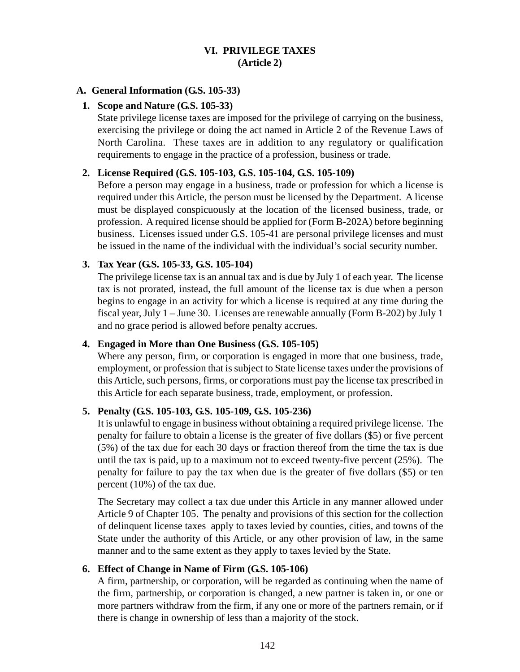### **VI. PRIVILEGE TAXES (Article 2)**

#### **A. General Information (G.S. 105-33)**

#### **1. Scope and Nature (G.S. 105-33)**

State privilege license taxes are imposed for the privilege of carrying on the business, exercising the privilege or doing the act named in Article 2 of the Revenue Laws of North Carolina. These taxes are in addition to any regulatory or qualification requirements to engage in the practice of a profession, business or trade.

#### **2. License Required (G.S. 105-103, G.S. 105-104, G.S. 105-109)**

Before a person may engage in a business, trade or profession for which a license is required under this Article, the person must be licensed by the Department. A license must be displayed conspicuously at the location of the licensed business, trade, or profession. A required license should be applied for (Form B-202A) before beginning business. Licenses issued under G.S. 105-41 are personal privilege licenses and must be issued in the name of the individual with the individual's social security number.

# **3. Tax Year (G.S. 105-33, G.S. 105-104)**

The privilege license tax is an annual tax and is due by July 1 of each year. The license tax is not prorated, instead, the full amount of the license tax is due when a person begins to engage in an activity for which a license is required at any time during the fiscal year, July 1 – June 30. Licenses are renewable annually (Form B-202) by July 1 and no grace period is allowed before penalty accrues.

#### **4. Engaged in More than One Business (G.S. 105-105)**

Where any person, firm, or corporation is engaged in more that one business, trade, employment, or profession that is subject to State license taxes under the provisions of this Article, such persons, firms, or corporations must pay the license tax prescribed in this Article for each separate business, trade, employment, or profession.

#### **5. Penalty (G.S. 105-103, G.S. 105-109, G.S. 105-236)**

It is unlawful to engage in business without obtaining a required privilege license. The penalty for failure to obtain a license is the greater of five dollars (\$5) or five percent (5%) of the tax due for each 30 days or fraction thereof from the time the tax is due until the tax is paid, up to a maximum not to exceed twenty-five percent (25%). The penalty for failure to pay the tax when due is the greater of five dollars (\$5) or ten percent (10%) of the tax due.

The Secretary may collect a tax due under this Article in any manner allowed under Article 9 of Chapter 105. The penalty and provisions of this section for the collection of delinquent license taxes apply to taxes levied by counties, cities, and towns of the State under the authority of this Article, or any other provision of law, in the same manner and to the same extent as they apply to taxes levied by the State.

#### **6. Effect of Change in Name of Firm (G.S. 105-106)**

A firm, partnership, or corporation, will be regarded as continuing when the name of the firm, partnership, or corporation is changed, a new partner is taken in, or one or more partners withdraw from the firm, if any one or more of the partners remain, or if there is change in ownership of less than a majority of the stock.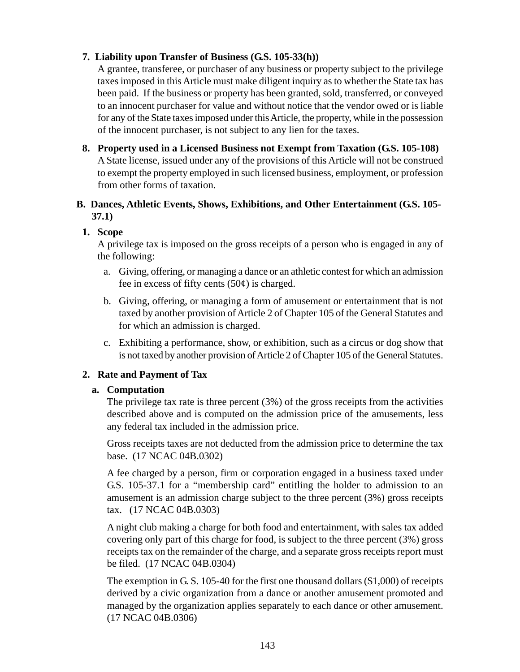# **7. Liability upon Transfer of Business (G.S. 105-33(h))**

A grantee, transferee, or purchaser of any business or property subject to the privilege taxes imposed in this Article must make diligent inquiry as to whether the State tax has been paid. If the business or property has been granted, sold, transferred, or conveyed to an innocent purchaser for value and without notice that the vendor owed or is liable for any of the State taxes imposed under this Article, the property, while in the possession of the innocent purchaser, is not subject to any lien for the taxes.

**8. Property used in a Licensed Business not Exempt from Taxation (G.S. 105-108)** A State license, issued under any of the provisions of this Article will not be construed to exempt the property employed in such licensed business, employment, or profession from other forms of taxation.

### **B. Dances, Athletic Events, Shows, Exhibitions, and Other Entertainment (G.S. 105- 37.1)**

### **1. Scope**

A privilege tax is imposed on the gross receipts of a person who is engaged in any of the following:

- a. Giving, offering, or managing a dance or an athletic contest for which an admission fee in excess of fifty cents  $(50¢)$  is charged.
- b. Giving, offering, or managing a form of amusement or entertainment that is not taxed by another provision of Article 2 of Chapter 105 of the General Statutes and for which an admission is charged.
- c. Exhibiting a performance, show, or exhibition, such as a circus or dog show that is not taxed by another provision of Article 2 of Chapter 105 of the General Statutes.

### **2. Rate and Payment of Tax**

#### **a. Computation**

The privilege tax rate is three percent (3%) of the gross receipts from the activities described above and is computed on the admission price of the amusements, less any federal tax included in the admission price.

Gross receipts taxes are not deducted from the admission price to determine the tax base. (17 NCAC 04B.0302)

A fee charged by a person, firm or corporation engaged in a business taxed under G.S. 105-37.1 for a "membership card" entitling the holder to admission to an amusement is an admission charge subject to the three percent (3%) gross receipts tax. (17 NCAC 04B.0303)

A night club making a charge for both food and entertainment, with sales tax added covering only part of this charge for food, is subject to the three percent (3%) gross receipts tax on the remainder of the charge, and a separate gross receipts report must be filed. (17 NCAC 04B.0304)

The exemption in G. S. 105-40 for the first one thousand dollars (\$1,000) of receipts derived by a civic organization from a dance or another amusement promoted and managed by the organization applies separately to each dance or other amusement. (17 NCAC 04B.0306)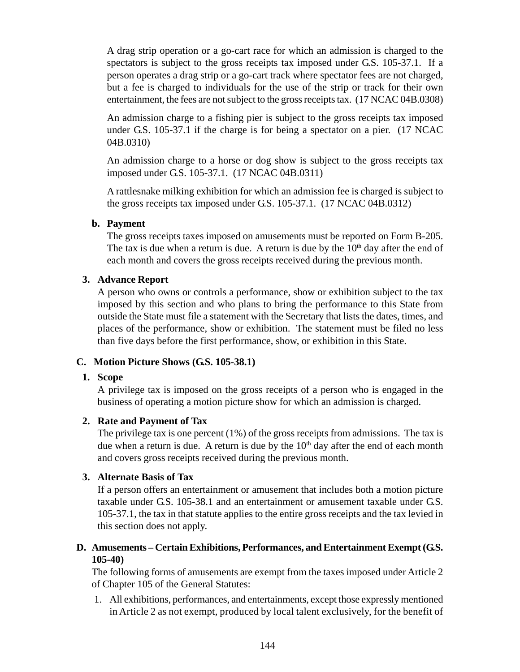A drag strip operation or a go-cart race for which an admission is charged to the spectators is subject to the gross receipts tax imposed under G.S. 105-37.1. If a person operates a drag strip or a go-cart track where spectator fees are not charged, but a fee is charged to individuals for the use of the strip or track for their own entertainment, the fees are not subject to the gross receipts tax. (17 NCAC 04B.0308)

An admission charge to a fishing pier is subject to the gross receipts tax imposed under G.S. 105-37.1 if the charge is for being a spectator on a pier. (17 NCAC 04B.0310)

An admission charge to a horse or dog show is subject to the gross receipts tax imposed under G.S. 105-37.1. (17 NCAC 04B.0311)

A rattlesnake milking exhibition for which an admission fee is charged is subject to the gross receipts tax imposed under G.S. 105-37.1. (17 NCAC 04B.0312)

### **b. Payment**

The gross receipts taxes imposed on amusements must be reported on Form B-205. The tax is due when a return is due. A return is due by the  $10<sup>th</sup>$  day after the end of each month and covers the gross receipts received during the previous month.

### **3. Advance Report**

A person who owns or controls a performance, show or exhibition subject to the tax imposed by this section and who plans to bring the performance to this State from outside the State must file a statement with the Secretary that lists the dates, times, and places of the performance, show or exhibition. The statement must be filed no less than five days before the first performance, show, or exhibition in this State.

### **C. Motion Picture Shows (G.S. 105-38.1)**

#### **1. Scope**

A privilege tax is imposed on the gross receipts of a person who is engaged in the business of operating a motion picture show for which an admission is charged.

#### **2. Rate and Payment of Tax**

The privilege tax is one percent (1%) of the gross receipts from admissions. The tax is due when a return is due. A return is due by the  $10<sup>th</sup>$  day after the end of each month and covers gross receipts received during the previous month.

#### **3. Alternate Basis of Tax**

If a person offers an entertainment or amusement that includes both a motion picture taxable under G.S. 105-38.1 and an entertainment or amusement taxable under G.S. 105-37.1, the tax in that statute applies to the entire gross receipts and the tax levied in this section does not apply.

### **D. Amusements – Certain Exhibitions, Performances, and Entertainment Exempt (G.S. 105-40)**

The following forms of amusements are exempt from the taxes imposed under Article 2 of Chapter 105 of the General Statutes:

1. All exhibitions, performances, and entertainments, except those expressly mentioned in Article 2 as not exempt, produced by local talent exclusively, for the benefit of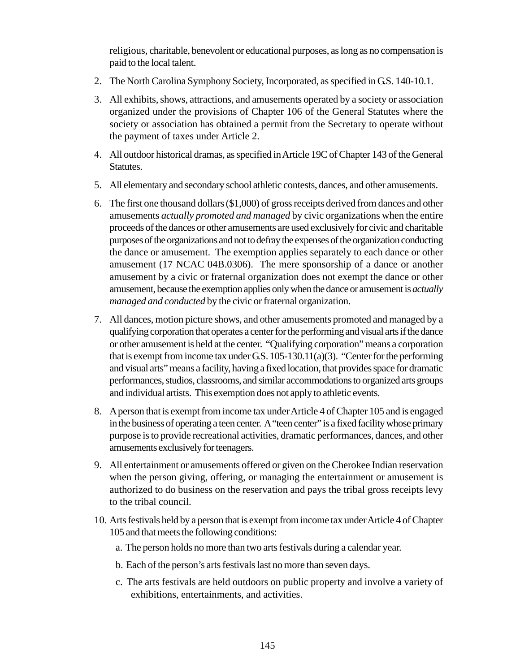religious, charitable, benevolent or educational purposes, as long as no compensation is paid to the local talent.

- 2. The North Carolina Symphony Society, Incorporated, as specified in G.S. 140-10.1.
- 3. All exhibits, shows, attractions, and amusements operated by a society or association organized under the provisions of Chapter 106 of the General Statutes where the society or association has obtained a permit from the Secretary to operate without the payment of taxes under Article 2.
- 4. All outdoor historical dramas, as specified in Article 19C of Chapter 143 of the General Statutes.
- 5. All elementary and secondary school athletic contests, dances, and other amusements.
- 6. The first one thousand dollars (\$1,000) of gross receipts derived from dances and other amusements *actually promoted and managed* by civic organizations when the entire proceeds of the dances or other amusements are used exclusively for civic and charitable purposes of the organizations and not to defray the expenses of the organization conducting the dance or amusement. The exemption applies separately to each dance or other amusement (17 NCAC 04B.0306). The mere sponsorship of a dance or another amusement by a civic or fraternal organization does not exempt the dance or other amusement, because the exemption applies only when the dance or amusement is *actually managed and conducted* by the civic or fraternal organization.
- 7. All dances, motion picture shows, and other amusements promoted and managed by a qualifying corporation that operates a center for the performing and visual arts if the dance or other amusement is held at the center. "Qualifying corporation" means a corporation that is exempt from income tax under G.S.  $105-130.11(a)(3)$ . "Center for the performing and visual arts" means a facility, having a fixed location, that provides space for dramatic performances, studios, classrooms, and similar accommodations to organized arts groups and individual artists. This exemption does not apply to athletic events.
- 8. A person that is exempt from income tax under Article 4 of Chapter 105 and is engaged in the business of operating a teen center. A "teen center" is a fixed facility whose primary purpose is to provide recreational activities, dramatic performances, dances, and other amusements exclusively for teenagers.
- 9. All entertainment or amusements offered or given on the Cherokee Indian reservation when the person giving, offering, or managing the entertainment or amusement is authorized to do business on the reservation and pays the tribal gross receipts levy to the tribal council.
- 10. Arts festivals held by a person that is exempt from income tax under Article 4 of Chapter 105 and that meets the following conditions:
	- a. The person holds no more than two arts festivals during a calendar year.
	- b. Each of the person's arts festivals last no more than seven days.
	- c. The arts festivals are held outdoors on public property and involve a variety of exhibitions, entertainments, and activities.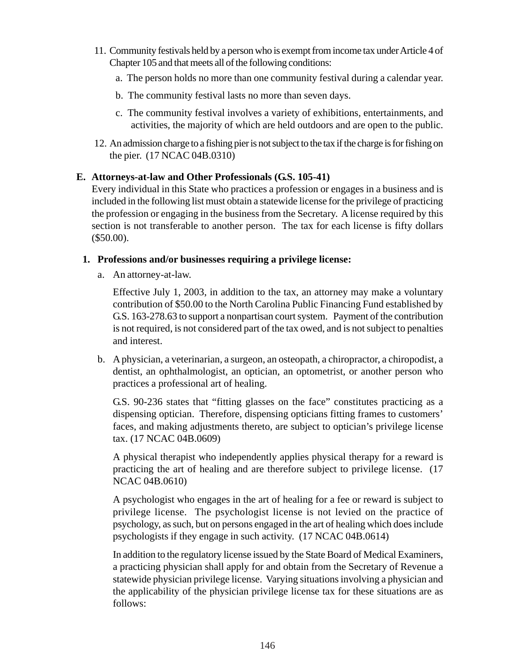- 11. Community festivals held by a person who is exempt from income tax under Article 4 of Chapter 105 and that meets all of the following conditions:
	- a. The person holds no more than one community festival during a calendar year.
	- b. The community festival lasts no more than seven days.
	- c. The community festival involves a variety of exhibitions, entertainments, and activities, the majority of which are held outdoors and are open to the public.
- 12. An admission charge to a fishing pier is not subject to the tax if the charge is for fishing on the pier. (17 NCAC 04B.0310)

### **E. Attorneys-at-law and Other Professionals (G.S. 105-41)**

Every individual in this State who practices a profession or engages in a business and is included in the following list must obtain a statewide license for the privilege of practicing the profession or engaging in the business from the Secretary. A license required by this section is not transferable to another person. The tax for each license is fifty dollars (\$50.00).

#### **1. Professions and/or businesses requiring a privilege license:**

a. An attorney-at-law.

Effective July 1, 2003, in addition to the tax, an attorney may make a voluntary contribution of \$50.00 to the North Carolina Public Financing Fund established by G.S. 163-278.63 to support a nonpartisan court system. Payment of the contribution is not required, is not considered part of the tax owed, and is not subject to penalties and interest.

b. A physician, a veterinarian, a surgeon, an osteopath, a chiropractor, a chiropodist, a dentist, an ophthalmologist, an optician, an optometrist, or another person who practices a professional art of healing.

G.S. 90-236 states that "fitting glasses on the face" constitutes practicing as a dispensing optician. Therefore, dispensing opticians fitting frames to customers' faces, and making adjustments thereto, are subject to optician's privilege license tax. (17 NCAC 04B.0609)

A physical therapist who independently applies physical therapy for a reward is practicing the art of healing and are therefore subject to privilege license. (17 NCAC 04B.0610)

A psychologist who engages in the art of healing for a fee or reward is subject to privilege license. The psychologist license is not levied on the practice of psychology, as such, but on persons engaged in the art of healing which does include psychologists if they engage in such activity. (17 NCAC 04B.0614)

In addition to the regulatory license issued by the State Board of Medical Examiners, a practicing physician shall apply for and obtain from the Secretary of Revenue a statewide physician privilege license. Varying situations involving a physician and the applicability of the physician privilege license tax for these situations are as follows: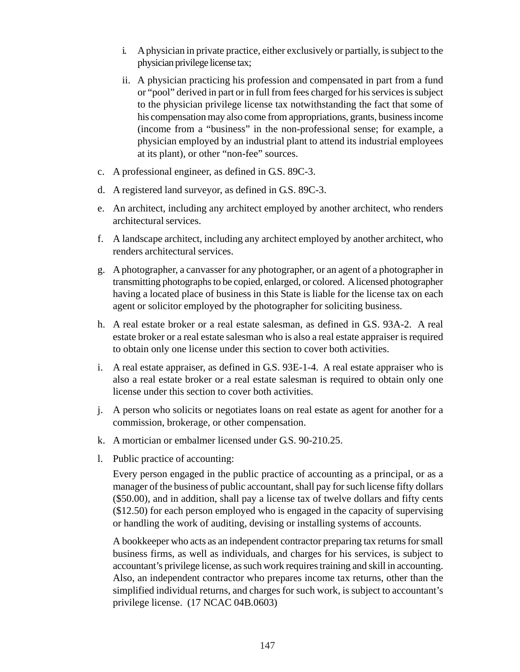- i. A physician in private practice, either exclusively or partially, is subject to the physician privilege license tax;
- ii. A physician practicing his profession and compensated in part from a fund or "pool" derived in part or in full from fees charged for his services is subject to the physician privilege license tax notwithstanding the fact that some of his compensation may also come from appropriations, grants, business income (income from a "business" in the non-professional sense; for example, a physician employed by an industrial plant to attend its industrial employees at its plant), or other "non-fee" sources.
- c. A professional engineer, as defined in G.S. 89C-3.
- d. A registered land surveyor, as defined in G.S. 89C-3.
- e. An architect, including any architect employed by another architect, who renders architectural services.
- f. A landscape architect, including any architect employed by another architect, who renders architectural services.
- g. A photographer, a canvasser for any photographer, or an agent of a photographer in transmitting photographs to be copied, enlarged, or colored. A licensed photographer having a located place of business in this State is liable for the license tax on each agent or solicitor employed by the photographer for soliciting business.
- h. A real estate broker or a real estate salesman, as defined in G.S. 93A-2. A real estate broker or a real estate salesman who is also a real estate appraiser is required to obtain only one license under this section to cover both activities.
- i. A real estate appraiser, as defined in G.S. 93E-1-4. A real estate appraiser who is also a real estate broker or a real estate salesman is required to obtain only one license under this section to cover both activities.
- j. A person who solicits or negotiates loans on real estate as agent for another for a commission, brokerage, or other compensation.
- k. A mortician or embalmer licensed under G.S. 90-210.25.
- l. Public practice of accounting:

Every person engaged in the public practice of accounting as a principal, or as a manager of the business of public accountant, shall pay for such license fifty dollars (\$50.00), and in addition, shall pay a license tax of twelve dollars and fifty cents (\$12.50) for each person employed who is engaged in the capacity of supervising or handling the work of auditing, devising or installing systems of accounts.

A bookkeeper who acts as an independent contractor preparing tax returns for small business firms, as well as individuals, and charges for his services, is subject to accountant's privilege license, as such work requires training and skill in accounting. Also, an independent contractor who prepares income tax returns, other than the simplified individual returns, and charges for such work, is subject to accountant's privilege license. (17 NCAC 04B.0603)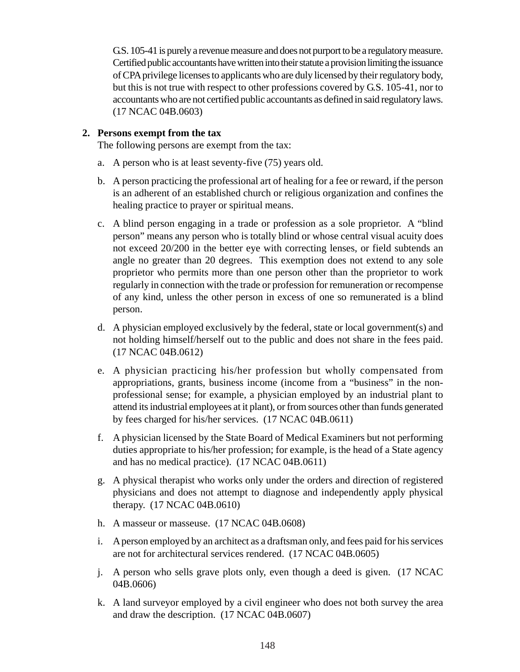G.S. 105-41 is purely a revenue measure and does not purport to be a regulatory measure. Certified public accountants have written into their statute a provision limiting the issuance of CPA privilege licenses to applicants who are duly licensed by their regulatory body, but this is not true with respect to other professions covered by G.S. 105-41, nor to accountants who are not certified public accountants as defined in said regulatory laws. (17 NCAC 04B.0603)

### **2. Persons exempt from the tax**

The following persons are exempt from the tax:

- a. A person who is at least seventy-five (75) years old.
- b. A person practicing the professional art of healing for a fee or reward, if the person is an adherent of an established church or religious organization and confines the healing practice to prayer or spiritual means.
- c. A blind person engaging in a trade or profession as a sole proprietor. A "blind person" means any person who is totally blind or whose central visual acuity does not exceed 20/200 in the better eye with correcting lenses, or field subtends an angle no greater than 20 degrees. This exemption does not extend to any sole proprietor who permits more than one person other than the proprietor to work regularly in connection with the trade or profession for remuneration or recompense of any kind, unless the other person in excess of one so remunerated is a blind person.
- d. A physician employed exclusively by the federal, state or local government(s) and not holding himself/herself out to the public and does not share in the fees paid. (17 NCAC 04B.0612)
- e. A physician practicing his/her profession but wholly compensated from appropriations, grants, business income (income from a "business" in the nonprofessional sense; for example, a physician employed by an industrial plant to attend its industrial employees at it plant), or from sources other than funds generated by fees charged for his/her services. (17 NCAC 04B.0611)
- f. A physician licensed by the State Board of Medical Examiners but not performing duties appropriate to his/her profession; for example, is the head of a State agency and has no medical practice). (17 NCAC 04B.0611)
- g. A physical therapist who works only under the orders and direction of registered physicians and does not attempt to diagnose and independently apply physical therapy. (17 NCAC 04B.0610)
- h. A masseur or masseuse. (17 NCAC 04B.0608)
- i. A person employed by an architect as a draftsman only, and fees paid for his services are not for architectural services rendered. (17 NCAC 04B.0605)
- j. A person who sells grave plots only, even though a deed is given. (17 NCAC 04B.0606)
- k. A land surveyor employed by a civil engineer who does not both survey the area and draw the description. (17 NCAC 04B.0607)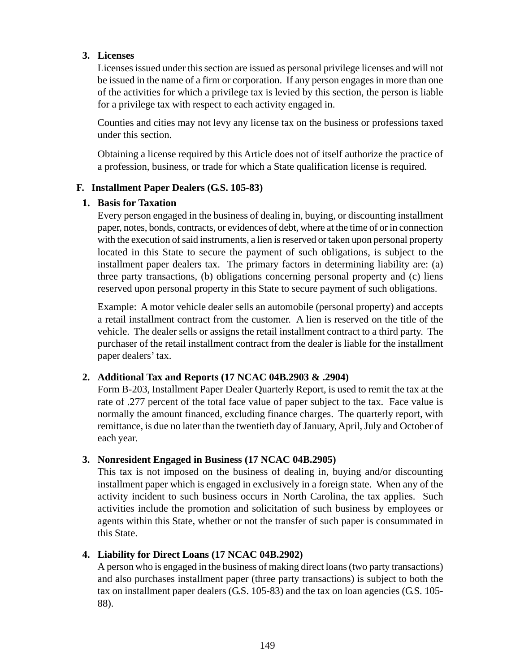### **3. Licenses**

Licenses issued under this section are issued as personal privilege licenses and will not be issued in the name of a firm or corporation. If any person engages in more than one of the activities for which a privilege tax is levied by this section, the person is liable for a privilege tax with respect to each activity engaged in.

Counties and cities may not levy any license tax on the business or professions taxed under this section.

Obtaining a license required by this Article does not of itself authorize the practice of a profession, business, or trade for which a State qualification license is required.

### **F. Installment Paper Dealers (G.S. 105-83)**

### **1. Basis for Taxation**

Every person engaged in the business of dealing in, buying, or discounting installment paper, notes, bonds, contracts, or evidences of debt, where at the time of or in connection with the execution of said instruments, a lien is reserved or taken upon personal property located in this State to secure the payment of such obligations, is subject to the installment paper dealers tax. The primary factors in determining liability are: (a) three party transactions, (b) obligations concerning personal property and (c) liens reserved upon personal property in this State to secure payment of such obligations.

Example: A motor vehicle dealer sells an automobile (personal property) and accepts a retail installment contract from the customer. A lien is reserved on the title of the vehicle. The dealer sells or assigns the retail installment contract to a third party. The purchaser of the retail installment contract from the dealer is liable for the installment paper dealers' tax.

### **2. Additional Tax and Reports (17 NCAC 04B.2903 & .2904)**

Form B-203, Installment Paper Dealer Quarterly Report, is used to remit the tax at the rate of .277 percent of the total face value of paper subject to the tax. Face value is normally the amount financed, excluding finance charges. The quarterly report, with remittance, is due no later than the twentieth day of January, April, July and October of each year.

### **3. Nonresident Engaged in Business (17 NCAC 04B.2905)**

This tax is not imposed on the business of dealing in, buying and/or discounting installment paper which is engaged in exclusively in a foreign state. When any of the activity incident to such business occurs in North Carolina, the tax applies. Such activities include the promotion and solicitation of such business by employees or agents within this State, whether or not the transfer of such paper is consummated in this State.

### **4. Liability for Direct Loans (17 NCAC 04B.2902)**

A person who is engaged in the business of making direct loans (two party transactions) and also purchases installment paper (three party transactions) is subject to both the tax on installment paper dealers (G.S. 105-83) and the tax on loan agencies (G.S. 105- 88).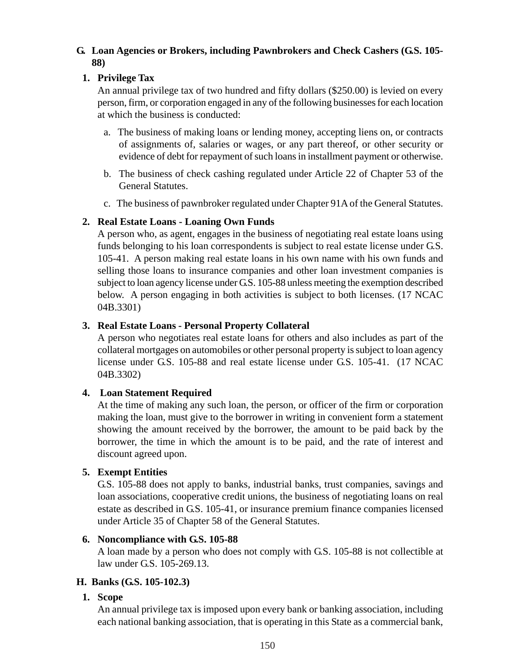### **G. Loan Agencies or Brokers, including Pawnbrokers and Check Cashers (G.S. 105- 88)**

### **1. Privilege Tax**

An annual privilege tax of two hundred and fifty dollars (\$250.00) is levied on every person, firm, or corporation engaged in any of the following businesses for each location at which the business is conducted:

- a. The business of making loans or lending money, accepting liens on, or contracts of assignments of, salaries or wages, or any part thereof, or other security or evidence of debt for repayment of such loans in installment payment or otherwise.
- b. The business of check cashing regulated under Article 22 of Chapter 53 of the General Statutes.
- c. The business of pawnbroker regulated under Chapter 91A of the General Statutes.

### **2. Real Estate Loans - Loaning Own Funds**

A person who, as agent, engages in the business of negotiating real estate loans using funds belonging to his loan correspondents is subject to real estate license under G.S. 105-41. A person making real estate loans in his own name with his own funds and selling those loans to insurance companies and other loan investment companies is subject to loan agency license under G.S. 105-88 unless meeting the exemption described below. A person engaging in both activities is subject to both licenses. (17 NCAC 04B.3301)

### **3. Real Estate Loans - Personal Property Collateral**

A person who negotiates real estate loans for others and also includes as part of the collateral mortgages on automobiles or other personal property is subject to loan agency license under G.S. 105-88 and real estate license under G.S. 105-41. (17 NCAC 04B.3302)

#### **4. Loan Statement Required**

At the time of making any such loan, the person, or officer of the firm or corporation making the loan, must give to the borrower in writing in convenient form a statement showing the amount received by the borrower, the amount to be paid back by the borrower, the time in which the amount is to be paid, and the rate of interest and discount agreed upon.

#### **5. Exempt Entities**

G.S. 105-88 does not apply to banks, industrial banks, trust companies, savings and loan associations, cooperative credit unions, the business of negotiating loans on real estate as described in G.S. 105-41, or insurance premium finance companies licensed under Article 35 of Chapter 58 of the General Statutes.

#### **6. Noncompliance with G.S. 105-88**

A loan made by a person who does not comply with G.S. 105-88 is not collectible at law under G.S. 105-269.13.

### **H. Banks (G.S. 105-102.3)**

**1. Scope**

An annual privilege tax is imposed upon every bank or banking association, including each national banking association, that is operating in this State as a commercial bank,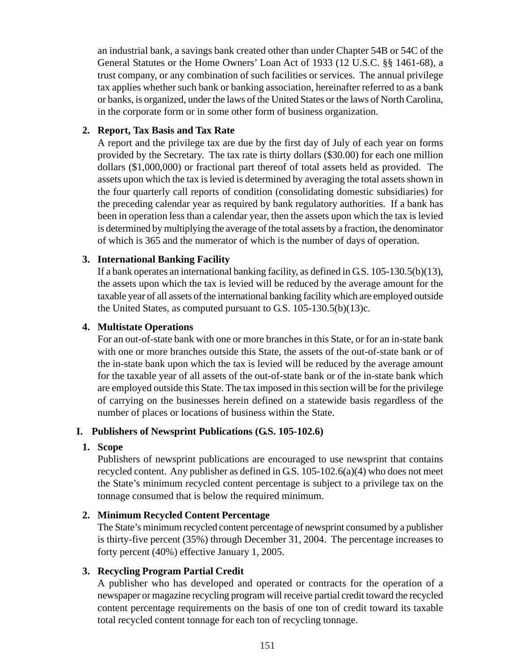an industrial bank, a savings bank created other than under Chapter 54B or 54C of the General Statutes or the Home Owners' Loan Act of 1933 (12 U.S.C. §§ 1461-68), a trust company, or any combination of such facilities or services. The annual privilege tax applies whether such bank or banking association, hereinafter referred to as a bank or banks, is organized, under the laws of the United States or the laws of North Carolina, in the corporate form or in some other form of business organization.

### **2. Report, Tax Basis and Tax Rate**

A report and the privilege tax are due by the first day of July of each year on forms provided by the Secretary. The tax rate is thirty dollars (\$30.00) for each one million dollars (\$1,000,000) or fractional part thereof of total assets held as provided. The assets upon which the tax is levied is determined by averaging the total assets shown in the four quarterly call reports of condition (consolidating domestic subsidiaries) for the preceding calendar year as required by bank regulatory authorities. If a bank has been in operation less than a calendar year, then the assets upon which the tax is levied is determined by multiplying the average of the total assets by a fraction, the denominator of which is 365 and the numerator of which is the number of days of operation.

# **3. International Banking Facility**

If a bank operates an international banking facility, as defined in G.S. 105-130.5(b)(13), the assets upon which the tax is levied will be reduced by the average amount for the taxable year of all assets of the international banking facility which are employed outside the United States, as computed pursuant to G.S. 105-130.5(b)(13)c.

### **4. Multistate Operations**

For an out-of-state bank with one or more branches in this State, or for an in-state bank with one or more branches outside this State, the assets of the out-of-state bank or of the in-state bank upon which the tax is levied will be reduced by the average amount for the taxable year of all assets of the out-of-state bank or of the in-state bank which are employed outside this State. The tax imposed in this section will be for the privilege of carrying on the businesses herein defined on a statewide basis regardless of the number of places or locations of business within the State.

### **I. Publishers of Newsprint Publications (G.S. 105-102.6)**

### **1. Scope**

Publishers of newsprint publications are encouraged to use newsprint that contains recycled content. Any publisher as defined in G.S. 105-102.6(a)(4) who does not meet the State's minimum recycled content percentage is subject to a privilege tax on the tonnage consumed that is below the required minimum.

### **2. Minimum Recycled Content Percentage**

The State's minimum recycled content percentage of newsprint consumed by a publisher is thirty-five percent (35%) through December 31, 2004. The percentage increases to forty percent (40%) effective January 1, 2005.

### **3. Recycling Program Partial Credit**

A publisher who has developed and operated or contracts for the operation of a newspaper or magazine recycling program will receive partial credit toward the recycled content percentage requirements on the basis of one ton of credit toward its taxable total recycled content tonnage for each ton of recycling tonnage.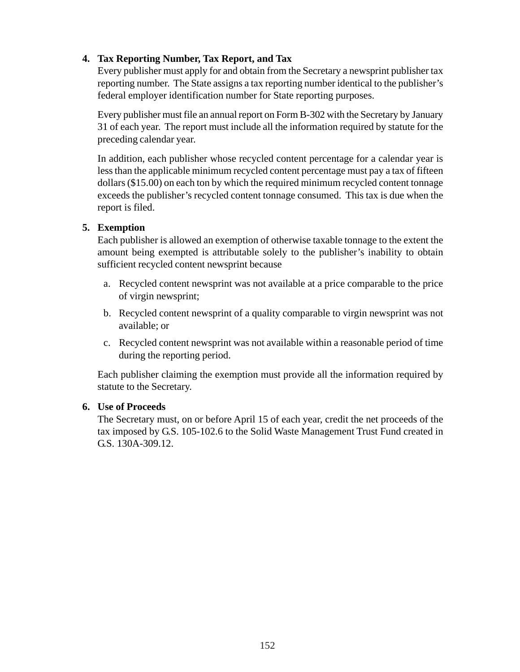# **4. Tax Reporting Number, Tax Report, and Tax**

Every publisher must apply for and obtain from the Secretary a newsprint publisher tax reporting number. The State assigns a tax reporting number identical to the publisher's federal employer identification number for State reporting purposes.

Every publisher must file an annual report on Form B-302 with the Secretary by January 31 of each year. The report must include all the information required by statute for the preceding calendar year.

In addition, each publisher whose recycled content percentage for a calendar year is less than the applicable minimum recycled content percentage must pay a tax of fifteen dollars (\$15.00) on each ton by which the required minimum recycled content tonnage exceeds the publisher's recycled content tonnage consumed. This tax is due when the report is filed.

### **5. Exemption**

Each publisher is allowed an exemption of otherwise taxable tonnage to the extent the amount being exempted is attributable solely to the publisher's inability to obtain sufficient recycled content newsprint because

- a. Recycled content newsprint was not available at a price comparable to the price of virgin newsprint;
- b. Recycled content newsprint of a quality comparable to virgin newsprint was not available; or
- c. Recycled content newsprint was not available within a reasonable period of time during the reporting period.

Each publisher claiming the exemption must provide all the information required by statute to the Secretary.

### **6. Use of Proceeds**

The Secretary must, on or before April 15 of each year, credit the net proceeds of the tax imposed by G.S. 105-102.6 to the Solid Waste Management Trust Fund created in G.S. 130A-309.12.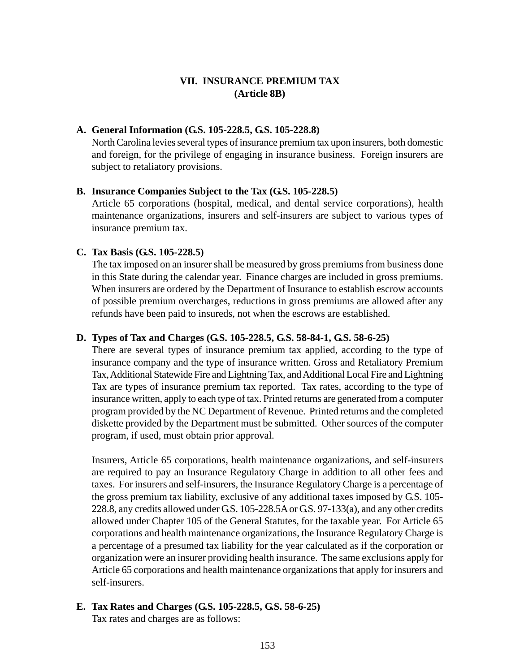### **VII. INSURANCE PREMIUM TAX (Article 8B)**

### **A. General Information (G.S. 105-228.5, G.S. 105-228.8)**

North Carolina levies several types of insurance premium tax upon insurers, both domestic and foreign, for the privilege of engaging in insurance business. Foreign insurers are subject to retaliatory provisions.

#### **B. Insurance Companies Subject to the Tax (G.S. 105-228.5)**

Article 65 corporations (hospital, medical, and dental service corporations), health maintenance organizations, insurers and self-insurers are subject to various types of insurance premium tax.

### **C. Tax Basis (G.S. 105-228.5)**

The tax imposed on an insurer shall be measured by gross premiums from business done in this State during the calendar year. Finance charges are included in gross premiums. When insurers are ordered by the Department of Insurance to establish escrow accounts of possible premium overcharges, reductions in gross premiums are allowed after any refunds have been paid to insureds, not when the escrows are established.

### **D. Types of Tax and Charges (G.S. 105-228.5, G.S. 58-84-1, G.S. 58-6-25)**

There are several types of insurance premium tax applied, according to the type of insurance company and the type of insurance written. Gross and Retaliatory Premium Tax, Additional Statewide Fire and Lightning Tax, and Additional Local Fire and Lightning Tax are types of insurance premium tax reported. Tax rates, according to the type of insurance written, apply to each type of tax. Printed returns are generated from a computer program provided by the NC Department of Revenue. Printed returns and the completed diskette provided by the Department must be submitted. Other sources of the computer program, if used, must obtain prior approval.

Insurers, Article 65 corporations, health maintenance organizations, and self-insurers are required to pay an Insurance Regulatory Charge in addition to all other fees and taxes. For insurers and self-insurers, the Insurance Regulatory Charge is a percentage of the gross premium tax liability, exclusive of any additional taxes imposed by G.S. 105- 228.8, any credits allowed under G.S. 105-228.5A or G.S. 97-133(a), and any other credits allowed under Chapter 105 of the General Statutes, for the taxable year. For Article 65 corporations and health maintenance organizations, the Insurance Regulatory Charge is a percentage of a presumed tax liability for the year calculated as if the corporation or organization were an insurer providing health insurance. The same exclusions apply for Article 65 corporations and health maintenance organizations that apply for insurers and self-insurers.

# **E. Tax Rates and Charges (G.S. 105-228.5, G.S. 58-6-25)**

Tax rates and charges are as follows: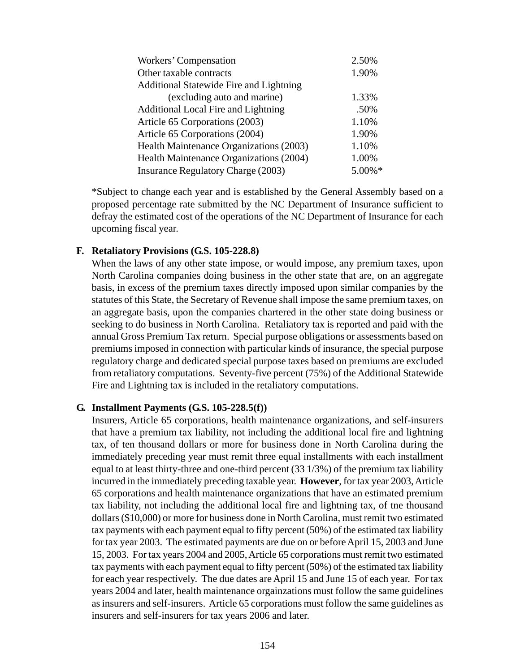| Workers' Compensation                     | 2.50%  |
|-------------------------------------------|--------|
| Other taxable contracts                   | 1.90%  |
| Additional Statewide Fire and Lightning   |        |
| (excluding auto and marine)               | 1.33%  |
| Additional Local Fire and Lightning       | .50%   |
| Article 65 Corporations (2003)            | 1.10%  |
| Article 65 Corporations (2004)            | 1.90%  |
| Health Maintenance Organizations (2003)   | 1.10%  |
| Health Maintenance Organizations (2004)   | 1.00%  |
| <b>Insurance Regulatory Charge (2003)</b> | 5.00%* |

\*Subject to change each year and is established by the General Assembly based on a proposed percentage rate submitted by the NC Department of Insurance sufficient to defray the estimated cost of the operations of the NC Department of Insurance for each upcoming fiscal year.

#### **F. Retaliatory Provisions (G.S. 105-228.8)**

When the laws of any other state impose, or would impose, any premium taxes, upon North Carolina companies doing business in the other state that are, on an aggregate basis, in excess of the premium taxes directly imposed upon similar companies by the statutes of this State, the Secretary of Revenue shall impose the same premium taxes, on an aggregate basis, upon the companies chartered in the other state doing business or seeking to do business in North Carolina. Retaliatory tax is reported and paid with the annual Gross Premium Tax return. Special purpose obligations or assessments based on premiums imposed in connection with particular kinds of insurance, the special purpose regulatory charge and dedicated special purpose taxes based on premiums are excluded from retaliatory computations. Seventy-five percent (75%) of the Additional Statewide Fire and Lightning tax is included in the retaliatory computations.

#### **G. Installment Payments (G.S. 105-228.5(f))**

Insurers, Article 65 corporations, health maintenance organizations, and self-insurers that have a premium tax liability, not including the additional local fire and lightning tax, of ten thousand dollars or more for business done in North Carolina during the immediately preceding year must remit three equal installments with each installment equal to at least thirty-three and one-third percent (33 1/3%) of the premium tax liability incurred in the immediately preceding taxable year. **However**, for tax year 2003, Article 65 corporations and health maintenance organizations that have an estimated premium tax liability, not including the additional local fire and lightning tax, of tne thousand dollars (\$10,000) or more for business done in North Carolina, must remit two estimated tax payments with each payment equal to fifty percent (50%) of the estimated tax liability for tax year 2003. The estimated payments are due on or before April 15, 2003 and June 15, 2003. For tax years 2004 and 2005, Article 65 corporations must remit two estimated tax payments with each payment equal to fifty percent (50%) of the estimated tax liability for each year respectively. The due dates are April 15 and June 15 of each year. For tax years 2004 and later, health maintenance orgainzations must follow the same guidelines as insurers and self-insurers. Article 65 corporations must follow the same guidelines as insurers and self-insurers for tax years 2006 and later.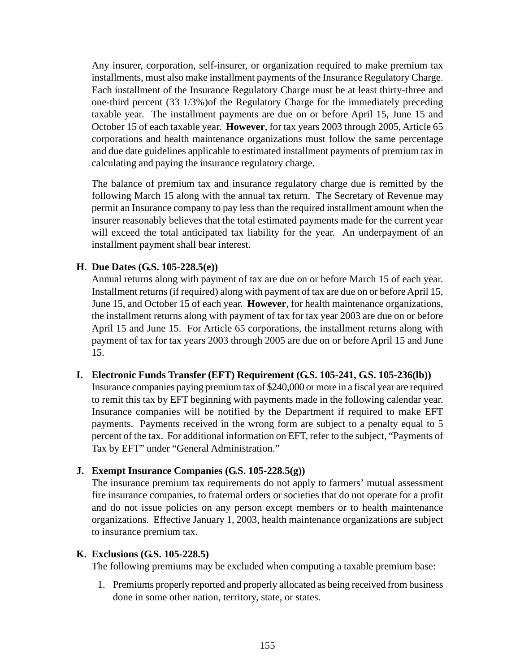Any insurer, corporation, self-insurer, or organization required to make premium tax installments, must also make installment payments of the Insurance Regulatory Charge. Each installment of the Insurance Regulatory Charge must be at least thirty-three and one-third percent (33 1/3%)of the Regulatory Charge for the immediately preceding taxable year. The installment payments are due on or before April 15, June 15 and October 15 of each taxable year. **However**, for tax years 2003 through 2005, Article 65 corporations and health maintenance organizations must follow the same percentage and due date guidelines applicable to estimated installment payments of premium tax in calculating and paying the insurance regulatory charge.

The balance of premium tax and insurance regulatory charge due is remitted by the following March 15 along with the annual tax return. The Secretary of Revenue may permit an Insurance company to pay less than the required installment amount when the insurer reasonably believes that the total estimated payments made for the current year will exceed the total anticipated tax liability for the year. An underpayment of an installment payment shall bear interest.

### **H. Due Dates (G.S. 105-228.5(e))**

Annual returns along with payment of tax are due on or before March 15 of each year. Installment returns (if required) along with payment of tax are due on or before April 15, June 15, and October 15 of each year. **However**, for health maintenance organizations, the installment returns along with payment of tax for tax year 2003 are due on or before April 15 and June 15. For Article 65 corporations, the installment returns along with payment of tax for tax years 2003 through 2005 are due on or before April 15 and June 15.

#### **I. Electronic Funds Transfer (EFT) Requirement (G.S. 105-241, G.S. 105-236(lb))**

Insurance companies paying premium tax of \$240,000 or more in a fiscal year are required to remit this tax by EFT beginning with payments made in the following calendar year. Insurance companies will be notified by the Department if required to make EFT payments. Payments received in the wrong form are subject to a penalty equal to 5 percent of the tax. For additional information on EFT, refer to the subject, "Payments of Tax by EFT" under "General Administration."

#### **J. Exempt Insurance Companies (G.S. 105-228.5(g))**

The insurance premium tax requirements do not apply to farmers' mutual assessment fire insurance companies, to fraternal orders or societies that do not operate for a profit and do not issue policies on any person except members or to health maintenance organizations. Effective January 1, 2003, health maintenance organizations are subject to insurance premium tax.

#### **K. Exclusions (G.S. 105-228.5)**

The following premiums may be excluded when computing a taxable premium base:

1. Premiums properly reported and properly allocated as being received from business done in some other nation, territory, state, or states.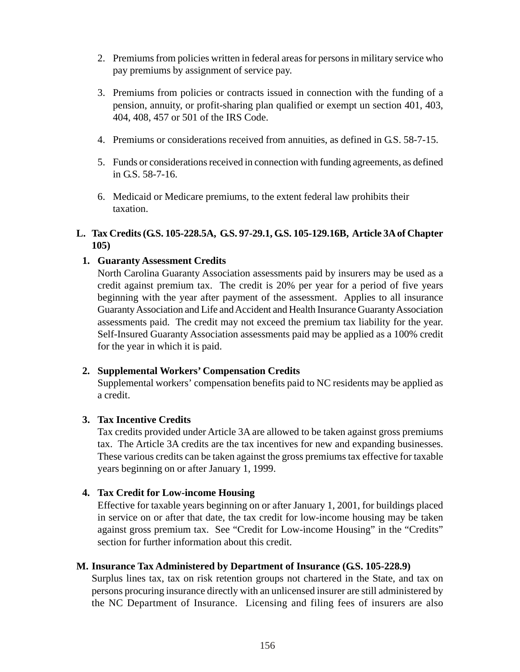- 2. Premiums from policies written in federal areas for persons in military service who pay premiums by assignment of service pay.
- 3. Premiums from policies or contracts issued in connection with the funding of a pension, annuity, or profit-sharing plan qualified or exempt un section 401, 403, 404, 408, 457 or 501 of the IRS Code.
- 4. Premiums or considerations received from annuities, as defined in G.S. 58-7-15.
- 5. Funds or considerations received in connection with funding agreements, as defined in G.S. 58-7-16.
- 6. Medicaid or Medicare premiums, to the extent federal law prohibits their taxation.

### **L. Tax Credits (G.S. 105-228.5A, G.S. 97-29.1, G.S. 105-129.16B, Article 3A of Chapter 105)**

### **1. Guaranty Assessment Credits**

North Carolina Guaranty Association assessments paid by insurers may be used as a credit against premium tax. The credit is 20% per year for a period of five years beginning with the year after payment of the assessment. Applies to all insurance Guaranty Association and Life and Accident and Health Insurance Guaranty Association assessments paid. The credit may not exceed the premium tax liability for the year. Self-Insured Guaranty Association assessments paid may be applied as a 100% credit for the year in which it is paid.

#### **2. Supplemental Workers' Compensation Credits**

Supplemental workers' compensation benefits paid to NC residents may be applied as a credit.

#### **3. Tax Incentive Credits**

Tax credits provided under Article 3A are allowed to be taken against gross premiums tax. The Article 3A credits are the tax incentives for new and expanding businesses. These various credits can be taken against the gross premiums tax effective for taxable years beginning on or after January 1, 1999.

#### **4. Tax Credit for Low-income Housing**

Effective for taxable years beginning on or after January 1, 2001, for buildings placed in service on or after that date, the tax credit for low-income housing may be taken against gross premium tax. See "Credit for Low-income Housing" in the "Credits" section for further information about this credit.

#### **M. Insurance Tax Administered by Department of Insurance (G.S. 105-228.9)**

Surplus lines tax, tax on risk retention groups not chartered in the State, and tax on persons procuring insurance directly with an unlicensed insurer are still administered by the NC Department of Insurance. Licensing and filing fees of insurers are also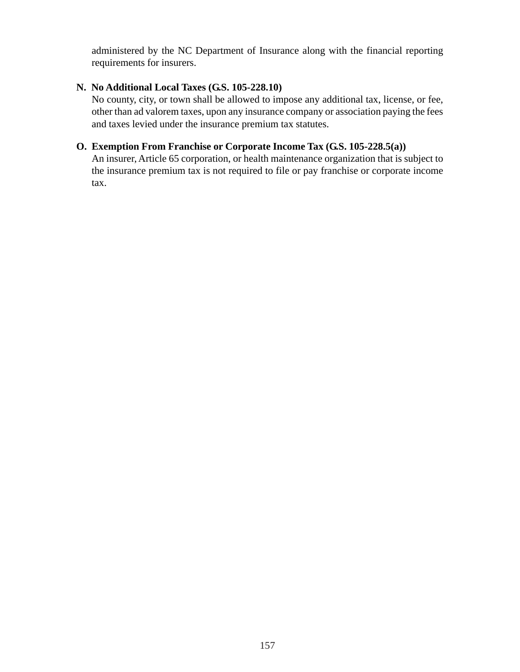administered by the NC Department of Insurance along with the financial reporting requirements for insurers.

### **N. No Additional Local Taxes (G.S. 105-228.10)**

No county, city, or town shall be allowed to impose any additional tax, license, or fee, other than ad valorem taxes, upon any insurance company or association paying the fees and taxes levied under the insurance premium tax statutes.

### **O. Exemption From Franchise or Corporate Income Tax (G.S. 105-228.5(a))**

An insurer, Article 65 corporation, or health maintenance organization that is subject to the insurance premium tax is not required to file or pay franchise or corporate income tax.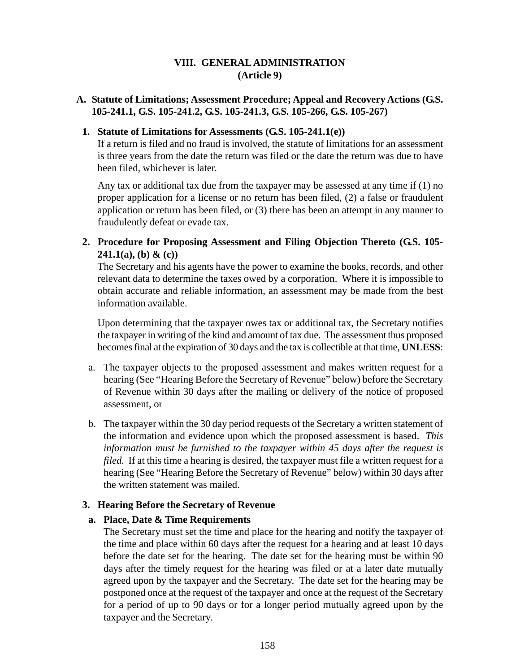### **VIII. GENERAL ADMINISTRATION (Article 9)**

### **A. Statute of Limitations; Assessment Procedure; Appeal and Recovery Actions (G.S. 105-241.1, G.S. 105-241.2, G.S. 105-241.3, G.S. 105-266, G.S. 105-267)**

### **1. Statute of Limitations for Assessments (G.S. 105-241.1(e))**

If a return is filed and no fraud is involved, the statute of limitations for an assessment is three years from the date the return was filed or the date the return was due to have been filed, whichever is later.

Any tax or additional tax due from the taxpayer may be assessed at any time if (1) no proper application for a license or no return has been filed, (2) a false or fraudulent application or return has been filed, or (3) there has been an attempt in any manner to fraudulently defeat or evade tax.

**2. Procedure for Proposing Assessment and Filing Objection Thereto (G.S. 105- 241.1(a), (b) & (c))**

The Secretary and his agents have the power to examine the books, records, and other relevant data to determine the taxes owed by a corporation. Where it is impossible to obtain accurate and reliable information, an assessment may be made from the best information available.

Upon determining that the taxpayer owes tax or additional tax, the Secretary notifies the taxpayer in writing of the kind and amount of tax due. The assessment thus proposed becomes final at the expiration of 30 days and the tax is collectible at that time, **UNLESS**:

- a. The taxpayer objects to the proposed assessment and makes written request for a hearing (See "Hearing Before the Secretary of Revenue" below) before the Secretary of Revenue within 30 days after the mailing or delivery of the notice of proposed assessment, or
- b. The taxpayer within the 30 day period requests of the Secretary a written statement of the information and evidence upon which the proposed assessment is based. *This information must be furnished to the taxpayer within 45 days after the request is filed.* If at this time a hearing is desired, the taxpayer must file a written request for a hearing (See "Hearing Before the Secretary of Revenue" below) within 30 days after the written statement was mailed.

### **3. Hearing Before the Secretary of Revenue**

### **a. Place, Date & Time Requirements**

The Secretary must set the time and place for the hearing and notify the taxpayer of the time and place within 60 days after the request for a hearing and at least 10 days before the date set for the hearing. The date set for the hearing must be within 90 days after the timely request for the hearing was filed or at a later date mutually agreed upon by the taxpayer and the Secretary. The date set for the hearing may be postponed once at the request of the taxpayer and once at the request of the Secretary for a period of up to 90 days or for a longer period mutually agreed upon by the taxpayer and the Secretary.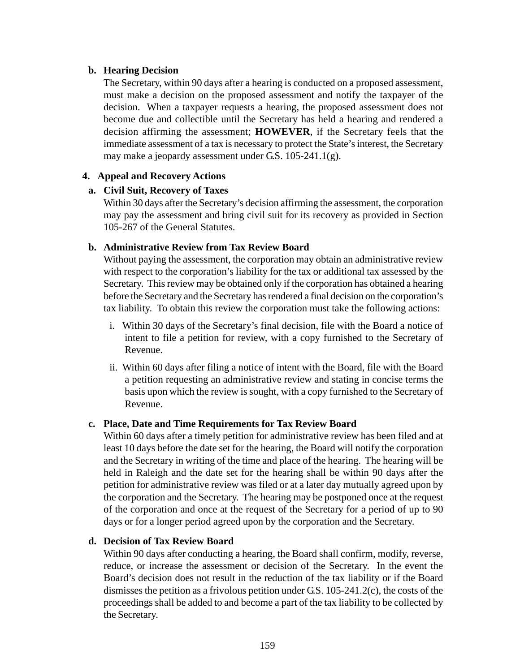#### **b. Hearing Decision**

The Secretary, within 90 days after a hearing is conducted on a proposed assessment, must make a decision on the proposed assessment and notify the taxpayer of the decision. When a taxpayer requests a hearing, the proposed assessment does not become due and collectible until the Secretary has held a hearing and rendered a decision affirming the assessment; **HOWEVER**, if the Secretary feels that the immediate assessment of a tax is necessary to protect the State's interest, the Secretary may make a jeopardy assessment under G.S. 105-241.1(g).

### **4. Appeal and Recovery Actions**

### **a. Civil Suit, Recovery of Taxes**

Within 30 days after the Secretary's decision affirming the assessment, the corporation may pay the assessment and bring civil suit for its recovery as provided in Section 105-267 of the General Statutes.

### **b. Administrative Review from Tax Review Board**

Without paying the assessment, the corporation may obtain an administrative review with respect to the corporation's liability for the tax or additional tax assessed by the Secretary. This review may be obtained only if the corporation has obtained a hearing before the Secretary and the Secretary has rendered a final decision on the corporation's tax liability. To obtain this review the corporation must take the following actions:

- i. Within 30 days of the Secretary's final decision, file with the Board a notice of intent to file a petition for review, with a copy furnished to the Secretary of Revenue.
- ii. Within 60 days after filing a notice of intent with the Board, file with the Board a petition requesting an administrative review and stating in concise terms the basis upon which the review is sought, with a copy furnished to the Secretary of Revenue.

### **c. Place, Date and Time Requirements for Tax Review Board**

Within 60 days after a timely petition for administrative review has been filed and at least 10 days before the date set for the hearing, the Board will notify the corporation and the Secretary in writing of the time and place of the hearing. The hearing will be held in Raleigh and the date set for the hearing shall be within 90 days after the petition for administrative review was filed or at a later day mutually agreed upon by the corporation and the Secretary. The hearing may be postponed once at the request of the corporation and once at the request of the Secretary for a period of up to 90 days or for a longer period agreed upon by the corporation and the Secretary.

### **d. Decision of Tax Review Board**

Within 90 days after conducting a hearing, the Board shall confirm, modify, reverse, reduce, or increase the assessment or decision of the Secretary. In the event the Board's decision does not result in the reduction of the tax liability or if the Board dismisses the petition as a frivolous petition under G.S. 105-241.2(c), the costs of the proceedings shall be added to and become a part of the tax liability to be collected by the Secretary.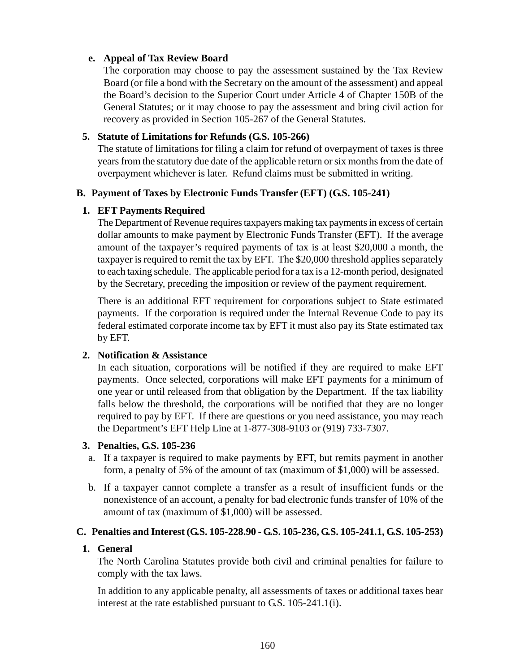### **e. Appeal of Tax Review Board**

The corporation may choose to pay the assessment sustained by the Tax Review Board (or file a bond with the Secretary on the amount of the assessment) and appeal the Board's decision to the Superior Court under Article 4 of Chapter 150B of the General Statutes; or it may choose to pay the assessment and bring civil action for recovery as provided in Section 105-267 of the General Statutes.

### **5. Statute of Limitations for Refunds (G.S. 105-266)**

The statute of limitations for filing a claim for refund of overpayment of taxes is three years from the statutory due date of the applicable return or six months from the date of overpayment whichever is later. Refund claims must be submitted in writing.

### **B. Payment of Taxes by Electronic Funds Transfer (EFT) (G.S. 105-241)**

### **1. EFT Payments Required**

The Department of Revenue requires taxpayers making tax payments in excess of certain dollar amounts to make payment by Electronic Funds Transfer (EFT). If the average amount of the taxpayer's required payments of tax is at least \$20,000 a month, the taxpayer is required to remit the tax by EFT. The \$20,000 threshold applies separately to each taxing schedule. The applicable period for a tax is a 12-month period, designated by the Secretary, preceding the imposition or review of the payment requirement.

There is an additional EFT requirement for corporations subject to State estimated payments. If the corporation is required under the Internal Revenue Code to pay its federal estimated corporate income tax by EFT it must also pay its State estimated tax by EFT.

### **2. Notification & Assistance**

In each situation, corporations will be notified if they are required to make EFT payments. Once selected, corporations will make EFT payments for a minimum of one year or until released from that obligation by the Department. If the tax liability falls below the threshold, the corporations will be notified that they are no longer required to pay by EFT. If there are questions or you need assistance, you may reach the Department's EFT Help Line at 1-877-308-9103 or (919) 733-7307.

#### **3. Penalties, G.S. 105-236**

- a. If a taxpayer is required to make payments by EFT, but remits payment in another form, a penalty of 5% of the amount of tax (maximum of \$1,000) will be assessed.
- b. If a taxpayer cannot complete a transfer as a result of insufficient funds or the nonexistence of an account, a penalty for bad electronic funds transfer of 10% of the amount of tax (maximum of \$1,000) will be assessed.

### **C. Penalties and Interest (G.S. 105-228.90 - G.S. 105-236, G.S. 105-241.1, G.S. 105-253)**

### **1. General**

The North Carolina Statutes provide both civil and criminal penalties for failure to comply with the tax laws.

In addition to any applicable penalty, all assessments of taxes or additional taxes bear interest at the rate established pursuant to G.S. 105-241.1(i).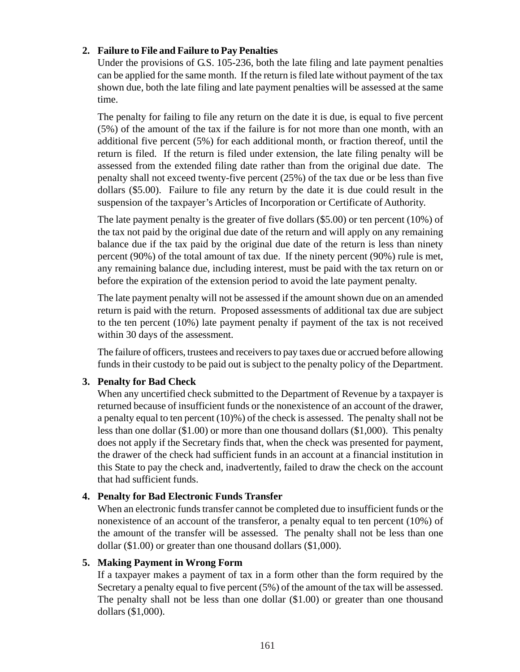### **2. Failure to File and Failure to Pay Penalties**

Under the provisions of G.S. 105-236, both the late filing and late payment penalties can be applied for the same month. If the return is filed late without payment of the tax shown due, both the late filing and late payment penalties will be assessed at the same time.

The penalty for failing to file any return on the date it is due, is equal to five percent (5%) of the amount of the tax if the failure is for not more than one month, with an additional five percent (5%) for each additional month, or fraction thereof, until the return is filed. If the return is filed under extension, the late filing penalty will be assessed from the extended filing date rather than from the original due date. The penalty shall not exceed twenty-five percent (25%) of the tax due or be less than five dollars (\$5.00). Failure to file any return by the date it is due could result in the suspension of the taxpayer's Articles of Incorporation or Certificate of Authority.

The late payment penalty is the greater of five dollars (\$5.00) or ten percent (10%) of the tax not paid by the original due date of the return and will apply on any remaining balance due if the tax paid by the original due date of the return is less than ninety percent (90%) of the total amount of tax due. If the ninety percent (90%) rule is met, any remaining balance due, including interest, must be paid with the tax return on or before the expiration of the extension period to avoid the late payment penalty.

The late payment penalty will not be assessed if the amount shown due on an amended return is paid with the return. Proposed assessments of additional tax due are subject to the ten percent (10%) late payment penalty if payment of the tax is not received within 30 days of the assessment.

The failure of officers, trustees and receivers to pay taxes due or accrued before allowing funds in their custody to be paid out is subject to the penalty policy of the Department.

### **3. Penalty for Bad Check**

When any uncertified check submitted to the Department of Revenue by a taxpayer is returned because of insufficient funds or the nonexistence of an account of the drawer, a penalty equal to ten percent (10)%) of the check is assessed. The penalty shall not be less than one dollar (\$1.00) or more than one thousand dollars (\$1,000). This penalty does not apply if the Secretary finds that, when the check was presented for payment, the drawer of the check had sufficient funds in an account at a financial institution in this State to pay the check and, inadvertently, failed to draw the check on the account that had sufficient funds.

### **4. Penalty for Bad Electronic Funds Transfer**

When an electronic funds transfer cannot be completed due to insufficient funds or the nonexistence of an account of the transferor, a penalty equal to ten percent (10%) of the amount of the transfer will be assessed. The penalty shall not be less than one dollar (\$1.00) or greater than one thousand dollars (\$1,000).

#### **5. Making Payment in Wrong Form**

If a taxpayer makes a payment of tax in a form other than the form required by the Secretary a penalty equal to five percent (5%) of the amount of the tax will be assessed. The penalty shall not be less than one dollar (\$1.00) or greater than one thousand dollars (\$1,000).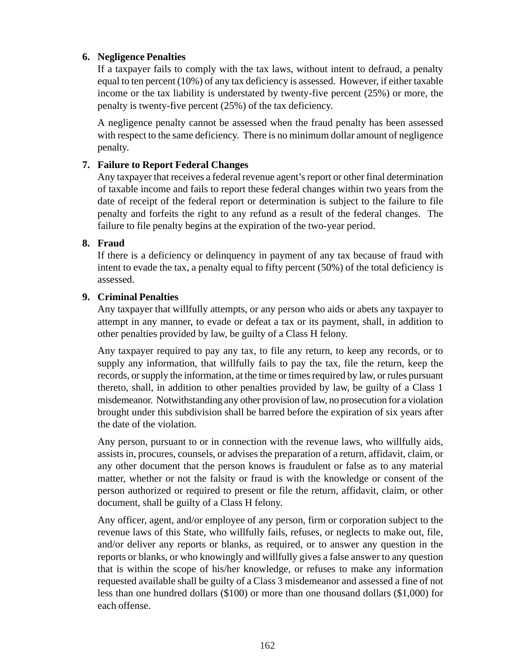### **6. Negligence Penalties**

If a taxpayer fails to comply with the tax laws, without intent to defraud, a penalty equal to ten percent (10%) of any tax deficiency is assessed. However, if either taxable income or the tax liability is understated by twenty-five percent (25%) or more, the penalty is twenty-five percent (25%) of the tax deficiency.

A negligence penalty cannot be assessed when the fraud penalty has been assessed with respect to the same deficiency. There is no minimum dollar amount of negligence penalty.

### **7. Failure to Report Federal Changes**

Any taxpayer that receives a federal revenue agent's report or other final determination of taxable income and fails to report these federal changes within two years from the date of receipt of the federal report or determination is subject to the failure to file penalty and forfeits the right to any refund as a result of the federal changes. The failure to file penalty begins at the expiration of the two-year period.

### **8. Fraud**

If there is a deficiency or delinquency in payment of any tax because of fraud with intent to evade the tax, a penalty equal to fifty percent (50%) of the total deficiency is assessed.

### **9. Criminal Penalties**

Any taxpayer that willfully attempts, or any person who aids or abets any taxpayer to attempt in any manner, to evade or defeat a tax or its payment, shall, in addition to other penalties provided by law, be guilty of a Class H felony.

Any taxpayer required to pay any tax, to file any return, to keep any records, or to supply any information, that willfully fails to pay the tax, file the return, keep the records, or supply the information, at the time or times required by law, or rules pursuant thereto, shall, in addition to other penalties provided by law, be guilty of a Class 1 misdemeanor. Notwithstanding any other provision of law, no prosecution for a violation brought under this subdivision shall be barred before the expiration of six years after the date of the violation.

Any person, pursuant to or in connection with the revenue laws, who willfully aids, assists in, procures, counsels, or advises the preparation of a return, affidavit, claim, or any other document that the person knows is fraudulent or false as to any material matter, whether or not the falsity or fraud is with the knowledge or consent of the person authorized or required to present or file the return, affidavit, claim, or other document, shall be guilty of a Class H felony.

Any officer, agent, and/or employee of any person, firm or corporation subject to the revenue laws of this State, who willfully fails, refuses, or neglects to make out, file, and/or deliver any reports or blanks, as required, or to answer any question in the reports or blanks, or who knowingly and willfully gives a false answer to any question that is within the scope of his/her knowledge, or refuses to make any information requested available shall be guilty of a Class 3 misdemeanor and assessed a fine of not less than one hundred dollars (\$100) or more than one thousand dollars (\$1,000) for each offense.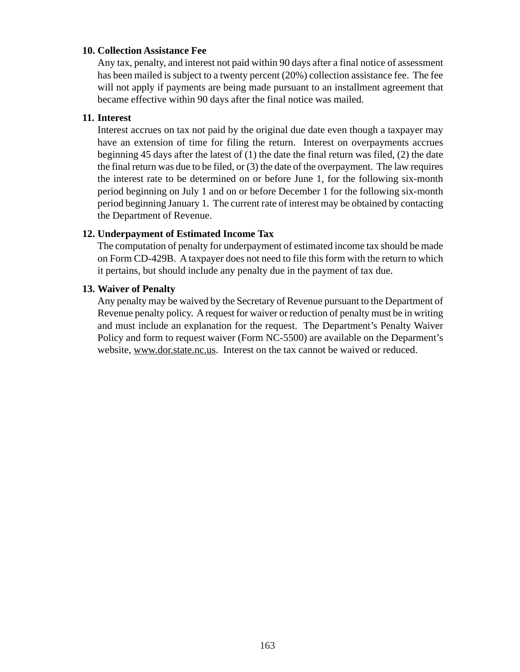#### **10. Collection Assistance Fee**

Any tax, penalty, and interest not paid within 90 days after a final notice of assessment has been mailed is subject to a twenty percent (20%) collection assistance fee. The fee will not apply if payments are being made pursuant to an installment agreement that became effective within 90 days after the final notice was mailed.

### **11. Interest**

Interest accrues on tax not paid by the original due date even though a taxpayer may have an extension of time for filing the return. Interest on overpayments accrues beginning 45 days after the latest of (1) the date the final return was filed, (2) the date the final return was due to be filed, or (3) the date of the overpayment. The law requires the interest rate to be determined on or before June 1, for the following six-month period beginning on July 1 and on or before December 1 for the following six-month period beginning January 1. The current rate of interest may be obtained by contacting the Department of Revenue.

### **12. Underpayment of Estimated Income Tax**

The computation of penalty for underpayment of estimated income tax should be made on Form CD-429B. A taxpayer does not need to file this form with the return to which it pertains, but should include any penalty due in the payment of tax due.

### **13. Waiver of Penalty**

Any penalty may be waived by the Secretary of Revenue pursuant to the Department of Revenue penalty policy. A request for waiver or reduction of penalty must be in writing and must include an explanation for the request. The Department's Penalty Waiver Policy and form to request waiver (Form NC-5500) are available on the Deparment's website, www.dor.state.nc.us. Interest on the tax cannot be waived or reduced.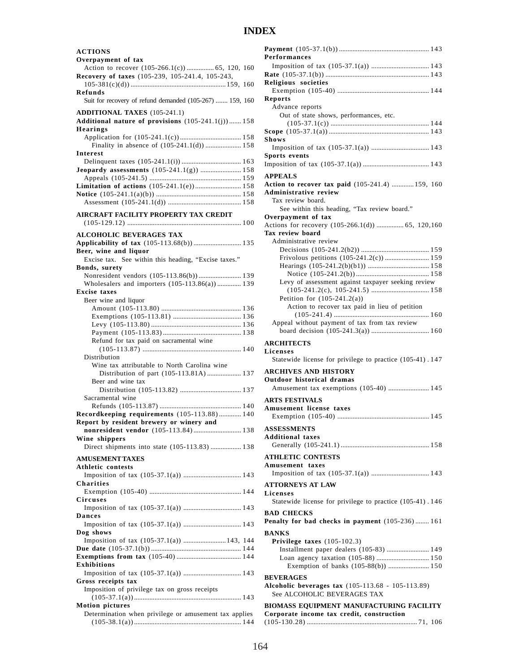# **INDEX**

| <b>ACTIONS</b>                                                                                  |
|-------------------------------------------------------------------------------------------------|
| Overpayment of tax<br>Action to recover (105-266.1(c))  65, 120, 160                            |
| Recovery of taxes (105-239, 105-241.4, 105-243,                                                 |
| <b>Refunds</b>                                                                                  |
| Suit for recovery of refund demanded (105-267)  159, 160<br><b>ADDITIONAL TAXES</b> (105-241.1) |
| Additional nature of provisions $(105-241.1(j))$ 158<br>Hearings                                |
| Finality in absence of (105-241.1(d))  158                                                      |
| Interest                                                                                        |
| <b>Jeopardy assessments</b> (105-241.1(g))  158                                                 |
| Limitation of actions (105-241.1(e)) 158                                                        |
|                                                                                                 |
|                                                                                                 |
| AIRCRAFT FACILITY PROPERTY TAX CREDIT                                                           |
| <b>ALCOHOLIC BEVERAGES TAX</b>                                                                  |
| Applicability of tax (105-113.68(b)) 135<br>Beer, wine and liquor                               |
| Excise tax. See within this heading, "Excise taxes."                                            |
| Bonds, surety<br>Nonresident vendors (105-113.86(b)) 139                                        |
| Wholesalers and importers (105-113.86(a)) 139                                                   |
| <b>Excise taxes</b>                                                                             |
| Beer wine and liquor                                                                            |
|                                                                                                 |
|                                                                                                 |
|                                                                                                 |
| Refund for tax paid on sacramental wine                                                         |
| Distribution                                                                                    |
| Wine tax attributable to North Carolina wine                                                    |
|                                                                                                 |
| Beer and wine tax                                                                               |
| Sacramental wine                                                                                |
|                                                                                                 |
| Recordkeeping requirements (105-113.88) 140<br>Report by resident brewery or winery and         |
| nonresident vendor (105-113.84) 138                                                             |
| Wine shippers                                                                                   |
| Direct shipments into state (105-113.83)  138                                                   |
| <b>AMUSEMENT TAXES</b>                                                                          |
| <b>Athletic contests</b>                                                                        |
| <b>Charities</b>                                                                                |
| Circuses                                                                                        |
| Dances                                                                                          |
|                                                                                                 |
| Dog shows<br>Imposition of tax (105-37.1(a))  143, 144                                          |
|                                                                                                 |
| <b>Exhibitions</b>                                                                              |
| Gross receipts tax                                                                              |
| Imposition of privilege tax on gross receipts                                                   |
| <b>Motion pictures</b>                                                                          |
|                                                                                                 |
| Determination when privilege or amusement tax applies                                           |

| Performances                                                                                          |
|-------------------------------------------------------------------------------------------------------|
|                                                                                                       |
| Religious societies                                                                                   |
| Reports                                                                                               |
| Advance reports<br>Out of state shows, performances, etc.                                             |
| Shows                                                                                                 |
|                                                                                                       |
| <b>Sports events</b>                                                                                  |
| <b>APPEALS</b>                                                                                        |
| Action to recover tax paid (105-241.4)  159, 160<br><b>Administrative review</b><br>Tax review board. |
| See within this heading, "Tax review board."                                                          |
| Overpayment of tax<br>Actions for recovery (105-266.1(d))  65, 120,160                                |
| Tax review board                                                                                      |
| Administrative review                                                                                 |
| Frivolous petitions (105-241.2(c)) 159                                                                |
|                                                                                                       |
|                                                                                                       |
| Levy of assessment against taxpayer seeking review                                                    |
| Petition for $(105-241.2(a))$                                                                         |
| Action to recover tax paid in lieu of petition                                                        |
| Appeal without payment of tax from tax review                                                         |
|                                                                                                       |
|                                                                                                       |
| <b>ARCHITECTS</b><br>Licenses                                                                         |
| Statewide license for privilege to practice (105-41). 147                                             |
| <b>ARCHIVES AND HISTORY</b><br>Outdoor historical dramas                                              |
| Amusement tax exemptions (105-40)  145                                                                |
| <b>ARTS FESTIVALS</b><br>Amusement license taxes                                                      |
| <b>ASSESSMENTS</b>                                                                                    |
| <b>Additional taxes</b>                                                                               |
| <b>ATHLETIC CONTESTS</b>                                                                              |
| Amusement taxes                                                                                       |
| <b>ATTORNEYS AT LAW</b><br>Licenses                                                                   |
| Statewide license for privilege to practice (105-41). 146<br><b>BAD CHECKS</b>                        |
| Penalty for bad checks in payment (105-236) 161                                                       |
| <b>BANKS</b>                                                                                          |
| Privilege taxes $(105-102.3)$                                                                         |
| Installment paper dealers (105-83)  149<br>Loan agency taxation (105-88)  150                         |
| Exemption of banks (105-88(b))  150                                                                   |
| <b>BEVERAGES</b>                                                                                      |
| Alcoholic beverages tax (105-113.68 - 105-113.89)<br>See ALCOHOLIC BEVERAGES TAX                      |
| BIOMASS EQUIPMENT MANUFACTURING FACILITY<br>Corporate income tax credit, construction                 |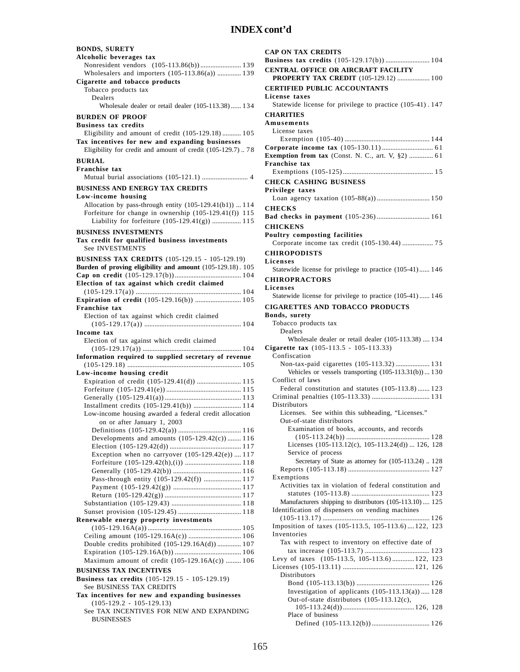| <b>BONDS, SURETY</b>                                                                                                                                               |
|--------------------------------------------------------------------------------------------------------------------------------------------------------------------|
| Alcoholic beverages tax<br>Nonresident vendors (105-113.86(b)) 139                                                                                                 |
| Wholesalers and importers (105-113.86(a))  139                                                                                                                     |
| Cigarette and tobacco products                                                                                                                                     |
| Tobacco products tax<br>Dealers                                                                                                                                    |
| Wholesale dealer or retail dealer (105-113.38) 134                                                                                                                 |
| <b>BURDEN OF PROOF</b>                                                                                                                                             |
| <b>Business tax credits</b>                                                                                                                                        |
| Eligibility and amount of credit (105-129.18)  105<br>Tax incentives for new and expanding businesses<br>Eligibility for credit and amount of credit (105-129.7)78 |
| <b>BURIAL</b>                                                                                                                                                      |
| Franchise tax                                                                                                                                                      |
| <b>BUSINESS AND ENERGY TAX CREDITS</b>                                                                                                                             |
| Low-income housing                                                                                                                                                 |
| Allocation by pass-through entity (105-129.41(b1))  114<br>Forfeiture for change in ownership (105-129.41(f)) 115<br>Liability for forfeiture (105-129.41(g))  115 |
| <b>BUSINESS INVESTMENTS</b>                                                                                                                                        |
| Tax credit for qualified business investments<br>See INVESTMENTS                                                                                                   |
| <b>BUSINESS TAX CREDITS</b> (105-129.15 - 105-129.19)                                                                                                              |
| Burden of proving eligibility and amount (105-129.18). 105                                                                                                         |
| Election of tax against which credit claimed                                                                                                                       |
|                                                                                                                                                                    |
| Expiration of credit (105-129.16(b))  105<br>Franchise tax                                                                                                         |
| Election of tax against which credit claimed                                                                                                                       |
|                                                                                                                                                                    |
|                                                                                                                                                                    |
| Income tax                                                                                                                                                         |
| Election of tax against which credit claimed                                                                                                                       |
| Information required to supplied secretary of revenue                                                                                                              |
|                                                                                                                                                                    |
| Low-income housing credit                                                                                                                                          |
| Expiration of credit (105-129.41(d))  115                                                                                                                          |
|                                                                                                                                                                    |
| Installment credits (105-129.41(b))  114                                                                                                                           |
| Low-income housing awarded a federal credit allocation                                                                                                             |
| on or after January 1, 2003                                                                                                                                        |
| Developments and amounts (105-129.42(c)) 116                                                                                                                       |
|                                                                                                                                                                    |
| Exception when no carryover $(105-129.42(e))$ 117                                                                                                                  |
|                                                                                                                                                                    |
|                                                                                                                                                                    |
| Pass-through entity (105-129.42(f))  117                                                                                                                           |
|                                                                                                                                                                    |
|                                                                                                                                                                    |
|                                                                                                                                                                    |
| Renewable energy property investments                                                                                                                              |
|                                                                                                                                                                    |
| Double credits prohibited (105-129.16A(d))  107                                                                                                                    |
|                                                                                                                                                                    |
| Maximum amount of credit (105-129.16A(c))  106                                                                                                                     |
| <b>BUSINESS TAX INCENTIVES</b><br>Business tax credits (105-129.15 - 105-129.19)                                                                                   |
| See BUSINESS TAX CREDITS                                                                                                                                           |
| Tax incentives for new and expanding businesses                                                                                                                    |
| $(105-129.2 - 105-129.13)$<br>See TAX INCENTIVES FOR NEW AND EXPANDING                                                                                             |

| <b>CAP ON TAX CREDITS</b>                                                         |
|-----------------------------------------------------------------------------------|
| <b>CENTRAL OFFICE OR AIRCRAFT FACILITY</b>                                        |
| PROPERTY TAX CREDIT (105-129.12)  100<br><b>CERTIFIED PUBLIC ACCOUNTANTS</b>      |
| License taxes<br>Statewide license for privilege to practice (105-41). 147        |
| <b>CHARITIES</b>                                                                  |
| Amusements<br>License taxes                                                       |
|                                                                                   |
| Exemption from tax (Const. N. C., art. V, §2)  61                                 |
| Franchise tax                                                                     |
| <b>CHECK CASHING BUSINESS</b>                                                     |
| Privilege taxes                                                                   |
| <b>CHECKS</b>                                                                     |
| Bad checks in payment (105-236) 161<br><b>CHICKENS</b>                            |
| Poultry composting facilities                                                     |
| Corporate income tax credit (105-130.44)  75<br><b>CHIROPODISTS</b>               |
| Licenses                                                                          |
| Statewide license for privilege to practice (105-41) 146                          |
| <b>CHIROPRACTORS</b><br>Licenses                                                  |
| Statewide license for privilege to practice (105-41) 146                          |
| <b>CIGARETTES AND TOBACCO PRODUCTS</b><br>Bonds, surety                           |
| Tobacco products tax<br>Dealers                                                   |
| Wholesale dealer or retail dealer (105-113.38)  134                               |
| Cigarette tax (105-113.5 - 105-113.33)<br>Confiscation                            |
| Non-tax-paid cigarettes (105-113.32) 131                                          |
| Vehicles or vessels transporting $(105-113.31(b))130$<br>Conflict of laws         |
| Federal constitution and statutes (105-113.8) 123                                 |
| <b>Distributors</b>                                                               |
| See within this subheading, "Licenses."<br>Licenses.<br>Out-of-state distributors |
| Examination of books, accounts, and records                                       |
| Licenses (105-113.12(c), 105-113.24(d))  126, 128                                 |
| Service of process<br>Secretary of State as attorney for (105-113.24)  128        |
| Exemptions                                                                        |
| Activities tax in violation of federal constitution and                           |
| Manufacturers shipping to distributors (105-113.10) 125                           |
| Identification of dispensers on vending machines                                  |
| Imposition of taxes (105-113.5, 105-113.6)122, 123                                |
| Inventories<br>Tax with respect to inventory on effective date of                 |
|                                                                                   |
| Levy of taxes (105-113.5, 105-113.6) 122, 123                                     |
| Distributors                                                                      |
| Investigation of applicants $(105-113.13(a))$ 128                                 |
| Out-of-state distributors (105-113.12(c),                                         |
| Place of business                                                                 |
|                                                                                   |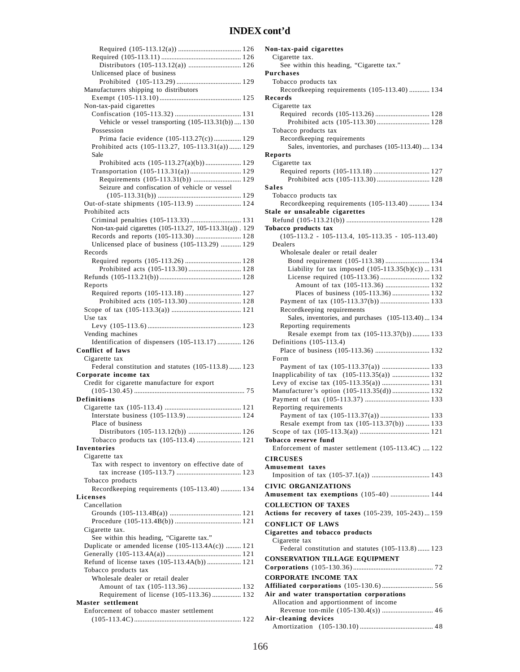| Unlicensed place of business                             |  |
|----------------------------------------------------------|--|
|                                                          |  |
|                                                          |  |
| Manufacturers shipping to distributors                   |  |
|                                                          |  |
| Non-tax-paid cigarettes                                  |  |
|                                                          |  |
|                                                          |  |
| Vehicle or vessel transporting (105-113.31(b)) 130       |  |
| Possession                                               |  |
| Prima facie evidence (105-113.27(c)) 129                 |  |
|                                                          |  |
| Prohibited acts (105-113.27, 105-113.31(a)) 129          |  |
| Sale                                                     |  |
| Prohibited acts (105-113.27(a)(b)) 129                   |  |
| Transportation (105-113.31(a)) 129                       |  |
|                                                          |  |
| Requirements (105-113.31(b))  129                        |  |
| Seizure and confiscation of vehicle or vessel            |  |
|                                                          |  |
| Out-of-state shipments (105-113.9)  124                  |  |
|                                                          |  |
| Prohibited acts                                          |  |
| Criminal penalties (105-113.33) 131                      |  |
| Non-tax-paid cigarettes (105-113.27, 105-113.31(a)). 129 |  |
| Records and reports (105-113.30)  128                    |  |
|                                                          |  |
| Unlicensed place of business (105-113.29)  129           |  |
| Records                                                  |  |
|                                                          |  |
|                                                          |  |
|                                                          |  |
|                                                          |  |
| Reports                                                  |  |
|                                                          |  |
|                                                          |  |
|                                                          |  |
|                                                          |  |
| Use tax                                                  |  |
|                                                          |  |
|                                                          |  |
| Vending machines                                         |  |
| Identification of dispensers (105-113.17)  126           |  |
| <b>Conflict of laws</b>                                  |  |
| Cigarette tax                                            |  |
|                                                          |  |
| Federal constitution and statutes (105-113.8) 123        |  |
| Corporate income tax                                     |  |
| Credit for cigarette manufacture for export              |  |
|                                                          |  |
|                                                          |  |
| Definitions                                              |  |
|                                                          |  |
|                                                          |  |
| Place of business                                        |  |
|                                                          |  |
|                                                          |  |
| Tobacco products tax (105-113.4)  121                    |  |
| Inventories                                              |  |
| Cigarette tax                                            |  |
|                                                          |  |
| Tax with respect to inventory on effective date of       |  |
|                                                          |  |
| Tobacco products                                         |  |
| Recordkeeping requirements (105-113.40)  134             |  |
|                                                          |  |
| Licenses                                                 |  |
| Cancellation                                             |  |
|                                                          |  |
|                                                          |  |
|                                                          |  |
| Cigarette tax.                                           |  |
| See within this heading, "Cigarette tax."                |  |
| Duplicate or amended license (105-113.4A(c))  121        |  |
|                                                          |  |
| Refund of license taxes (105-113.4A(b))  121             |  |
|                                                          |  |
| Tobacco products tax                                     |  |
| Wholesale dealer or retail dealer                        |  |
|                                                          |  |
|                                                          |  |
|                                                          |  |
| Requirement of license (105-113.36) 132                  |  |
| Master settlement                                        |  |
| Enforcement of tobacco master settlement                 |  |
|                                                          |  |

| Non-tax-paid cigarettes                                                          |
|----------------------------------------------------------------------------------|
| Cigarette tax.                                                                   |
| See within this heading, "Cigarette tax."                                        |
| Purchases                                                                        |
| Tobacco products tax                                                             |
| Recordkeeping requirements (105-113.40)  134                                     |
| Records                                                                          |
| Cigarette tax                                                                    |
|                                                                                  |
|                                                                                  |
| Tobacco products tax                                                             |
| Recordkeeping requirements<br>Sales, inventories, and purchases (105-113.40) 134 |
| Reports                                                                          |
| Cigarette tax                                                                    |
| Required reports (105-113.18)  127                                               |
|                                                                                  |
| <b>Sales</b>                                                                     |
| Tobacco products tax                                                             |
| Recordkeeping requirements (105-113.40)  134                                     |
| Stale or unsaleable cigarettes                                                   |
|                                                                                  |
| Tobacco products tax                                                             |
| $(105-113.2 - 105-113.4, 105-113.35 - 105-113.40)$                               |
| Dealers                                                                          |
| Wholesale dealer or retail dealer                                                |
| Bond requirement (105-113.38) 134                                                |
| Liability for tax imposed $(105-113.35(b)(c))$ 131                               |
| License required (105-113.36)  132                                               |
| Amount of tax (105-113.36)  132                                                  |
| Places of business (105-113.36)  132                                             |
|                                                                                  |
| Recordkeeping requirements                                                       |
| Sales, inventories, and purchases (105-113.40) 134                               |
| Reporting requirements                                                           |
| Resale exempt from tax (105-113.37(b)) 133<br>Definitions (105-113.4)            |
|                                                                                  |
| Form                                                                             |
| Payment of tax (105-113.37(a))  133                                              |
| Inapplicability of tax (105-113.35(a))  132                                      |
| Levy of excise tax (105-113.35(a))  131                                          |
| Manufacturer's option (105-113.35(d)) 132                                        |
|                                                                                  |
| Reporting requirements                                                           |
| Payment of tax (105-113.37(a)) 133                                               |
| Resale exempt from tax (105-113.37(b))  133                                      |
|                                                                                  |
| Tobacco reserve fund                                                             |
| Enforcement of master settlement (105-113.4C)  122                               |
| <b>CIRCUSES</b>                                                                  |
| Amusement taxes                                                                  |
|                                                                                  |
| <b>CIVIC ORGANIZATIONS</b>                                                       |
| Amusement tax exemptions (105-40)  144                                           |
|                                                                                  |
| <b>COLLECTION OF TAXES</b>                                                       |
| Actions for recovery of taxes (105-239, 105-243)159                              |
| <b>CONFLICT OF LAWS</b>                                                          |
| Cigarettes and tobacco products                                                  |
| Cigarette tax                                                                    |
| Federal constitution and statutes (105-113.8) 123                                |
| <b>CONSERVATION TILLAGE EQUIPMENT</b>                                            |
|                                                                                  |
| <b>CORPORATE INCOME TAX</b>                                                      |
|                                                                                  |
| Air and water transportation corporations                                        |
| Allocation and apportionment of income                                           |
|                                                                                  |
| Air-cleaning devices                                                             |
|                                                                                  |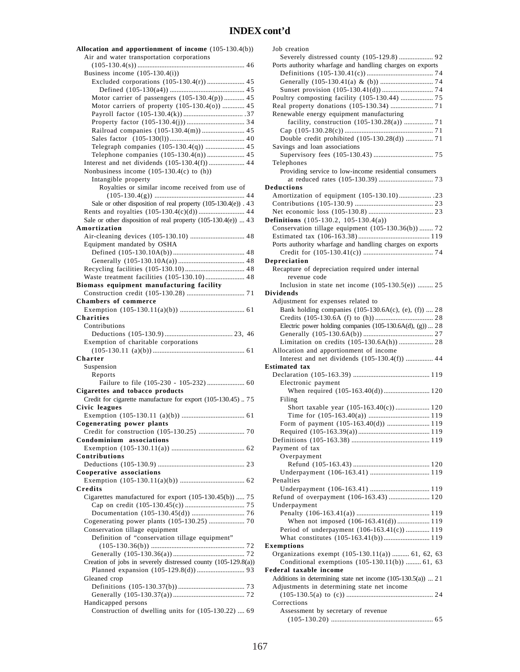| Allocation and apportionment of income (105-130.4(b))                                  |
|----------------------------------------------------------------------------------------|
| Air and water transportation corporations                                              |
|                                                                                        |
| Business income $(105-130.4(i))$                                                       |
| Excluded corporations (105-130.4(r))  45                                               |
| Motor carrier of passengers (105-130.4(p)) 45                                          |
| Motor carriers of property (105-130.4(o))  45                                          |
|                                                                                        |
|                                                                                        |
| Railroad companies (105-130.4(m))  45                                                  |
| Telegraph companies (105-130.4(q))  45                                                 |
|                                                                                        |
|                                                                                        |
| Nonbusiness income $(105-130.4(c)$ to $(h)$ )                                          |
| Intangible property                                                                    |
| Royalties or similar income received from use of                                       |
|                                                                                        |
| Sale or other disposition of real property (105-130.4(e)). 43                          |
| Sale or other disposition of real property (105-130.4(e))  43                          |
| Amortization                                                                           |
|                                                                                        |
| Equipment mandated by OSHA                                                             |
|                                                                                        |
|                                                                                        |
|                                                                                        |
| Waste treatment facilities (105-130.10) 48<br>Biomass equipment manufacturing facility |
|                                                                                        |
| <b>Chambers of commerce</b>                                                            |
|                                                                                        |
| <b>Charities</b>                                                                       |
| Contributions                                                                          |
|                                                                                        |
| Exemption of charitable corporations                                                   |
| Charter                                                                                |
| Suspension                                                                             |
| Reports                                                                                |
|                                                                                        |
| Cigarettes and tobacco products                                                        |
| Credit for cigarette manufacture for export (105-130.45) 75                            |
| Civic leagues                                                                          |
| Cogenerating power plants                                                              |
|                                                                                        |
| Condominium associations                                                               |
|                                                                                        |
|                                                                                        |
| Contributions                                                                          |
|                                                                                        |
| Cooperative associations                                                               |
|                                                                                        |
| Credits                                                                                |
| Cigarettes manufactured for export (105-130.45(b))  75                                 |
|                                                                                        |
|                                                                                        |
| Conservation tillage equipment                                                         |
| Definition of "conservation tillage equipment"                                         |
|                                                                                        |
|                                                                                        |
| Creation of jobs in severely distressed county (105-129.8(a))                          |
|                                                                                        |
| Gleaned crop                                                                           |
|                                                                                        |
| Handicapped persons<br>Construction of dwelling units for (105-130.22)  69             |

| Job creation                                                 |
|--------------------------------------------------------------|
| Severely distressed county (105-129.8)  92                   |
| Ports authority wharfage and handling charges on exports     |
|                                                              |
|                                                              |
|                                                              |
| Poultry composting facility (105-130.44)  75                 |
|                                                              |
| Renewable energy equipment manufacturing                     |
| facility, construction (105-130.28(a))  71                   |
|                                                              |
| Double credit prohibited (105-130.28(d))  71                 |
| Savings and loan associations                                |
|                                                              |
| Telephones                                                   |
| Providing service to low-income residential consumers        |
|                                                              |
| Deductions                                                   |
|                                                              |
|                                                              |
|                                                              |
| Definitions $(105-130.2, 105-130.4(a))$                      |
| Conservation tillage equipment (105-130.36(b))  72           |
|                                                              |
| Ports authority wharfage and handling charges on exports     |
|                                                              |
| Depreciation                                                 |
| Recapture of depreciation required under internal            |
| revenue code                                                 |
| Inclusion in state net income $(105-130.5(e))$ 25            |
| <b>Dividends</b>                                             |
| Adjustment for expenses related to                           |
| Bank holding companies (105-130.6A(c), (e), (f))  28         |
|                                                              |
| Electric power holding companies (105-130.6A(d), (g))  28    |
|                                                              |
| Limitation on credits (105-130.6A(h))  28                    |
| Allocation and apportionment of income                       |
| Interest and net dividends (105-130.4(f))  44                |
| <b>Estimated</b> tax                                         |
|                                                              |
| Electronic payment                                           |
| When required (105-163.40(d)) 120                            |
| Filing                                                       |
| Short taxable year (105-163.40(c)) 120                       |
|                                                              |
| Form of payment (105-163.40(d))  119                         |
|                                                              |
|                                                              |
| Payment of tax                                               |
| Overpayment                                                  |
|                                                              |
|                                                              |
|                                                              |
|                                                              |
| Penalties                                                    |
|                                                              |
| Refund of overpayment (106-163.43)  120                      |
| Underpayment                                                 |
|                                                              |
| When not imposed (106-163.41(d)) 119                         |
| Period of underpayment (106-163.41(c))  119                  |
|                                                              |
| <b>Exemptions</b>                                            |
| Organizations exempt (105-130.11(a))  61, 62, 63             |
| Conditional exemptions (105-130.11(b))  61, 63               |
| Federal taxable income                                       |
| Additions in determining state net income (105-130.5(a))  21 |
| Adjustments in determining state net income                  |
|                                                              |
| Corrections                                                  |
| Assessment by secretary of revenue                           |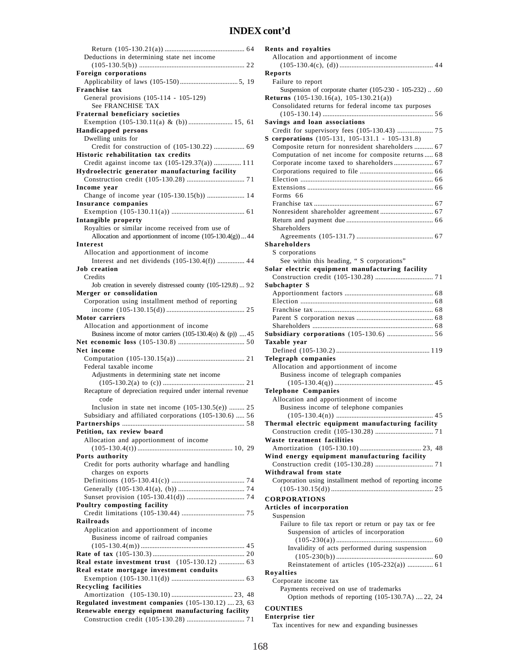| Deductions in determining state net income                                                                  |
|-------------------------------------------------------------------------------------------------------------|
| Foreign corporations                                                                                        |
|                                                                                                             |
| Franchise tax<br>General provisions (105-114 - 105-129)                                                     |
| See FRANCHISE TAX                                                                                           |
| Fraternal beneficiary societies                                                                             |
| Exemption (105-130.11(a) & (b))  15, 61<br><b>Handicapped persons</b>                                       |
| Dwelling units for                                                                                          |
| Credit for construction of (105-130.22)  69                                                                 |
| Historic rehabilitation tax credits<br>Credit against income tax (105-129.37(a))  111                       |
| Hydroelectric generator manufacturing facility                                                              |
|                                                                                                             |
| Income vear                                                                                                 |
| Change of income year (105-130.15(b))  14<br>Insurance companies                                            |
|                                                                                                             |
| Intangible property                                                                                         |
| Royalties or similar income received from use of<br>Allocation and apportionment of income (105-130.4(g))44 |
| Interest                                                                                                    |
| Allocation and apportionment of income                                                                      |
| Interest and net dividends $(105-130.4(f))$ 44                                                              |
| <b>Job</b> creation<br>Credits                                                                              |
| Job creation in severely distressed county (105-129.8)  92                                                  |
| Merger or consolidation                                                                                     |
| Corporation using installment method of reporting                                                           |
| Motor carriers                                                                                              |
| Allocation and apportionment of income                                                                      |
| Business income of motor carriers (105-130.4(o) & (p))  45                                                  |
| Net income                                                                                                  |
|                                                                                                             |
| Federal taxable income                                                                                      |
| Adjustments in determining state net income                                                                 |
| Recapture of depreciation required under internal revenue                                                   |
| code                                                                                                        |
| Inclusion in state net income $(105-130.5(e))$ 25<br>Subsidiary and affiliated corporations (105-130.6)  56 |
|                                                                                                             |
| Petition, tax review board                                                                                  |
| Allocation and apportionment of income                                                                      |
| Ports authority                                                                                             |
| Credit for ports authority wharfage and handling                                                            |
| charges on exports                                                                                          |
|                                                                                                             |
|                                                                                                             |
| Poultry composting facility                                                                                 |
| <b>Railroads</b>                                                                                            |
| Application and apportionment of income                                                                     |
| Business income of railroad companies                                                                       |
|                                                                                                             |
| Real estate investment trust (105-130.12)  63                                                               |
| Real estate mortgage investment conduits                                                                    |
|                                                                                                             |
| <b>Recycling facilities</b>                                                                                 |
| Regulated investment companies (105-130.12)  23, 63                                                         |
| Renewable energy equipment manufacturing facility                                                           |
|                                                                                                             |

| Rents and royalties                                                              |
|----------------------------------------------------------------------------------|
| Allocation and apportionment of income                                           |
|                                                                                  |
| Reports                                                                          |
| Failure to report                                                                |
| Suspension of corporate charter (105-230 - 105-232)  .60                         |
| Returns $(105-130.16(a), 105-130.21(a))$                                         |
| Consolidated returns for federal income tax purposes                             |
|                                                                                  |
| Savings and loan associations                                                    |
| S corporations (105-131, 105-131.1 - 105-131.8)                                  |
| Composite return for nonresident shareholders  67                                |
| Computation of net income for composite returns 68                               |
|                                                                                  |
|                                                                                  |
|                                                                                  |
|                                                                                  |
| Forms 66                                                                         |
|                                                                                  |
|                                                                                  |
| Shareholders                                                                     |
|                                                                                  |
| Shareholders                                                                     |
| S corporations                                                                   |
| See within this heading, " S corporations"                                       |
| Solar electric equipment manufacturing facility                                  |
| Subchapter S                                                                     |
|                                                                                  |
|                                                                                  |
|                                                                                  |
|                                                                                  |
|                                                                                  |
|                                                                                  |
|                                                                                  |
| Taxable year                                                                     |
|                                                                                  |
| Telegraph companies                                                              |
| Allocation and apportionment of income                                           |
| Business income of telegraph companies                                           |
|                                                                                  |
| <b>Telephone Companies</b>                                                       |
| Allocation and apportionment of income<br>Business income of telephone companies |
|                                                                                  |
| Thermal electric equipment manufacturing facility                                |
|                                                                                  |
| Waste treatment facilities                                                       |
|                                                                                  |
| Wind energy equipment manufacturing facility                                     |
| Withdrawal from state                                                            |
| Corporation using installment method of reporting income                         |
|                                                                                  |
| <b>CORPORATIONS</b>                                                              |
| Articles of incorporation                                                        |
| Suspension                                                                       |
| Failure to file tax report or return or pay tax or fee                           |
| Suspension of articles of incorporation                                          |
|                                                                                  |
| Invalidity of acts performed during suspension                                   |
|                                                                                  |
| Reinstatement of articles (105-232(a))  61                                       |
| Royalties<br>Corporate income tax                                                |
| Payments received on use of trademarks                                           |
| Option methods of reporting (105-130.7A)  22, 24                                 |

#### **Enterprise tier**

Tax incentives for new and expanding businesses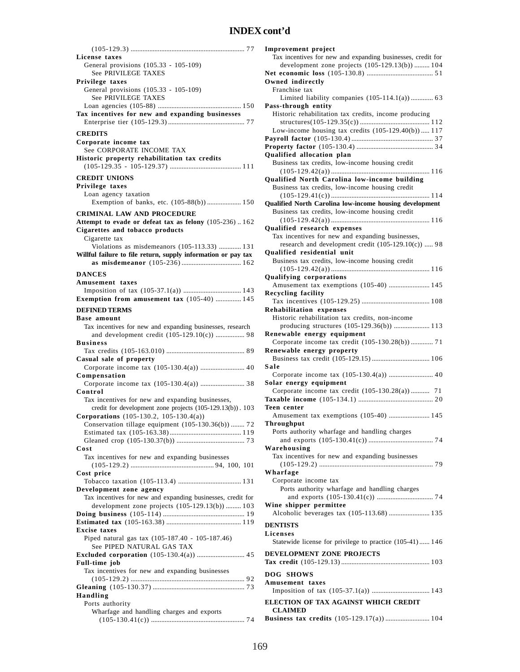| License taxes                                                 |
|---------------------------------------------------------------|
| General provisions (105.33 - 105-109)                         |
| See PRIVILEGE TAXES                                           |
| Privilege taxes                                               |
| General provisions (105.33 - 105-109)                         |
| See PRIVILEGE TAXES                                           |
|                                                               |
|                                                               |
| Tax incentives for new and expanding businesses               |
|                                                               |
| <b>CREDITS</b>                                                |
|                                                               |
| Corporate income tax                                          |
| See CORPORATE INCOME TAX                                      |
| Historic property rehabilitation tax credits                  |
|                                                               |
|                                                               |
| <b>CREDIT UNIONS</b>                                          |
| Privilege taxes                                               |
| Loan agency taxation                                          |
| Exemption of banks, etc. (105-88(b))  150                     |
|                                                               |
| <b>CRIMINAL LAW AND PROCEDURE</b>                             |
| Attempt to evade or defeat tax as felony (105-236)162         |
| Cigarettes and tobacco products                               |
| Cigarette tax                                                 |
| Violations as misdemeanors (105-113.33)  131                  |
| Willful failure to file return, supply information or pay tax |
|                                                               |
|                                                               |
| <b>DANCES</b>                                                 |
| Amusement taxes                                               |
|                                                               |
|                                                               |
| Exemption from amusement tax (105-40)  145                    |
| <b>DEFINED TERMS</b>                                          |
| Base amount                                                   |
| Tax incentives for new and expanding businesses, research     |
|                                                               |
| and development credit (105-129.10(c))  98                    |
| <b>Business</b>                                               |
|                                                               |
| Casual sale of property                                       |
| Corporate income tax (105-130.4(a))  40                       |
| Compensation                                                  |
|                                                               |
| Control                                                       |
|                                                               |
| Tax incentives for new and expanding businesses,              |
|                                                               |
| credit for development zone projects (105-129.13(b)). 103     |
| Corporations (105-130.2, 105-130.4(a))                        |
|                                                               |
| Conservation tillage equipment $(105-130.36(b))$ 72           |
|                                                               |
|                                                               |
| Cost                                                          |
| Tax incentives for new and expanding businesses               |
|                                                               |
| Cost price                                                    |
|                                                               |
|                                                               |
| Development zone agency                                       |
| Tax incentives for new and expanding businesses, credit for   |
| development zone projects (105-129.13(b))  103                |
|                                                               |
|                                                               |
| <b>Excise</b> taxes                                           |
| Piped natural gas tax (105-187.40 - 105-187.46)               |
| See PIPED NATURAL GAS TAX                                     |
|                                                               |
|                                                               |
| Full-time job                                                 |
| Tax incentives for new and expanding businesses               |
|                                                               |
|                                                               |
| <b>Handling</b>                                               |
| Ports authority                                               |
| Wharfage and handling charges and exports                     |

| <b>Improvement</b> project                                  |
|-------------------------------------------------------------|
| Tax incentives for new and expanding businesses, credit for |
| development zone projects (105-129.13(b))  104              |
|                                                             |
| Owned indirectly                                            |
| Franchise tax                                               |
| Limited liability companies (105-114.1(a)) 63               |
| Pass-through entity                                         |
| Historic rehabilitation tax credits, income producing       |
|                                                             |
| Low-income housing tax credits (105-129.40(b))  117         |
|                                                             |
|                                                             |
| Qualified allocation plan                                   |
| Business tax credits, low-income housing credit             |
|                                                             |
| Qualified North Carolina low-income building                |
|                                                             |
| Business tax credits, low-income housing credit             |
|                                                             |
| Qualified North Carolina low-income housing development     |
| Business tax credits, low-income housing credit             |
|                                                             |
| Qualified research expenses                                 |
| Tax incentives for new and expanding businesses,            |
| research and development credit (105-129.10(c))  98         |
| <b>Oualified residential unit</b>                           |
| Business tax credits, low-income housing credit             |
|                                                             |
| <b>Qualifying corporations</b>                              |
| Amusement tax exemptions (105-40)  145                      |
| <b>Recycling facility</b>                                   |
|                                                             |
| <b>Rehabilitation expenses</b>                              |
| Historic rehabilitation tax credits, non-income             |
| producing structures (105-129.36(b))  113                   |
| Renewable energy equipment                                  |
| Corporate income tax credit (105-130.28(b))  71             |
| Renewable energy property                                   |
|                                                             |
| Sale                                                        |
| Corporate income tax (105-130.4(a))  40                     |
| Solar energy equipment                                      |
| Corporate income tax credit (105-130.28(a)) 71              |
|                                                             |
| Teen center                                                 |
| Amusement tax exemptions (105-40)  145                      |
|                                                             |
| Throughput                                                  |
| Ports authority wharfage and handling charges               |
|                                                             |
| Warehousing                                                 |
| Tax incentives for new and expanding businesses             |
|                                                             |
| Wharfage                                                    |
| Corporate income tax                                        |
| Ports authority wharfage and handling charges               |
|                                                             |
| Wine shipper permittee                                      |
| Alcoholic beverages tax (105-113.68)  135                   |
|                                                             |
| <b>DENTISTS</b>                                             |
| Licenses                                                    |
|                                                             |
| Statewide license for privilege to practice (105-41) 146    |
|                                                             |
| DEVELOPMENT ZONE PROJECTS                                   |
|                                                             |
| DOG SHOWS                                                   |
| Amusement taxes                                             |
|                                                             |
|                                                             |
| ELECTION OF TAX AGAINST WHICH CREDIT<br><b>CLAIMED</b>      |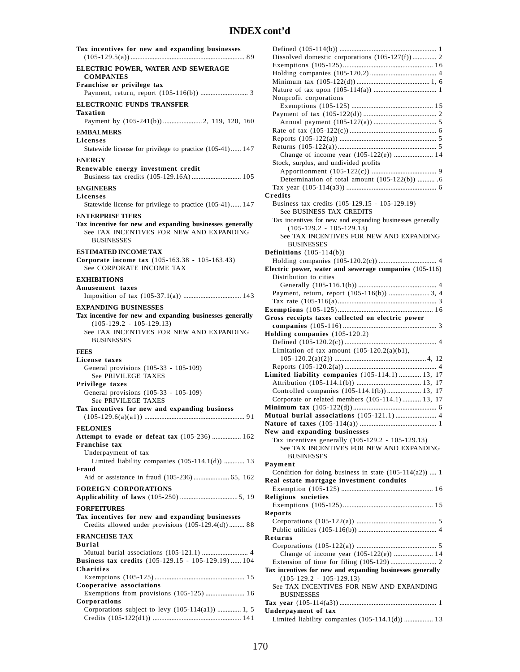| Tax incentives for new and expanding businesses                                                                                                                                        |
|----------------------------------------------------------------------------------------------------------------------------------------------------------------------------------------|
| ELECTRIC POWER, WATER AND SEWERAGE<br><b>COMPANIES</b>                                                                                                                                 |
| Franchise or privilege tax                                                                                                                                                             |
| <b>ELECTRONIC FUNDS TRANSFER</b><br>Taxation                                                                                                                                           |
| <b>EMBALMERS</b>                                                                                                                                                                       |
| Licenses<br>Statewide license for privilege to practice (105-41)  147                                                                                                                  |
| <b>ENERGY</b>                                                                                                                                                                          |
| Renewable energy investment credit                                                                                                                                                     |
| <b>ENGINEERS</b>                                                                                                                                                                       |
| Licenses<br>Statewide license for privilege to practice (105-41) 147                                                                                                                   |
| <b>ENTERPRISE TIERS</b><br>Tax incentive for new and expanding businesses generally<br>See TAX INCENTIVES FOR NEW AND EXPANDING<br><b>BUSINESSES</b>                                   |
| <b>ESTIMATED INCOME TAX</b><br>Corporate income tax (105-163.38 - 105-163.43)<br>See CORPORATE INCOME TAX                                                                              |
| <b>EXHIBITIONS</b>                                                                                                                                                                     |
| Amusement taxes                                                                                                                                                                        |
| <b>EXPANDING BUSINESSES</b><br>Tax incentive for new and expanding businesses generally<br>$(105-129.2 - 105-129.13)$<br>See TAX INCENTIVES FOR NEW AND EXPANDING<br><b>BUSINESSES</b> |
| <b>FEES</b>                                                                                                                                                                            |
| License taxes<br>General provisions (105-33 - 105-109)<br>See PRIVILEGE TAXES                                                                                                          |
| Privilege taxes<br>General provisions (105-33 - 105-109)                                                                                                                               |
| See PRIVILEGE TAXES                                                                                                                                                                    |
| Tax incentives for new and expanding business                                                                                                                                          |
| <b>FELONIES</b><br>Attempt to evade or defeat tax (105-236)  162                                                                                                                       |
| Franchise tax<br>Underpayment of tax                                                                                                                                                   |
| Limited liability companies $(105-114.1(d))$ 13<br>Fraud                                                                                                                               |
| <b>FOREIGN CORPORATIONS</b>                                                                                                                                                            |
| <b>FORFEITURES</b>                                                                                                                                                                     |
| Tax incentives for new and expanding businesses<br>Credits allowed under provisions (105-129.4(d))  88                                                                                 |
| <b>FRANCHISE TAX</b><br>Burial                                                                                                                                                         |
| Business tax credits (105-129.15 - 105-129.19)  104                                                                                                                                    |
| <b>Charities</b>                                                                                                                                                                       |
| Cooperative associations                                                                                                                                                               |
| Exemptions from provisions (105-125)  16                                                                                                                                               |
| Corporations<br>Corporations subject to levy $(105-114(a1))$ 1, 5                                                                                                                      |
|                                                                                                                                                                                        |

| Dissolved domestic corporations (105-127(f))  2                       |
|-----------------------------------------------------------------------|
|                                                                       |
|                                                                       |
|                                                                       |
|                                                                       |
|                                                                       |
|                                                                       |
|                                                                       |
| Nonprofit corporations                                                |
|                                                                       |
|                                                                       |
|                                                                       |
|                                                                       |
|                                                                       |
|                                                                       |
|                                                                       |
| Change of income year (105-122(e))  14                                |
| Stock, surplus, and undivided profits                                 |
|                                                                       |
| Determination of total amount (105-122(b))  . 6                       |
|                                                                       |
|                                                                       |
| Credits                                                               |
| Business tax credits (105-129.15 - 105-129.19)                        |
| See BUSINESS TAX CREDITS                                              |
| Tax incentives for new and expanding businesses generally             |
|                                                                       |
| $(105-129.2 - 105-129.13)$                                            |
| See TAX INCENTIVES FOR NEW AND EXPANDING                              |
| <b>BUSINESSES</b>                                                     |
| Definitions $(105-114(b))$                                            |
|                                                                       |
|                                                                       |
| Electric power, water and sewerage companies (105-116)                |
| Distribution to cities                                                |
|                                                                       |
| Payment, return, report (105-116(b))  3, 4                            |
|                                                                       |
|                                                                       |
|                                                                       |
| Gross receipts taxes collected on electric power                      |
|                                                                       |
| Holding companies (105-120.2)                                         |
|                                                                       |
|                                                                       |
|                                                                       |
| Limitation of tax amount $(105-120.2(a)(b1),$                         |
|                                                                       |
|                                                                       |
|                                                                       |
| Limited liability companies (105-114.1)  13, 17                       |
|                                                                       |
| Controlled companies (105-114.1(b)) 13, 17                            |
| Corporate or related members (105-114.1)  13, 17                      |
|                                                                       |
|                                                                       |
| Mutual burial associations (105-121.1)  4                             |
|                                                                       |
| New and expanding businesses                                          |
| Tax incentives generally (105-129.2 - 105-129.13)                     |
| See TAX INCENTIVES FOR NEW AND EXPANDING                              |
| <b>BUSINESSES</b>                                                     |
|                                                                       |
| Payment                                                               |
| Condition for doing business in state (105-114(a2))  1                |
| Real estate mortgage investment conduits                              |
|                                                                       |
| Religious societies                                                   |
|                                                                       |
|                                                                       |
| <b>Reports</b>                                                        |
|                                                                       |
|                                                                       |
| Returns                                                               |
|                                                                       |
|                                                                       |
| Change of income year (105-122(e))  14                                |
|                                                                       |
| Tax incentives for new and expanding businesses generally             |
| $(105-129.2 - 105-129.13)$                                            |
| See TAX INCENTIVES FOR NEW AND EXPANDING                              |
|                                                                       |
| <b>BUSINESSES</b>                                                     |
|                                                                       |
| Underpayment of tax<br>Limited liability companies (105-114.1(d))  13 |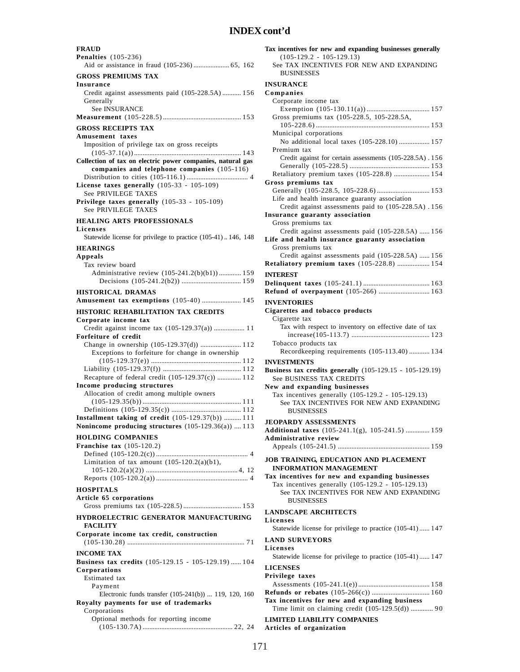| <b>FRAUD</b><br><b>Penalties</b> (105-236)                                                                                                                 | Т                 |
|------------------------------------------------------------------------------------------------------------------------------------------------------------|-------------------|
| Aid or assistance in fraud (105-236)  65, 162                                                                                                              |                   |
| <b>GROSS PREMIUMS TAX</b>                                                                                                                                  |                   |
| Insurance<br>Credit against assessments paid (105-228.5A) 156<br>Generally                                                                                 | $\mathbf{I}$<br>C |
| See INSURANCE                                                                                                                                              |                   |
| <b>GROSS RECEIPTS TAX</b>                                                                                                                                  |                   |
| Amusement taxes                                                                                                                                            |                   |
| Imposition of privilege tax on gross receipts<br>Collection of tax on electric power companies, natural gas<br>companies and telephone companies (105-116) |                   |
| License taxes generally $(105-33 - 105-109)$<br>See PRIVILEGE TAXES                                                                                        | G                 |
| Privilege taxes generally (105-33 - 105-109)<br>See PRIVILEGE TAXES                                                                                        |                   |
| <b>HEALING ARTS PROFESSIONALS</b><br>Licenses                                                                                                              | Ŀ                 |
| Statewide license for privilege to practice (105-41)146, 148<br><b>HEARINGS</b>                                                                            | L                 |
| Appeals                                                                                                                                                    |                   |
| Tax review board                                                                                                                                           | R                 |
| Administrative review (105-241.2(b)(b1)) 159                                                                                                               | $\mathbf I$<br>D  |
| <b>HISTORICAL DRAMAS</b>                                                                                                                                   | R                 |
| Amusement tax exemptions (105-40)  145                                                                                                                     | $\mathbf{I}$      |
| <b>HISTORIC REHABILITATION TAX CREDITS</b>                                                                                                                 | C                 |
| Corporate income tax<br>Credit against income tax (105-129.37(a))  11                                                                                      |                   |
| Forfeiture of credit                                                                                                                                       |                   |
| Exceptions to forfeiture for change in ownership                                                                                                           |                   |
|                                                                                                                                                            | П<br>B            |
| Recapture of federal credit (105-129.37(c))  112<br>Income producing structures                                                                            | N                 |
| Allocation of credit among multiple owners                                                                                                                 |                   |
|                                                                                                                                                            |                   |
| Installment taking of credit (105-129.37(b))  111                                                                                                          | $\mathbf{J}$      |
| Nonincome producing structures $(105-129.36(a))$ 113                                                                                                       | A                 |
| <b>HOLDING COMPANIES</b><br>Franchise tax $(105-120.2)$                                                                                                    | A                 |
|                                                                                                                                                            |                   |
| Limitation of tax amount $(105-120.2(a)(b1))$ ,                                                                                                            | J <sub>0</sub>    |
|                                                                                                                                                            | Т                 |
| <b>HOSPITALS</b>                                                                                                                                           |                   |
| Article 65 corporations                                                                                                                                    |                   |
| HYDROELECTRIC GENERATOR MANUFACTURING                                                                                                                      | L<br>L            |
| <b>FACILITY</b><br>Corporate income tax credit, construction                                                                                               | L                 |
|                                                                                                                                                            | L                 |
| <b>INCOME TAX</b><br><b>Business tax credits</b> (105-129.15 - 105-129.19)  104<br>Corporations                                                            | L                 |
| Estimated tax                                                                                                                                              | P                 |
| Payment<br>Electronic funds transfer (105-241(b))  119, 120, 160<br>Royalty payments for use of trademarks                                                 | R<br>т            |
| Corporations<br>Optional methods for reporting income                                                                                                      | L                 |
|                                                                                                                                                            | A                 |

| Tax incentives for new and expanding businesses generally                                       |
|-------------------------------------------------------------------------------------------------|
| $(105-129.2 - 105-129.13)$<br>See TAX INCENTIVES FOR NEW AND EXPANDING                          |
| <b>BUSINESSES</b>                                                                               |
| <b>INSURANCE</b>                                                                                |
| Companies                                                                                       |
| Corporate income tax                                                                            |
|                                                                                                 |
| Gross premiums tax (105-228.5, 105-228.5A,                                                      |
| Municipal corporations                                                                          |
| No additional local taxes (105-228.10)  157                                                     |
| Premium tax                                                                                     |
| Credit against for certain assessments (105-228.5A). 156                                        |
|                                                                                                 |
| Retaliatory premium taxes (105-228.8)  154                                                      |
| Gross premiums tax                                                                              |
| Generally (105-228.5, 105-228.6)  153<br>Life and health insurance guaranty association         |
| Credit against assessments paid to (105-228.5A) . 156                                           |
| Insurance guaranty association                                                                  |
| Gross premiums tax                                                                              |
| Credit against assessments paid (105-228.5A)  156                                               |
| Life and health insurance guaranty association                                                  |
| Gross premiums tax                                                                              |
| Credit against assessments paid (105-228.5A)  156<br>Retaliatory premium taxes (105-228.8)  154 |
|                                                                                                 |
| <b>INTEREST</b>                                                                                 |
| Refund of overpayment (105-266)  163                                                            |
|                                                                                                 |
| <b>INVENTORIES</b><br>Cigarettes and tobacco products                                           |
| Cigarette tax                                                                                   |
| Tax with respect to inventory on effective date of tax                                          |
|                                                                                                 |
| Tobacco products tax                                                                            |
| Recordkeeping requirements (105-113.40)  134                                                    |
| <b>INVESTMENTS</b>                                                                              |
| <b>Business tax credits generally</b> (105-129.15 - 105-129.19)                                 |
| See BUSINESS TAX CREDITS                                                                        |
| New and expanding businesses<br>Tax incentives generally (105-129.2 - 105-129.13)               |
| See TAX INCENTIVES FOR NEW AND EXPANDING                                                        |
| <b>BUSINESSES</b>                                                                               |
| <b>JEOPARDY ASSESSMENTS</b>                                                                     |
| Additional taxes (105-241.1(g), 105-241.5)  159                                                 |
| <b>Administrative review</b>                                                                    |
|                                                                                                 |
| JOB TRAINING, EDUCATION AND PLACEMENT                                                           |
| <b>INFORMATION MANAGEMENT</b>                                                                   |
| Tax incentives for new and expanding businesses                                                 |
| Tax incentives generally (105-129.2 - 105-129.13)                                               |
| See TAX INCENTIVES FOR NEW AND EXPANDING                                                        |
| <b>BUSINESSES</b>                                                                               |
| <b>LANDSCAPE ARCHITECTS</b>                                                                     |
| Licenses                                                                                        |
| Statewide license for privilege to practice (105-41) 147                                        |
| <b>LAND SURVEYORS</b>                                                                           |
| Licenses                                                                                        |
| Statewide license for privilege to practice (105-41) 147                                        |
| <b>LICENSES</b>                                                                                 |
| Privilege taxes                                                                                 |
|                                                                                                 |
| Tax incentives for new and expanding business                                                   |
| Time limit on claiming credit (105-129.5(d))  90                                                |
| <b>LIMITED LIABILITY COMPANIES</b>                                                              |
|                                                                                                 |

171

**Articles of organization**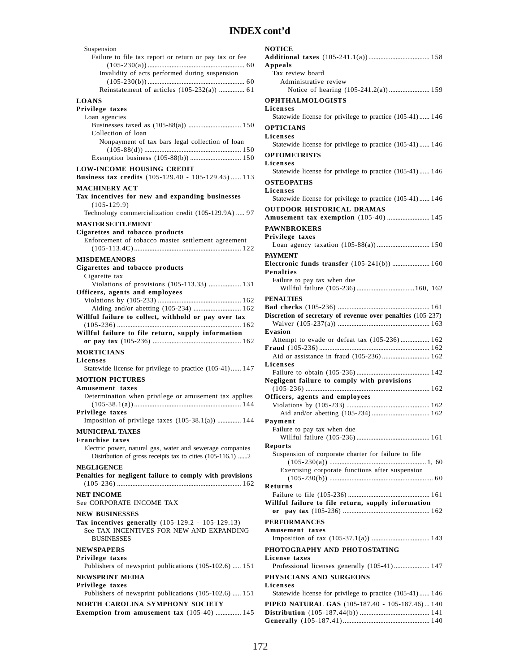| Suspension                                                                              |
|-----------------------------------------------------------------------------------------|
| Failure to file tax report or return or pay tax or fee                                  |
| Invalidity of acts performed during suspension                                          |
|                                                                                         |
|                                                                                         |
| <b>LOANS</b>                                                                            |
| Privilege taxes<br>Loan agencies                                                        |
|                                                                                         |
| Collection of loan                                                                      |
| Nonpayment of tax bars legal collection of loan                                         |
|                                                                                         |
| <b>LOW-INCOME HOUSING CREDIT</b><br>Business tax credits (105-129.40 - 105-129.45)  113 |
| <b>MACHINERY ACT</b>                                                                    |
| Tax incentives for new and expanding businesses<br>$(105-129.9)$                        |
| Technology commercialization credit (105-129.9A)  97                                    |
| <b>MASTER SETTLEMENT</b>                                                                |
| Cigarettes and tobacco products                                                         |
| Enforcement of tobacco master settlement agreement                                      |
| <b>MISDEMEANORS</b>                                                                     |
| Cigarettes and tobacco products                                                         |
| Cigarette tax                                                                           |
| Violations of provisions (105-113.33)  131<br>Officers, agents and employees            |
|                                                                                         |
| Aiding and/or abetting (105-234)  162                                                   |
| Willful failure to collect, withhold or pay over tax                                    |
|                                                                                         |
| Willful failure to file return, supply information                                      |
|                                                                                         |
| <b>MORTICIANS</b>                                                                       |
| Licenses                                                                                |
| Statewide license for privilege to practice (105-41) 147<br><b>MOTION PICTURES</b>      |
| Amusement taxes                                                                         |
| Determination when privilege or amusement tax applies                                   |
| Privilege taxes                                                                         |
| Imposition of privilege taxes (105-38.1(a))  144                                        |
| <b>MUNICIPAL TAXES</b>                                                                  |
| <b>Franchise taxes</b>                                                                  |
| Electric power, natural gas, water and sewerage companies                               |
| Distribution of gross receipts tax to cities (105-116.1) 2<br><b>NEGLIGENCE</b>         |
| Penalties for negligent failure to comply with provisions                               |
|                                                                                         |
| <b>NET INCOME</b><br>See CORPORATE INCOME TAX                                           |
| <b>NEW BUSINESSES</b>                                                                   |
| Tax incentives generally (105-129.2 - 105-129.13)                                       |
| See TAX INCENTIVES FOR NEW AND EXPANDING<br><b>BUSINESSES</b>                           |
| <b>NEWSPAPERS</b>                                                                       |
| Privilege taxes                                                                         |
| Publishers of newsprint publications (105-102.6)  151                                   |
| <b>NEWSPRINT MEDIA</b><br>Privilege taxes                                               |
| Publishers of newsprint publications (105-102.6)  151                                   |
| NORTH CAROLINA SYMPHONY SOCIETY<br>Exemption from amusement tax (105-40)  145           |

| Appeals                                                     |
|-------------------------------------------------------------|
| Tax review board                                            |
| Administrative review                                       |
|                                                             |
| <b>OPHTHALMOLOGISTS</b>                                     |
| <b>Licenses</b>                                             |
|                                                             |
| Statewide license for privilege to practice (105-41) 146    |
| <b>OPTICIANS</b>                                            |
| Licenses                                                    |
| Statewide license for privilege to practice (105-41) 146    |
|                                                             |
| <b>OPTOMETRISTS</b>                                         |
| Licenses                                                    |
| Statewide license for privilege to practice (105-41) 146    |
| <b>OSTEOPATHS</b>                                           |
| Licenses                                                    |
| Statewide license for privilege to practice (105-41) 146    |
|                                                             |
| <b>OUTDOOR HISTORICAL DRAMAS</b>                            |
| Amusement tax exemption (105-40)  145                       |
| <b>PAWNBROKERS</b>                                          |
|                                                             |
| Privilege taxes                                             |
|                                                             |
| <b>PAYMENT</b>                                              |
| Electronic funds transfer (105-241(b))  160                 |
| <b>Penalties</b>                                            |
| Failure to pay tax when due                                 |
| Willful failure (105-236)  160, 162                         |
|                                                             |
| <b>PENALTIES</b>                                            |
|                                                             |
| Discretion of secretary of revenue over penalties (105-237) |
|                                                             |
| Evasion                                                     |
|                                                             |
|                                                             |
| Attempt to evade or defeat tax (105-236) 162                |
|                                                             |
| Aid or assistance in fraud (105-236) 162                    |
| Licenses                                                    |
|                                                             |
| Negligent failure to comply with provisions                 |
|                                                             |
|                                                             |
| Officers, agents and employees                              |
|                                                             |
|                                                             |
| Payment                                                     |
| Failure to pay tax when due                                 |
|                                                             |
| <b>Reports</b>                                              |
| Suspension of corporate charter for failure to file         |
|                                                             |
| Exercising corporate functions after suspension             |
|                                                             |
| Returns                                                     |
|                                                             |
|                                                             |
| Willful failure to file return, supply information          |
| or                                                          |
| <b>PERFORMANCES</b>                                         |
| Amusement taxes                                             |
|                                                             |
|                                                             |
| PHOTOGRAPHY AND PHOTOSTATING                                |
| License taxes                                               |
| Professional licenses generally (105-41) 147                |
|                                                             |
| PHYSICIANS AND SURGEONS                                     |
| Licenses                                                    |
| Statewide license for privilege to practice (105-41) 146    |
| PIPED NATURAL GAS (105-187.40 - 105-187.46) 140             |
|                                                             |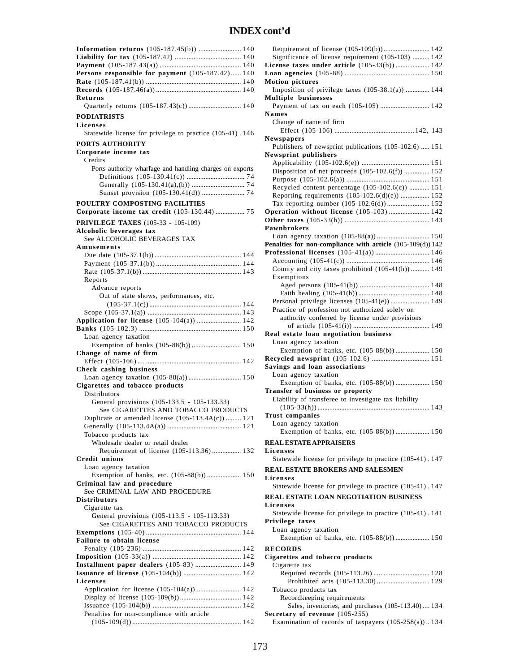| <b>Information returns</b> (105-187.45(b))  140           |
|-----------------------------------------------------------|
|                                                           |
| L                                                         |
| Persons responsible for payment (105-187.42) 140<br>L     |
|                                                           |
| N                                                         |
|                                                           |
| Returns<br>N                                              |
| Quarterly returns (105-187.43(c))  140                    |
|                                                           |
| N<br><b>PODIATRISTS</b>                                   |
| Licenses                                                  |
| Statewide license for privilege to practice (105-41). 146 |
| N                                                         |
| PORTS AUTHORITY                                           |
| Corporate income tax                                      |
| N<br>Credits                                              |
|                                                           |
| Ports authority wharfage and handling charges on exports  |
|                                                           |
|                                                           |
|                                                           |
|                                                           |
| POULTRY COMPOSTING FACILITIES                             |
| Corporate income tax credit (105-130.44)  75<br>C         |
| C                                                         |
| <b>PRIVILEGE TAXES</b> (105-33 - 105-109)<br>Р            |
| Alcoholic beverages tax                                   |
| See ALCOHOLIC BEVERAGES TAX                               |
| P<br>Amusements                                           |
| P                                                         |
|                                                           |
|                                                           |
|                                                           |
| Reports                                                   |
| Advance reports                                           |
|                                                           |
| Out of state shows, performances, etc.                    |
|                                                           |
|                                                           |
| Application for license (105-104(a))  142                 |
|                                                           |
| R<br>Loan agency taxation                                 |
|                                                           |
| Exemption of banks (105-88(b))  150                       |
| Change of name of firm                                    |
| R                                                         |
| S<br>Check cashing business                               |
|                                                           |
|                                                           |
| Cigarettes and tobacco products<br>Ί                      |
| Distributors                                              |
| General provisions (105-133.5 - 105-133.33)               |
| See CIGARETTES AND TOBACCO PRODUCTS                       |
| T<br>Duplicate or amended license $(105-113.4A(c))$ 121   |
|                                                           |
|                                                           |
| Tobacco products tax                                      |
| Wholesale dealer or retail dealer<br>R                    |
| Requirement of license (105-113.36) 132<br>L              |
| <b>Credit unions</b>                                      |
|                                                           |
| Loan agency taxation<br>R                                 |
| Exemption of banks, etc. (105-88(b))  150<br>L            |
| Criminal law and procedure                                |
| See CRIMINAL LAW AND PROCEDURE                            |
| R<br><b>Distributors</b>                                  |
| L                                                         |
| Cigarette tax                                             |
| General provisions (105-113.5 - 105-113.33)<br>P          |
| See CIGARETTES AND TOBACCO PRODUCTS                       |
|                                                           |
|                                                           |
|                                                           |
| Failure to obtain license                                 |
| R                                                         |
| C                                                         |
| Installment paper dealers (105-83)  149                   |
|                                                           |
|                                                           |
| Licenses                                                  |
| Application for license (105-104(a))  142                 |
|                                                           |
|                                                           |
| Penalties for non-compliance with article<br>S            |

| Requirement of license (105-109(b)) 142                                                  |
|------------------------------------------------------------------------------------------|
| Significance of license requirement (105-103)  142                                       |
| License taxes under article (105-33(b)) 142                                              |
|                                                                                          |
| <b>Motion pictures</b>                                                                   |
| Imposition of privilege taxes $(105-38.1(a))$ 144                                        |
| <b>Multiple businesses</b>                                                               |
| Payment of tax on each (105-105)  142                                                    |
| Names                                                                                    |
| Change of name of firm                                                                   |
|                                                                                          |
| Newspapers<br>Publishers of newsprint publications (105-102.6)  151                      |
| <b>Newsprint publishers</b>                                                              |
|                                                                                          |
| Disposition of net proceeds (105-102.6(f))  152                                          |
|                                                                                          |
| Recycled content percentage (105-102.6(c))  151                                          |
| Reporting requirements (105-102.6(d)(e))  152                                            |
| Tax reporting number (105-102.6(d)) 152                                                  |
| Operation without license (105-103)  142                                                 |
|                                                                                          |
| <b>Pawnbrokers</b>                                                                       |
|                                                                                          |
| Penalties for non-compliance with article (105-109(d)) 142                               |
| Professional licenses (105-41(a)) 146                                                    |
|                                                                                          |
| County and city taxes prohibited (105-41(h)) 149                                         |
| Exemptions                                                                               |
|                                                                                          |
|                                                                                          |
| Personal privilege licenses (105-41(e)) 149                                              |
| Practice of profession not authorized solely on                                          |
| authority conferred by license under provisions                                          |
|                                                                                          |
| Real estate loan negotiation business                                                    |
|                                                                                          |
|                                                                                          |
| Loan agency taxation                                                                     |
| Exemption of banks, etc. (105-88(b)) 150                                                 |
|                                                                                          |
| Savings and loan associations                                                            |
| Loan agency taxation                                                                     |
| Exemption of banks, etc. (105-88(b)) 150                                                 |
| Transfer of business or property                                                         |
| Liability of transferee to investigate tax liability                                     |
|                                                                                          |
| <b>Trust companies</b>                                                                   |
| Loan agency taxation                                                                     |
| Exemption of banks, etc. (105-88(b)) 150                                                 |
| <b>REAL ESTATE APPRAISERS</b>                                                            |
| Licenses                                                                                 |
| Statewide license for privilege to practice (105-41). 147                                |
| <b>REAL ESTATE BROKERS AND SALESMEN</b>                                                  |
| Licenses                                                                                 |
| Statewide license for privilege to practice (105-41). 147                                |
|                                                                                          |
| REAL ESTATE LOAN NEGOTIATION BUSINESS                                                    |
| Licenses                                                                                 |
| Statewide license for privilege to practice (105-41). 141                                |
| Privilege taxes                                                                          |
| Loan agency taxation                                                                     |
|                                                                                          |
| <b>RECORDS</b>                                                                           |
| Cigarettes and tobacco products                                                          |
| Cigarette tax                                                                            |
|                                                                                          |
|                                                                                          |
| Tobacco products tax                                                                     |
| Recordkeeping requirements                                                               |
| Sales, inventories, and purchases (105-113.40) 134                                       |
| Secretary of revenue (105-255)<br>Examination of records of taxpayers $(105-258(a))$ 134 |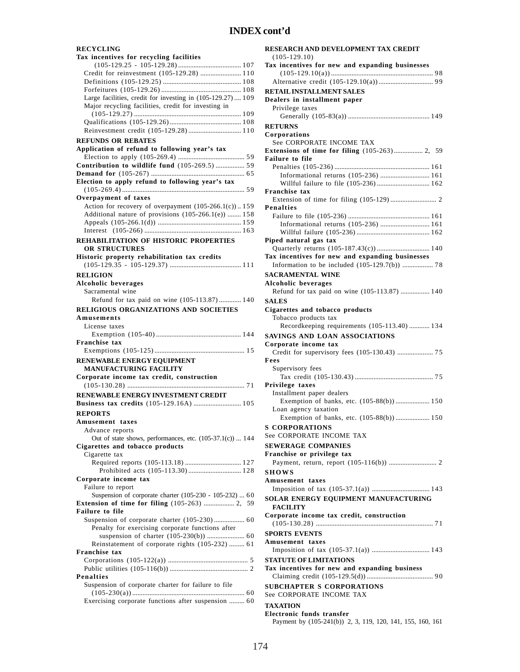### **RECYCLING**

| Tax incentives for recycling facilities                                                      |
|----------------------------------------------------------------------------------------------|
|                                                                                              |
| Credit for reinvestment (105-129.28)  110                                                    |
|                                                                                              |
| Large facilities, credit for investing in (105-129.27) 109                                   |
| Major recycling facilities, credit for investing in                                          |
|                                                                                              |
|                                                                                              |
| Reinvestment credit (105-129.28)  110                                                        |
| <b>REFUNDS OR REBATES</b>                                                                    |
| Application of refund to following year's tax                                                |
|                                                                                              |
| Contribution to wildlife fund (105-269.5)  59                                                |
|                                                                                              |
| Election to apply refund to following year's tax                                             |
|                                                                                              |
| Overpayment of taxes                                                                         |
| Action for recovery of overpayment (105-266.1(c))159                                         |
| Additional nature of provisions (105-266.1(e))  158                                          |
|                                                                                              |
|                                                                                              |
| REHABILITATION OF HISTORIC PROPERTIES                                                        |
| <b>OR STRUCTURES</b>                                                                         |
| Historic property rehabilitation tax credits                                                 |
|                                                                                              |
| <b>RELIGION</b>                                                                              |
| <b>Alcoholic beverages</b>                                                                   |
| Sacramental wine                                                                             |
| Refund for tax paid on wine (105-113.87) 140                                                 |
| <b>RELIGIOUS ORGANIZATIONS AND SOCIETIES</b>                                                 |
| Amusements                                                                                   |
| License taxes                                                                                |
|                                                                                              |
|                                                                                              |
| <b>Franchise tax</b>                                                                         |
|                                                                                              |
|                                                                                              |
| RENEWABLE ENERGY EQUIPMENT<br><b>MANUFACTURING FACILITY</b>                                  |
| Corporate income tax credit, construction                                                    |
|                                                                                              |
| <b>RENEWABLE ENERGY INVESTMENT CREDIT</b>                                                    |
| Business tax credits (105-129.16A)  105                                                      |
|                                                                                              |
| <b>REPORTS</b>                                                                               |
| Amusement taxes                                                                              |
| Advance reports                                                                              |
| Out of state shows, performances, etc. (105-37.1(c))  144<br>Cigarettes and tobacco products |
| Cigarette tax                                                                                |
| Required reports (105-113.18)  127                                                           |
|                                                                                              |
| Corporate income tax                                                                         |
| Failure to report                                                                            |
| Suspension of corporate charter (105-230 - 105-232)  60                                      |
| 59                                                                                           |
| <b>Failure to file</b>                                                                       |
| Suspension of corporate charter (105-230) 60                                                 |
| Penalty for exercising corporate functions after                                             |
|                                                                                              |
| Reinstatement of corporate rights (105-232)  61                                              |
| <b>Franchise tax</b>                                                                         |
|                                                                                              |
| Penalties                                                                                    |
| Suspension of corporate charter for failure to file                                          |
| Exercising corporate functions after suspension  60                                          |

| RESEARCH AND DEVELOPMENT TAX CREDIT                                            |
|--------------------------------------------------------------------------------|
| $(105-129.10)$<br>Tax incentives for new and expanding businesses              |
|                                                                                |
|                                                                                |
| <b>RETAIL INSTALLMENT SALES</b><br>Dealers in installment paper                |
| Privilege taxes                                                                |
|                                                                                |
| <b>RETURNS</b>                                                                 |
| Corporations<br>See CORPORATE INCOME TAX                                       |
| Extensions of time for filing (105-263) 2, 59                                  |
| <b>Failure to file</b>                                                         |
| Informational returns (105-236)  161                                           |
| Willful failure to file (105-236) 162                                          |
| <b>Franchise tax</b>                                                           |
| <b>Penalties</b>                                                               |
|                                                                                |
| Informational returns (105-236)  161                                           |
| Piped natural gas tax                                                          |
| Quarterly returns (105-187.43(c)) 140                                          |
| Tax incentives for new and expanding businesses                                |
|                                                                                |
| <b>SACRAMENTAL WINE</b>                                                        |
| Alcoholic beverages<br>Refund for tax paid on wine (105-113.87)  140           |
| <b>SALES</b>                                                                   |
| Cigarettes and tobacco products                                                |
| Tobacco products tax                                                           |
| Recordkeeping requirements (105-113.40)  134<br>SAVINGS AND LOAN ASSOCIATIONS  |
| Corporate income tax                                                           |
|                                                                                |
| Fees<br>Supervisory fees                                                       |
|                                                                                |
| Privilege taxes                                                                |
| Installment paper dealers<br>Exemption of banks, etc. (105-88(b)) 150          |
| Loan agency taxation                                                           |
| Exemption of banks, etc. (105-88(b))  150                                      |
| <b>S CORPORATIONS</b>                                                          |
| See CORPORATE INCOME TAX                                                       |
| <b>SEWERAGE COMPANIES</b><br>Franchise or privilege tax                        |
|                                                                                |
| <b>SHOWS</b>                                                                   |
| Amusement taxes                                                                |
|                                                                                |
| SOLAR ENERGY EQUIPMENT MANUFACTURING<br><b>FACILITY</b>                        |
| Corporate income tax credit, construction                                      |
| <b>SPORTS EVENTS</b>                                                           |
| Amusement taxes                                                                |
|                                                                                |
| <b>STATUTE OF LIMITATIONS</b><br>Tax incentives for new and expanding business |
|                                                                                |
| <b>SUBCHAPTER S CORPORATIONS</b><br>See CORPORATE INCOME TAX                   |
| <b>TAXATION</b>                                                                |
| <b>Electronic funds transfer</b>                                               |
| Payment by (105-241(b)) 2, 3, 119, 120, 141, 155, 160, 161                     |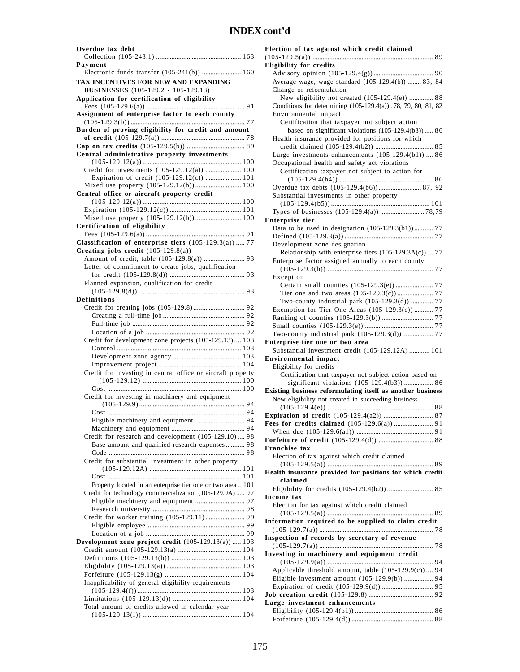| Overdue tax debt                                            |
|-------------------------------------------------------------|
|                                                             |
| Payment                                                     |
| Electronic funds transfer (105-241(b))  160                 |
| TAX INCENTIVES FOR NEW AND EXPANDING                        |
|                                                             |
| <b>BUSINESSES</b> (105-129.2 - 105-129.13)                  |
| Application for certification of eligibility                |
|                                                             |
| Assignment of enterprise factor to each county              |
|                                                             |
| Burden of proving eligibility for credit and amount         |
|                                                             |
|                                                             |
|                                                             |
| Central administrative property investments                 |
|                                                             |
| Credit for investments (105-129.12(a))  100                 |
|                                                             |
|                                                             |
|                                                             |
| Central office or aircraft property credit                  |
|                                                             |
|                                                             |
| Mixed use property (105-129.12(b)) 100                      |
| Certification of eligibility                                |
|                                                             |
|                                                             |
| Classification of enterprise tiers $(105-129.3(a))$ 77      |
| Creating jobs credit $(105-129.8(a))$                       |
|                                                             |
| Letter of commitment to create jobs, qualification          |
|                                                             |
|                                                             |
| Planned expansion, qualification for credit                 |
|                                                             |
| Definitions                                                 |
|                                                             |
|                                                             |
|                                                             |
|                                                             |
|                                                             |
| Credit for development zone projects (105-129.13) 103       |
|                                                             |
|                                                             |
|                                                             |
|                                                             |
| Credit for investing in central office or aircraft property |
|                                                             |
|                                                             |
| Credit for investing in machinery and equipment             |
|                                                             |
|                                                             |
|                                                             |
| Eligible machinery and equipment  94                        |
|                                                             |
| Credit for research and development (105-129.10) 98         |
| Base amount and qualified research expenses  98             |
|                                                             |
| Credit for substantial investment in other property         |
|                                                             |
|                                                             |
|                                                             |
| Property located in an enterprise tier one or two area  101 |
| Credit for technology commercialization (105-129.9A)  97    |
|                                                             |
|                                                             |
|                                                             |
|                                                             |
|                                                             |
|                                                             |
| Development zone project credit (105-129.13(a))  103        |
|                                                             |
|                                                             |
|                                                             |
|                                                             |
|                                                             |
| Inapplicability of general eligibility requirements         |
|                                                             |
|                                                             |
|                                                             |
| Total amount of credits allowed in calendar year            |
|                                                             |

| Election of tax against which credit claimed                                                                    |
|-----------------------------------------------------------------------------------------------------------------|
| <b>Eligibility for credits</b>                                                                                  |
| Average wage, wage standard (105-129.4(b))  83, 84<br>Change or reformulation                                   |
| New eligibility not created (105-129.4(e))  88<br>Conditions for determining (105-129.4(a)). 78, 79, 80, 81, 82 |
| Environmental impact<br>Certification that taxpayer not subject action                                          |
| based on significant violations $(105-129.4(b3))$ 86<br>Health insurance provided for positions for which       |
| Large investments enhancements $(105-129.4(b1))$ 86<br>Occupational health and safety act violations            |
| Certification taxpayer not subject to action for                                                                |
| Substantial investments in other property                                                                       |
|                                                                                                                 |
| <b>Enterprise tier</b><br>Data to be used in designation (105-129.3(b1)) 77                                     |
| Development zone designation                                                                                    |
| Relationship with enterprise tiers (105-129.3A(c))  77<br>Enterprise factor assigned annually to each county    |
| Exception<br>Certain small counties (105-129.3(e))  77                                                          |
|                                                                                                                 |
| Two-county industrial park (105-129.3(d))  77                                                                   |
| Exemption for Tier One Areas (105-129.3(c))  77                                                                 |
|                                                                                                                 |
|                                                                                                                 |
| Two-county industrial park (105-129.3(d)) 77                                                                    |
| Enterprise tier one or two area                                                                                 |
| Substantial investment credit (105-129.12A)  101                                                                |
| <b>Environmental impact</b>                                                                                     |
| Eligibility for credits                                                                                         |
| Certification that taxpayer not subject action based on                                                         |
| significant violations (105-129.4(b3))  86                                                                      |
| Existing business reformulating itself as another business                                                      |
| New eligibility not created in succeeding business                                                              |
|                                                                                                                 |
|                                                                                                                 |
|                                                                                                                 |
|                                                                                                                 |
| <b>Franchise tax</b>                                                                                            |
| Election of tax against which credit claimed<br>Health insurance provided for positions for which credit        |
| claimed                                                                                                         |
| Income tax                                                                                                      |
| Election for tax against which credit claimed                                                                   |
| Information required to be supplied to claim credit<br>Inspection of records by secretary of revenue            |
| Investing in machinery and equipment credit                                                                     |
|                                                                                                                 |
| Applicable threshold amount, table $(105-129.9(c))$ 94                                                          |
| Eligible investment amount (105-129.9(b))  94                                                                   |
|                                                                                                                 |
|                                                                                                                 |
| Large investment enhancements                                                                                   |
|                                                                                                                 |
|                                                                                                                 |